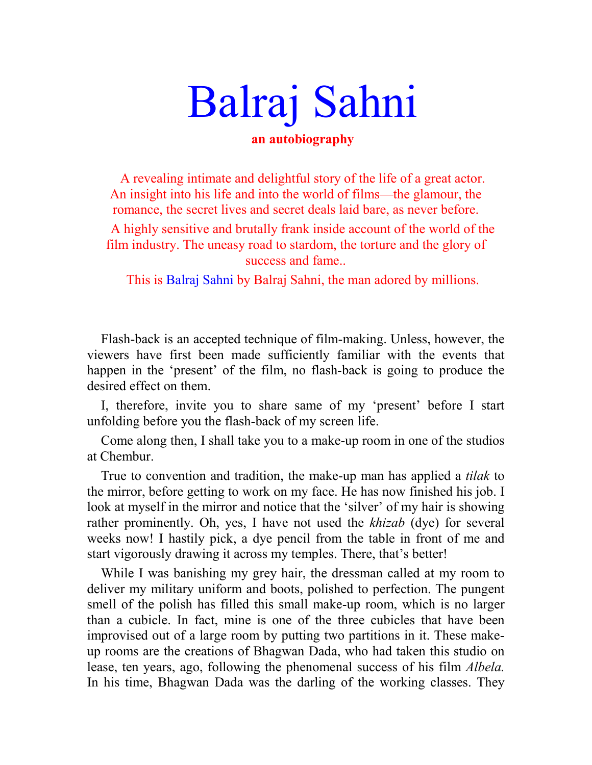# Balraj Sahni

# **an autobiography**

A revealing intimate and delightful story of the life of a great actor. An insight into his life and into the world of films—the glamour, the romance, the secret lives and secret deals laid bare, as never before.

A highly sensitive and brutally frank inside account of the world of the film industry. The uneasy road to stardom, the torture and the glory of success and fame..

This is Balraj Sahni by Balraj Sahni, the man adored by millions.

Flash-back is an accepted technique of film-making. Unless, however, the viewers have first been made sufficiently familiar with the events that happen in the 'present' of the film, no flash-back is going to produce the desired effect on them.

I, therefore, invite you to share same of my 'present' before I start unfolding before you the flash-back of my screen life.

Come along then, I shall take you to a make-up room in one of the studios at Chembur.

True to convention and tradition, the make-up man has applied a *tilak* to the mirror, before getting to work on my face. He has now finished his job. I look at myself in the mirror and notice that the 'silver' of my hair is showing rather prominently. Oh, yes, I have not used the *khizab* (dye) for several weeks now! I hastily pick, a dye pencil from the table in front of me and start vigorously drawing it across my temples. There, that's better!

While I was banishing my grey hair, the dressman called at my room to deliver my military uniform and boots, polished to perfection. The pungent smell of the polish has filled this small make-up room, which is no larger than a cubicle. In fact, mine is one of the three cubicles that have been improvised out of a large room by putting two partitions in it. These makeup rooms are the creations of Bhagwan Dada, who had taken this studio on lease, ten years, ago, following the phenomenal success of his film *Albela.*  In his time, Bhagwan Dada was the darling of the working classes. They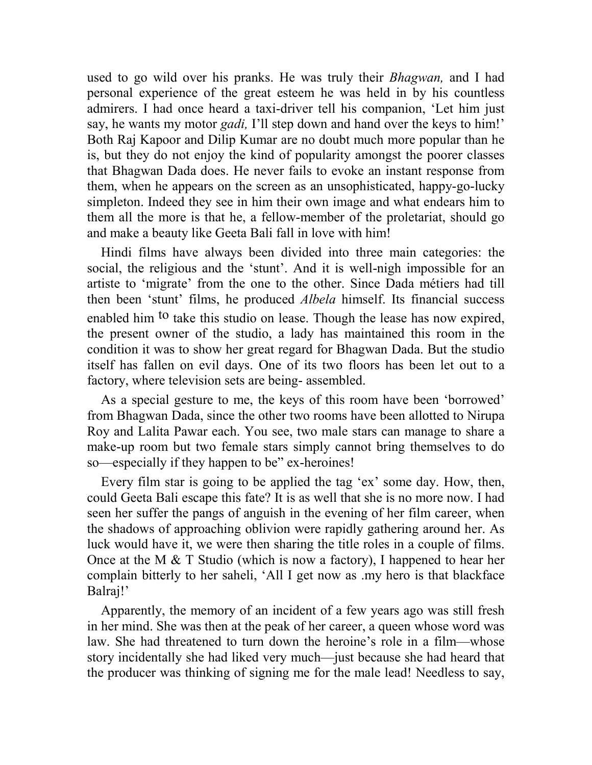used to go wild over his pranks. He was truly their *Bhagwan,* and I had personal experience of the great esteem he was held in by his countless admirers. I had once heard a taxi-driver tell his companion, 'Let him just say, he wants my motor *gadi,* I'll step down and hand over the keys to him!' Both Raj Kapoor and Dilip Kumar are no doubt much more popular than he is, but they do not enjoy the kind of popularity amongst the poorer classes that Bhagwan Dada does. He never fails to evoke an instant response from them, when he appears on the screen as an unsophisticated, happy-go-lucky simpleton. Indeed they see in him their own image and what endears him to them all the more is that he, a fellow-member of the proletariat, should go and make a beauty like Geeta Bali fall in love with him!

Hindi films have always been divided into three main categories: the social, the religious and the 'stunt'. And it is well-nigh impossible for an artiste to 'migrate' from the one to the other. Since Dada métiers had till then been 'stunt' films, he produced *Albela* himself. Its financial success enabled him <sup>to</sup> take this studio on lease. Though the lease has now expired, the present owner of the studio, a lady has maintained this room in the condition it was to show her great regard for Bhagwan Dada. But the studio itself has fallen on evil days. One of its two floors has been let out to a factory, where television sets are being- assembled.

As a special gesture to me, the keys of this room have been 'borrowed' from Bhagwan Dada, since the other two rooms have been allotted to Nirupa Roy and Lalita Pawar each. You see, two male stars can manage to share a make-up room but two female stars simply cannot bring themselves to do so—especially if they happen to be" ex-heroines!

Every film star is going to be applied the tag 'ex' some day. How, then, could Geeta Bali escape this fate? It is as well that she is no more now. I had seen her suffer the pangs of anguish in the evening of her film career, when the shadows of approaching oblivion were rapidly gathering around her. As luck would have it, we were then sharing the title roles in a couple of films. Once at the M & T Studio (which is now a factory), I happened to hear her complain bitterly to her saheli, 'All I get now as .my hero is that blackface Balraj!'

Apparently, the memory of an incident of a few years ago was still fresh in her mind. She was then at the peak of her career, a queen whose word was law. She had threatened to turn down the heroine's role in a film—whose story incidentally she had liked very much—just because she had heard that the producer was thinking of signing me for the male lead! Needless to say,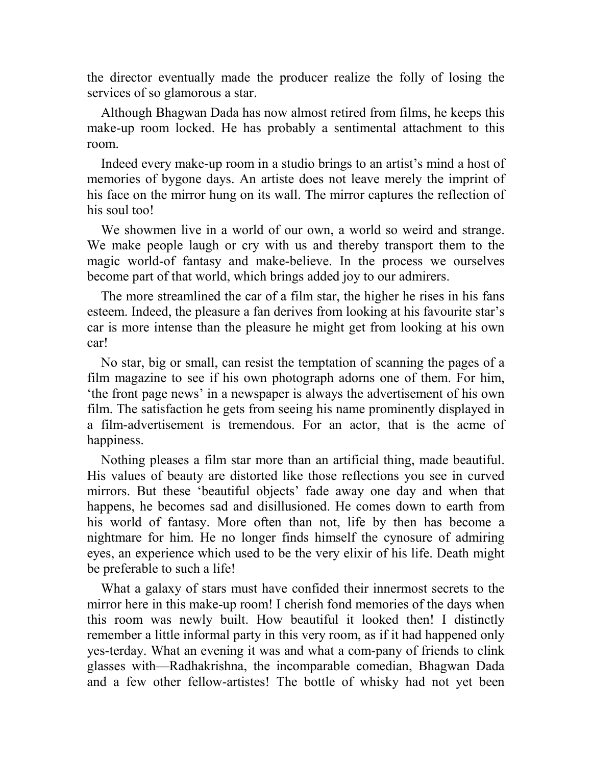the director eventually made the producer realize the folly of losing the services of so glamorous a star.

Although Bhagwan Dada has now almost retired from films, he keeps this make-up room locked. He has probably a sentimental attachment to this room.

Indeed every make-up room in a studio brings to an artist's mind a host of memories of bygone days. An artiste does not leave merely the imprint of his face on the mirror hung on its wall. The mirror captures the reflection of his soul too!

We showmen live in a world of our own, a world so weird and strange. We make people laugh or cry with us and thereby transport them to the magic world-of fantasy and make-believe. In the process we ourselves become part of that world, which brings added joy to our admirers.

The more streamlined the car of a film star, the higher he rises in his fans esteem. Indeed, the pleasure a fan derives from looking at his favourite star's car is more intense than the pleasure he might get from looking at his own car!

No star, big or small, can resist the temptation of scanning the pages of a film magazine to see if his own photograph adorns one of them. For him, 'the front page news' in a newspaper is always the advertisement of his own film. The satisfaction he gets from seeing his name prominently displayed in a film-advertisement is tremendous. For an actor, that is the acme of happiness.

Nothing pleases a film star more than an artificial thing, made beautiful. His values of beauty are distorted like those reflections you see in curved mirrors. But these 'beautiful objects' fade away one day and when that happens, he becomes sad and disillusioned. He comes down to earth from his world of fantasy. More often than not, life by then has become a nightmare for him. He no longer finds himself the cynosure of admiring eyes, an experience which used to be the very elixir of his life. Death might be preferable to such a life!

What a galaxy of stars must have confided their innermost secrets to the mirror here in this make-up room! I cherish fond memories of the days when this room was newly built. How beautiful it looked then! I distinctly remember a little informal party in this very room, as if it had happened only yes-terday. What an evening it was and what a com-pany of friends to clink glasses with—Radhakrishna, the incomparable comedian, Bhagwan Dada and a few other fellow-artistes! The bottle of whisky had not yet been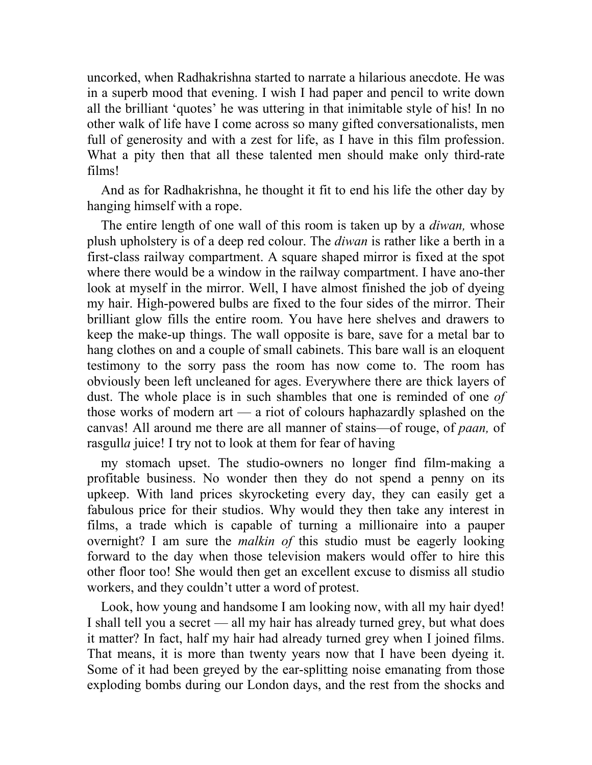uncorked, when Radhakrishna started to narrate a hilarious anecdote. He was in a superb mood that evening. I wish I had paper and pencil to write down all the brilliant 'quotes' he was uttering in that inimitable style of his! In no other walk of life have I come across so many gifted conversationalists, men full of generosity and with a zest for life, as I have in this film profession. What a pity then that all these talented men should make only third-rate films!

And as for Radhakrishna, he thought it fit to end his life the other day by hanging himself with a rope.

The entire length of one wall of this room is taken up by a *diwan,* whose plush upholstery is of a deep red colour. The *diwan* is rather like a berth in a first-class railway compartment. A square shaped mirror is fixed at the spot where there would be a window in the railway compartment. I have ano-ther look at myself in the mirror. Well, I have almost finished the job of dyeing my hair. High-powered bulbs are fixed to the four sides of the mirror. Their brilliant glow fills the entire room. You have here shelves and drawers to keep the make-up things. The wall opposite is bare, save for a metal bar to hang clothes on and a couple of small cabinets. This bare wall is an eloquent testimony to the sorry pass the room has now come to. The room has obviously been left uncleaned for ages. Everywhere there are thick layers of dust. The whole place is in such shambles that one is reminded of one *of*  those works of modern art — a riot of colours haphazardly splashed on the canvas! All around me there are all manner of stains—of rouge, of *paan,* of rasgull*a* juice! I try not to look at them for fear of having

my stomach upset. The studio-owners no longer find film-making a profitable business. No wonder then they do not spend a penny on its upkeep. With land prices skyrocketing every day, they can easily get a fabulous price for their studios. Why would they then take any interest in films, a trade which is capable of turning a millionaire into a pauper overnight? I am sure the *malkin of* this studio must be eagerly looking forward to the day when those television makers would offer to hire this other floor too! She would then get an excellent excuse to dismiss all studio workers, and they couldn't utter a word of protest.

Look, how young and handsome I am looking now, with all my hair dyed! I shall tell you a secret — all my hair has already turned grey, but what does it matter? In fact, half my hair had already turned grey when I joined films. That means, it is more than twenty years now that I have been dyeing it. Some of it had been greyed by the ear-splitting noise emanating from those exploding bombs during our London days, and the rest from the shocks and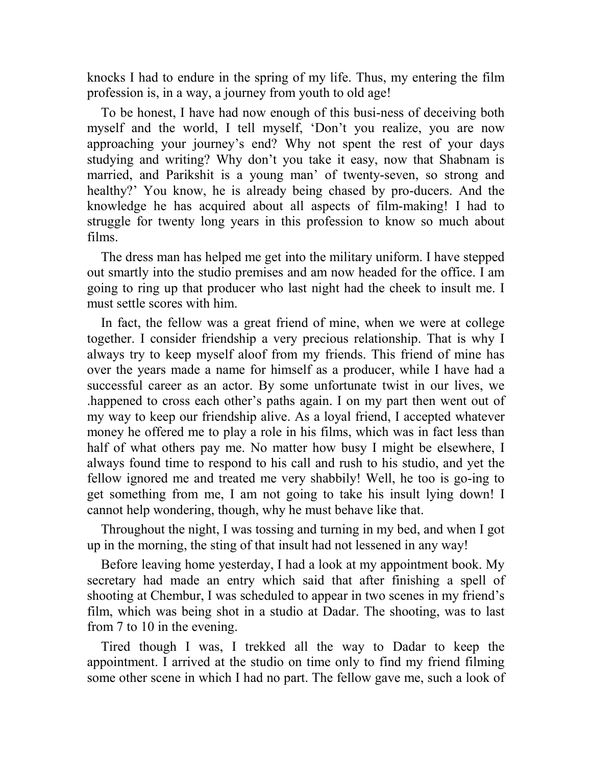knocks I had to endure in the spring of my life. Thus, my entering the film profession is, in a way, a journey from youth to old age!

To be honest, I have had now enough of this busi-ness of deceiving both myself and the world, I tell myself, 'Don't you realize, you are now approaching your journey's end? Why not spent the rest of your days studying and writing? Why don't you take it easy, now that Shabnam is married, and Parikshit is a young man' of twenty-seven, so strong and healthy?' You know, he is already being chased by pro-ducers. And the knowledge he has acquired about all aspects of film-making! I had to struggle for twenty long years in this profession to know so much about films.

The dress man has helped me get into the military uniform. I have stepped out smartly into the studio premises and am now headed for the office. I am going to ring up that producer who last night had the cheek to insult me. I must settle scores with him.

In fact, the fellow was a great friend of mine, when we were at college together. I consider friendship a very precious relationship. That is why I always try to keep myself aloof from my friends. This friend of mine has over the years made a name for himself as a producer, while I have had a successful career as an actor. By some unfortunate twist in our lives, we .happened to cross each other's paths again. I on my part then went out of my way to keep our friendship alive. As a loyal friend, I accepted whatever money he offered me to play a role in his films, which was in fact less than half of what others pay me. No matter how busy I might be elsewhere, I always found time to respond to his call and rush to his studio, and yet the fellow ignored me and treated me very shabbily! Well, he too is go-ing to get something from me, I am not going to take his insult lying down! I cannot help wondering, though, why he must behave like that.

Throughout the night, I was tossing and turning in my bed, and when I got up in the morning, the sting of that insult had not lessened in any way!

Before leaving home yesterday, I had a look at my appointment book. My secretary had made an entry which said that after finishing a spell of shooting at Chembur, I was scheduled to appear in two scenes in my friend's film, which was being shot in a studio at Dadar. The shooting, was to last from 7 to 10 in the evening.

Tired though I was, I trekked all the way to Dadar to keep the appointment. I arrived at the studio on time only to find my friend filming some other scene in which I had no part. The fellow gave me, such a look of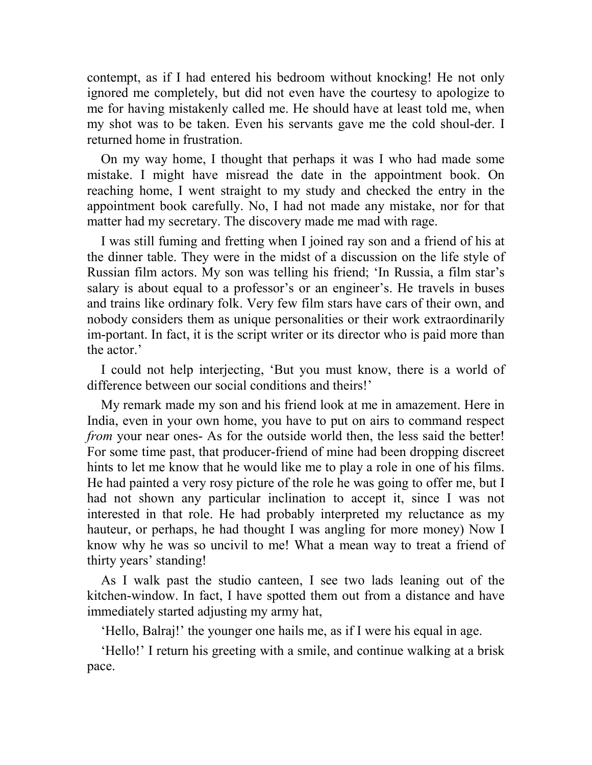contempt, as if I had entered his bedroom without knocking! He not only ignored me completely, but did not even have the courtesy to apologize to me for having mistakenly called me. He should have at least told me, when my shot was to be taken. Even his servants gave me the cold shoul-der. I returned home in frustration.

On my way home, I thought that perhaps it was I who had made some mistake. I might have misread the date in the appointment book. On reaching home, I went straight to my study and checked the entry in the appointment book carefully. No, I had not made any mistake, nor for that matter had my secretary. The discovery made me mad with rage.

I was still fuming and fretting when I joined ray son and a friend of his at the dinner table. They were in the midst of a discussion on the life style of Russian film actors. My son was telling his friend; 'In Russia, a film star's salary is about equal to a professor's or an engineer's. He travels in buses and trains like ordinary folk. Very few film stars have cars of their own, and nobody considers them as unique personalities or their work extraordinarily im-portant. In fact, it is the script writer or its director who is paid more than the actor.'

I could not help interjecting, 'But you must know, there is a world of difference between our social conditions and theirs!'

My remark made my son and his friend look at me in amazement. Here in India, even in your own home, you have to put on airs to command respect *from* your near ones- As for the outside world then, the less said the better! For some time past, that producer-friend of mine had been dropping discreet hints to let me know that he would like me to play a role in one of his films. He had painted a very rosy picture of the role he was going to offer me, but I had not shown any particular inclination to accept it, since I was not interested in that role. He had probably interpreted my reluctance as my hauteur, or perhaps, he had thought I was angling for more money) Now I know why he was so uncivil to me! What a mean way to treat a friend of thirty years' standing!

As I walk past the studio canteen, I see two lads leaning out of the kitchen-window. In fact, I have spotted them out from a distance and have immediately started adjusting my army hat,

'Hello, Balraj!' the younger one hails me, as if I were his equal in age.

'Hello!' I return his greeting with a smile, and continue walking at a brisk pace.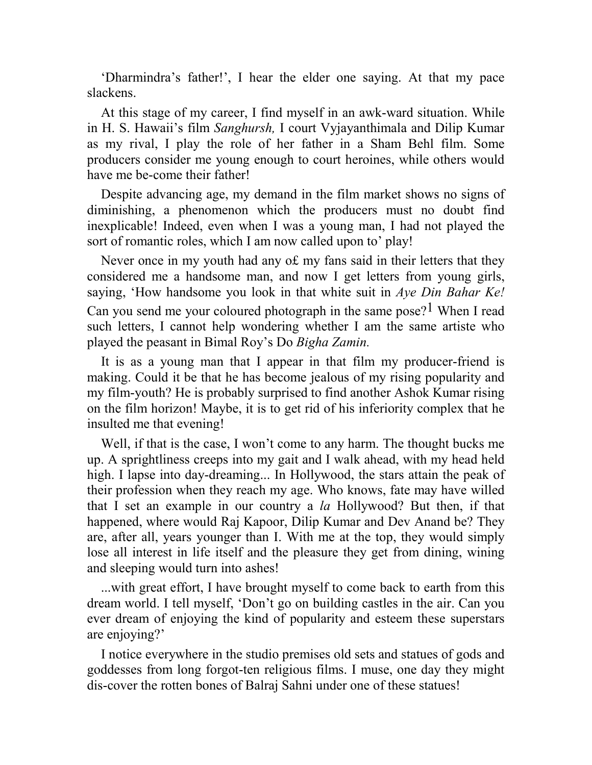'Dharmindra's father!', I hear the elder one saying. At that my pace slackens.

At this stage of my career, I find myself in an awk-ward situation. While in H. S. Hawaii's film *Sanghursh,* I court Vyjayanthimala and Dilip Kumar as my rival, I play the role of her father in a Sham Behl film. Some producers consider me young enough to court heroines, while others would have me be-come their father!

Despite advancing age, my demand in the film market shows no signs of diminishing, a phenomenon which the producers must no doubt find inexplicable! Indeed, even when I was a young man, I had not played the sort of romantic roles, which I am now called upon to' play!

Never once in my youth had any o£ my fans said in their letters that they considered me a handsome man, and now I get letters from young girls, saying, 'How handsome you look in that white suit in *Aye Din Bahar Ke!*  Can you send me your coloured photograph in the same pose?<sup>1</sup> When I read such letters, I cannot help wondering whether I am the same artiste who played the peasant in Bimal Roy's Do *Bigha Zamin.*

It is as a young man that I appear in that film my producer-friend is making. Could it be that he has become jealous of my rising popularity and my film-youth? He is probably surprised to find another Ashok Kumar rising on the film horizon! Maybe, it is to get rid of his inferiority complex that he insulted me that evening!

Well, if that is the case, I won't come to any harm. The thought bucks me up. A sprightliness creeps into my gait and I walk ahead, with my head held high. I lapse into day-dreaming... In Hollywood, the stars attain the peak of their profession when they reach my age. Who knows, fate may have willed that I set an example in our country a *la* Hollywood? But then, if that happened, where would Raj Kapoor, Dilip Kumar and Dev Anand be? They are, after all, years younger than I. With me at the top, they would simply lose all interest in life itself and the pleasure they get from dining, wining and sleeping would turn into ashes!

...with great effort, I have brought myself to come back to earth from this dream world. I tell myself, 'Don't go on building castles in the air. Can you ever dream of enjoying the kind of popularity and esteem these superstars are enjoying?'

I notice everywhere in the studio premises old sets and statues of gods and goddesses from long forgot-ten religious films. I muse, one day they might dis-cover the rotten bones of Balraj Sahni under one of these statues!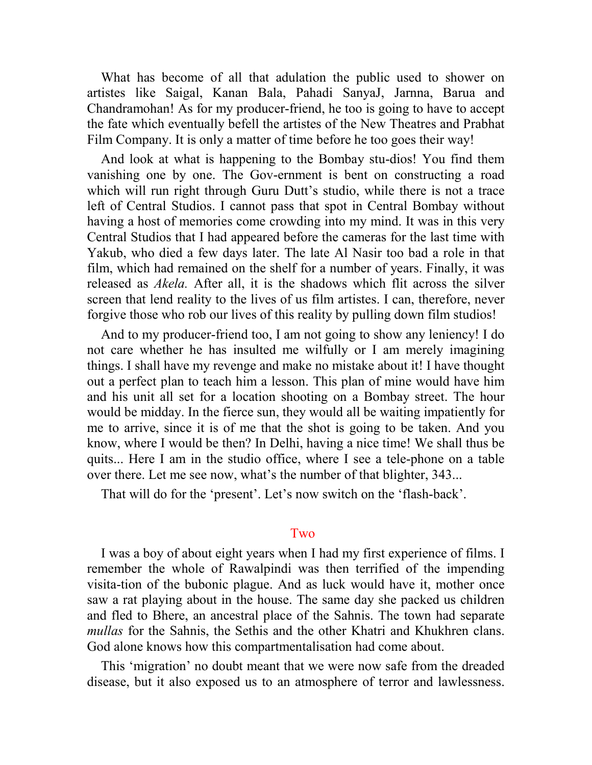What has become of all that adulation the public used to shower on artistes like Saigal, Kanan Bala, Pahadi SanyaJ, Jarnna, Barua and Chandramohan! As for my producer-friend, he too is going to have to accept the fate which eventually befell the artistes of the New Theatres and Prabhat Film Company. It is only a matter of time before he too goes their way!

And look at what is happening to the Bombay stu-dios! You find them vanishing one by one. The Gov-ernment is bent on constructing a road which will run right through Guru Dutt's studio, while there is not a trace left of Central Studios. I cannot pass that spot in Central Bombay without having a host of memories come crowding into my mind. It was in this very Central Studios that I had appeared before the cameras for the last time with Yakub, who died a few days later. The late Al Nasir too bad a role in that film, which had remained on the shelf for a number of years. Finally, it was released as *Akela.* After all, it is the shadows which flit across the silver screen that lend reality to the lives of us film artistes. I can, therefore, never forgive those who rob our lives of this reality by pulling down film studios!

And to my producer-friend too, I am not going to show any leniency! I do not care whether he has insulted me wilfully or I am merely imagining things. I shall have my revenge and make no mistake about it! I have thought out a perfect plan to teach him a lesson. This plan of mine would have him and his unit all set for a location shooting on a Bombay street. The hour would be midday. In the fierce sun, they would all be waiting impatiently for me to arrive, since it is of me that the shot is going to be taken. And you know, where I would be then? In Delhi, having a nice time! We shall thus be quits... Here I am in the studio office, where I see a tele-phone on a table over there. Let me see now, what's the number of that blighter, 343...

That will do for the 'present'. Let's now switch on the 'flash-back'.

### Two

I was a boy of about eight years when I had my first experience of films. I remember the whole of Rawalpindi was then terrified of the impending visita-tion of the bubonic plague. And as luck would have it, mother once saw a rat playing about in the house. The same day she packed us children and fled to Bhere, an ancestral place of the Sahnis. The town had separate *mullas* for the Sahnis, the Sethis and the other Khatri and Khukhren clans. God alone knows how this compartmentalisation had come about.

This 'migration' no doubt meant that we were now safe from the dreaded disease, but it also exposed us to an atmosphere of terror and lawlessness.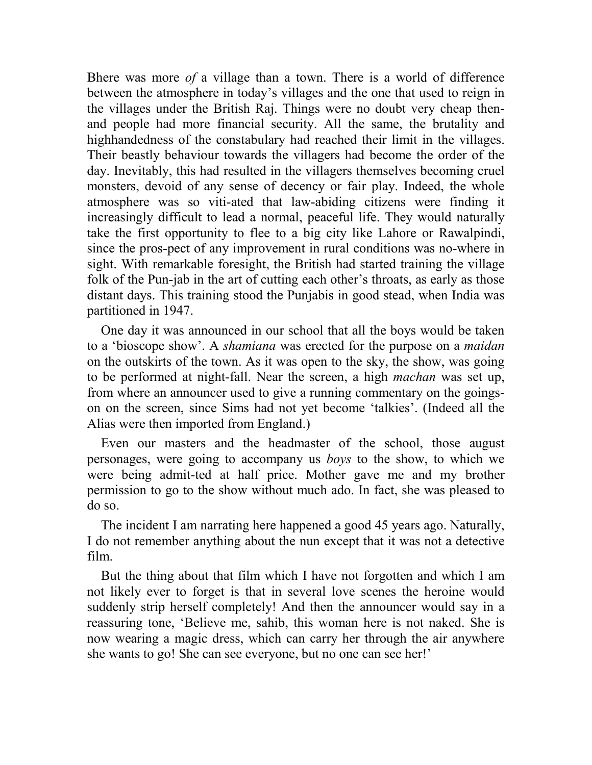Bhere was more *of* a village than a town. There is a world of difference between the atmosphere in today's villages and the one that used to reign in the villages under the British Raj. Things were no doubt very cheap thenand people had more financial security. All the same, the brutality and highhandedness of the constabulary had reached their limit in the villages. Their beastly behaviour towards the villagers had become the order of the day. Inevitably, this had resulted in the villagers themselves becoming cruel monsters, devoid of any sense of decency or fair play. Indeed, the whole atmosphere was so viti-ated that law-abiding citizens were finding it increasingly difficult to lead a normal, peaceful life. They would naturally take the first opportunity to flee to a big city like Lahore or Rawalpindi, since the pros-pect of any improvement in rural conditions was no-where in sight. With remarkable foresight, the British had started training the village folk of the Pun-jab in the art of cutting each other's throats, as early as those distant days. This training stood the Punjabis in good stead, when India was partitioned in 1947.

One day it was announced in our school that all the boys would be taken to a 'bioscope show'. A *shamiana* was erected for the purpose on a *maidan*  on the outskirts of the town. As it was open to the sky, the show, was going to be performed at night-fall. Near the screen, a high *machan* was set up, from where an announcer used to give a running commentary on the goingson on the screen, since Sims had not yet become 'talkies'. (Indeed all the Alias were then imported from England.)

Even our masters and the headmaster of the school, those august personages, were going to accompany us *boys* to the show, to which we were being admit-ted at half price. Mother gave me and my brother permission to go to the show without much ado. In fact, she was pleased to do so.

The incident I am narrating here happened a good 45 years ago. Naturally, I do not remember anything about the nun except that it was not a detective film.

But the thing about that film which I have not forgotten and which I am not likely ever to forget is that in several love scenes the heroine would suddenly strip herself completely! And then the announcer would say in a reassuring tone, 'Believe me, sahib, this woman here is not naked. She is now wearing a magic dress, which can carry her through the air anywhere she wants to go! She can see everyone, but no one can see her!'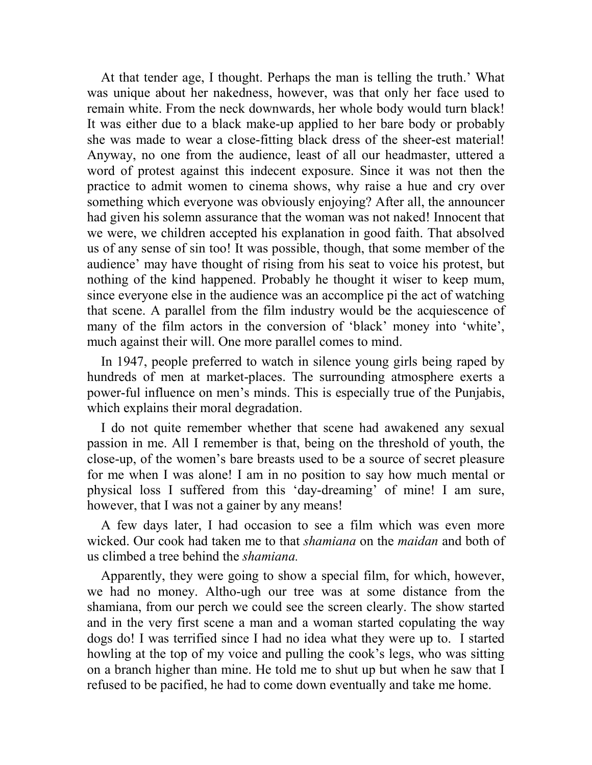At that tender age, I thought. Perhaps the man is telling the truth.' What was unique about her nakedness, however, was that only her face used to remain white. From the neck downwards, her whole body would turn black! It was either due to a black make-up applied to her bare body or probably she was made to wear a close-fitting black dress of the sheer-est material! Anyway, no one from the audience, least of all our headmaster, uttered a word of protest against this indecent exposure. Since it was not then the practice to admit women to cinema shows, why raise a hue and cry over something which everyone was obviously enjoying? After all, the announcer had given his solemn assurance that the woman was not naked! Innocent that we were, we children accepted his explanation in good faith. That absolved us of any sense of sin too! It was possible, though, that some member of the audience' may have thought of rising from his seat to voice his protest, but nothing of the kind happened. Probably he thought it wiser to keep mum, since everyone else in the audience was an accomplice pi the act of watching that scene. A parallel from the film industry would be the acquiescence of many of the film actors in the conversion of 'black' money into 'white', much against their will. One more parallel comes to mind.

In 1947, people preferred to watch in silence young girls being raped by hundreds of men at market-places. The surrounding atmosphere exerts a power-ful influence on men's minds. This is especially true of the Punjabis, which explains their moral degradation.

I do not quite remember whether that scene had awakened any sexual passion in me. All I remember is that, being on the threshold of youth, the close-up, of the women's bare breasts used to be a source of secret pleasure for me when I was alone! I am in no position to say how much mental or physical loss I suffered from this 'day-dreaming' of mine! I am sure, however, that I was not a gainer by any means!

A few days later, I had occasion to see a film which was even more wicked. Our cook had taken me to that *shamiana* on the *maidan* and both of us climbed a tree behind the *shamiana.*

Apparently, they were going to show a special film, for which, however, we had no money. Altho-ugh our tree was at some distance from the shamiana, from our perch we could see the screen clearly. The show started and in the very first scene a man and a woman started copulating the way dogs do! I was terrified since I had no idea what they were up to. I started howling at the top of my voice and pulling the cook's legs, who was sitting on a branch higher than mine. He told me to shut up but when he saw that I refused to be pacified, he had to come down eventually and take me home.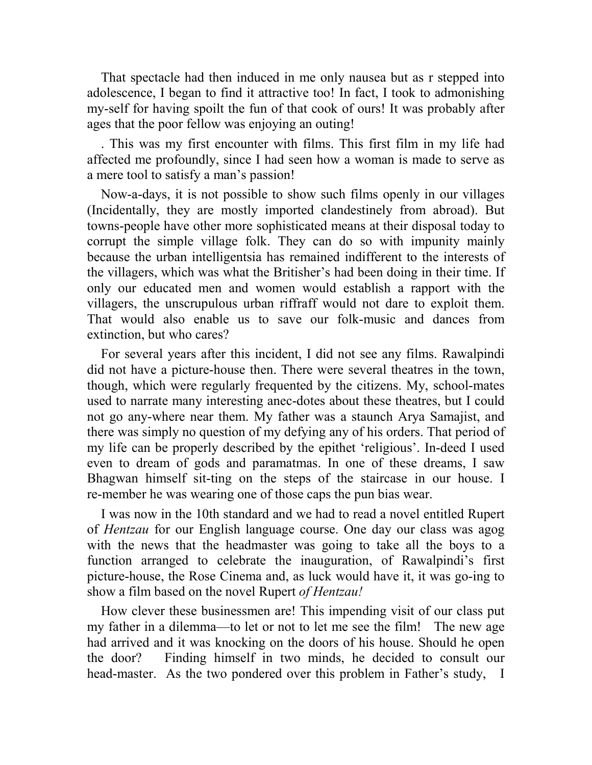That spectacle had then induced in me only nausea but as r stepped into adolescence, I began to find it attractive too! In fact, I took to admonishing my-self for having spoilt the fun of that cook of ours! It was probably after ages that the poor fellow was enjoying an outing!

. This was my first encounter with films. This first film in my life had affected me profoundly, since I had seen how a woman is made to serve as a mere tool to satisfy a man's passion!

Now-a-days, it is not possible to show such films openly in our villages (Incidentally, they are mostly imported clandestinely from abroad). But towns-people have other more sophisticated means at their disposal today to corrupt the simple village folk. They can do so with impunity mainly because the urban intelligentsia has remained indifferent to the interests of the villagers, which was what the Britisher's had been doing in their time. If only our educated men and women would establish a rapport with the villagers, the unscrupulous urban riffraff would not dare to exploit them. That would also enable us to save our folk-music and dances from extinction, but who cares?

For several years after this incident, I did not see any films. Rawalpindi did not have a picture-house then. There were several theatres in the town, though, which were regularly frequented by the citizens. My, school-mates used to narrate many interesting anec-dotes about these theatres, but I could not go any-where near them. My father was a staunch Arya Samajist, and there was simply no question of my defying any of his orders. That period of my life can be properly described by the epithet 'religious'. In-deed I used even to dream of gods and paramatmas. In one of these dreams, I saw Bhagwan himself sit-ting on the steps of the staircase in our house. I re-member he was wearing one of those caps the pun bias wear.

I was now in the 10th standard and we had to read a novel entitled Rupert of *Hentzau* for our English language course. One day our class was agog with the news that the headmaster was going to take all the boys to a function arranged to celebrate the inauguration, of Rawalpindi's first picture-house, the Rose Cinema and, as luck would have it, it was go-ing to show a film based on the novel Rupert *of Hentzau!* 

How clever these businessmen are! This impending visit of our class put my father in a dilemma—to let or not to let me see the film! The new age had arrived and it was knocking on the doors of his house. Should he open the door? Finding himself in two minds, he decided to consult our head-master. As the two pondered over this problem in Father's study, I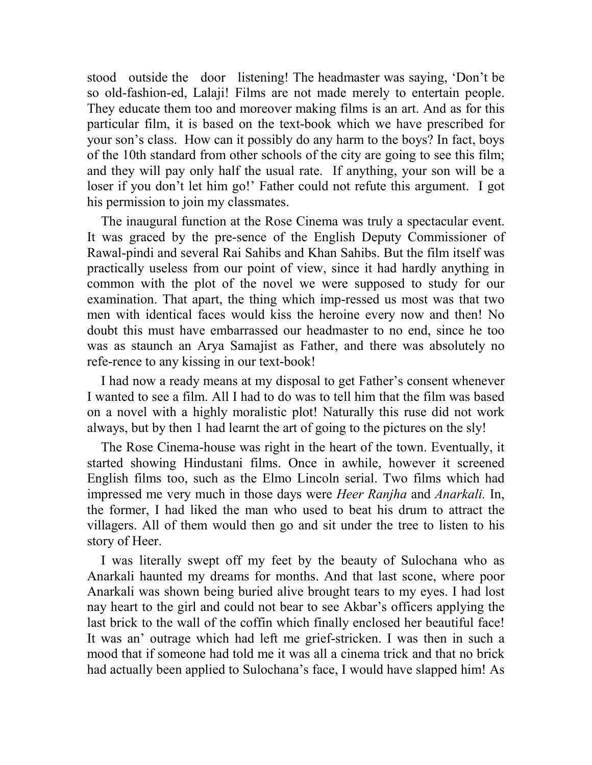stood outside the door listening! The headmaster was saying, 'Don't be so old-fashion-ed, Lalaji! Films are not made merely to entertain people. They educate them too and moreover making films is an art. And as for this particular film, it is based on the text-book which we have prescribed for your son's class. How can it possibly do any harm to the boys? In fact, boys of the 10th standard from other schools of the city are going to see this film; and they will pay only half the usual rate. If anything, your son will be a loser if you don't let him go!' Father could not refute this argument. I got his permission to join my classmates.

The inaugural function at the Rose Cinema was truly a spectacular event. It was graced by the pre-sence of the English Deputy Commissioner of Rawal-pindi and several Rai Sahibs and Khan Sahibs. But the film itself was practically useless from our point of view, since it had hardly anything in common with the plot of the novel we were supposed to study for our examination. That apart, the thing which imp-ressed us most was that two men with identical faces would kiss the heroine every now and then! No doubt this must have embarrassed our headmaster to no end, since he too was as staunch an Arya Samajist as Father, and there was absolutely no refe-rence to any kissing in our text-book!

I had now a ready means at my disposal to get Father's consent whenever I wanted to see a film. All I had to do was to tell him that the film was based on a novel with a highly moralistic plot! Naturally this ruse did not work always, but by then 1 had learnt the art of going to the pictures on the sly!

The Rose Cinema-house was right in the heart of the town. Eventually, it started showing Hindustani films. Once in awhile, however it screened English films too, such as the Elmo Lincoln serial. Two films which had impressed me very much in those days were *Heer Ranjha* and *Anarkali.* In, the former, I had liked the man who used to beat his drum to attract the villagers. All of them would then go and sit under the tree to listen to his story of Heer.

I was literally swept off my feet by the beauty of Sulochana who as Anarkali haunted my dreams for months. And that last scone, where poor Anarkali was shown being buried alive brought tears to my eyes. I had lost nay heart to the girl and could not bear to see Akbar's officers applying the last brick to the wall of the coffin which finally enclosed her beautiful face! It was an' outrage which had left me grief-stricken. I was then in such a mood that if someone had told me it was all a cinema trick and that no brick had actually been applied to Sulochana's face, I would have slapped him! As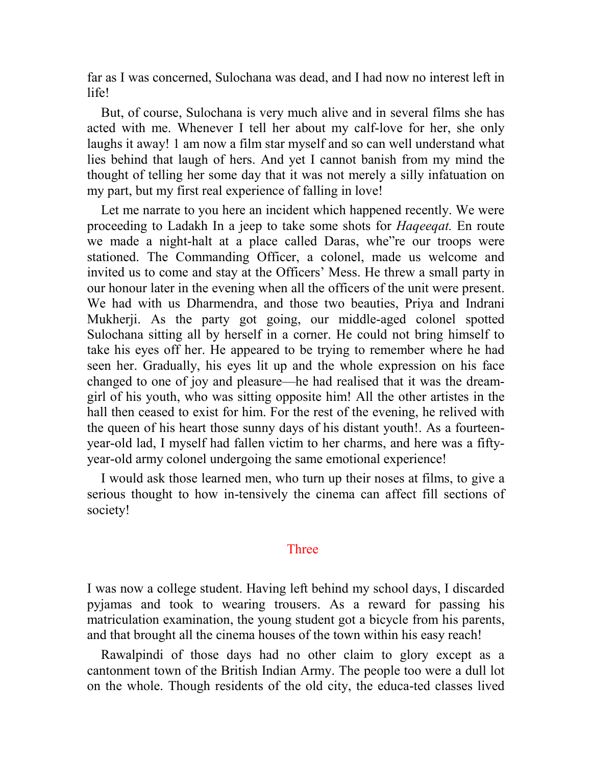far as I was concerned, Sulochana was dead, and I had now no interest left in life!

But, of course, Sulochana is very much alive and in several films she has acted with me. Whenever I tell her about my calf-love for her, she only laughs it away! 1 am now a film star myself and so can well understand what lies behind that laugh of hers. And yet I cannot banish from my mind the thought of telling her some day that it was not merely a silly infatuation on my part, but my first real experience of falling in love!

Let me narrate to you here an incident which happened recently. We were proceeding to Ladakh In a jeep to take some shots for *Haqeeqat.* En route we made a night-halt at a place called Daras, whe"re our troops were stationed. The Commanding Officer, a colonel, made us welcome and invited us to come and stay at the Officers' Mess. He threw a small party in our honour later in the evening when all the officers of the unit were present. We had with us Dharmendra, and those two beauties, Priya and Indrani Mukherji. As the party got going, our middle-aged colonel spotted Sulochana sitting all by herself in a corner. He could not bring himself to take his eyes off her. He appeared to be trying to remember where he had seen her. Gradually, his eyes lit up and the whole expression on his face changed to one of joy and pleasure—he had realised that it was the dreamgirl of his youth, who was sitting opposite him! All the other artistes in the hall then ceased to exist for him. For the rest of the evening, he relived with the queen of his heart those sunny days of his distant youth!. As a fourteenyear-old lad, I myself had fallen victim to her charms, and here was a fiftyyear-old army colonel undergoing the same emotional experience!

I would ask those learned men, who turn up their noses at films, to give a serious thought to how in-tensively the cinema can affect fill sections of society!

## Three

I was now a college student. Having left behind my school days, I discarded pyjamas and took to wearing trousers. As a reward for passing his matriculation examination, the young student got a bicycle from his parents, and that brought all the cinema houses of the town within his easy reach!

Rawalpindi of those days had no other claim to glory except as a cantonment town of the British Indian Army. The people too were a dull lot on the whole. Though residents of the old city, the educa-ted classes lived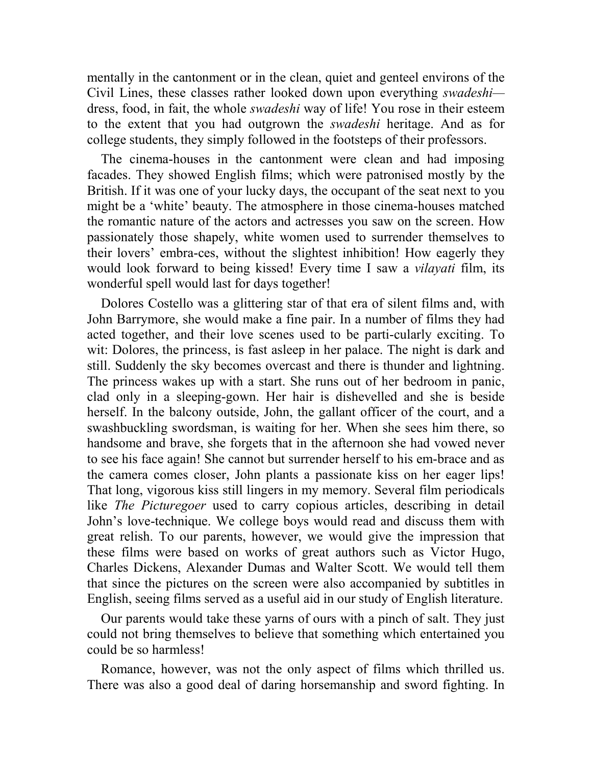mentally in the cantonment or in the clean, quiet and genteel environs of the Civil Lines, these classes rather looked down upon everything *swadeshi* dress, food, in fait, the whole *swadeshi* way of life! You rose in their esteem to the extent that you had outgrown the *swadeshi* heritage. And as for college students, they simply followed in the footsteps of their professors.

The cinema-houses in the cantonment were clean and had imposing facades. They showed English films; which were patronised mostly by the British. If it was one of your lucky days, the occupant of the seat next to you might be a 'white' beauty. The atmosphere in those cinema-houses matched the romantic nature of the actors and actresses you saw on the screen. How passionately those shapely, white women used to surrender themselves to their lovers' embra-ces, without the slightest inhibition! How eagerly they would look forward to being kissed! Every time I saw a *vilayati* film, its wonderful spell would last for days together!

Dolores Costello was a glittering star of that era of silent films and, with John Barrymore, she would make a fine pair. In a number of films they had acted together, and their love scenes used to be parti-cularly exciting. To wit: Dolores, the princess, is fast asleep in her palace. The night is dark and still. Suddenly the sky becomes overcast and there is thunder and lightning. The princess wakes up with a start. She runs out of her bedroom in panic, clad only in a sleeping-gown. Her hair is dishevelled and she is beside herself. In the balcony outside, John, the gallant officer of the court, and a swashbuckling swordsman, is waiting for her. When she sees him there, so handsome and brave, she forgets that in the afternoon she had vowed never to see his face again! She cannot but surrender herself to his em-brace and as the camera comes closer, John plants a passionate kiss on her eager lips! That long, vigorous kiss still lingers in my memory. Several film periodicals like *The Picturegoer* used to carry copious articles, describing in detail John's love-technique. We college boys would read and discuss them with great relish. To our parents, however, we would give the impression that these films were based on works of great authors such as Victor Hugo, Charles Dickens, Alexander Dumas and Walter Scott. We would tell them that since the pictures on the screen were also accompanied by subtitles in English, seeing films served as a useful aid in our study of English literature.

Our parents would take these yarns of ours with a pinch of salt. They just could not bring themselves to believe that something which entertained you could be so harmless!

Romance, however, was not the only aspect of films which thrilled us. There was also a good deal of daring horsemanship and sword fighting. In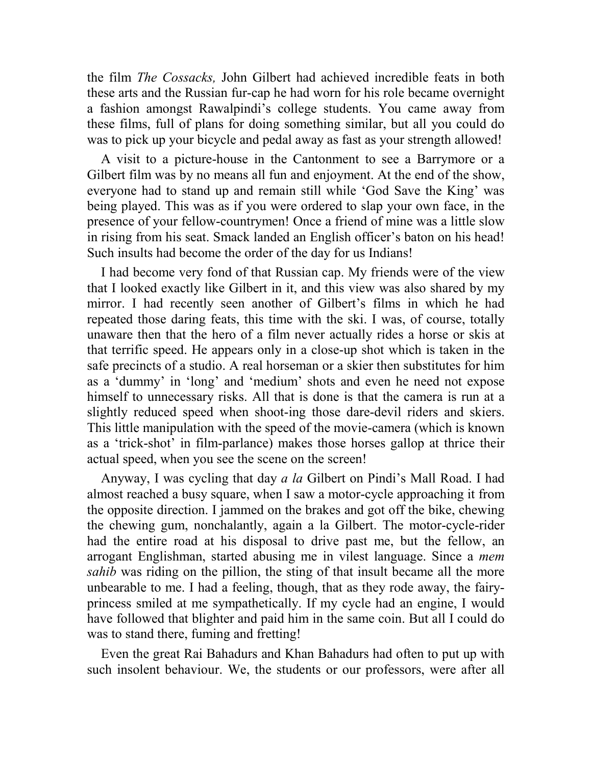the film *The Cossacks,* John Gilbert had achieved incredible feats in both these arts and the Russian fur-cap he had worn for his role became overnight a fashion amongst Rawalpindi's college students. You came away from these films, full of plans for doing something similar, but all you could do was to pick up your bicycle and pedal away as fast as your strength allowed!

A visit to a picture-house in the Cantonment to see a Barrymore or a Gilbert film was by no means all fun and enjoyment. At the end of the show, everyone had to stand up and remain still while 'God Save the King' was being played. This was as if you were ordered to slap your own face, in the presence of your fellow-countrymen! Once a friend of mine was a little slow in rising from his seat. Smack landed an English officer's baton on his head! Such insults had become the order of the day for us Indians!

I had become very fond of that Russian cap. My friends were of the view that I looked exactly like Gilbert in it, and this view was also shared by my mirror. I had recently seen another of Gilbert's films in which he had repeated those daring feats, this time with the ski. I was, of course, totally unaware then that the hero of a film never actually rides a horse or skis at that terrific speed. He appears only in a close-up shot which is taken in the safe precincts of a studio. A real horseman or a skier then substitutes for him as a 'dummy' in 'long' and 'medium' shots and even he need not expose himself to unnecessary risks. All that is done is that the camera is run at a slightly reduced speed when shoot-ing those dare-devil riders and skiers. This little manipulation with the speed of the movie-camera (which is known as a 'trick-shot' in film-parlance) makes those horses gallop at thrice their actual speed, when you see the scene on the screen!

Anyway, I was cycling that day *a la* Gilbert on Pindi's Mall Road. I had almost reached a busy square, when I saw a motor-cycle approaching it from the opposite direction. I jammed on the brakes and got off the bike, chewing the chewing gum, nonchalantly, again a la Gilbert. The motor-cycle-rider had the entire road at his disposal to drive past me, but the fellow, an arrogant Englishman, started abusing me in vilest language. Since a *mem sahib* was riding on the pillion, the sting of that insult became all the more unbearable to me. I had a feeling, though, that as they rode away, the fairyprincess smiled at me sympathetically. If my cycle had an engine, I would have followed that blighter and paid him in the same coin. But all I could do was to stand there, fuming and fretting!

Even the great Rai Bahadurs and Khan Bahadurs had often to put up with such insolent behaviour. We, the students or our professors, were after all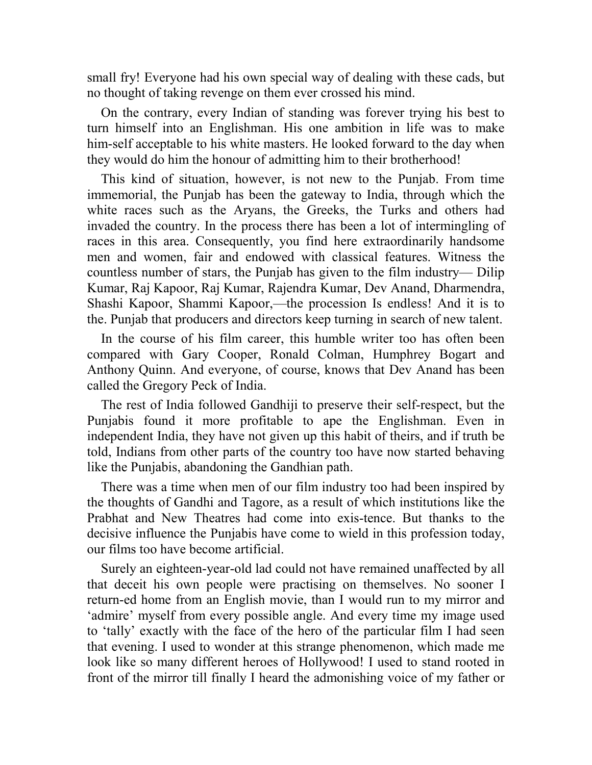small fry! Everyone had his own special way of dealing with these cads, but no thought of taking revenge on them ever crossed his mind.

On the contrary, every Indian of standing was forever trying his best to turn himself into an Englishman. His one ambition in life was to make him-self acceptable to his white masters. He looked forward to the day when they would do him the honour of admitting him to their brotherhood!

This kind of situation, however, is not new to the Punjab. From time immemorial, the Punjab has been the gateway to India, through which the white races such as the Aryans, the Greeks, the Turks and others had invaded the country. In the process there has been a lot of intermingling of races in this area. Consequently, you find here extraordinarily handsome men and women, fair and endowed with classical features. Witness the countless number of stars, the Punjab has given to the film industry— Dilip Kumar, Raj Kapoor, Raj Kumar, Rajendra Kumar, Dev Anand, Dharmendra, Shashi Kapoor, Shammi Kapoor,—the procession Is endless! And it is to the. Punjab that producers and directors keep turning in search of new talent.

In the course of his film career, this humble writer too has often been compared with Gary Cooper, Ronald Colman, Humphrey Bogart and Anthony Quinn. And everyone, of course, knows that Dev Anand has been called the Gregory Peck of India.

The rest of India followed Gandhiji to preserve their self-respect, but the Punjabis found it more profitable to ape the Englishman. Even in independent India, they have not given up this habit of theirs, and if truth be told, Indians from other parts of the country too have now started behaving like the Punjabis, abandoning the Gandhian path.

There was a time when men of our film industry too had been inspired by the thoughts of Gandhi and Tagore, as a result of which institutions like the Prabhat and New Theatres had come into exis-tence. But thanks to the decisive influence the Punjabis have come to wield in this profession today, our films too have become artificial.

Surely an eighteen-year-old lad could not have remained unaffected by all that deceit his own people were practising on themselves. No sooner I return-ed home from an English movie, than I would run to my mirror and 'admire' myself from every possible angle. And every time my image used to 'tally' exactly with the face of the hero of the particular film I had seen that evening. I used to wonder at this strange phenomenon, which made me look like so many different heroes of Hollywood! I used to stand rooted in front of the mirror till finally I heard the admonishing voice of my father or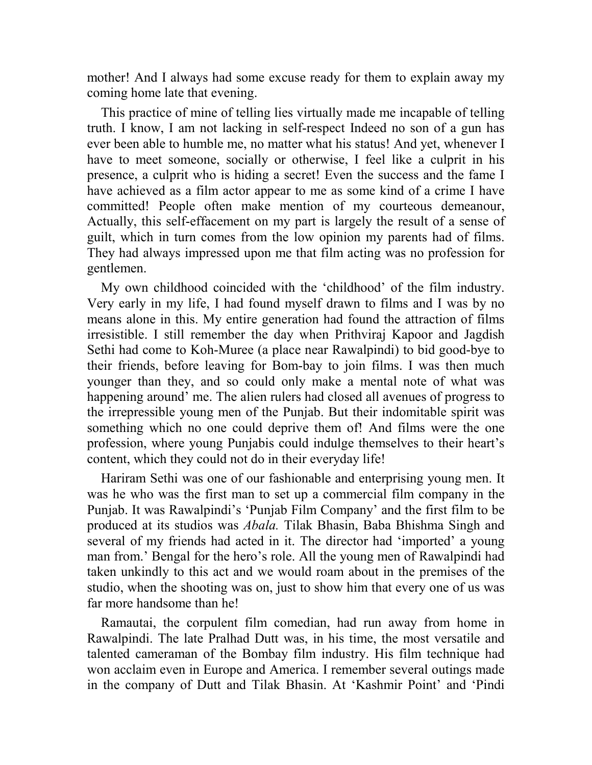mother! And I always had some excuse ready for them to explain away my coming home late that evening.

This practice of mine of telling lies virtually made me incapable of telling truth. I know, I am not lacking in self-respect Indeed no son of a gun has ever been able to humble me, no matter what his status! And yet, whenever I have to meet someone, socially or otherwise, I feel like a culprit in his presence, a culprit who is hiding a secret! Even the success and the fame I have achieved as a film actor appear to me as some kind of a crime I have committed! People often make mention of my courteous demeanour, Actually, this self-effacement on my part is largely the result of a sense of guilt, which in turn comes from the low opinion my parents had of films. They had always impressed upon me that film acting was no profession for gentlemen.

My own childhood coincided with the 'childhood' of the film industry. Very early in my life, I had found myself drawn to films and I was by no means alone in this. My entire generation had found the attraction of films irresistible. I still remember the day when Prithviraj Kapoor and Jagdish Sethi had come to Koh-Muree (a place near Rawalpindi) to bid good-bye to their friends, before leaving for Bom-bay to join films. I was then much younger than they, and so could only make a mental note of what was happening around' me. The alien rulers had closed all avenues of progress to the irrepressible young men of the Punjab. But their indomitable spirit was something which no one could deprive them of! And films were the one profession, where young Punjabis could indulge themselves to their heart's content, which they could not do in their everyday life!

Hariram Sethi was one of our fashionable and enterprising young men. It was he who was the first man to set up a commercial film company in the Punjab. It was Rawalpindi's 'Punjab Film Company' and the first film to be produced at its studios was *Abala.* Tilak Bhasin, Baba Bhishma Singh and several of my friends had acted in it. The director had 'imported' a young man from.' Bengal for the hero's role. All the young men of Rawalpindi had taken unkindly to this act and we would roam about in the premises of the studio, when the shooting was on, just to show him that every one of us was far more handsome than he!

Ramautai, the corpulent film comedian, had run away from home in Rawalpindi. The late Pralhad Dutt was, in his time, the most versatile and talented cameraman of the Bombay film industry. His film technique had won acclaim even in Europe and America. I remember several outings made in the company of Dutt and Tilak Bhasin. At 'Kashmir Point' and 'Pindi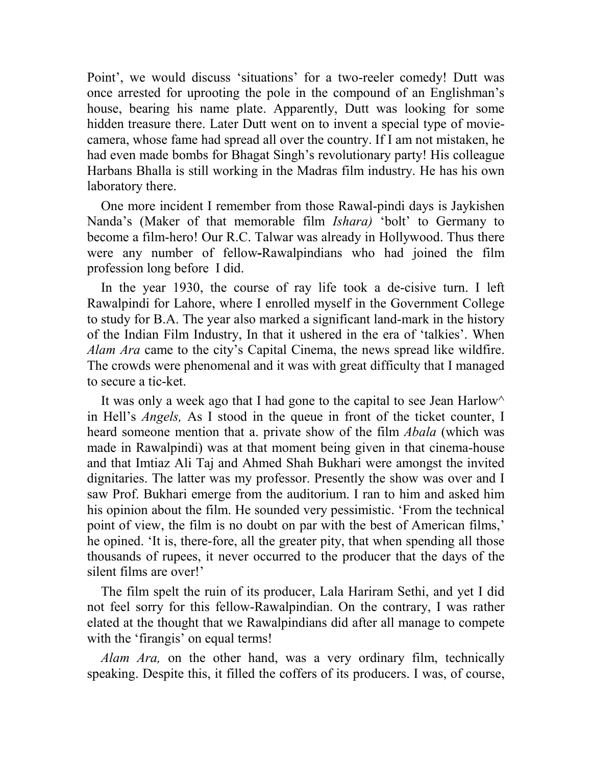Point', we would discuss 'situations' for a two-reeler comedy! Dutt was once arrested for uprooting the pole in the compound of an Englishman's house, bearing his name plate. Apparently, Dutt was looking for some hidden treasure there. Later Dutt went on to invent a special type of moviecamera, whose fame had spread all over the country. If I am not mistaken, he had even made bombs for Bhagat Singh's revolutionary party! His colleague Harbans Bhalla is still working in the Madras film industry. He has his own laboratory there.

One more incident I remember from those Rawal-pindi days is Jaykishen Nanda's (Maker of that memorable film *Ishara)* 'bolt' to Germany to become a film-hero! Our R.C. Talwar was already in Hollywood. Thus there were any number of fellow**-**Rawalpindians who had joined the film profession long before I did.

In the year 1930, the course of ray life took a de-cisive turn. I left Rawalpindi for Lahore, where I enrolled myself in the Government College to study for B.A. The year also marked a significant land-mark in the history of the Indian Film Industry, In that it ushered in the era of 'talkies'. When *Alam Ara* came to the city's Capital Cinema, the news spread like wildfire. The crowds were phenomenal and it was with great difficulty that I managed to secure a tic-ket.

It was only a week ago that I had gone to the capital to see Jean Harlow in Hell's *Angels,* As I stood in the queue in front of the ticket counter, I heard someone mention that a. private show of the film *Abala* (which was made in Rawalpindi) was at that moment being given in that cinema-house and that Imtiaz Ali Taj and Ahmed Shah Bukhari were amongst the invited dignitaries. The latter was my professor. Presently the show was over and I saw Prof. Bukhari emerge from the auditorium. I ran to him and asked him his opinion about the film. He sounded very pessimistic. 'From the technical point of view, the film is no doubt on par with the best of American films,' he opined. 'It is, there-fore, all the greater pity, that when spending all those thousands of rupees, it never occurred to the producer that the days of the silent films are over!'

The film spelt the ruin of its producer, Lala Hariram Sethi, and yet I did not feel sorry for this fellow-Rawalpindian. On the contrary, I was rather elated at the thought that we Rawalpindians did after all manage to compete with the 'firangis' on equal terms!

*Alam Ara,* on the other hand, was a very ordinary film, technically speaking. Despite this, it filled the coffers of its producers. I was, of course,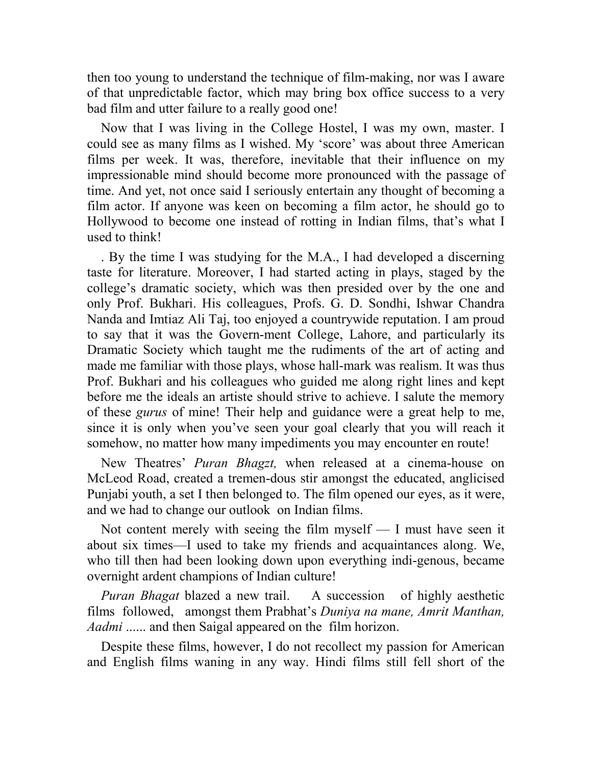then too young to understand the technique of film-making, nor was I aware of that unpredictable factor, which may bring box office success to a very bad film and utter failure to a really good one!

Now that I was living in the College Hostel, I was my own, master. I could see as many films as I wished. My 'score' was about three American films per week. It was, therefore, inevitable that their influence on my impressionable mind should become more pronounced with the passage of time. And yet, not once said I seriously entertain any thought of becoming a film actor. If anyone was keen on becoming a film actor, he should go to Hollywood to become one instead of rotting in Indian films, that's what I used to think!

. By the time I was studying for the M.A., I had developed a discerning taste for literature. Moreover, I had started acting in plays, staged by the college's dramatic society, which was then presided over by the one and only Prof. Bukhari. His colleagues, Profs. G. D. Sondhi, Ishwar Chandra Nanda and Imtiaz Ali Taj, too enjoyed a countrywide reputation. I am proud to say that it was the Govern-ment College, Lahore, and particularly its Dramatic Society which taught me the rudiments of the art of acting and made me familiar with those plays, whose hall-mark was realism. It was thus Prof. Bukhari and his colleagues who guided me along right lines and kept before me the ideals an artiste should strive to achieve. I salute the memory of these *gurus* of mine! Their help and guidance were a great help to me, since it is only when you've seen your goal clearly that you will reach it somehow, no matter how many impediments you may encounter en route!

New Theatres' *Puran Bhagzt,* when released at a cinema-house on McLeod Road, created a tremen-dous stir amongst the educated, anglicised Punjabi youth, a set I then belonged to. The film opened our eyes, as it were, and we had to change our outlook on Indian films.

Not content merely with seeing the film myself — I must have seen it about six times—I used to take my friends and acquaintances along. We, who till then had been looking down upon everything indi-genous, became overnight ardent champions of Indian culture!

*Puran Bhagat* blazed a new trail. A succession of highly aesthetic films followed, amongst them Prabhat's *Duniya na mane, Amrit Manthan, Aadmi* ...... and then Saigal appeared on the film horizon.

Despite these films, however, I do not recollect my passion for American and English films waning in any way. Hindi films still fell short of the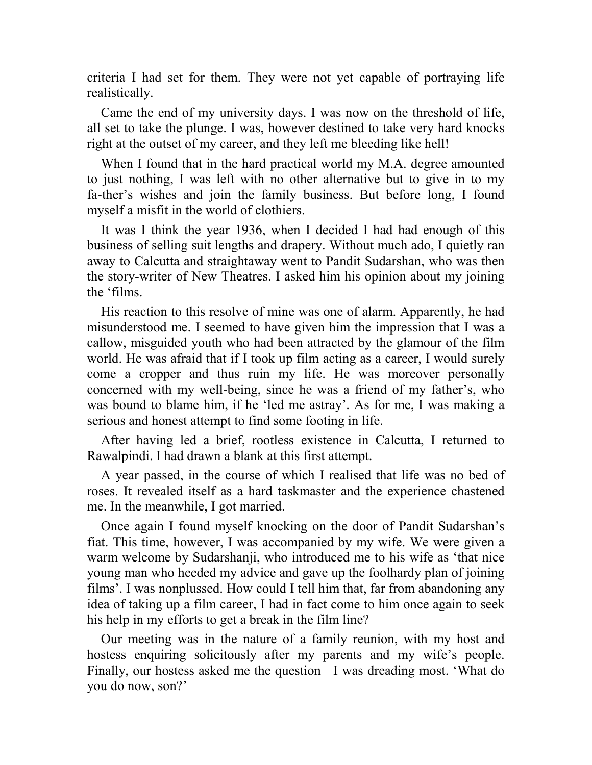criteria I had set for them. They were not yet capable of portraying life realistically.

Came the end of my university days. I was now on the threshold of life, all set to take the plunge. I was, however destined to take very hard knocks right at the outset of my career, and they left me bleeding like hell!

When I found that in the hard practical world my M.A. degree amounted to just nothing, I was left with no other alternative but to give in to my fa-ther's wishes and join the family business. But before long, I found myself a misfit in the world of clothiers.

It was I think the year 1936, when I decided I had had enough of this business of selling suit lengths and drapery. Without much ado, I quietly ran away to Calcutta and straightaway went to Pandit Sudarshan, who was then the story-writer of New Theatres. I asked him his opinion about my joining the 'films.

His reaction to this resolve of mine was one of alarm. Apparently, he had misunderstood me. I seemed to have given him the impression that I was a callow, misguided youth who had been attracted by the glamour of the film world. He was afraid that if I took up film acting as a career, I would surely come a cropper and thus ruin my life. He was moreover personally concerned with my well-being, since he was a friend of my father's, who was bound to blame him, if he 'led me astray'. As for me, I was making a serious and honest attempt to find some footing in life.

After having led a brief, rootless existence in Calcutta, I returned to Rawalpindi. I had drawn a blank at this first attempt.

A year passed, in the course of which I realised that life was no bed of roses. It revealed itself as a hard taskmaster and the experience chastened me. In the meanwhile, I got married.

Once again I found myself knocking on the door of Pandit Sudarshan's fiat. This time, however, I was accompanied by my wife. We were given a warm welcome by Sudarshanji, who introduced me to his wife as 'that nice young man who heeded my advice and gave up the foolhardy plan of joining films'. I was nonplussed. How could I tell him that, far from abandoning any idea of taking up a film career, I had in fact come to him once again to seek his help in my efforts to get a break in the film line?

Our meeting was in the nature of a family reunion, with my host and hostess enquiring solicitously after my parents and my wife's people. Finally, our hostess asked me the question I was dreading most. 'What do you do now, son?'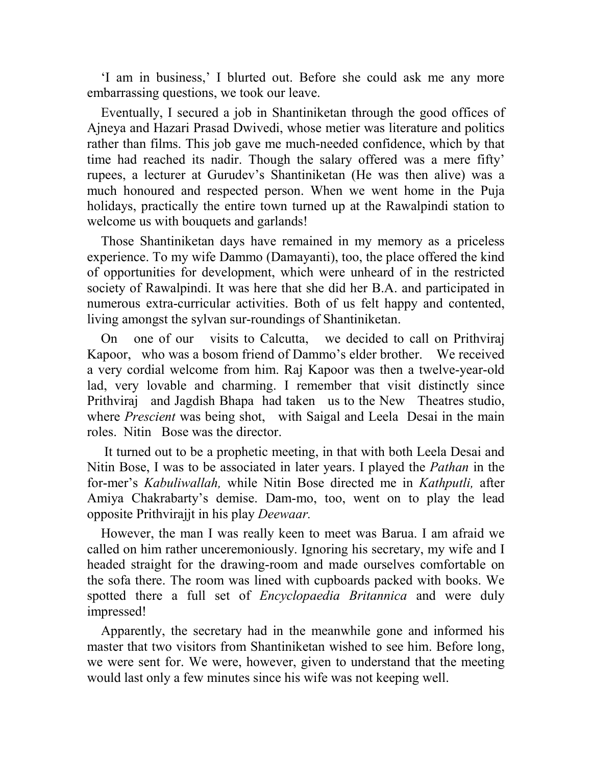'I am in business,' I blurted out. Before she could ask me any more embarrassing questions, we took our leave.

Eventually, I secured a job in Shantiniketan through the good offices of Ajneya and Hazari Prasad Dwivedi, whose metier was literature and politics rather than films. This job gave me much-needed confidence, which by that time had reached its nadir. Though the salary offered was a mere fifty' rupees, a lecturer at Gurudev's Shantiniketan (He was then alive) was a much honoured and respected person. When we went home in the Puja holidays, practically the entire town turned up at the Rawalpindi station to welcome us with bouquets and garlands!

Those Shantiniketan days have remained in my memory as a priceless experience. To my wife Dammo (Damayanti), too, the place offered the kind of opportunities for development, which were unheard of in the restricted society of Rawalpindi. It was here that she did her B.A. and participated in numerous extra-curricular activities. Both of us felt happy and contented, living amongst the sylvan sur-roundings of Shantiniketan.

On one of our visits to Calcutta, we decided to call on Prithviraj Kapoor, who was a bosom friend of Dammo's elder brother. We received a very cordial welcome from him. Raj Kapoor was then a twelve-year-old lad, very lovable and charming. I remember that visit distinctly since Prithviraj and Jagdish Bhapa had taken us to the New Theatres studio, where *Prescient* was being shot, with Saigal and Leela Desai in the main roles. Nitin Bose was the director.

 It turned out to be a prophetic meeting, in that with both Leela Desai and Nitin Bose, I was to be associated in later years. I played the *Pathan* in the for-mer's *Kabuliwallah,* while Nitin Bose directed me in *Kathputli,* after Amiya Chakrabarty's demise. Dam-mo, too, went on to play the lead opposite Prithvirajjt in his play *Deewaar.*

However, the man I was really keen to meet was Barua. I am afraid we called on him rather unceremoniously. Ignoring his secretary, my wife and I headed straight for the drawing-room and made ourselves comfortable on the sofa there. The room was lined with cupboards packed with books. We spotted there a full set of *Encyclopaedia Britannica* and were duly impressed!

Apparently, the secretary had in the meanwhile gone and informed his master that two visitors from Shantiniketan wished to see him. Before long, we were sent for. We were, however, given to understand that the meeting would last only a few minutes since his wife was not keeping well.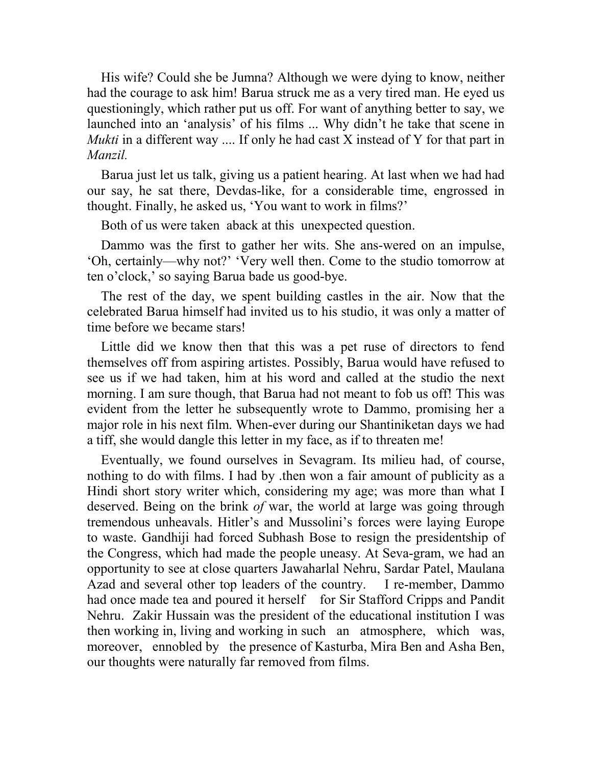His wife? Could she be Jumna? Although we were dying to know, neither had the courage to ask him! Barua struck me as a very tired man. He eyed us questioningly, which rather put us off. For want of anything better to say, we launched into an 'analysis' of his films ... Why didn't he take that scene in *Mukti* in a different way .... If only he had cast X instead of Y for that part in *Manzil.*

Barua just let us talk, giving us a patient hearing. At last when we had had our say, he sat there, Devdas-like, for a considerable time, engrossed in thought. Finally, he asked us, 'You want to work in films?'

Both of us were taken aback at this unexpected question.

Dammo was the first to gather her wits. She ans-wered on an impulse, 'Oh, certainly—why not?' 'Very well then. Come to the studio tomorrow at ten o'clock,' so saying Barua bade us good-bye.

The rest of the day, we spent building castles in the air. Now that the celebrated Barua himself had invited us to his studio, it was only a matter of time before we became stars!

Little did we know then that this was a pet ruse of directors to fend themselves off from aspiring artistes. Possibly, Barua would have refused to see us if we had taken, him at his word and called at the studio the next morning. I am sure though, that Barua had not meant to fob us off! This was evident from the letter he subsequently wrote to Dammo, promising her a major role in his next film. When-ever during our Shantiniketan days we had a tiff, she would dangle this letter in my face, as if to threaten me!

Eventually, we found ourselves in Sevagram. Its milieu had, of course, nothing to do with films. I had by .then won a fair amount of publicity as a Hindi short story writer which, considering my age; was more than what I deserved. Being on the brink *of* war, the world at large was going through tremendous unheavals. Hitler's and Mussolini's forces were laying Europe to waste. Gandhiji had forced Subhash Bose to resign the presidentship of the Congress, which had made the people uneasy. At Seva-gram, we had an opportunity to see at close quarters Jawaharlal Nehru, Sardar Patel, Maulana Azad and several other top leaders of the country. I re-member, Dammo had once made tea and poured it herself for Sir Stafford Cripps and Pandit Nehru. Zakir Hussain was the president of the educational institution I was then working in, living and working in such an atmosphere, which was, moreover, ennobled by the presence of Kasturba, Mira Ben and Asha Ben, our thoughts were naturally far removed from films.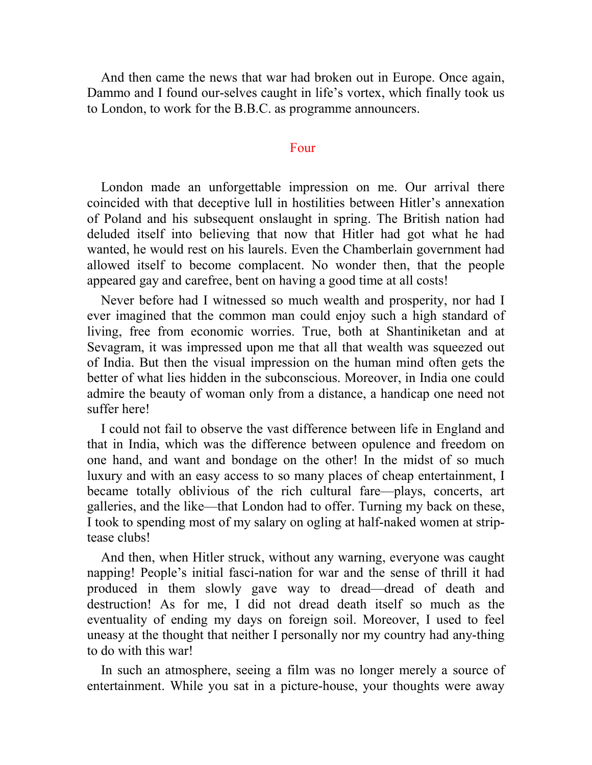And then came the news that war had broken out in Europe. Once again, Dammo and I found our-selves caught in life's vortex, which finally took us to London, to work for the B.B.C. as programme announcers.

### Four

London made an unforgettable impression on me. Our arrival there coincided with that deceptive lull in hostilities between Hitler's annexation of Poland and his subsequent onslaught in spring. The British nation had deluded itself into believing that now that Hitler had got what he had wanted, he would rest on his laurels. Even the Chamberlain government had allowed itself to become complacent. No wonder then, that the people appeared gay and carefree, bent on having a good time at all costs!

Never before had I witnessed so much wealth and prosperity, nor had I ever imagined that the common man could enjoy such a high standard of living, free from economic worries. True, both at Shantiniketan and at Sevagram, it was impressed upon me that all that wealth was squeezed out of India. But then the visual impression on the human mind often gets the better of what lies hidden in the subconscious. Moreover, in India one could admire the beauty of woman only from a distance, a handicap one need not suffer here!

I could not fail to observe the vast difference between life in England and that in India, which was the difference between opulence and freedom on one hand, and want and bondage on the other! In the midst of so much luxury and with an easy access to so many places of cheap entertainment, I became totally oblivious of the rich cultural fare—plays, concerts, art galleries, and the like—that London had to offer. Turning my back on these, I took to spending most of my salary on ogling at half-naked women at striptease clubs!

And then, when Hitler struck, without any warning, everyone was caught napping! People's initial fasci-nation for war and the sense of thrill it had produced in them slowly gave way to dread—dread of death and destruction! As for me, I did not dread death itself so much as the eventuality of ending my days on foreign soil. Moreover, I used to feel uneasy at the thought that neither I personally nor my country had any-thing to do with this war!

In such an atmosphere, seeing a film was no longer merely a source of entertainment. While you sat in a picture-house, your thoughts were away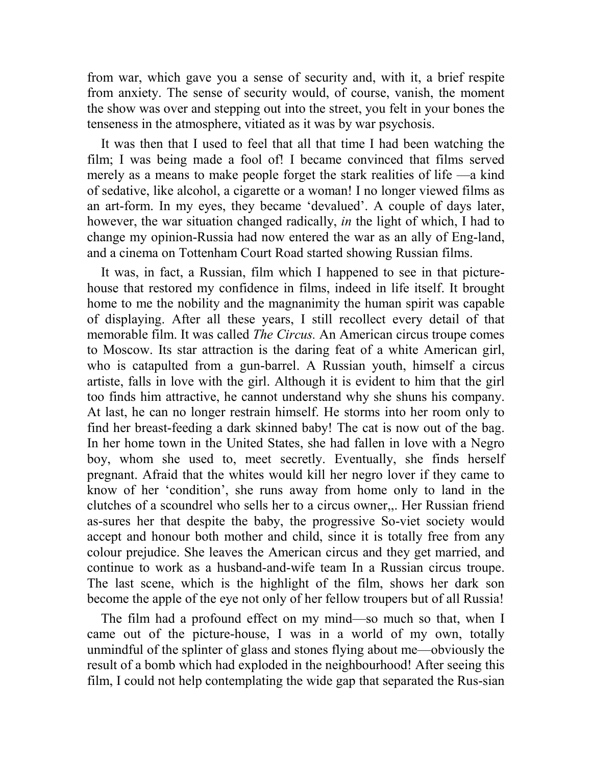from war, which gave you a sense of security and, with it, a brief respite from anxiety. The sense of security would, of course, vanish, the moment the show was over and stepping out into the street, you felt in your bones the tenseness in the atmosphere, vitiated as it was by war psychosis.

It was then that I used to feel that all that time I had been watching the film; I was being made a fool of! I became convinced that films served merely as a means to make people forget the stark realities of life —a kind of sedative, like alcohol, a cigarette or a woman! I no longer viewed films as an art-form. In my eyes, they became 'devalued'. A couple of days later, however, the war situation changed radically, *in* the light of which, I had to change my opinion-Russia had now entered the war as an ally of Eng-land, and a cinema on Tottenham Court Road started showing Russian films.

It was, in fact, a Russian, film which I happened to see in that picturehouse that restored my confidence in films, indeed in life itself. It brought home to me the nobility and the magnanimity the human spirit was capable of displaying. After all these years, I still recollect every detail of that memorable film. It was called *The Circus.* An American circus troupe comes to Moscow. Its star attraction is the daring feat of a white American girl, who is catapulted from a gun-barrel. A Russian youth, himself a circus artiste, falls in love with the girl. Although it is evident to him that the girl too finds him attractive, he cannot understand why she shuns his company. At last, he can no longer restrain himself. He storms into her room only to find her breast-feeding a dark skinned baby! The cat is now out of the bag. In her home town in the United States, she had fallen in love with a Negro boy, whom she used to, meet secretly. Eventually, she finds herself pregnant. Afraid that the whites would kill her negro lover if they came to know of her 'condition', she runs away from home only to land in the clutches of a scoundrel who sells her to a circus owner,,. Her Russian friend as-sures her that despite the baby, the progressive So-viet society would accept and honour both mother and child, since it is totally free from any colour prejudice. She leaves the American circus and they get married, and continue to work as a husband-and-wife team In a Russian circus troupe. The last scene, which is the highlight of the film, shows her dark son become the apple of the eye not only of her fellow troupers but of all Russia!

The film had a profound effect on my mind—so much so that, when I came out of the picture-house, I was in a world of my own, totally unmindful of the splinter of glass and stones flying about me—obviously the result of a bomb which had exploded in the neighbourhood! After seeing this film, I could not help contemplating the wide gap that separated the Rus-sian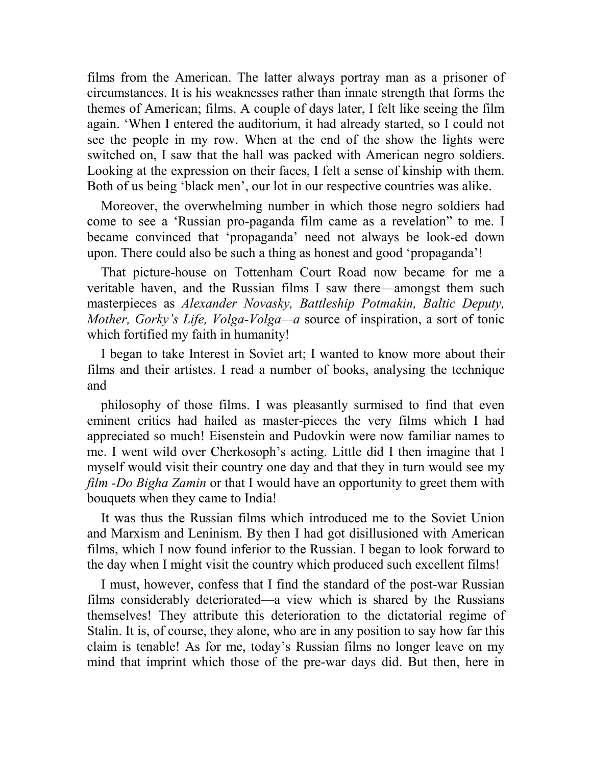films from the American. The latter always portray man as a prisoner of circumstances. It is his weaknesses rather than innate strength that forms the themes of American; films. A couple of days later, I felt like seeing the film again. 'When I entered the auditorium, it had already started, so I could not see the people in my row. When at the end of the show the lights were switched on, I saw that the hall was packed with American negro soldiers. Looking at the expression on their faces, I felt a sense of kinship with them. Both of us being 'black men', our lot in our respective countries was alike.

Moreover, the overwhelming number in which those negro soldiers had come to see a 'Russian pro-paganda film came as a revelation" to me. I became convinced that 'propaganda' need not always be look-ed down upon. There could also be such a thing as honest and good 'propaganda'!

That picture-house on Tottenham Court Road now became for me a veritable haven, and the Russian films I saw there—amongst them such masterpieces as *Alexander Novasky, Battleship Potmakin, Baltic Deputy, Mother, Gorky's Life, Volga-Volga—a* source of inspiration, a sort of tonic which fortified my faith in humanity!

I began to take Interest in Soviet art; I wanted to know more about their films and their artistes. I read a number of books, analysing the technique and

philosophy of those films. I was pleasantly surmised to find that even eminent critics had hailed as master-pieces the very films which I had appreciated so much! Eisenstein and Pudovkin were now familiar names to me. I went wild over Cherkosoph's acting. Little did I then imagine that I myself would visit their country one day and that they in turn would see my *film -Do Bigha Zamin* or that I would have an opportunity to greet them with bouquets when they came to India!

It was thus the Russian films which introduced me to the Soviet Union and Marxism and Leninism. By then I had got disillusioned with American films, which I now found inferior to the Russian. I began to look forward to the day when I might visit the country which produced such excellent films!

I must, however, confess that I find the standard of the post-war Russian films considerably deteriorated—a view which is shared by the Russians themselves! They attribute this deterioration to the dictatorial regime of Stalin. It is, of course, they alone, who are in any position to say how far this claim is tenable! As for me, today's Russian films no longer leave on my mind that imprint which those of the pre-war days did. But then, here in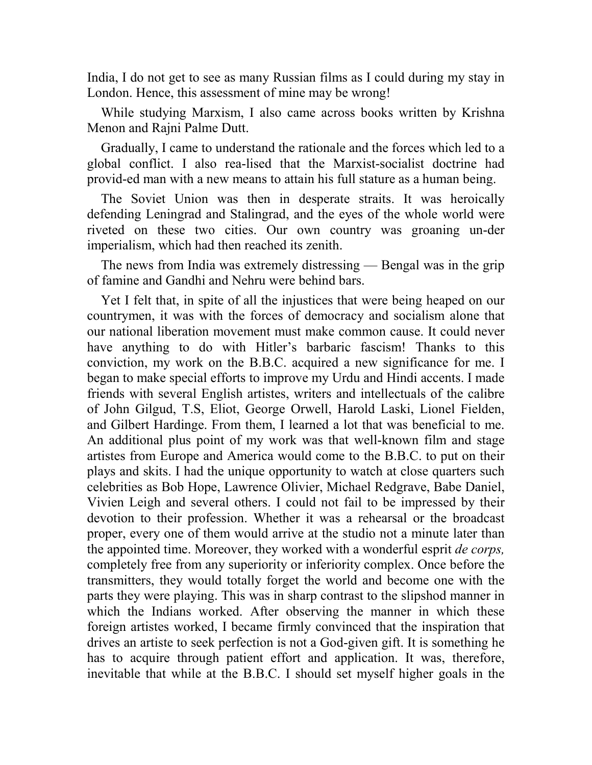India, I do not get to see as many Russian films as I could during my stay in London. Hence, this assessment of mine may be wrong!

While studying Marxism, I also came across books written by Krishna Menon and Rajni Palme Dutt.

Gradually, I came to understand the rationale and the forces which led to a global conflict. I also rea-lised that the Marxist-socialist doctrine had provid-ed man with a new means to attain his full stature as a human being.

The Soviet Union was then in desperate straits. It was heroically defending Leningrad and Stalingrad, and the eyes of the whole world were riveted on these two cities. Our own country was groaning un-der imperialism, which had then reached its zenith.

The news from India was extremely distressing — Bengal was in the grip of famine and Gandhi and Nehru were behind bars.

Yet I felt that, in spite of all the injustices that were being heaped on our countrymen, it was with the forces of democracy and socialism alone that our national liberation movement must make common cause. It could never have anything to do with Hitler's barbaric fascism! Thanks to this conviction, my work on the B.B.C. acquired a new significance for me. I began to make special efforts to improve my Urdu and Hindi accents. I made friends with several English artistes, writers and intellectuals of the calibre of John Gilgud, T.S, Eliot, George Orwell, Harold Laski, Lionel Fielden, and Gilbert Hardinge. From them, I learned a lot that was beneficial to me. An additional plus point of my work was that well-known film and stage artistes from Europe and America would come to the B.B.C. to put on their plays and skits. I had the unique opportunity to watch at close quarters such celebrities as Bob Hope, Lawrence Olivier, Michael Redgrave, Babe Daniel, Vivien Leigh and several others. I could not fail to be impressed by their devotion to their profession. Whether it was a rehearsal or the broadcast proper, every one of them would arrive at the studio not a minute later than the appointed time. Moreover, they worked with a wonderful esprit *de corps,*  completely free from any superiority or inferiority complex. Once before the transmitters, they would totally forget the world and become one with the parts they were playing. This was in sharp contrast to the slipshod manner in which the Indians worked. After observing the manner in which these foreign artistes worked, I became firmly convinced that the inspiration that drives an artiste to seek perfection is not a God-given gift. It is something he has to acquire through patient effort and application. It was, therefore, inevitable that while at the B.B.C. I should set myself higher goals in the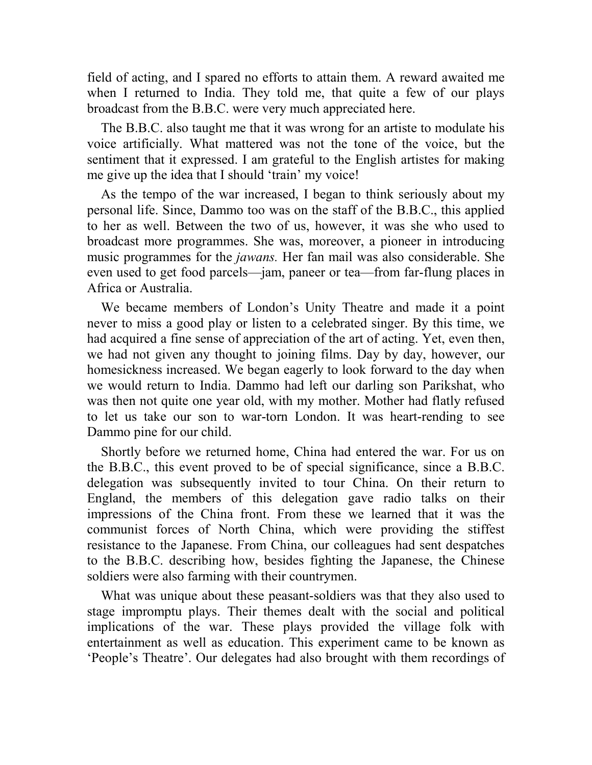field of acting, and I spared no efforts to attain them. A reward awaited me when I returned to India. They told me, that quite a few of our plays broadcast from the B.B.C. were very much appreciated here.

The B.B.C. also taught me that it was wrong for an artiste to modulate his voice artificially. What mattered was not the tone of the voice, but the sentiment that it expressed. I am grateful to the English artistes for making me give up the idea that I should 'train' my voice!

As the tempo of the war increased, I began to think seriously about my personal life. Since, Dammo too was on the staff of the B.B.C., this applied to her as well. Between the two of us, however, it was she who used to broadcast more programmes. She was, moreover, a pioneer in introducing music programmes for the *jawans.* Her fan mail was also considerable. She even used to get food parcels—jam, paneer or tea—from far-flung places in Africa or Australia.

We became members of London's Unity Theatre and made it a point never to miss a good play or listen to a celebrated singer. By this time, we had acquired a fine sense of appreciation of the art of acting. Yet, even then, we had not given any thought to joining films. Day by day, however, our homesickness increased. We began eagerly to look forward to the day when we would return to India. Dammo had left our darling son Parikshat, who was then not quite one year old, with my mother. Mother had flatly refused to let us take our son to war-torn London. It was heart-rending to see Dammo pine for our child.

Shortly before we returned home, China had entered the war. For us on the B.B.C., this event proved to be of special significance, since a B.B.C. delegation was subsequently invited to tour China. On their return to England, the members of this delegation gave radio talks on their impressions of the China front. From these we learned that it was the communist forces of North China, which were providing the stiffest resistance to the Japanese. From China, our colleagues had sent despatches to the B.B.C. describing how, besides fighting the Japanese, the Chinese soldiers were also farming with their countrymen.

What was unique about these peasant-soldiers was that they also used to stage impromptu plays. Their themes dealt with the social and political implications of the war. These plays provided the village folk with entertainment as well as education. This experiment came to be known as 'People's Theatre'. Our delegates had also brought with them recordings of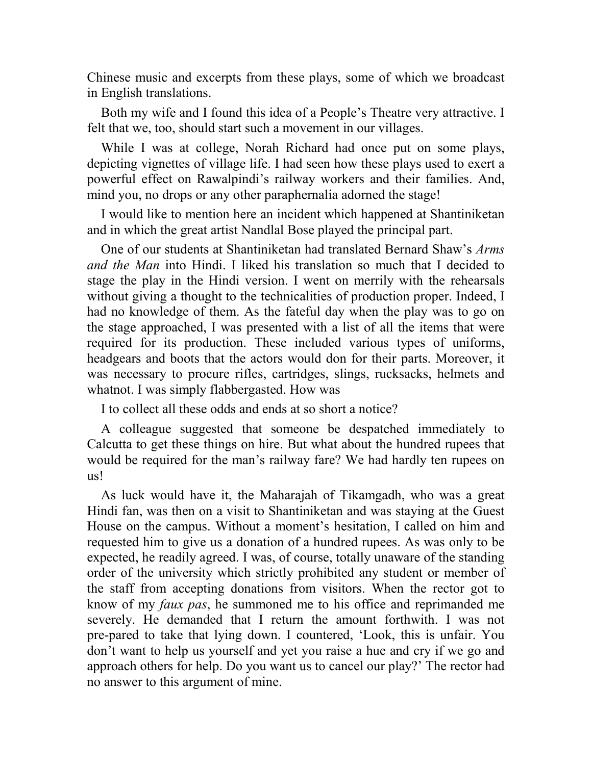Chinese music and excerpts from these plays, some of which we broadcast in English translations.

Both my wife and I found this idea of a People's Theatre very attractive. I felt that we, too, should start such a movement in our villages.

While I was at college, Norah Richard had once put on some plays, depicting vignettes of village life. I had seen how these plays used to exert a powerful effect on Rawalpindi's railway workers and their families. And, mind you, no drops or any other paraphernalia adorned the stage!

I would like to mention here an incident which happened at Shantiniketan and in which the great artist Nandlal Bose played the principal part.

One of our students at Shantiniketan had translated Bernard Shaw's *Arms and the Man* into Hindi. I liked his translation so much that I decided to stage the play in the Hindi version. I went on merrily with the rehearsals without giving a thought to the technicalities of production proper. Indeed, I had no knowledge of them. As the fateful day when the play was to go on the stage approached, I was presented with a list of all the items that were required for its production. These included various types of uniforms, headgears and boots that the actors would don for their parts. Moreover, it was necessary to procure rifles, cartridges, slings, rucksacks, helmets and whatnot. I was simply flabbergasted. How was

I to collect all these odds and ends at so short a notice?

A colleague suggested that someone be despatched immediately to Calcutta to get these things on hire. But what about the hundred rupees that would be required for the man's railway fare? We had hardly ten rupees on us!

As luck would have it, the Maharajah of Tikamgadh, who was a great Hindi fan, was then on a visit to Shantiniketan and was staying at the Guest House on the campus. Without a moment's hesitation, I called on him and requested him to give us a donation of a hundred rupees. As was only to be expected, he readily agreed. I was, of course, totally unaware of the standing order of the university which strictly prohibited any student or member of the staff from accepting donations from visitors. When the rector got to know of my *faux pas*, he summoned me to his office and reprimanded me severely. He demanded that I return the amount forthwith. I was not pre-pared to take that lying down. I countered, 'Look, this is unfair. You don't want to help us yourself and yet you raise a hue and cry if we go and approach others for help. Do you want us to cancel our play?' The rector had no answer to this argument of mine.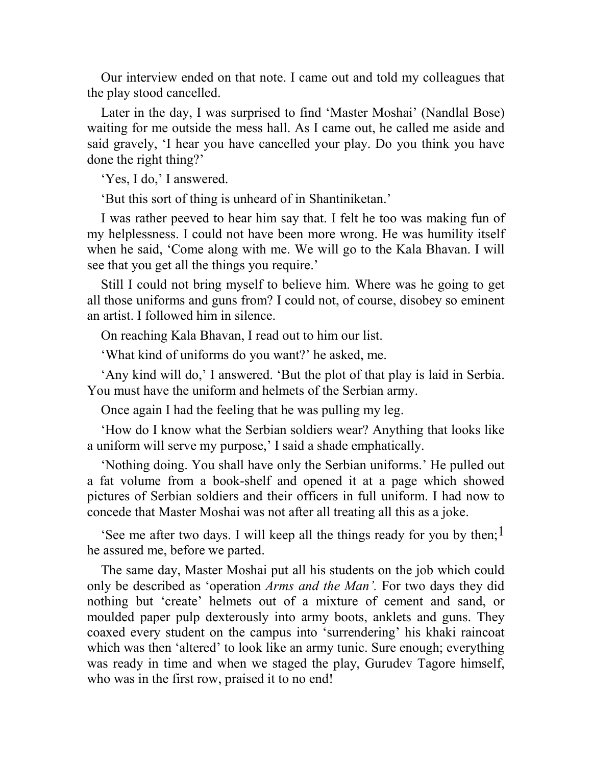Our interview ended on that note. I came out and told my colleagues that the play stood cancelled.

Later in the day, I was surprised to find 'Master Moshai' (Nandlal Bose) waiting for me outside the mess hall. As I came out, he called me aside and said gravely, 'I hear you have cancelled your play. Do you think you have done the right thing?'

'Yes, I do,' I answered.

'But this sort of thing is unheard of in Shantiniketan.'

I was rather peeved to hear him say that. I felt he too was making fun of my helplessness. I could not have been more wrong. He was humility itself when he said, 'Come along with me. We will go to the Kala Bhavan. I will see that you get all the things you require.'

Still I could not bring myself to believe him. Where was he going to get all those uniforms and guns from? I could not, of course, disobey so eminent an artist. I followed him in silence.

On reaching Kala Bhavan, I read out to him our list.

'What kind of uniforms do you want?' he asked, me.

'Any kind will do,' I answered. 'But the plot of that play is laid in Serbia. You must have the uniform and helmets of the Serbian army.

Once again I had the feeling that he was pulling my leg.

'How do I know what the Serbian soldiers wear? Anything that looks like a uniform will serve my purpose,' I said a shade emphatically.

'Nothing doing. You shall have only the Serbian uniforms.' He pulled out a fat volume from a book-shelf and opened it at a page which showed pictures of Serbian soldiers and their officers in full uniform. I had now to concede that Master Moshai was not after all treating all this as a joke.

'See me after two days. I will keep all the things ready for you by then;<sup>1</sup> he assured me, before we parted.

The same day, Master Moshai put all his students on the job which could only be described as 'operation *Arms and the Man'.* For two days they did nothing but 'create' helmets out of a mixture of cement and sand, or moulded paper pulp dexterously into army boots, anklets and guns. They coaxed every student on the campus into 'surrendering' his khaki raincoat which was then 'altered' to look like an army tunic. Sure enough; everything was ready in time and when we staged the play, Gurudev Tagore himself, who was in the first row, praised it to no end!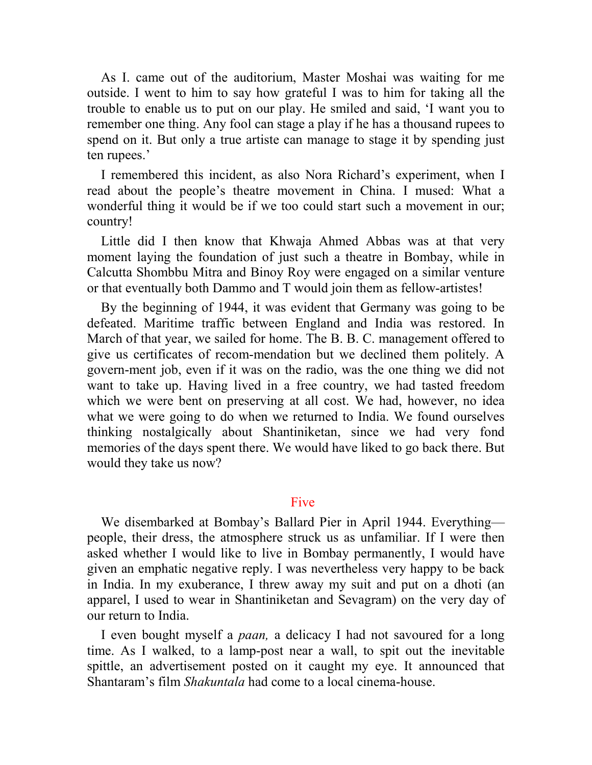As I. came out of the auditorium, Master Moshai was waiting for me outside. I went to him to say how grateful I was to him for taking all the trouble to enable us to put on our play. He smiled and said, 'I want you to remember one thing. Any fool can stage a play if he has a thousand rupees to spend on it. But only a true artiste can manage to stage it by spending just ten rupees.'

I remembered this incident, as also Nora Richard's experiment, when I read about the people's theatre movement in China. I mused: What a wonderful thing it would be if we too could start such a movement in our; country!

Little did I then know that Khwaja Ahmed Abbas was at that very moment laying the foundation of just such a theatre in Bombay, while in Calcutta Shombbu Mitra and Binoy Roy were engaged on a similar venture or that eventually both Dammo and T would join them as fellow-artistes!

By the beginning of 1944, it was evident that Germany was going to be defeated. Maritime traffic between England and India was restored. In March of that year, we sailed for home. The B. B. C. management offered to give us certificates of recom-mendation but we declined them politely. A govern-ment job, even if it was on the radio, was the one thing we did not want to take up. Having lived in a free country, we had tasted freedom which we were bent on preserving at all cost. We had, however, no idea what we were going to do when we returned to India. We found ourselves thinking nostalgically about Shantiniketan, since we had very fond memories of the days spent there. We would have liked to go back there. But would they take us now?

## Five

We disembarked at Bombay's Ballard Pier in April 1944. Everything people, their dress, the atmosphere struck us as unfamiliar. If I were then asked whether I would like to live in Bombay permanently, I would have given an emphatic negative reply. I was nevertheless very happy to be back in India. In my exuberance, I threw away my suit and put on a dhoti (an apparel, I used to wear in Shantiniketan and Sevagram) on the very day of our return to India.

I even bought myself a *paan,* a delicacy I had not savoured for a long time. As I walked, to a lamp-post near a wall, to spit out the inevitable spittle, an advertisement posted on it caught my eye. It announced that Shantaram's film *Shakuntala* had come to a local cinema-house.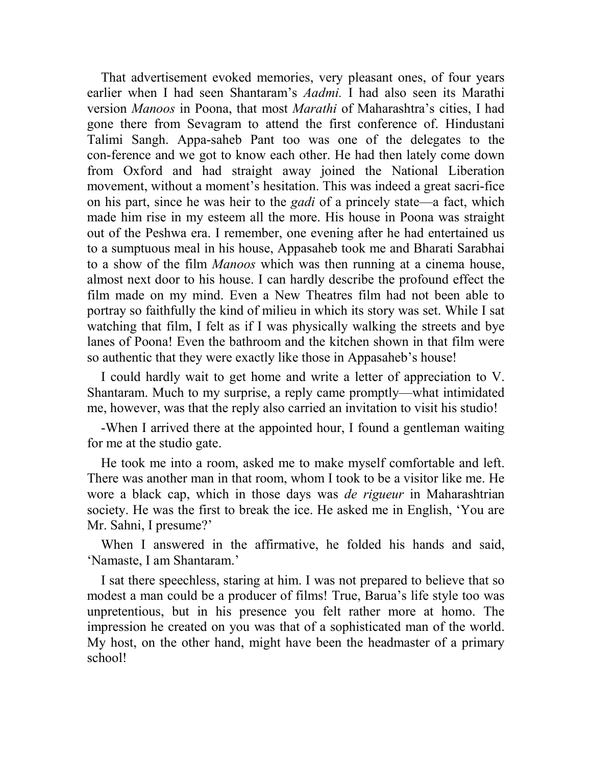That advertisement evoked memories, very pleasant ones, of four years earlier when I had seen Shantaram's *Aadmi.* I had also seen its Marathi version *Manoos* in Poona, that most *Marathi* of Maharashtra's cities, I had gone there from Sevagram to attend the first conference of. Hindustani Talimi Sangh. Appa-saheb Pant too was one of the delegates to the con-ference and we got to know each other. He had then lately come down from Oxford and had straight away joined the National Liberation movement, without a moment's hesitation. This was indeed a great sacri-fice on his part, since he was heir to the *gadi* of a princely state—a fact, which made him rise in my esteem all the more. His house in Poona was straight out of the Peshwa era. I remember, one evening after he had entertained us to a sumptuous meal in his house, Appasaheb took me and Bharati Sarabhai to a show of the film *Manoos* which was then running at a cinema house, almost next door to his house. I can hardly describe the profound effect the film made on my mind. Even a New Theatres film had not been able to portray so faithfully the kind of milieu in which its story was set. While I sat watching that film, I felt as if I was physically walking the streets and bye lanes of Poona! Even the bathroom and the kitchen shown in that film were so authentic that they were exactly like those in Appasaheb's house!

I could hardly wait to get home and write a letter of appreciation to V. Shantaram. Much to my surprise, a reply came promptly—what intimidated me, however, was that the reply also carried an invitation to visit his studio!

-When I arrived there at the appointed hour, I found a gentleman waiting for me at the studio gate.

He took me into a room, asked me to make myself comfortable and left. There was another man in that room, whom I took to be a visitor like me. He wore a black cap, which in those days was *de rigueur* in Maharashtrian society. He was the first to break the ice. He asked me in English, 'You are Mr. Sahni, I presume?'

When I answered in the affirmative, he folded his hands and said, 'Namaste, I am Shantaram.'

I sat there speechless, staring at him. I was not prepared to believe that so modest a man could be a producer of films! True, Barua's life style too was unpretentious, but in his presence you felt rather more at homo. The impression he created on you was that of a sophisticated man of the world. My host, on the other hand, might have been the headmaster of a primary school!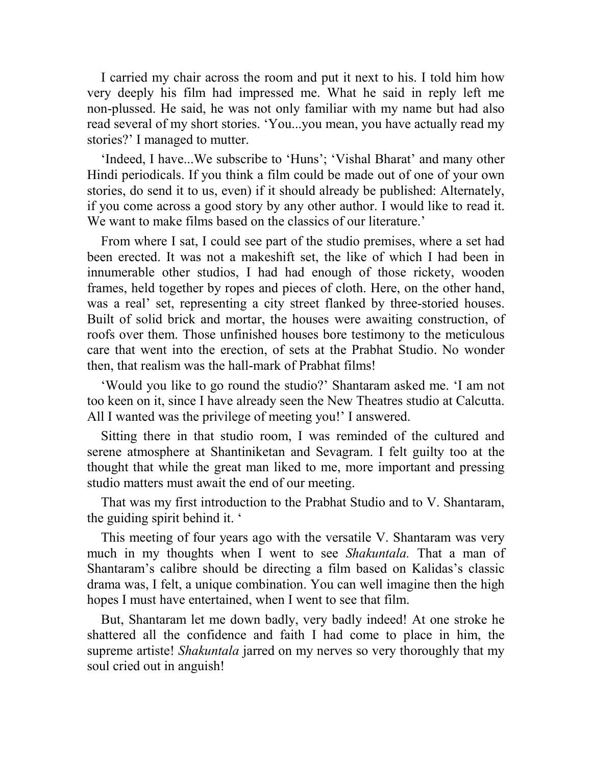I carried my chair across the room and put it next to his. I told him how very deeply his film had impressed me. What he said in reply left me non-plussed. He said, he was not only familiar with my name but had also read several of my short stories. 'You...you mean, you have actually read my stories?' I managed to mutter.

'Indeed, I have...We subscribe to 'Huns'; 'Vishal Bharat' and many other Hindi periodicals. If you think a film could be made out of one of your own stories, do send it to us, even) if it should already be published: Alternately, if you come across a good story by any other author. I would like to read it. We want to make films based on the classics of our literature.'

From where I sat, I could see part of the studio premises, where a set had been erected. It was not a makeshift set, the like of which I had been in innumerable other studios, I had had enough of those rickety, wooden frames, held together by ropes and pieces of cloth. Here, on the other hand, was a real' set, representing a city street flanked by three-storied houses. Built of solid brick and mortar, the houses were awaiting construction, of roofs over them. Those unfinished houses bore testimony to the meticulous care that went into the erection, of sets at the Prabhat Studio. No wonder then, that realism was the hall-mark of Prabhat films!

'Would you like to go round the studio?' Shantaram asked me. 'I am not too keen on it, since I have already seen the New Theatres studio at Calcutta. All I wanted was the privilege of meeting you!' I answered.

Sitting there in that studio room, I was reminded of the cultured and serene atmosphere at Shantiniketan and Sevagram. I felt guilty too at the thought that while the great man liked to me, more important and pressing studio matters must await the end of our meeting.

That was my first introduction to the Prabhat Studio and to V. Shantaram, the guiding spirit behind it. '

This meeting of four years ago with the versatile V. Shantaram was very much in my thoughts when I went to see *Shakuntala.* That a man of Shantaram's calibre should be directing a film based on Kalidas's classic drama was, I felt, a unique combination. You can well imagine then the high hopes I must have entertained, when I went to see that film.

But, Shantaram let me down badly, very badly indeed! At one stroke he shattered all the confidence and faith I had come to place in him, the supreme artiste! *Shakuntala* jarred on my nerves so very thoroughly that my soul cried out in anguish!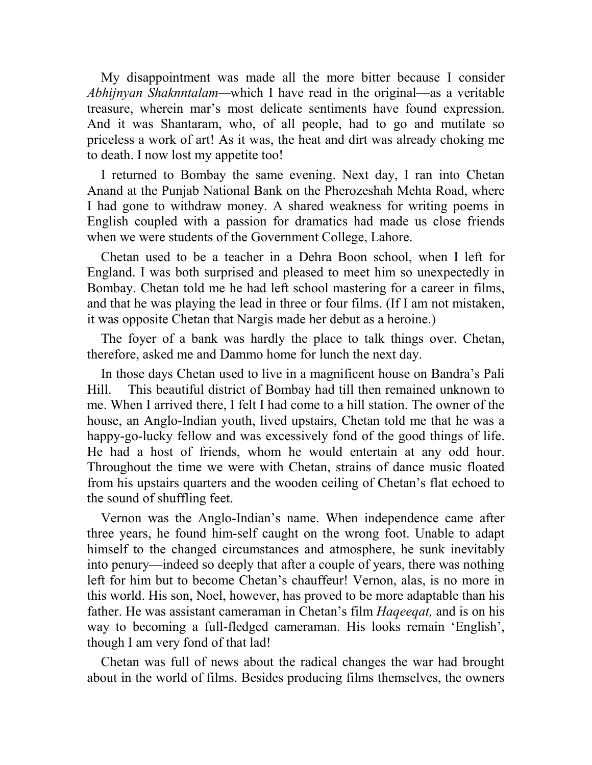My disappointment was made all the more bitter because I consider *Abhijnyan Shaknntalam—*which I have read in the original—as a veritable treasure, wherein mar's most delicate sentiments have found expression. And it was Shantaram, who, of all people, had to go and mutilate so priceless a work of art! As it was, the heat and dirt was already choking me to death. I now lost my appetite too!

I returned to Bombay the same evening. Next day, I ran into Chetan Anand at the Punjab National Bank on the Pherozeshah Mehta Road, where I had gone to withdraw money. A shared weakness for writing poems in English coupled with a passion for dramatics had made us close friends when we were students of the Government College, Lahore.

Chetan used to be a teacher in a Dehra Boon school, when I left for England. I was both surprised and pleased to meet him so unexpectedly in Bombay. Chetan told me he had left school mastering for a career in films, and that he was playing the lead in three or four films. (If I am not mistaken, it was opposite Chetan that Nargis made her debut as a heroine.)

The foyer of a bank was hardly the place to talk things over. Chetan, therefore, asked me and Dammo home for lunch the next day.

In those days Chetan used to live in a magnificent house on Bandra's Pali Hill. This beautiful district of Bombay had till then remained unknown to me. When I arrived there, I felt I had come to a hill station. The owner of the house, an Anglo-Indian youth, lived upstairs, Chetan told me that he was a happy-go-lucky fellow and was excessively fond of the good things of life. He had a host of friends, whom he would entertain at any odd hour. Throughout the time we were with Chetan, strains of dance music floated from his upstairs quarters and the wooden ceiling of Chetan's flat echoed to the sound of shuffling feet.

Vernon was the Anglo-Indian's name. When independence came after three years, he found him-self caught on the wrong foot. Unable to adapt himself to the changed circumstances and atmosphere, he sunk inevitably into penury—indeed so deeply that after a couple of years, there was nothing left for him but to become Chetan's chauffeur! Vernon, alas, is no more in this world. His son, Noel, however, has proved to be more adaptable than his father. He was assistant cameraman in Chetan's film *Haqeeqat,* and is on his way to becoming a full-fledged cameraman. His looks remain 'English', though I am very fond of that lad!

Chetan was full of news about the radical changes the war had brought about in the world of films. Besides producing films themselves, the owners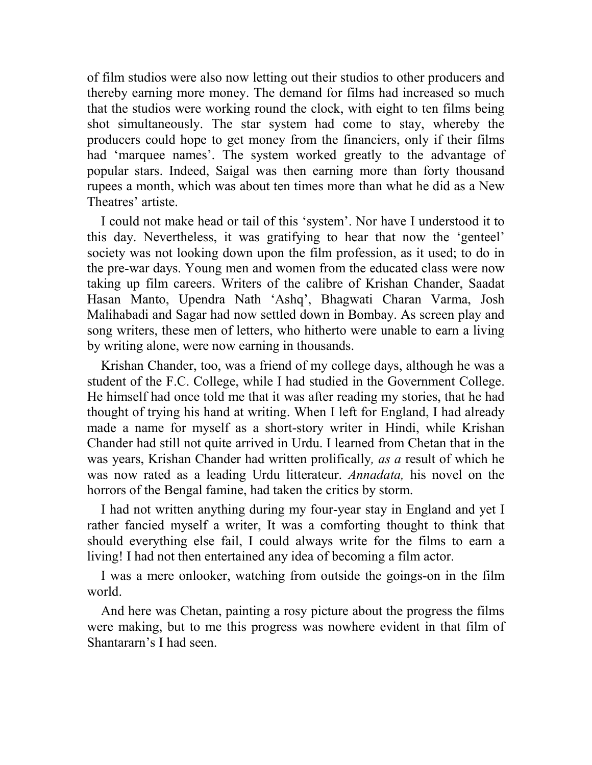of film studios were also now letting out their studios to other producers and thereby earning more money. The demand for films had increased so much that the studios were working round the clock, with eight to ten films being shot simultaneously. The star system had come to stay, whereby the producers could hope to get money from the financiers, only if their films had 'marquee names'. The system worked greatly to the advantage of popular stars. Indeed, Saigal was then earning more than forty thousand rupees a month, which was about ten times more than what he did as a New Theatres' artiste.

I could not make head or tail of this 'system'. Nor have I understood it to this day. Nevertheless, it was gratifying to hear that now the 'genteel' society was not looking down upon the film profession, as it used; to do in the pre-war days. Young men and women from the educated class were now taking up film careers. Writers of the calibre of Krishan Chander, Saadat Hasan Manto, Upendra Nath 'Ashq', Bhagwati Charan Varma, Josh Malihabadi and Sagar had now settled down in Bombay. As screen play and song writers, these men of letters, who hitherto were unable to earn a living by writing alone, were now earning in thousands.

Krishan Chander, too, was a friend of my college days, although he was a student of the F.C. College, while I had studied in the Government College. He himself had once told me that it was after reading my stories, that he had thought of trying his hand at writing. When I left for England, I had already made a name for myself as a short-story writer in Hindi, while Krishan Chander had still not quite arrived in Urdu. I learned from Chetan that in the was years, Krishan Chander had written prolifically*, as a* result of which he was now rated as a leading Urdu litterateur. *Annadata,* his novel on the horrors of the Bengal famine, had taken the critics by storm.

I had not written anything during my four-year stay in England and yet I rather fancied myself a writer, It was a comforting thought to think that should everything else fail, I could always write for the films to earn a living! I had not then entertained any idea of becoming a film actor.

I was a mere onlooker, watching from outside the goings-on in the film world.

And here was Chetan, painting a rosy picture about the progress the films were making, but to me this progress was nowhere evident in that film of Shantararn's I had seen.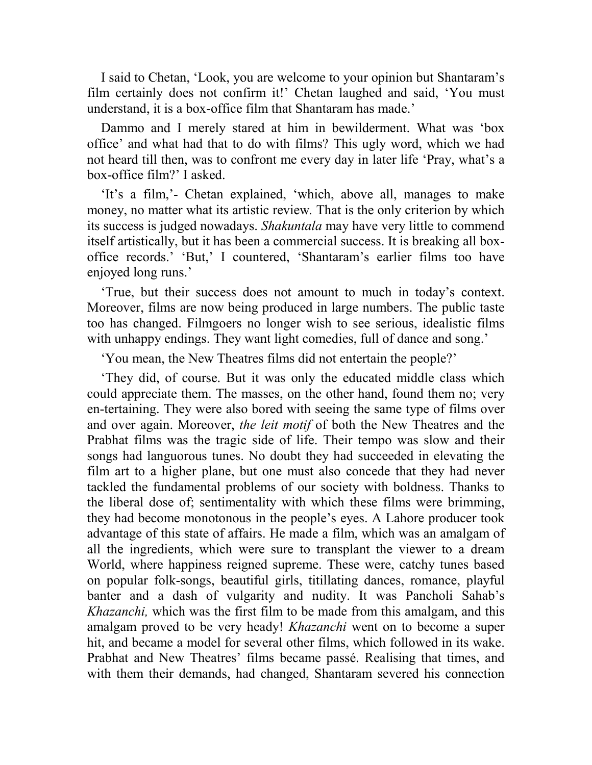I said to Chetan, 'Look, you are welcome to your opinion but Shantaram's film certainly does not confirm it!' Chetan laughed and said, 'You must understand, it is a box-office film that Shantaram has made.'

Dammo and I merely stared at him in bewilderment. What was 'box office' and what had that to do with films? This ugly word, which we had not heard till then, was to confront me every day in later life 'Pray, what's a box-office film?' I asked.

'It's a film,'- Chetan explained, 'which, above all, manages to make money, no matter what its artistic review*.* That is the only criterion by which its success is judged nowadays. *Shakuntala* may have very little to commend itself artistically, but it has been a commercial success. It is breaking all boxoffice records.' 'But,' I countered, 'Shantaram's earlier films too have enjoyed long runs.'

'True, but their success does not amount to much in today's context. Moreover, films are now being produced in large numbers. The public taste too has changed. Filmgoers no longer wish to see serious, idealistic films with unhappy endings. They want light comedies, full of dance and song.'

'You mean, the New Theatres films did not entertain the people?'

'They did, of course. But it was only the educated middle class which could appreciate them. The masses, on the other hand, found them no; very en-tertaining. They were also bored with seeing the same type of films over and over again. Moreover, *the leit motif* of both the New Theatres and the Prabhat films was the tragic side of life. Their tempo was slow and their songs had languorous tunes. No doubt they had succeeded in elevating the film art to a higher plane, but one must also concede that they had never tackled the fundamental problems of our society with boldness. Thanks to the liberal dose of; sentimentality with which these films were brimming, they had become monotonous in the people's eyes. A Lahore producer took advantage of this state of affairs. He made a film, which was an amalgam of all the ingredients, which were sure to transplant the viewer to a dream World, where happiness reigned supreme. These were, catchy tunes based on popular folk-songs, beautiful girls, titillating dances, romance, playful banter and a dash of vulgarity and nudity. It was Pancholi Sahab's *Khazanchi,* which was the first film to be made from this amalgam, and this amalgam proved to be very heady! *Khazanchi* went on to become a super hit, and became a model for several other films, which followed in its wake. Prabhat and New Theatres' films became passé. Realising that times, and with them their demands, had changed, Shantaram severed his connection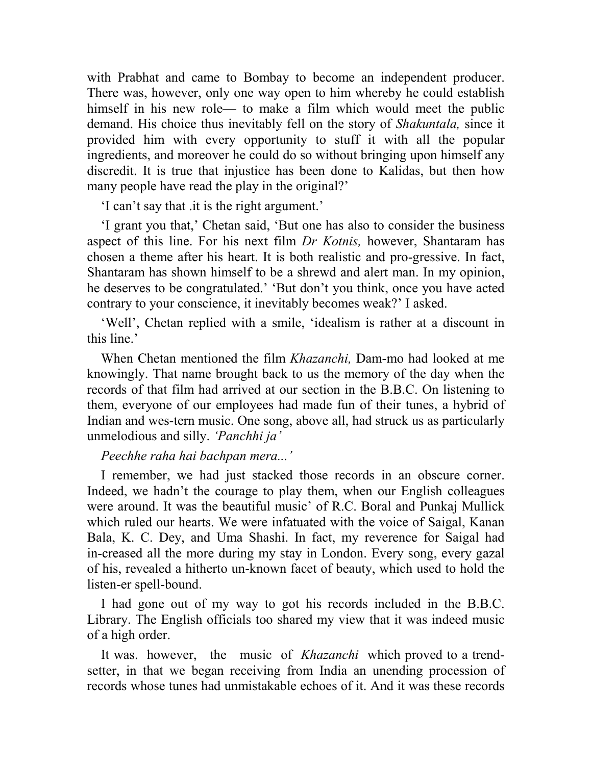with Prabhat and came to Bombay to become an independent producer. There was, however, only one way open to him whereby he could establish himself in his new role— to make a film which would meet the public demand. His choice thus inevitably fell on the story of *Shakuntala,* since it provided him with every opportunity to stuff it with all the popular ingredients, and moreover he could do so without bringing upon himself any discredit. It is true that injustice has been done to Kalidas, but then how many people have read the play in the original?'

'I can't say that .it is the right argument.'

'I grant you that,' Chetan said, 'But one has also to consider the business aspect of this line. For his next film *Dr Kotnis,* however, Shantaram has chosen a theme after his heart. It is both realistic and pro-gressive. In fact, Shantaram has shown himself to be a shrewd and alert man. In my opinion, he deserves to be congratulated.' 'But don't you think, once you have acted contrary to your conscience, it inevitably becomes weak?' I asked.

'Well', Chetan replied with a smile, 'idealism is rather at a discount in this line.'

When Chetan mentioned the film *Khazanchi,* Dam-mo had looked at me knowingly. That name brought back to us the memory of the day when the records of that film had arrived at our section in the B.B.C. On listening to them, everyone of our employees had made fun of their tunes, a hybrid of Indian and wes-tern music. One song, above all, had struck us as particularly unmelodious and silly. *'Panchhi ja'*

## *Peechhe raha hai bachpan mera...'*

I remember, we had just stacked those records in an obscure corner. Indeed, we hadn't the courage to play them, when our English colleagues were around. It was the beautiful music' of R.C. Boral and Punkaj Mullick which ruled our hearts. We were infatuated with the voice of Saigal, Kanan Bala, K. C. Dey, and Uma Shashi. In fact, my reverence for Saigal had in-creased all the more during my stay in London. Every song, every gazal of his, revealed a hitherto un-known facet of beauty, which used to hold the listen-er spell-bound.

I had gone out of my way to got his records included in the B.B.C. Library. The English officials too shared my view that it was indeed music of a high order.

It was. however, the music of *Khazanchi* which proved to a trendsetter, in that we began receiving from India an unending procession of records whose tunes had unmistakable echoes of it. And it was these records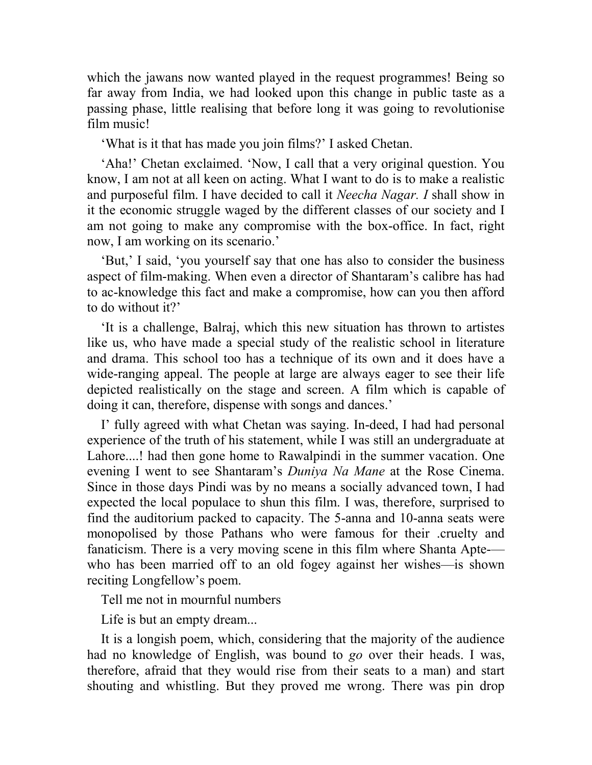which the jawans now wanted played in the request programmes! Being so far away from India, we had looked upon this change in public taste as a passing phase, little realising that before long it was going to revolutionise film music!

'What is it that has made you join films?' I asked Chetan.

'Aha!' Chetan exclaimed. 'Now, I call that a very original question. You know, I am not at all keen on acting. What I want to do is to make a realistic and purposeful film. I have decided to call it *Neecha Nagar. I* shall show in it the economic struggle waged by the different classes of our society and I am not going to make any compromise with the box-office. In fact, right now, I am working on its scenario.'

'But,' I said, 'you yourself say that one has also to consider the business aspect of film-making. When even a director of Shantaram's calibre has had to ac-knowledge this fact and make a compromise, how can you then afford to do without it?'

'It is a challenge, Balraj, which this new situation has thrown to artistes like us, who have made a special study of the realistic school in literature and drama. This school too has a technique of its own and it does have a wide-ranging appeal. The people at large are always eager to see their life depicted realistically on the stage and screen. A film which is capable of doing it can, therefore, dispense with songs and dances.'

I' fully agreed with what Chetan was saying. In-deed, I had had personal experience of the truth of his statement, while I was still an undergraduate at Lahore....! had then gone home to Rawalpindi in the summer vacation. One evening I went to see Shantaram's *Duniya Na Mane* at the Rose Cinema. Since in those days Pindi was by no means a socially advanced town, I had expected the local populace to shun this film. I was, therefore, surprised to find the auditorium packed to capacity. The 5-anna and 10-anna seats were monopolised by those Pathans who were famous for their .cruelty and fanaticism. There is a very moving scene in this film where Shanta Apte- who has been married off to an old fogey against her wishes—is shown reciting Longfellow's poem.

Tell me not in mournful numbers

Life is but an empty dream...

It is a longish poem, which, considering that the majority of the audience had no knowledge of English, was bound to *go* over their heads. I was, therefore, afraid that they would rise from their seats to a man) and start shouting and whistling. But they proved me wrong. There was pin drop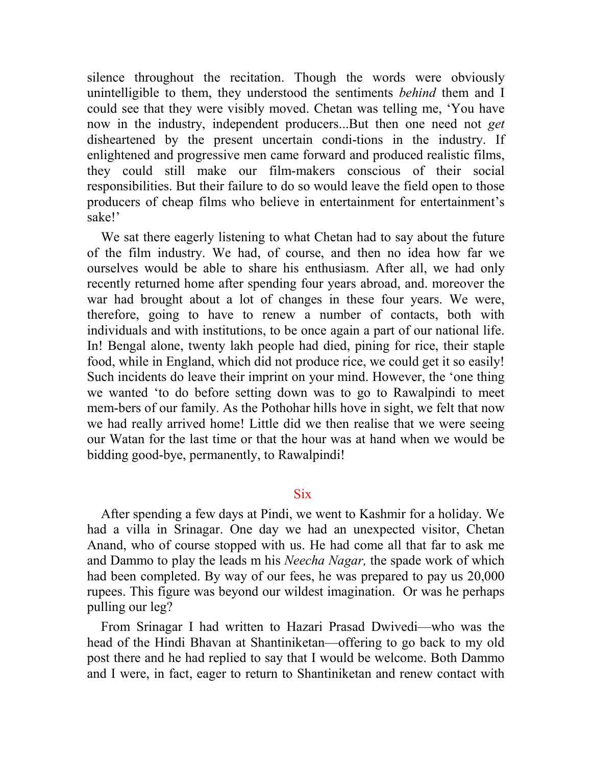silence throughout the recitation. Though the words were obviously unintelligible to them, they understood the sentiments *behind* them and I could see that they were visibly moved. Chetan was telling me, 'You have now in the industry, independent producers...But then one need not *get*  disheartened by the present uncertain condi-tions in the industry. If enlightened and progressive men came forward and produced realistic films, they could still make our film-makers conscious of their social responsibilities. But their failure to do so would leave the field open to those producers of cheap films who believe in entertainment for entertainment's sake!'

We sat there eagerly listening to what Chetan had to say about the future of the film industry. We had, of course, and then no idea how far we ourselves would be able to share his enthusiasm. After all, we had only recently returned home after spending four years abroad, and. moreover the war had brought about a lot of changes in these four years. We were, therefore, going to have to renew a number of contacts, both with individuals and with institutions, to be once again a part of our national life. In! Bengal alone, twenty lakh people had died, pining for rice, their staple food, while in England, which did not produce rice, we could get it so easily! Such incidents do leave their imprint on your mind. However, the 'one thing we wanted 'to do before setting down was to go to Rawalpindi to meet mem-bers of our family. As the Pothohar hills hove in sight, we felt that now we had really arrived home! Little did we then realise that we were seeing our Watan for the last time or that the hour was at hand when we would be bidding good-bye, permanently, to Rawalpindi!

## **Six**

After spending a few days at Pindi, we went to Kashmir for a holiday. We had a villa in Srinagar. One day we had an unexpected visitor, Chetan Anand, who of course stopped with us. He had come all that far to ask me and Dammo to play the leads m his *Neecha Nagar,* the spade work of which had been completed. By way of our fees, he was prepared to pay us 20,000 rupees. This figure was beyond our wildest imagination. Or was he perhaps pulling our leg?

From Srinagar I had written to Hazari Prasad Dwivedi—who was the head of the Hindi Bhavan at Shantiniketan—offering to go back to my old post there and he had replied to say that I would be welcome. Both Dammo and I were, in fact, eager to return to Shantiniketan and renew contact with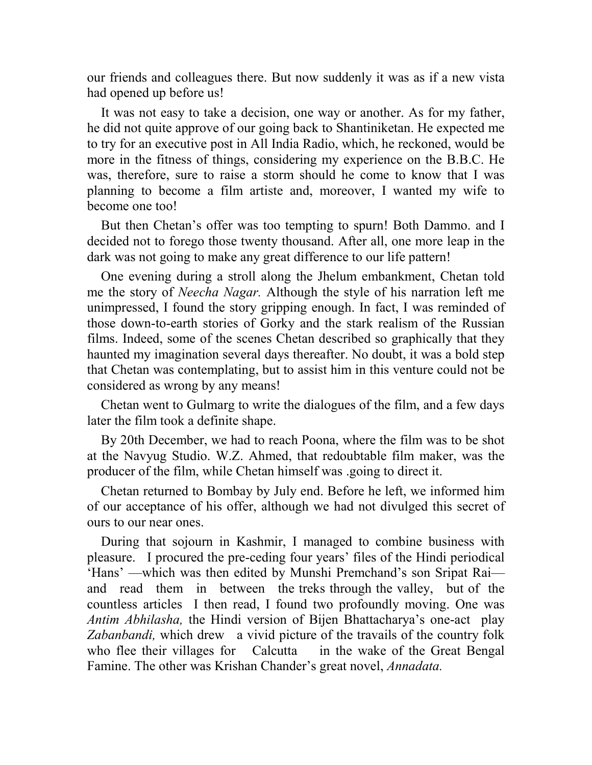our friends and colleagues there. But now suddenly it was as if a new vista had opened up before us!

It was not easy to take a decision, one way or another. As for my father, he did not quite approve of our going back to Shantiniketan. He expected me to try for an executive post in All India Radio, which, he reckoned, would be more in the fitness of things, considering my experience on the B.B.C. He was, therefore, sure to raise a storm should he come to know that I was planning to become a film artiste and, moreover, I wanted my wife to become one too!

But then Chetan's offer was too tempting to spurn! Both Dammo. and I decided not to forego those twenty thousand. After all, one more leap in the dark was not going to make any great difference to our life pattern!

One evening during a stroll along the Jhelum embankment, Chetan told me the story of *Neecha Nagar.* Although the style of his narration left me unimpressed, I found the story gripping enough. In fact, I was reminded of those down-to-earth stories of Gorky and the stark realism of the Russian films. Indeed, some of the scenes Chetan described so graphically that they haunted my imagination several days thereafter. No doubt, it was a bold step that Chetan was contemplating, but to assist him in this venture could not be considered as wrong by any means!

Chetan went to Gulmarg to write the dialogues of the film, and a few days later the film took a definite shape.

By 20th December, we had to reach Poona, where the film was to be shot at the Navyug Studio. W.Z. Ahmed, that redoubtable film maker, was the producer of the film, while Chetan himself was .going to direct it.

Chetan returned to Bombay by July end. Before he left, we informed him of our acceptance of his offer, although we had not divulged this secret of ours to our near ones.

During that sojourn in Kashmir, I managed to combine business with pleasure. I procured the pre-ceding four years' files of the Hindi periodical 'Hans' —which was then edited by Munshi Premchand's son Sripat Rai and read them in between the treks through the valley, but of the countless articles I then read, I found two profoundly moving. One was *Antim Abhilasha,* the Hindi version of Bijen Bhattacharya's one-act play *Zabanbandi,* which drew a vivid picture of the travails of the country folk who flee their villages for Calcutta in the wake of the Great Bengal Famine. The other was Krishan Chander's great novel, *Annadata.*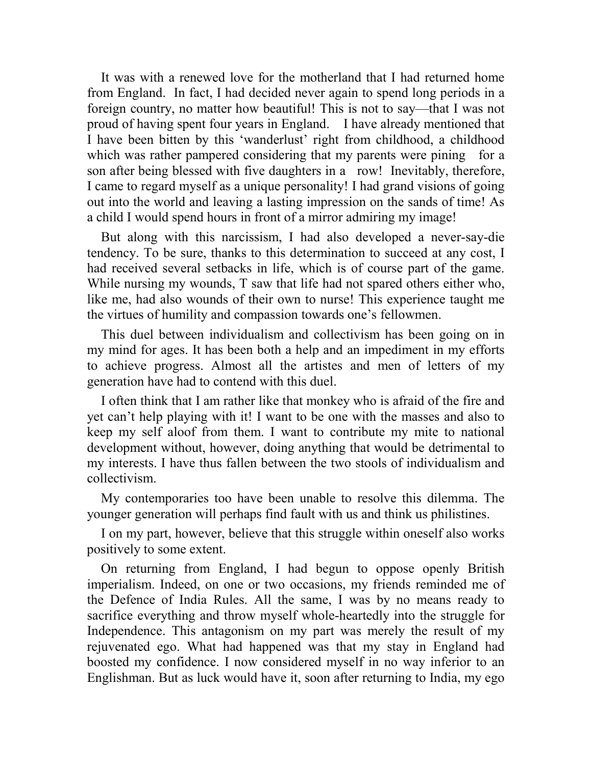It was with a renewed love for the motherland that I had returned home from England. In fact, I had decided never again to spend long periods in a foreign country, no matter how beautiful! This is not to say—that I was not proud of having spent four years in England. I have already mentioned that I have been bitten by this 'wanderlust' right from childhood, a childhood which was rather pampered considering that my parents were pining for a son after being blessed with five daughters in a row! Inevitably, therefore, I came to regard myself as a unique personality! I had grand visions of going out into the world and leaving a lasting impression on the sands of time! As a child I would spend hours in front of a mirror admiring my image!

But along with this narcissism, I had also developed a never-say-die tendency. To be sure, thanks to this determination to succeed at any cost, I had received several setbacks in life, which is of course part of the game. While nursing my wounds, T saw that life had not spared others either who, like me, had also wounds of their own to nurse! This experience taught me the virtues of humility and compassion towards one's fellowmen.

This duel between individualism and collectivism has been going on in my mind for ages. It has been both a help and an impediment in my efforts to achieve progress. Almost all the artistes and men of letters of my generation have had to contend with this duel.

I often think that I am rather like that monkey who is afraid of the fire and yet can't help playing with it! I want to be one with the masses and also to keep my self aloof from them. I want to contribute my mite to national development without, however, doing anything that would be detrimental to my interests. I have thus fallen between the two stools of individualism and collectivism.

My contemporaries too have been unable to resolve this dilemma. The younger generation will perhaps find fault with us and think us philistines.

I on my part, however, believe that this struggle within oneself also works positively to some extent.

On returning from England, I had begun to oppose openly British imperialism. Indeed, on one or two occasions, my friends reminded me of the Defence of India Rules. All the same, I was by no means ready to sacrifice everything and throw myself whole-heartedly into the struggle for Independence. This antagonism on my part was merely the result of my rejuvenated ego. What had happened was that my stay in England had boosted my confidence. I now considered myself in no way inferior to an Englishman. But as luck would have it, soon after returning to India, my ego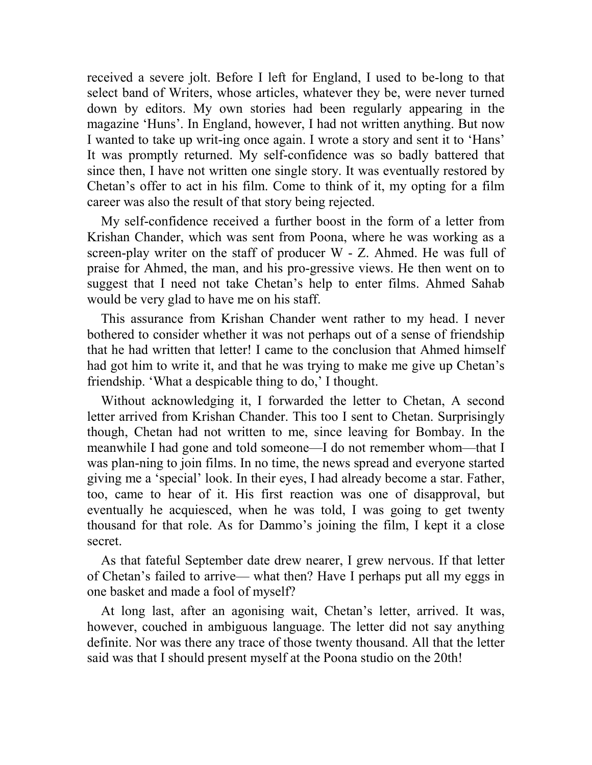received a severe jolt. Before I left for England, I used to be-long to that select band of Writers, whose articles, whatever they be, were never turned down by editors. My own stories had been regularly appearing in the magazine 'Huns'. In England, however, I had not written anything. But now I wanted to take up writ-ing once again. I wrote a story and sent it to 'Hans' It was promptly returned. My self-confidence was so badly battered that since then, I have not written one single story. It was eventually restored by Chetan's offer to act in his film. Come to think of it, my opting for a film career was also the result of that story being rejected.

My self-confidence received a further boost in the form of a letter from Krishan Chander, which was sent from Poona, where he was working as a screen-play writer on the staff of producer W - Z. Ahmed. He was full of praise for Ahmed, the man, and his pro-gressive views. He then went on to suggest that I need not take Chetan's help to enter films. Ahmed Sahab would be very glad to have me on his staff.

This assurance from Krishan Chander went rather to my head. I never bothered to consider whether it was not perhaps out of a sense of friendship that he had written that letter! I came to the conclusion that Ahmed himself had got him to write it, and that he was trying to make me give up Chetan's friendship. 'What a despicable thing to do,' I thought.

Without acknowledging it, I forwarded the letter to Chetan, A second letter arrived from Krishan Chander. This too I sent to Chetan. Surprisingly though, Chetan had not written to me, since leaving for Bombay. In the meanwhile I had gone and told someone—I do not remember whom—that I was plan-ning to join films. In no time, the news spread and everyone started giving me a 'special' look. In their eyes, I had already become a star. Father, too, came to hear of it. His first reaction was one of disapproval, but eventually he acquiesced, when he was told, I was going to get twenty thousand for that role. As for Dammo's joining the film, I kept it a close secret.

As that fateful September date drew nearer, I grew nervous. If that letter of Chetan's failed to arrive— what then? Have I perhaps put all my eggs in one basket and made a fool of myself?

At long last, after an agonising wait, Chetan's letter, arrived. It was, however, couched in ambiguous language. The letter did not say anything definite. Nor was there any trace of those twenty thousand. All that the letter said was that I should present myself at the Poona studio on the 20th!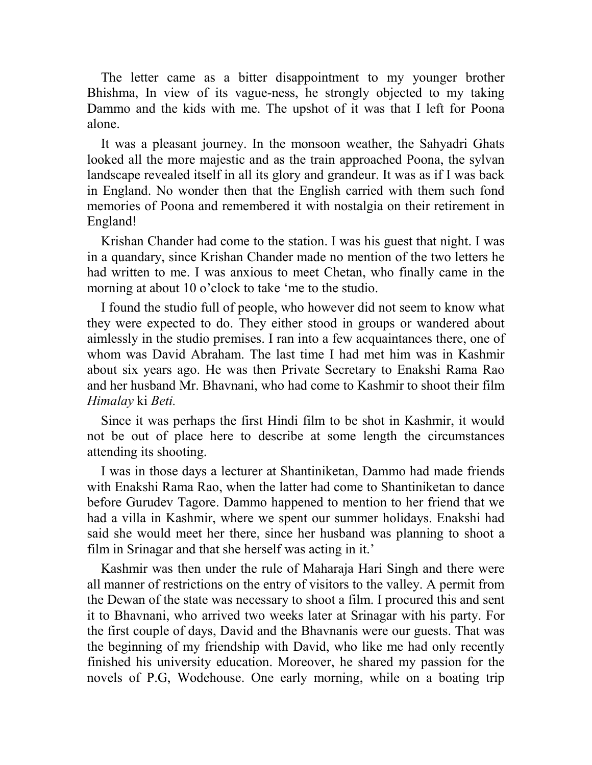The letter came as a bitter disappointment to my younger brother Bhishma, In view of its vague-ness, he strongly objected to my taking Dammo and the kids with me. The upshot of it was that I left for Poona alone.

It was a pleasant journey. In the monsoon weather, the Sahyadri Ghats looked all the more majestic and as the train approached Poona, the sylvan landscape revealed itself in all its glory and grandeur. It was as if I was back in England. No wonder then that the English carried with them such fond memories of Poona and remembered it with nostalgia on their retirement in England!

Krishan Chander had come to the station. I was his guest that night. I was in a quandary, since Krishan Chander made no mention of the two letters he had written to me. I was anxious to meet Chetan, who finally came in the morning at about 10 o'clock to take 'me to the studio.

I found the studio full of people, who however did not seem to know what they were expected to do. They either stood in groups or wandered about aimlessly in the studio premises. I ran into a few acquaintances there, one of whom was David Abraham. The last time I had met him was in Kashmir about six years ago. He was then Private Secretary to Enakshi Rama Rao and her husband Mr. Bhavnani, who had come to Kashmir to shoot their film *Himalay* ki *Beti.*

Since it was perhaps the first Hindi film to be shot in Kashmir, it would not be out of place here to describe at some length the circumstances attending its shooting.

I was in those days a lecturer at Shantiniketan, Dammo had made friends with Enakshi Rama Rao, when the latter had come to Shantiniketan to dance before Gurudev Tagore. Dammo happened to mention to her friend that we had a villa in Kashmir, where we spent our summer holidays. Enakshi had said she would meet her there, since her husband was planning to shoot a film in Srinagar and that she herself was acting in it.'

Kashmir was then under the rule of Maharaja Hari Singh and there were all manner of restrictions on the entry of visitors to the valley. A permit from the Dewan of the state was necessary to shoot a film. I procured this and sent it to Bhavnani, who arrived two weeks later at Srinagar with his party. For the first couple of days, David and the Bhavnanis were our guests. That was the beginning of my friendship with David, who like me had only recently finished his university education. Moreover, he shared my passion for the novels of P.G, Wodehouse. One early morning, while on a boating trip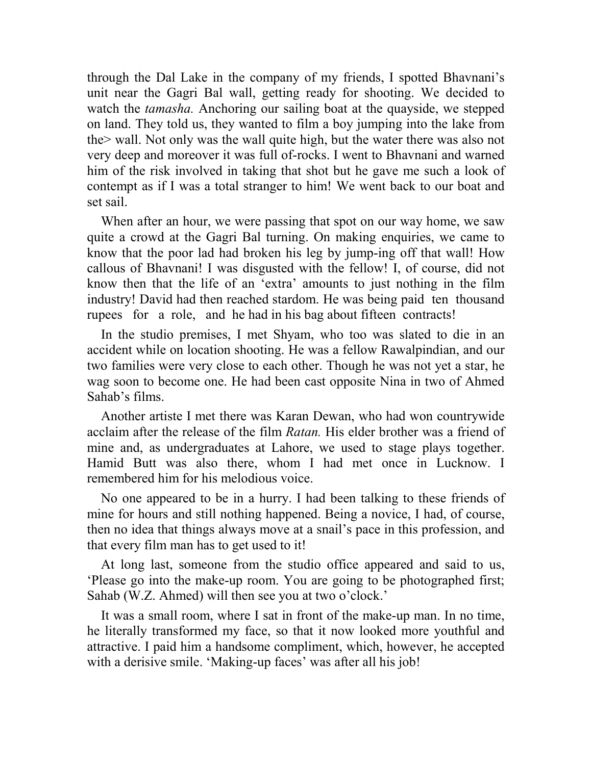through the Dal Lake in the company of my friends, I spotted Bhavnani's unit near the Gagri Bal wall, getting ready for shooting. We decided to watch the *tamasha.* Anchoring our sailing boat at the quayside, we stepped on land. They told us, they wanted to film a boy jumping into the lake from the> wall. Not only was the wall quite high, but the water there was also not very deep and moreover it was full of-rocks. I went to Bhavnani and warned him of the risk involved in taking that shot but he gave me such a look of contempt as if I was a total stranger to him! We went back to our boat and set sail.

When after an hour, we were passing that spot on our way home, we saw quite a crowd at the Gagri Bal turning. On making enquiries, we came to know that the poor lad had broken his leg by jump-ing off that wall! How callous of Bhavnani! I was disgusted with the fellow! I, of course, did not know then that the life of an 'extra' amounts to just nothing in the film industry! David had then reached stardom. He was being paid ten thousand rupees for a role, and he had in his bag about fifteen contracts!

In the studio premises, I met Shyam, who too was slated to die in an accident while on location shooting. He was a fellow Rawalpindian, and our two families were very close to each other. Though he was not yet a star, he wag soon to become one. He had been cast opposite Nina in two of Ahmed Sahab's films.

Another artiste I met there was Karan Dewan, who had won countrywide acclaim after the release of the film *Ratan.* His elder brother was a friend of mine and, as undergraduates at Lahore, we used to stage plays together. Hamid Butt was also there, whom I had met once in Lucknow. I remembered him for his melodious voice.

No one appeared to be in a hurry. I had been talking to these friends of mine for hours and still nothing happened. Being a novice, I had, of course, then no idea that things always move at a snail's pace in this profession, and that every film man has to get used to it!

At long last, someone from the studio office appeared and said to us, 'Please go into the make-up room. You are going to be photographed first; Sahab (W.Z. Ahmed) will then see you at two o'clock.'

It was a small room, where I sat in front of the make-up man. In no time, he literally transformed my face, so that it now looked more youthful and attractive. I paid him a handsome compliment, which, however, he accepted with a derisive smile. 'Making-up faces' was after all his job!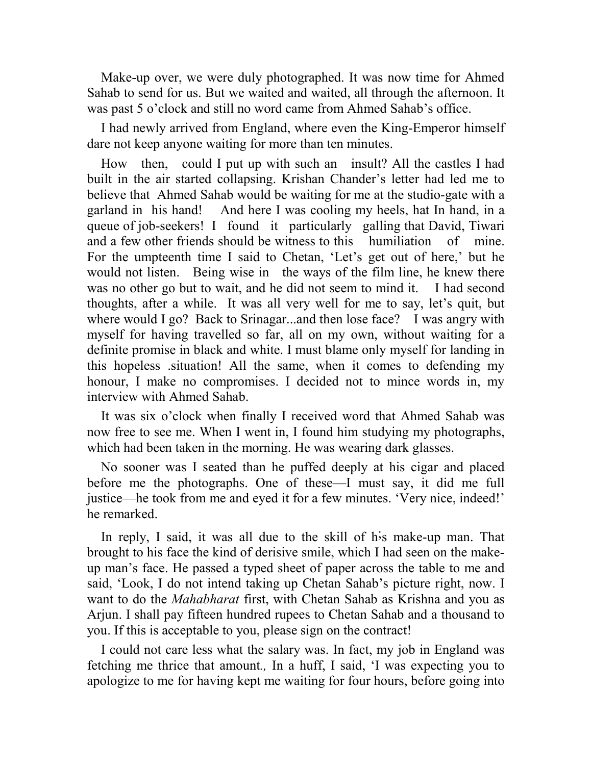Make-up over, we were duly photographed. It was now time for Ahmed Sahab to send for us. But we waited and waited, all through the afternoon. It was past 5 o'clock and still no word came from Ahmed Sahab's office.

I had newly arrived from England, where even the King-Emperor himself dare not keep anyone waiting for more than ten minutes.

How then, could I put up with such an insult? All the castles I had built in the air started collapsing. Krishan Chander's letter had led me to believe that Ahmed Sahab would be waiting for me at the studio-gate with a garland in his hand! And here I was cooling my heels, hat In hand, in a queue of job-seekers! I found it particularly galling that David, Tiwari and a few other friends should be witness to this humiliation of mine. For the umpteenth time I said to Chetan, 'Let's get out of here,' but he would not listen. Being wise in the ways of the film line, he knew there was no other go but to wait, and he did not seem to mind it. I had second thoughts, after a while. It was all very well for me to say, let's quit, but where would I go? Back to Srinagar...and then lose face? I was angry with myself for having travelled so far, all on my own, without waiting for a definite promise in black and white. I must blame only myself for landing in this hopeless .situation! All the same, when it comes to defending my honour, I make no compromises. I decided not to mince words in, my interview with Ahmed Sahab.

It was six o'clock when finally I received word that Ahmed Sahab was now free to see me. When I went in, I found him studying my photographs, which had been taken in the morning. He was wearing dark glasses.

No sooner was I seated than he puffed deeply at his cigar and placed before me the photographs. One of these—I must say, it did me full justice—he took from me and eyed it for a few minutes. 'Very nice, indeed!' he remarked.

In reply, I said, it was all due to the skill of h<sub>is</sub> make-up man. That brought to his face the kind of derisive smile, which I had seen on the makeup man's face. He passed a typed sheet of paper across the table to me and said, 'Look, I do not intend taking up Chetan Sahab's picture right, now. I want to do the *Mahabharat* first, with Chetan Sahab as Krishna and you as Arjun. I shall pay fifteen hundred rupees to Chetan Sahab and a thousand to you. If this is acceptable to you, please sign on the contract!

I could not care less what the salary was. In fact, my job in England was fetching me thrice that amount*.,* In a huff, I said, 'I was expecting you to apologize to me for having kept me waiting for four hours, before going into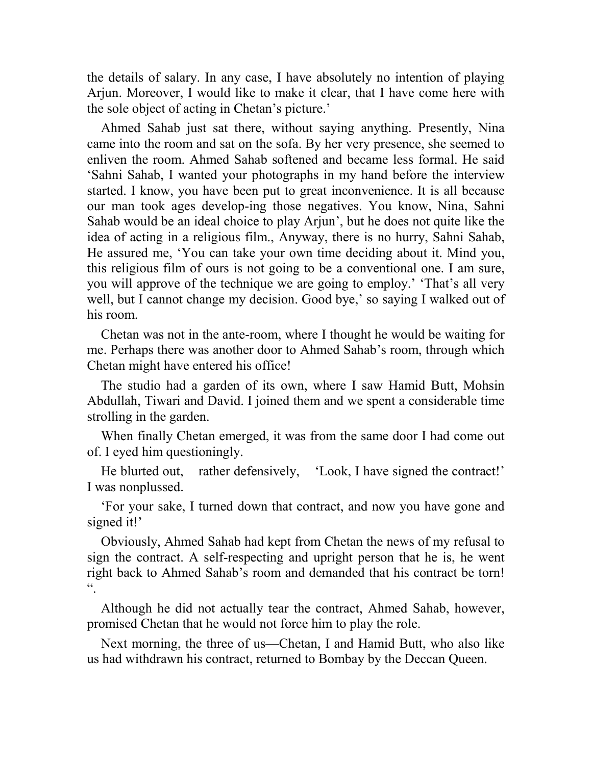the details of salary. In any case, I have absolutely no intention of playing Arjun. Moreover, I would like to make it clear, that I have come here with the sole object of acting in Chetan's picture.'

Ahmed Sahab just sat there, without saying anything. Presently, Nina came into the room and sat on the sofa. By her very presence, she seemed to enliven the room. Ahmed Sahab softened and became less formal. He said 'Sahni Sahab, I wanted your photographs in my hand before the interview started. I know, you have been put to great inconvenience. It is all because our man took ages develop-ing those negatives. You know, Nina, Sahni Sahab would be an ideal choice to play Arjun', but he does not quite like the idea of acting in a religious film., Anyway, there is no hurry, Sahni Sahab, He assured me, 'You can take your own time deciding about it. Mind you, this religious film of ours is not going to be a conventional one. I am sure, you will approve of the technique we are going to employ.' 'That's all very well, but I cannot change my decision. Good bye,' so saying I walked out of his room.

Chetan was not in the ante-room, where I thought he would be waiting for me. Perhaps there was another door to Ahmed Sahab's room, through which Chetan might have entered his office!

The studio had a garden of its own, where I saw Hamid Butt, Mohsin Abdullah, Tiwari and David. I joined them and we spent a considerable time strolling in the garden.

When finally Chetan emerged, it was from the same door I had come out of. I eyed him questioningly.

He blurted out, rather defensively, 'Look, I have signed the contract!' I was nonplussed.

'For your sake, I turned down that contract, and now you have gone and signed it!'

Obviously, Ahmed Sahab had kept from Chetan the news of my refusal to sign the contract. A self-respecting and upright person that he is, he went right back to Ahmed Sahab's room and demanded that his contract be torn!  $\epsilon$ 

Although he did not actually tear the contract, Ahmed Sahab, however, promised Chetan that he would not force him to play the role.

Next morning, the three of us—Chetan, I and Hamid Butt, who also like us had withdrawn his contract, returned to Bombay by the Deccan Queen.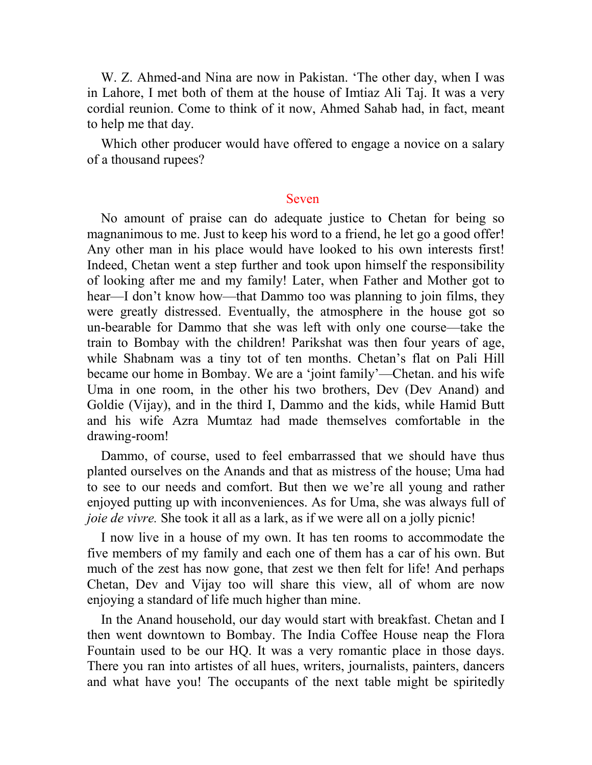W. Z. Ahmed-and Nina are now in Pakistan. 'The other day, when I was in Lahore, I met both of them at the house of Imtiaz Ali Taj. It was a very cordial reunion. Come to think of it now, Ahmed Sahab had, in fact, meant to help me that day.

Which other producer would have offered to engage a novice on a salary of a thousand rupees?

## Seven

No amount of praise can do adequate justice to Chetan for being so magnanimous to me. Just to keep his word to a friend, he let go a good offer! Any other man in his place would have looked to his own interests first! Indeed, Chetan went a step further and took upon himself the responsibility of looking after me and my family! Later, when Father and Mother got to hear—I don't know how—that Dammo too was planning to join films, they were greatly distressed. Eventually, the atmosphere in the house got so un-bearable for Dammo that she was left with only one course—take the train to Bombay with the children! Parikshat was then four years of age, while Shabnam was a tiny tot of ten months. Chetan's flat on Pali Hill became our home in Bombay. We are a 'joint family'—Chetan. and his wife Uma in one room, in the other his two brothers, Dev (Dev Anand) and Goldie (Vijay), and in the third I, Dammo and the kids, while Hamid Butt and his wife Azra Mumtaz had made themselves comfortable in the drawing-room!

Dammo, of course, used to feel embarrassed that we should have thus planted ourselves on the Anands and that as mistress of the house; Uma had to see to our needs and comfort. But then we we're all young and rather enjoyed putting up with inconveniences. As for Uma, she was always full of *joie de vivre.* She took it all as a lark, as if we were all on a jolly picnic!

I now live in a house of my own. It has ten rooms to accommodate the five members of my family and each one of them has a car of his own. But much of the zest has now gone, that zest we then felt for life! And perhaps Chetan, Dev and Vijay too will share this view, all of whom are now enjoying a standard of life much higher than mine.

In the Anand household, our day would start with breakfast. Chetan and I then went downtown to Bombay. The India Coffee House neap the Flora Fountain used to be our HQ. It was a very romantic place in those days. There you ran into artistes of all hues, writers, journalists, painters, dancers and what have you! The occupants of the next table might be spiritedly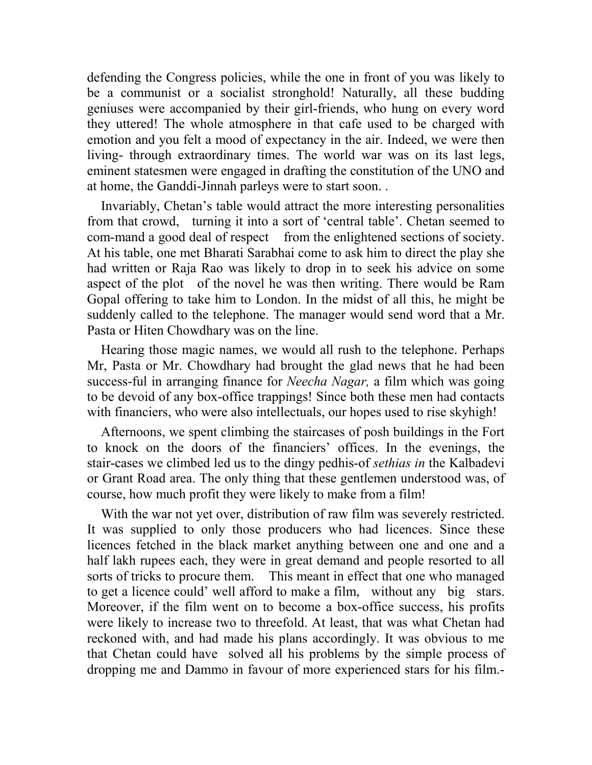defending the Congress policies, while the one in front of you was likely to be a communist or a socialist stronghold! Naturally, all these budding geniuses were accompanied by their girl-friends, who hung on every word they uttered! The whole atmosphere in that cafe used to be charged with emotion and you felt a mood of expectancy in the air. Indeed, we were then living- through extraordinary times. The world war was on its last legs, eminent statesmen were engaged in drafting the constitution of the UNO and at home, the Ganddi-Jinnah parleys were to start soon. .

Invariably, Chetan's table would attract the more interesting personalities from that crowd, turning it into a sort of 'central table'. Chetan seemed to com-mand a good deal of respect from the enlightened sections of society. At his table, one met Bharati Sarabhai come to ask him to direct the play she had written or Raja Rao was likely to drop in to seek his advice on some aspect of the plot of the novel he was then writing. There would be Ram Gopal offering to take him to London. In the midst of all this, he might be suddenly called to the telephone. The manager would send word that a Mr. Pasta or Hiten Chowdhary was on the line.

Hearing those magic names, we would all rush to the telephone. Perhaps Mr, Pasta or Mr. Chowdhary had brought the glad news that he had been success-ful in arranging finance for *Neecha Nagar,* a film which was going to be devoid of any box-office trappings! Since both these men had contacts with financiers, who were also intellectuals, our hopes used to rise skyhigh!

Afternoons, we spent climbing the staircases of posh buildings in the Fort to knock on the doors of the financiers' offices. In the evenings, the stair-cases we climbed led us to the dingy pedhis-of *sethias in* the Kalbadevi or Grant Road area. The only thing that these gentlemen understood was, of course, how much profit they were likely to make from a film!

With the war not yet over, distribution of raw film was severely restricted. It was supplied to only those producers who had licences. Since these licences fetched in the black market anything between one and one and a half lakh rupees each, they were in great demand and people resorted to all sorts of tricks to procure them. This meant in effect that one who managed to get a licence could' well afford to make a film, without any big stars. Moreover, if the film went on to become a box-office success, his profits were likely to increase two to threefold. At least, that was what Chetan had reckoned with, and had made his plans accordingly. It was obvious to me that Chetan could have solved all his problems by the simple process of dropping me and Dammo in favour of more experienced stars for his film.-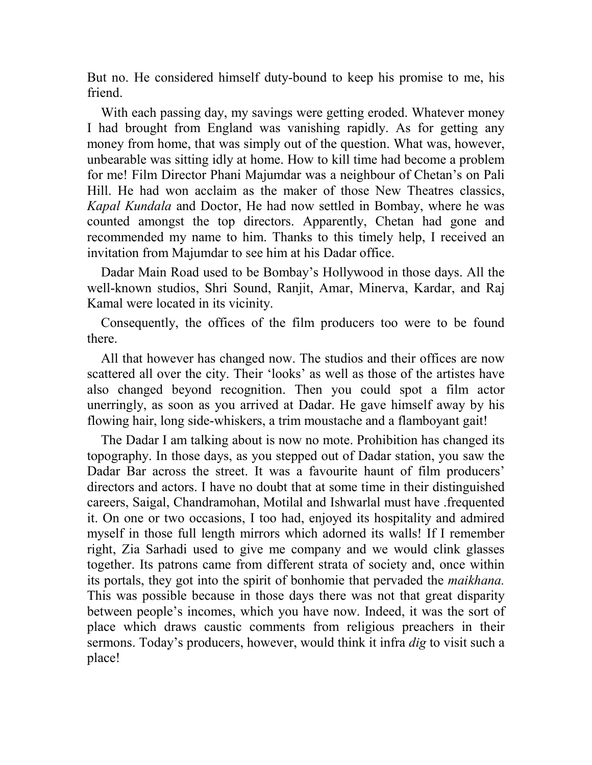But no. He considered himself duty-bound to keep his promise to me, his friend.

With each passing day, my savings were getting eroded. Whatever money I had brought from England was vanishing rapidly. As for getting any money from home, that was simply out of the question. What was, however, unbearable was sitting idly at home. How to kill time had become a problem for me! Film Director Phani Majumdar was a neighbour of Chetan's on Pali Hill. He had won acclaim as the maker of those New Theatres classics, *Kapal Kundala* and Doctor, He had now settled in Bombay, where he was counted amongst the top directors. Apparently, Chetan had gone and recommended my name to him. Thanks to this timely help, I received an invitation from Majumdar to see him at his Dadar office.

Dadar Main Road used to be Bombay's Hollywood in those days. All the well-known studios, Shri Sound, Ranjit, Amar, Minerva, Kardar, and Raj Kamal were located in its vicinity.

Consequently, the offices of the film producers too were to be found there.

All that however has changed now. The studios and their offices are now scattered all over the city. Their 'looks' as well as those of the artistes have also changed beyond recognition. Then you could spot a film actor unerringly, as soon as you arrived at Dadar. He gave himself away by his flowing hair, long side-whiskers, a trim moustache and a flamboyant gait!

The Dadar I am talking about is now no mote. Prohibition has changed its topography. In those days, as you stepped out of Dadar station, you saw the Dadar Bar across the street. It was a favourite haunt of film producers' directors and actors. I have no doubt that at some time in their distinguished careers, Saigal, Chandramohan, Motilal and Ishwarlal must have .frequented it. On one or two occasions, I too had, enjoyed its hospitality and admired myself in those full length mirrors which adorned its walls! If I remember right, Zia Sarhadi used to give me company and we would clink glasses together. Its patrons came from different strata of society and, once within its portals, they got into the spirit of bonhomie that pervaded the *maikhana.*  This was possible because in those days there was not that great disparity between people's incomes, which you have now. Indeed, it was the sort of place which draws caustic comments from religious preachers in their sermons. Today's producers, however, would think it infra *dig* to visit such a place!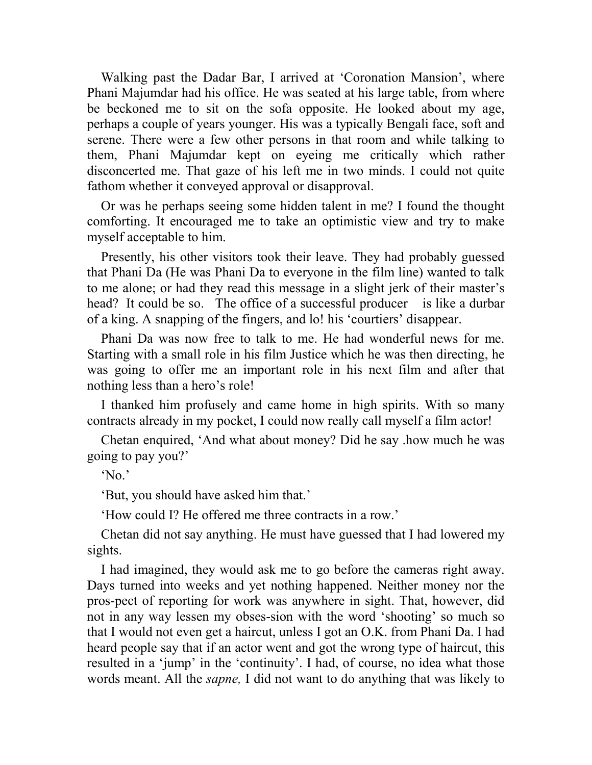Walking past the Dadar Bar, I arrived at 'Coronation Mansion', where Phani Majumdar had his office. He was seated at his large table, from where be beckoned me to sit on the sofa opposite. He looked about my age, perhaps a couple of years younger. His was a typically Bengali face, soft and serene. There were a few other persons in that room and while talking to them, Phani Majumdar kept on eyeing me critically which rather disconcerted me. That gaze of his left me in two minds. I could not quite fathom whether it conveyed approval or disapproval.

Or was he perhaps seeing some hidden talent in me? I found the thought comforting. It encouraged me to take an optimistic view and try to make myself acceptable to him.

Presently, his other visitors took their leave. They had probably guessed that Phani Da (He was Phani Da to everyone in the film line) wanted to talk to me alone; or had they read this message in a slight jerk of their master's head? It could be so. The office of a successful producer is like a durbar of a king. A snapping of the fingers, and lo! his 'courtiers' disappear.

Phani Da was now free to talk to me. He had wonderful news for me. Starting with a small role in his film Justice which he was then directing, he was going to offer me an important role in his next film and after that nothing less than a hero's role!

I thanked him profusely and came home in high spirits. With so many contracts already in my pocket, I could now really call myself a film actor!

Chetan enquired, 'And what about money? Did he say .how much he was going to pay you?'

'No.'

'But, you should have asked him that.'

'How could I? He offered me three contracts in a row.'

Chetan did not say anything. He must have guessed that I had lowered my sights.

I had imagined, they would ask me to go before the cameras right away. Days turned into weeks and yet nothing happened. Neither money nor the pros-pect of reporting for work was anywhere in sight. That, however, did not in any way lessen my obses-sion with the word 'shooting' so much so that I would not even get a haircut, unless I got an O.K. from Phani Da. I had heard people say that if an actor went and got the wrong type of haircut, this resulted in a 'jump' in the 'continuity'. I had, of course, no idea what those words meant. All the *sapne,* I did not want to do anything that was likely to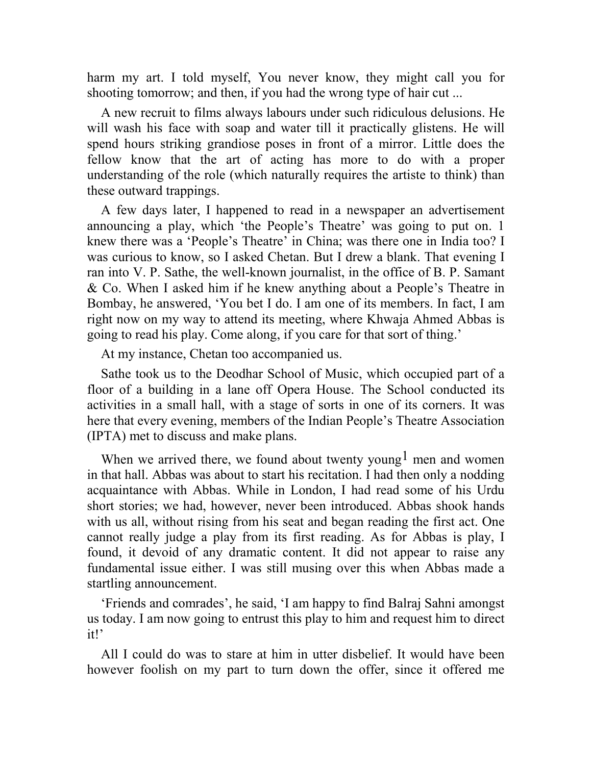harm my art. I told myself, You never know, they might call you for shooting tomorrow; and then, if you had the wrong type of hair cut ...

A new recruit to films always labours under such ridiculous delusions. He will wash his face with soap and water till it practically glistens. He will spend hours striking grandiose poses in front of a mirror. Little does the fellow know that the art of acting has more to do with a proper understanding of the role (which naturally requires the artiste to think) than these outward trappings.

A few days later, I happened to read in a newspaper an advertisement announcing a play, which 'the People's Theatre' was going to put on. 1 knew there was a 'People's Theatre' in China; was there one in India too? I was curious to know, so I asked Chetan. But I drew a blank. That evening I ran into V. P. Sathe, the well-known journalist, in the office of B. P. Samant & Co. When I asked him if he knew anything about a People's Theatre in Bombay, he answered, 'You bet I do. I am one of its members. In fact, I am right now on my way to attend its meeting, where Khwaja Ahmed Abbas is going to read his play. Come along, if you care for that sort of thing.'

At my instance, Chetan too accompanied us.

Sathe took us to the Deodhar School of Music, which occupied part of a floor of a building in a lane off Opera House. The School conducted its activities in a small hall, with a stage of sorts in one of its corners. It was here that every evening, members of the Indian People's Theatre Association (IPTA) met to discuss and make plans.

When we arrived there, we found about twenty young<sup>1</sup> men and women in that hall. Abbas was about to start his recitation. I had then only a nodding acquaintance with Abbas. While in London, I had read some of his Urdu short stories; we had, however, never been introduced. Abbas shook hands with us all, without rising from his seat and began reading the first act. One cannot really judge a play from its first reading. As for Abbas is play, I found, it devoid of any dramatic content. It did not appear to raise any fundamental issue either. I was still musing over this when Abbas made a startling announcement.

'Friends and comrades', he said, 'I am happy to find Balraj Sahni amongst us today. I am now going to entrust this play to him and request him to direct it!'

All I could do was to stare at him in utter disbelief. It would have been however foolish on my part to turn down the offer, since it offered me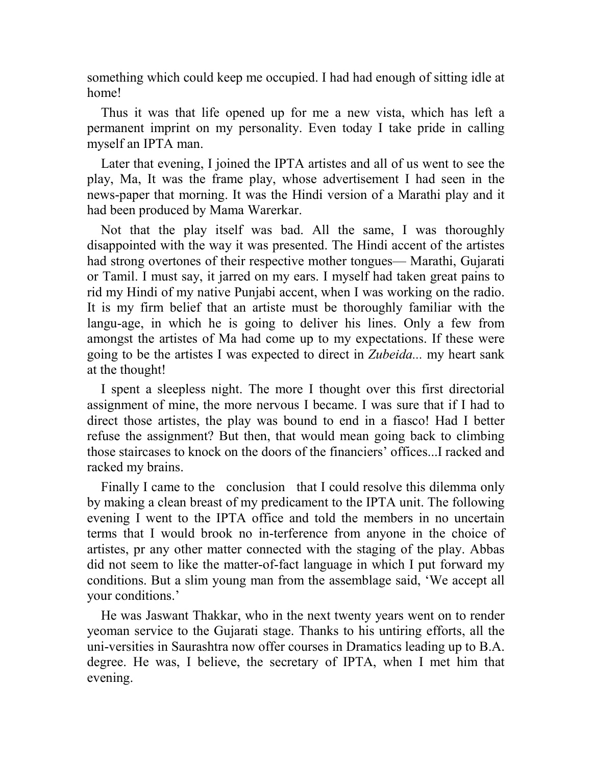something which could keep me occupied. I had had enough of sitting idle at home!

Thus it was that life opened up for me a new vista, which has left a permanent imprint on my personality. Even today I take pride in calling myself an IPTA man.

Later that evening, I joined the IPTA artistes and all of us went to see the play, Ma, It was the frame play, whose advertisement I had seen in the news-paper that morning. It was the Hindi version of a Marathi play and it had been produced by Mama Warerkar.

Not that the play itself was bad. All the same, I was thoroughly disappointed with the way it was presented. The Hindi accent of the artistes had strong overtones of their respective mother tongues— Marathi, Gujarati or Tamil. I must say, it jarred on my ears. I myself had taken great pains to rid my Hindi of my native Punjabi accent, when I was working on the radio. It is my firm belief that an artiste must be thoroughly familiar with the langu-age, in which he is going to deliver his lines. Only a few from amongst the artistes of Ma had come up to my expectations. If these were going to be the artistes I was expected to direct in *Zubeida...* my heart sank at the thought!

I spent a sleepless night. The more I thought over this first directorial assignment of mine, the more nervous I became. I was sure that if I had to direct those artistes, the play was bound to end in a fiasco! Had I better refuse the assignment? But then, that would mean going back to climbing those staircases to knock on the doors of the financiers' offices...I racked and racked my brains.

Finally I came to the conclusion that I could resolve this dilemma only by making a clean breast of my predicament to the IPTA unit. The following evening I went to the IPTA office and told the members in no uncertain terms that I would brook no in-terference from anyone in the choice of artistes, pr any other matter connected with the staging of the play. Abbas did not seem to like the matter-of-fact language in which I put forward my conditions. But a slim young man from the assemblage said, 'We accept all your conditions.'

He was Jaswant Thakkar, who in the next twenty years went on to render yeoman service to the Gujarati stage. Thanks to his untiring efforts, all the uni-versities in Saurashtra now offer courses in Dramatics leading up to B.A. degree. He was, I believe, the secretary of IPTA, when I met him that evening.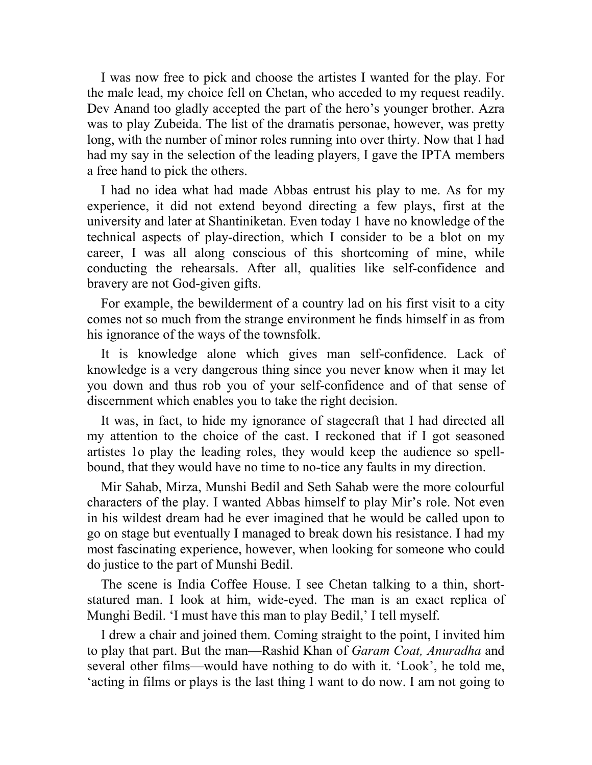I was now free to pick and choose the artistes I wanted for the play. For the male lead, my choice fell on Chetan, who acceded to my request readily. Dev Anand too gladly accepted the part of the hero's younger brother. Azra was to play Zubeida. The list of the dramatis personae, however, was pretty long, with the number of minor roles running into over thirty. Now that I had had my say in the selection of the leading players, I gave the IPTA members a free hand to pick the others.

I had no idea what had made Abbas entrust his play to me. As for my experience, it did not extend beyond directing a few plays, first at the university and later at Shantiniketan. Even today 1 have no knowledge of the technical aspects of play-direction, which I consider to be a blot on my career, I was all along conscious of this shortcoming of mine, while conducting the rehearsals. After all, qualities like self-confidence and bravery are not God-given gifts.

For example, the bewilderment of a country lad on his first visit to a city comes not so much from the strange environment he finds himself in as from his ignorance of the ways of the townsfolk.

It is knowledge alone which gives man self-confidence. Lack of knowledge is a very dangerous thing since you never know when it may let you down and thus rob you of your self-confidence and of that sense of discernment which enables you to take the right decision.

It was, in fact, to hide my ignorance of stagecraft that I had directed all my attention to the choice of the cast. I reckoned that if I got seasoned artistes 1o play the leading roles, they would keep the audience so spellbound, that they would have no time to no-tice any faults in my direction.

Mir Sahab, Mirza, Munshi Bedil and Seth Sahab were the more colourful characters of the play. I wanted Abbas himself to play Mir's role. Not even in his wildest dream had he ever imagined that he would be called upon to go on stage but eventually I managed to break down his resistance. I had my most fascinating experience, however, when looking for someone who could do justice to the part of Munshi Bedil.

The scene is India Coffee House. I see Chetan talking to a thin, shortstatured man. I look at him, wide-eyed. The man is an exact replica of Munghi Bedil. 'I must have this man to play Bedil,' I tell myself.

I drew a chair and joined them. Coming straight to the point, I invited him to play that part. But the man—Rashid Khan of *Garam Coat, Anuradha* and several other films—would have nothing to do with it. 'Look', he told me, 'acting in films or plays is the last thing I want to do now. I am not going to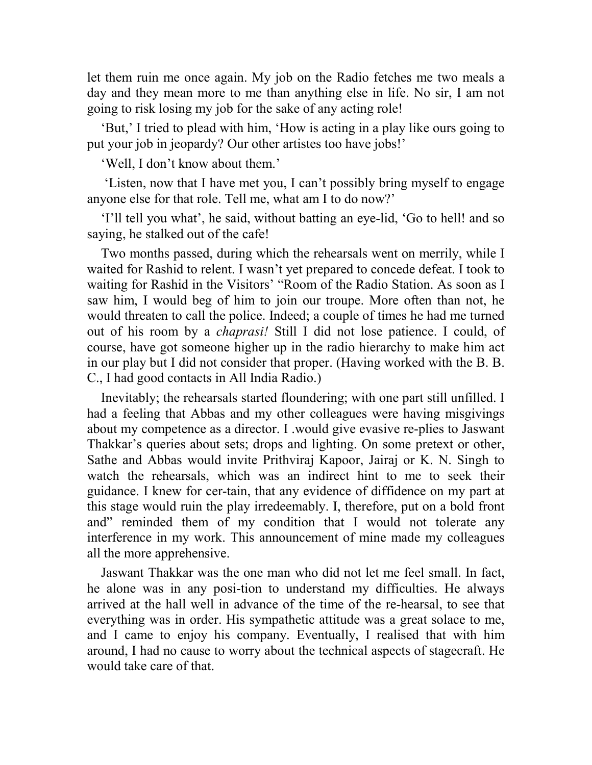let them ruin me once again. My job on the Radio fetches me two meals a day and they mean more to me than anything else in life. No sir, I am not going to risk losing my job for the sake of any acting role!

'But,' I tried to plead with him, 'How is acting in a play like ours going to put your job in jeopardy? Our other artistes too have jobs!'

'Well, I don't know about them.'

 'Listen, now that I have met you, I can't possibly bring myself to engage anyone else for that role. Tell me, what am I to do now?'

'I'll tell you what', he said, without batting an eye-lid, 'Go to hell! and so saying, he stalked out of the cafe!

Two months passed, during which the rehearsals went on merrily, while I waited for Rashid to relent. I wasn't yet prepared to concede defeat. I took to waiting for Rashid in the Visitors' "Room of the Radio Station. As soon as I saw him, I would beg of him to join our troupe. More often than not, he would threaten to call the police. Indeed; a couple of times he had me turned out of his room by a *chaprasi!* Still I did not lose patience. I could, of course, have got someone higher up in the radio hierarchy to make him act in our play but I did not consider that proper. (Having worked with the B. B. C., I had good contacts in All India Radio.)

Inevitably; the rehearsals started floundering; with one part still unfilled. I had a feeling that Abbas and my other colleagues were having misgivings about my competence as a director. I .would give evasive re-plies to Jaswant Thakkar's queries about sets; drops and lighting. On some pretext or other, Sathe and Abbas would invite Prithviraj Kapoor, Jairaj or K. N. Singh to watch the rehearsals, which was an indirect hint to me to seek their guidance. I knew for cer-tain, that any evidence of diffidence on my part at this stage would ruin the play irredeemably. I, therefore, put on a bold front and" reminded them of my condition that I would not tolerate any interference in my work. This announcement of mine made my colleagues all the more apprehensive.

Jaswant Thakkar was the one man who did not let me feel small. In fact, he alone was in any posi-tion to understand my difficulties. He always arrived at the hall well in advance of the time of the re-hearsal, to see that everything was in order. His sympathetic attitude was a great solace to me, and I came to enjoy his company. Eventually, I realised that with him around, I had no cause to worry about the technical aspects of stagecraft. He would take care of that.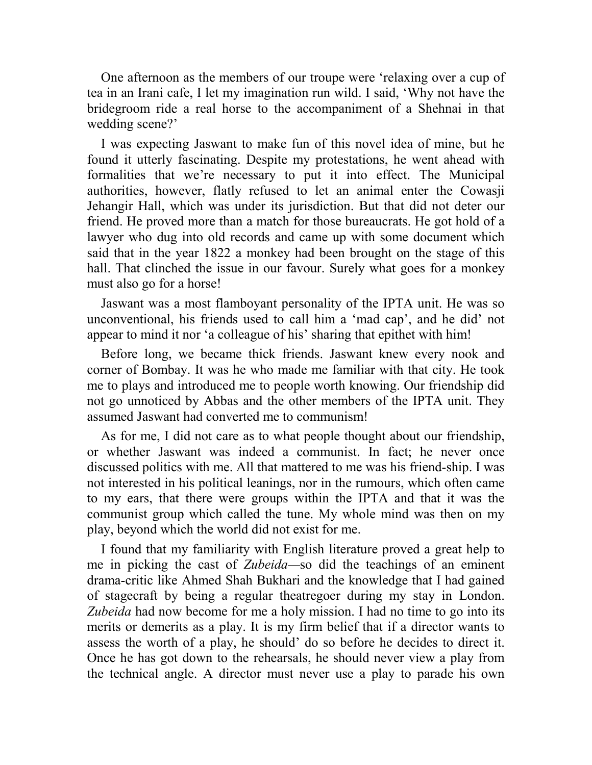One afternoon as the members of our troupe were 'relaxing over a cup of tea in an Irani cafe, I let my imagination run wild. I said, 'Why not have the bridegroom ride a real horse to the accompaniment of a Shehnai in that wedding scene?'

I was expecting Jaswant to make fun of this novel idea of mine, but he found it utterly fascinating. Despite my protestations, he went ahead with formalities that we're necessary to put it into effect. The Municipal authorities, however, flatly refused to let an animal enter the Cowasji Jehangir Hall, which was under its jurisdiction. But that did not deter our friend. He proved more than a match for those bureaucrats. He got hold of a lawyer who dug into old records and came up with some document which said that in the year 1822 a monkey had been brought on the stage of this hall. That clinched the issue in our favour. Surely what goes for a monkey must also go for a horse!

Jaswant was a most flamboyant personality of the IPTA unit. He was so unconventional, his friends used to call him a 'mad cap', and he did' not appear to mind it nor 'a colleague of his' sharing that epithet with him!

Before long, we became thick friends. Jaswant knew every nook and corner of Bombay. It was he who made me familiar with that city. He took me to plays and introduced me to people worth knowing. Our friendship did not go unnoticed by Abbas and the other members of the IPTA unit. They assumed Jaswant had converted me to communism!

As for me, I did not care as to what people thought about our friendship, or whether Jaswant was indeed a communist. In fact; he never once discussed politics with me. All that mattered to me was his friend-ship. I was not interested in his political leanings, nor in the rumours, which often came to my ears, that there were groups within the IPTA and that it was the communist group which called the tune. My whole mind was then on my play, beyond which the world did not exist for me.

I found that my familiarity with English literature proved a great help to me in picking the cast of *Zubeida—*so did the teachings of an eminent drama-critic like Ahmed Shah Bukhari and the knowledge that I had gained of stagecraft by being a regular theatregoer during my stay in London. *Zubeida* had now become for me a holy mission. I had no time to go into its merits or demerits as a play. It is my firm belief that if a director wants to assess the worth of a play, he should' do so before he decides to direct it. Once he has got down to the rehearsals, he should never view a play from the technical angle. A director must never use a play to parade his own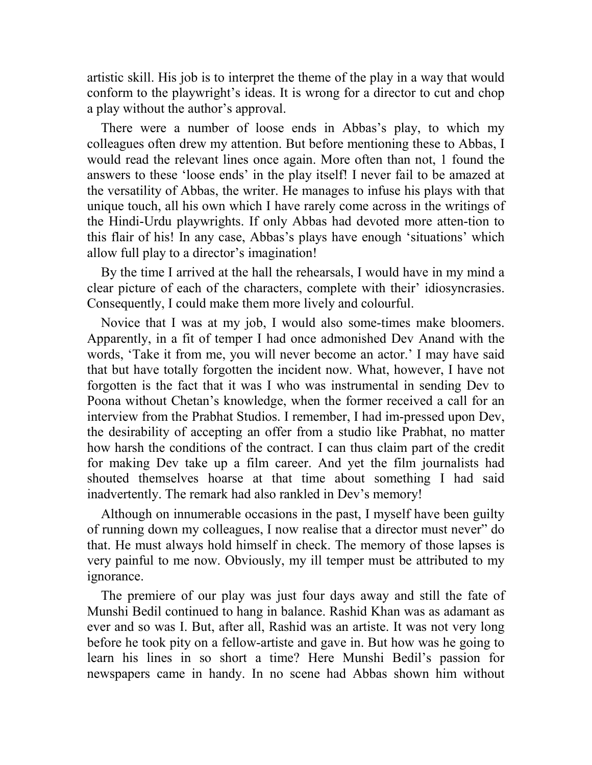artistic skill. His job is to interpret the theme of the play in a way that would conform to the playwright's ideas. It is wrong for a director to cut and chop a play without the author's approval.

There were a number of loose ends in Abbas's play, to which my colleagues often drew my attention. But before mentioning these to Abbas, I would read the relevant lines once again. More often than not, 1 found the answers to these 'loose ends' in the play itself! I never fail to be amazed at the versatility of Abbas, the writer. He manages to infuse his plays with that unique touch, all his own which I have rarely come across in the writings of the Hindi-Urdu playwrights. If only Abbas had devoted more atten-tion to this flair of his! In any case, Abbas's plays have enough 'situations' which allow full play to a director's imagination!

By the time I arrived at the hall the rehearsals, I would have in my mind a clear picture of each of the characters, complete with their' idiosyncrasies. Consequently, I could make them more lively and colourful.

Novice that I was at my job, I would also some-times make bloomers. Apparently, in a fit of temper I had once admonished Dev Anand with the words, 'Take it from me, you will never become an actor.' I may have said that but have totally forgotten the incident now. What, however, I have not forgotten is the fact that it was I who was instrumental in sending Dev to Poona without Chetan's knowledge, when the former received a call for an interview from the Prabhat Studios. I remember, I had im-pressed upon Dev, the desirability of accepting an offer from a studio like Prabhat, no matter how harsh the conditions of the contract. I can thus claim part of the credit for making Dev take up a film career. And yet the film journalists had shouted themselves hoarse at that time about something I had said inadvertently. The remark had also rankled in Dev's memory!

Although on innumerable occasions in the past, I myself have been guilty of running down my colleagues, I now realise that a director must never" do that. He must always hold himself in check. The memory of those lapses is very painful to me now. Obviously, my ill temper must be attributed to my ignorance.

The premiere of our play was just four days away and still the fate of Munshi Bedil continued to hang in balance. Rashid Khan was as adamant as ever and so was I. But, after all, Rashid was an artiste. It was not very long before he took pity on a fellow-artiste and gave in. But how was he going to learn his lines in so short a time? Here Munshi Bedil's passion for newspapers came in handy. In no scene had Abbas shown him without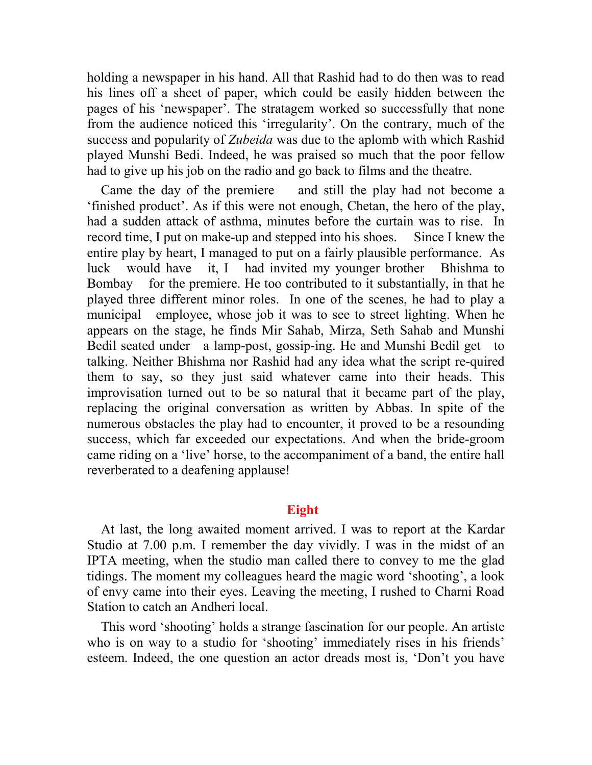holding a newspaper in his hand. All that Rashid had to do then was to read his lines off a sheet of paper, which could be easily hidden between the pages of his 'newspaper'. The stratagem worked so successfully that none from the audience noticed this 'irregularity'. On the contrary, much of the success and popularity of *Zubeida* was due to the aplomb with which Rashid played Munshi Bedi. Indeed, he was praised so much that the poor fellow had to give up his job on the radio and go back to films and the theatre.

Came the day of the premiere and still the play had not become a 'finished product'. As if this were not enough, Chetan, the hero of the play, had a sudden attack of asthma, minutes before the curtain was to rise. In record time, I put on make-up and stepped into his shoes. Since I knew the entire play by heart, I managed to put on a fairly plausible performance. As luck would have it, I had invited my younger brother Bhishma to Bombay for the premiere. He too contributed to it substantially, in that he played three different minor roles. In one of the scenes, he had to play a municipal employee, whose job it was to see to street lighting. When he appears on the stage, he finds Mir Sahab, Mirza, Seth Sahab and Munshi Bedil seated under a lamp-post, gossip-ing. He and Munshi Bedil get to talking. Neither Bhishma nor Rashid had any idea what the script re-quired them to say, so they just said whatever came into their heads. This improvisation turned out to be so natural that it became part of the play, replacing the original conversation as written by Abbas. In spite of the numerous obstacles the play had to encounter, it proved to be a resounding success, which far exceeded our expectations. And when the bride-groom came riding on a 'live' horse, to the accompaniment of a band, the entire hall reverberated to a deafening applause!

## **Eight**

At last, the long awaited moment arrived. I was to report at the Kardar Studio at 7.00 p.m. I remember the day vividly. I was in the midst of an IPTA meeting, when the studio man called there to convey to me the glad tidings. The moment my colleagues heard the magic word 'shooting', a look of envy came into their eyes. Leaving the meeting, I rushed to Charni Road Station to catch an Andheri local.

This word 'shooting' holds a strange fascination for our people. An artiste who is on way to a studio for 'shooting' immediately rises in his friends' esteem. Indeed, the one question an actor dreads most is, 'Don't you have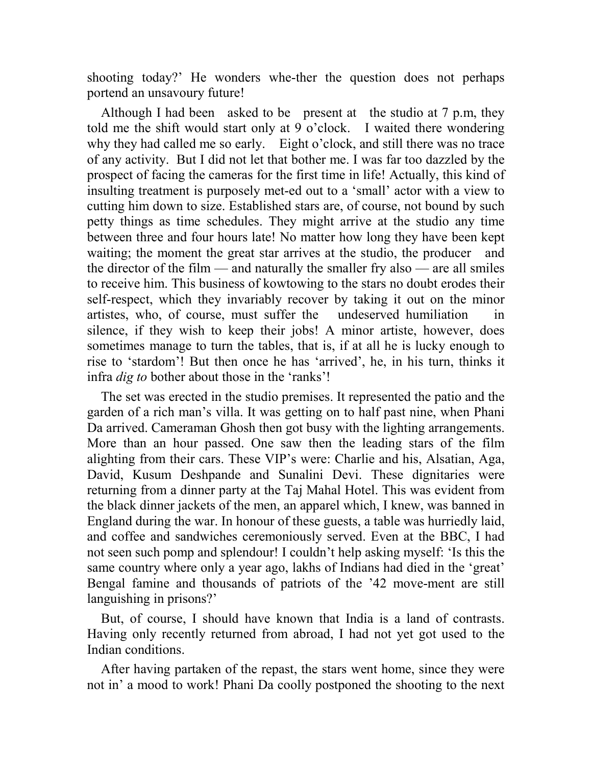shooting today?' He wonders whe-ther the question does not perhaps portend an unsavoury future!

Although I had been asked to be present at the studio at 7 p.m, they told me the shift would start only at 9 o'clock. I waited there wondering why they had called me so early. Eight o'clock, and still there was no trace of any activity. But I did not let that bother me. I was far too dazzled by the prospect of facing the cameras for the first time in life! Actually, this kind of insulting treatment is purposely met-ed out to a 'small' actor with a view to cutting him down to size. Established stars are, of course, not bound by such petty things as time schedules. They might arrive at the studio any time between three and four hours late! No matter how long they have been kept waiting; the moment the great star arrives at the studio, the producer and the director of the film — and naturally the smaller fry also — are all smiles to receive him. This business of kowtowing to the stars no doubt erodes their self-respect, which they invariably recover by taking it out on the minor artistes, who, of course, must suffer the undeserved humiliation in silence, if they wish to keep their jobs! A minor artiste, however, does sometimes manage to turn the tables, that is, if at all he is lucky enough to rise to 'stardom'! But then once he has 'arrived', he, in his turn, thinks it infra *dig to* bother about those in the 'ranks'!

The set was erected in the studio premises. It represented the patio and the garden of a rich man's villa. It was getting on to half past nine, when Phani Da arrived. Cameraman Ghosh then got busy with the lighting arrangements. More than an hour passed. One saw then the leading stars of the film alighting from their cars. These VIP's were: Charlie and his, Alsatian, Aga, David, Kusum Deshpande and Sunalini Devi. These dignitaries were returning from a dinner party at the Taj Mahal Hotel. This was evident from the black dinner jackets of the men, an apparel which, I knew, was banned in England during the war. In honour of these guests, a table was hurriedly laid, and coffee and sandwiches ceremoniously served. Even at the BBC, I had not seen such pomp and splendour! I couldn't help asking myself: 'Is this the same country where only a year ago, lakhs of Indians had died in the 'great' Bengal famine and thousands of patriots of the '42 move-ment are still languishing in prisons?'

But, of course, I should have known that India is a land of contrasts. Having only recently returned from abroad, I had not yet got used to the Indian conditions.

After having partaken of the repast, the stars went home, since they were not in' a mood to work! Phani Da coolly postponed the shooting to the next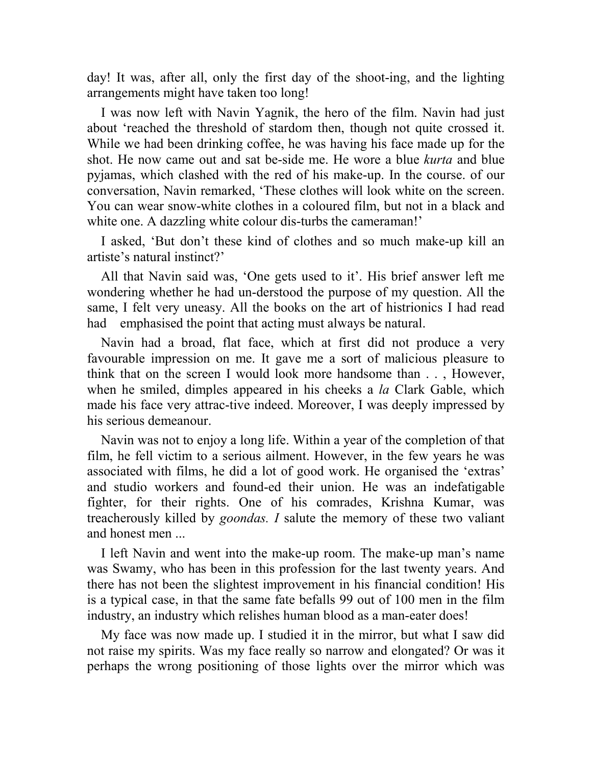day! It was, after all, only the first day of the shoot-ing, and the lighting arrangements might have taken too long!

I was now left with Navin Yagnik, the hero of the film. Navin had just about 'reached the threshold of stardom then, though not quite crossed it. While we had been drinking coffee, he was having his face made up for the shot. He now came out and sat be-side me. He wore a blue *kurta* and blue pyjamas, which clashed with the red of his make-up. In the course. of our conversation, Navin remarked, 'These clothes will look white on the screen. You can wear snow-white clothes in a coloured film, but not in a black and white one. A dazzling white colour dis-turbs the cameraman!'

I asked, 'But don't these kind of clothes and so much make-up kill an artiste's natural instinct?'

All that Navin said was, 'One gets used to it'. His brief answer left me wondering whether he had un-derstood the purpose of my question. All the same, I felt very uneasy. All the books on the art of histrionics I had read had emphasised the point that acting must always be natural.

Navin had a broad, flat face, which at first did not produce a very favourable impression on me. It gave me a sort of malicious pleasure to think that on the screen I would look more handsome than . . , However, when he smiled, dimples appeared in his cheeks a *la* Clark Gable, which made his face very attrac-tive indeed. Moreover, I was deeply impressed by his serious demeanour.

Navin was not to enjoy a long life. Within a year of the completion of that film, he fell victim to a serious ailment. However, in the few years he was associated with films, he did a lot of good work. He organised the 'extras' and studio workers and found-ed their union. He was an indefatigable fighter, for their rights. One of his comrades, Krishna Kumar, was treacherously killed by *goondas. I* salute the memory of these two valiant and honest men ...

I left Navin and went into the make-up room. The make-up man's name was Swamy, who has been in this profession for the last twenty years. And there has not been the slightest improvement in his financial condition! His is a typical case, in that the same fate befalls 99 out of 100 men in the film industry, an industry which relishes human blood as a man-eater does!

My face was now made up. I studied it in the mirror, but what I saw did not raise my spirits. Was my face really so narrow and elongated? Or was it perhaps the wrong positioning of those lights over the mirror which was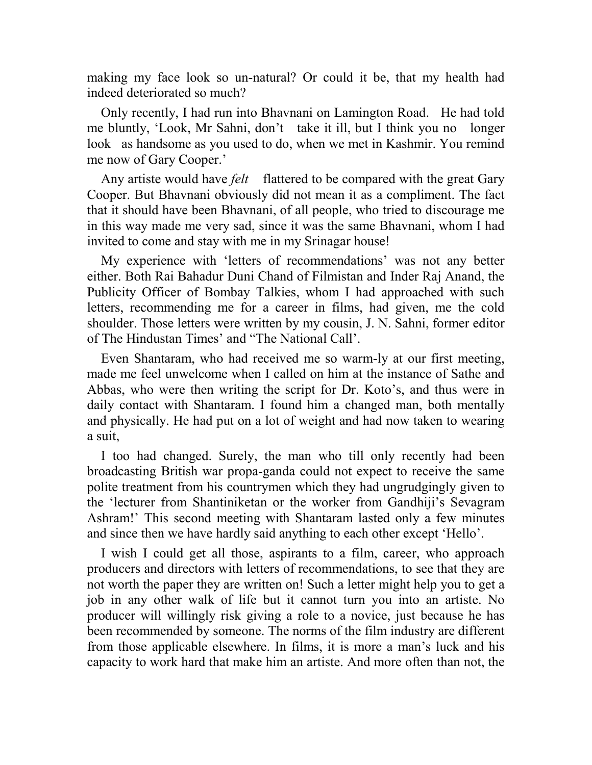making my face look so un-natural? Or could it be, that my health had indeed deteriorated so much?

Only recently, I had run into Bhavnani on Lamington Road. He had told me bluntly, 'Look, Mr Sahni, don't take it ill, but I think you no longer look as handsome as you used to do, when we met in Kashmir. You remind me now of Gary Cooper.'

Any artiste would have *felt* flattered to be compared with the great Gary Cooper. But Bhavnani obviously did not mean it as a compliment. The fact that it should have been Bhavnani, of all people, who tried to discourage me in this way made me very sad, since it was the same Bhavnani, whom I had invited to come and stay with me in my Srinagar house!

My experience with 'letters of recommendations' was not any better either. Both Rai Bahadur Duni Chand of Filmistan and Inder Raj Anand, the Publicity Officer of Bombay Talkies, whom I had approached with such letters, recommending me for a career in films, had given, me the cold shoulder. Those letters were written by my cousin, J. N. Sahni, former editor of The Hindustan Times' and "The National Call'.

Even Shantaram, who had received me so warm-ly at our first meeting, made me feel unwelcome when I called on him at the instance of Sathe and Abbas, who were then writing the script for Dr. Koto's, and thus were in daily contact with Shantaram. I found him a changed man, both mentally and physically. He had put on a lot of weight and had now taken to wearing a suit,

I too had changed. Surely, the man who till only recently had been broadcasting British war propa-ganda could not expect to receive the same polite treatment from his countrymen which they had ungrudgingly given to the 'lecturer from Shantiniketan or the worker from Gandhiji's Sevagram Ashram!' This second meeting with Shantaram lasted only a few minutes and since then we have hardly said anything to each other except 'Hello'.

I wish I could get all those, aspirants to a film, career, who approach producers and directors with letters of recommendations, to see that they are not worth the paper they are written on! Such a letter might help you to get a job in any other walk of life but it cannot turn you into an artiste. No producer will willingly risk giving a role to a novice, just because he has been recommended by someone. The norms of the film industry are different from those applicable elsewhere. In films, it is more a man's luck and his capacity to work hard that make him an artiste. And more often than not, the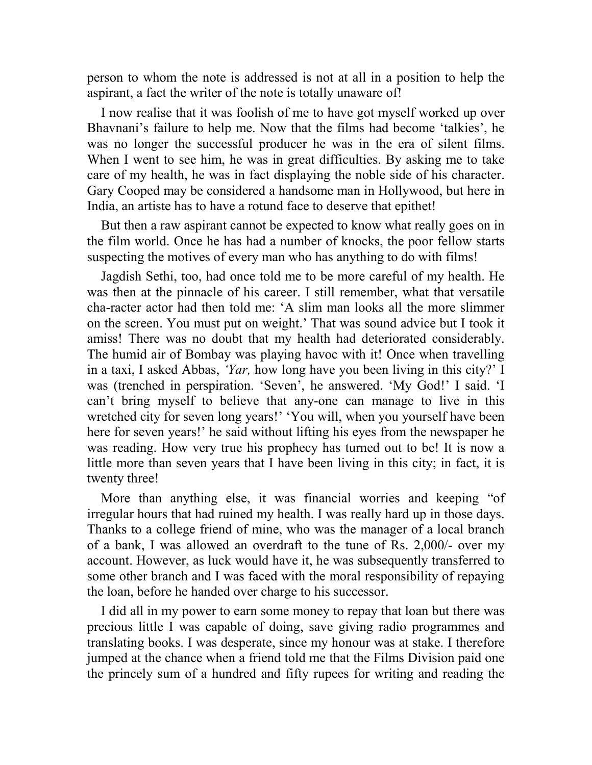person to whom the note is addressed is not at all in a position to help the aspirant, a fact the writer of the note is totally unaware of!

I now realise that it was foolish of me to have got myself worked up over Bhavnani's failure to help me. Now that the films had become 'talkies', he was no longer the successful producer he was in the era of silent films. When I went to see him, he was in great difficulties. By asking me to take care of my health, he was in fact displaying the noble side of his character. Gary Cooped may be considered a handsome man in Hollywood, but here in India, an artiste has to have a rotund face to deserve that epithet!

But then a raw aspirant cannot be expected to know what really goes on in the film world. Once he has had a number of knocks, the poor fellow starts suspecting the motives of every man who has anything to do with films!

Jagdish Sethi, too, had once told me to be more careful of my health. He was then at the pinnacle of his career. I still remember, what that versatile cha-racter actor had then told me: 'A slim man looks all the more slimmer on the screen. You must put on weight.' That was sound advice but I took it amiss! There was no doubt that my health had deteriorated considerably. The humid air of Bombay was playing havoc with it! Once when travelling in a taxi, I asked Abbas, *'Yar,* how long have you been living in this city?' I was (trenched in perspiration. 'Seven', he answered. 'My God!' I said. 'I can't bring myself to believe that any-one can manage to live in this wretched city for seven long years!' 'You will, when you yourself have been here for seven years!' he said without lifting his eyes from the newspaper he was reading. How very true his prophecy has turned out to be! It is now a little more than seven years that I have been living in this city; in fact, it is twenty three!

More than anything else, it was financial worries and keeping "of irregular hours that had ruined my health. I was really hard up in those days. Thanks to a college friend of mine, who was the manager of a local branch of a bank, I was allowed an overdraft to the tune of Rs. 2,000/- over my account. However, as luck would have it, he was subsequently transferred to some other branch and I was faced with the moral responsibility of repaying the loan, before he handed over charge to his successor.

I did all in my power to earn some money to repay that loan but there was precious little I was capable of doing, save giving radio programmes and translating books. I was desperate, since my honour was at stake. I therefore jumped at the chance when a friend told me that the Films Division paid one the princely sum of a hundred and fifty rupees for writing and reading the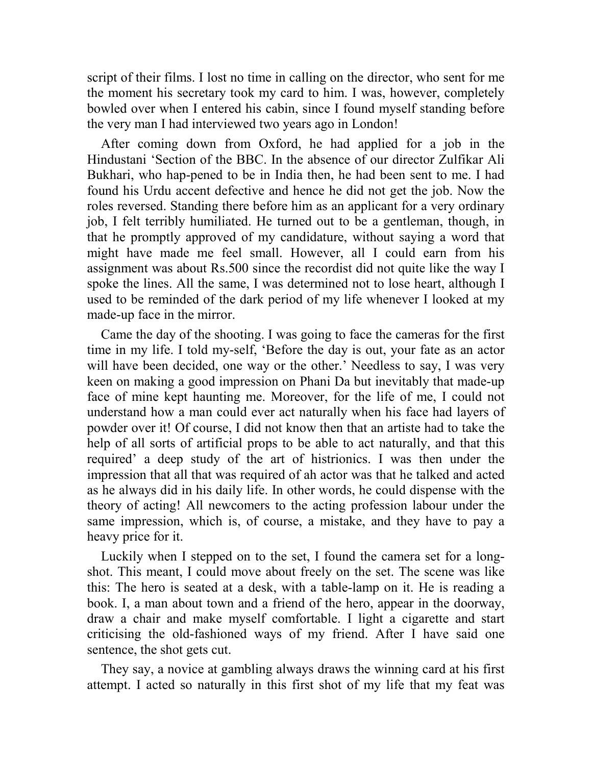script of their films. I lost no time in calling on the director, who sent for me the moment his secretary took my card to him. I was, however, completely bowled over when I entered his cabin, since I found myself standing before the very man I had interviewed two years ago in London!

After coming down from Oxford, he had applied for a job in the Hindustani 'Section of the BBC. In the absence of our director Zulfikar Ali Bukhari, who hap-pened to be in India then, he had been sent to me. I had found his Urdu accent defective and hence he did not get the job. Now the roles reversed. Standing there before him as an applicant for a very ordinary job, I felt terribly humiliated. He turned out to be a gentleman, though, in that he promptly approved of my candidature, without saying a word that might have made me feel small. However, all I could earn from his assignment was about Rs.500 since the recordist did not quite like the way I spoke the lines. All the same, I was determined not to lose heart, although I used to be reminded of the dark period of my life whenever I looked at my made-up face in the mirror.

Came the day of the shooting. I was going to face the cameras for the first time in my life. I told my-self, 'Before the day is out, your fate as an actor will have been decided, one way or the other.' Needless to say, I was very keen on making a good impression on Phani Da but inevitably that made-up face of mine kept haunting me. Moreover, for the life of me, I could not understand how a man could ever act naturally when his face had layers of powder over it! Of course, I did not know then that an artiste had to take the help of all sorts of artificial props to be able to act naturally, and that this required' a deep study of the art of histrionics. I was then under the impression that all that was required of ah actor was that he talked and acted as he always did in his daily life. In other words, he could dispense with the theory of acting! All newcomers to the acting profession labour under the same impression, which is, of course, a mistake, and they have to pay a heavy price for it.

Luckily when I stepped on to the set, I found the camera set for a longshot. This meant, I could move about freely on the set. The scene was like this: The hero is seated at a desk, with a table-lamp on it. He is reading a book. I, a man about town and a friend of the hero, appear in the doorway, draw a chair and make myself comfortable. I light a cigarette and start criticising the old-fashioned ways of my friend. After I have said one sentence, the shot gets cut.

They say, a novice at gambling always draws the winning card at his first attempt. I acted so naturally in this first shot of my life that my feat was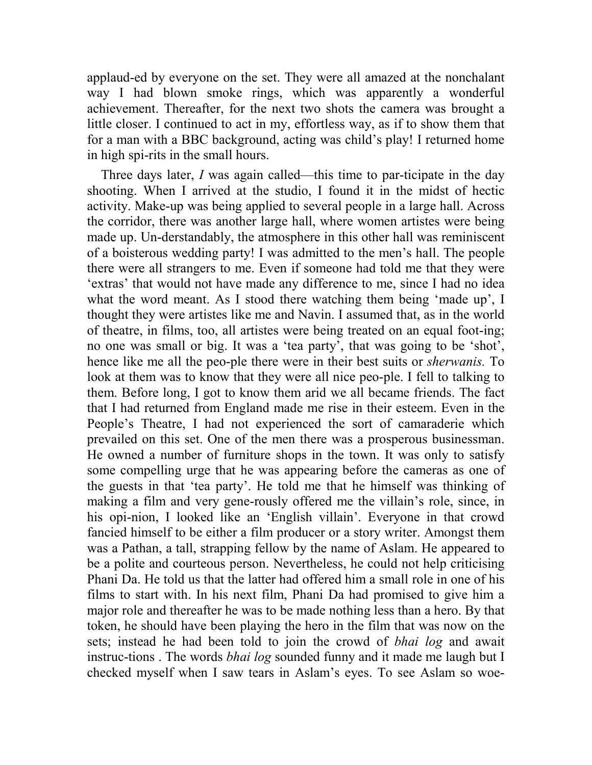applaud-ed by everyone on the set. They were all amazed at the nonchalant way I had blown smoke rings, which was apparently a wonderful achievement. Thereafter, for the next two shots the camera was brought a little closer. I continued to act in my, effortless way, as if to show them that for a man with a BBC background, acting was child's play! I returned home in high spi-rits in the small hours.

Three days later, *I* was again called—this time to par-ticipate in the day shooting. When I arrived at the studio, I found it in the midst of hectic activity. Make-up was being applied to several people in a large hall. Across the corridor, there was another large hall, where women artistes were being made up. Un-derstandably, the atmosphere in this other hall was reminiscent of a boisterous wedding party! I was admitted to the men's hall. The people there were all strangers to me. Even if someone had told me that they were 'extras' that would not have made any difference to me, since I had no idea what the word meant. As I stood there watching them being 'made up', I thought they were artistes like me and Navin. I assumed that, as in the world of theatre, in films, too, all artistes were being treated on an equal foot-ing; no one was small or big. It was a 'tea party', that was going to be 'shot', hence like me all the peo-ple there were in their best suits or *sherwanis.* To look at them was to know that they were all nice peo-ple. I fell to talking to them. Before long, I got to know them arid we all became friends. The fact that I had returned from England made me rise in their esteem. Even in the People's Theatre, I had not experienced the sort of camaraderie which prevailed on this set. One of the men there was a prosperous businessman. He owned a number of furniture shops in the town. It was only to satisfy some compelling urge that he was appearing before the cameras as one of the guests in that 'tea party'. He told me that he himself was thinking of making a film and very gene-rously offered me the villain's role, since, in his opi-nion, I looked like an 'English villain'. Everyone in that crowd fancied himself to be either a film producer or a story writer. Amongst them was a Pathan, a tall, strapping fellow by the name of Aslam. He appeared to be a polite and courteous person. Nevertheless, he could not help criticising Phani Da. He told us that the latter had offered him a small role in one of his films to start with. In his next film, Phani Da had promised to give him a major role and thereafter he was to be made nothing less than a hero. By that token, he should have been playing the hero in the film that was now on the sets; instead he had been told to join the crowd of *bhai log* and await instruc-tions . The words *bhai log* sounded funny and it made me laugh but I checked myself when I saw tears in Aslam's eyes. To see Aslam so woe-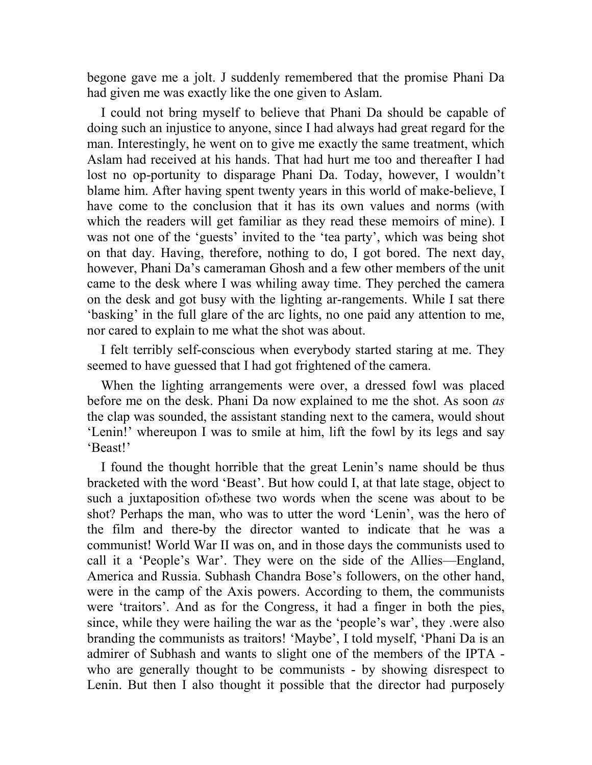begone gave me a jolt. J suddenly remembered that the promise Phani Da had given me was exactly like the one given to Aslam.

I could not bring myself to believe that Phani Da should be capable of doing such an injustice to anyone, since I had always had great regard for the man. Interestingly, he went on to give me exactly the same treatment, which Aslam had received at his hands. That had hurt me too and thereafter I had lost no op-portunity to disparage Phani Da. Today, however, I wouldn't blame him. After having spent twenty years in this world of make-believe, I have come to the conclusion that it has its own values and norms (with which the readers will get familiar as they read these memoirs of mine). I was not one of the 'guests' invited to the 'tea party', which was being shot on that day. Having, therefore, nothing to do, I got bored. The next day, however, Phani Da's cameraman Ghosh and a few other members of the unit came to the desk where I was whiling away time. They perched the camera on the desk and got busy with the lighting ar-rangements. While I sat there 'basking' in the full glare of the arc lights, no one paid any attention to me, nor cared to explain to me what the shot was about.

I felt terribly self-conscious when everybody started staring at me. They seemed to have guessed that I had got frightened of the camera.

When the lighting arrangements were over, a dressed fowl was placed before me on the desk. Phani Da now explained to me the shot. As soon *as*  the clap was sounded, the assistant standing next to the camera, would shout 'Lenin!' whereupon I was to smile at him, lift the fowl by its legs and say 'Beast!'

I found the thought horrible that the great Lenin's name should be thus bracketed with the word 'Beast'. But how could I, at that late stage, object to such a juxtaposition of»these two words when the scene was about to be shot? Perhaps the man, who was to utter the word 'Lenin', was the hero of the film and there-by the director wanted to indicate that he was a communist! World War II was on, and in those days the communists used to call it a 'People's War'. They were on the side of the Allies—England, America and Russia. Subhash Chandra Bose's followers, on the other hand, were in the camp of the Axis powers. According to them, the communists were 'traitors'. And as for the Congress, it had a finger in both the pies, since, while they were hailing the war as the 'people's war', they .were also branding the communists as traitors! 'Maybe', I told myself, 'Phani Da is an admirer of Subhash and wants to slight one of the members of the IPTA who are generally thought to be communists - by showing disrespect to Lenin. But then I also thought it possible that the director had purposely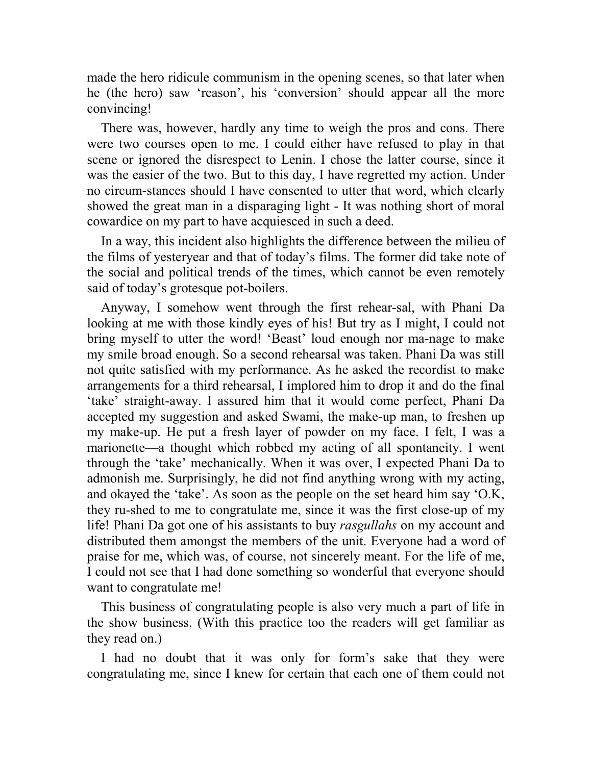made the hero ridicule communism in the opening scenes, so that later when he (the hero) saw 'reason', his 'conversion' should appear all the more convincing!

There was, however, hardly any time to weigh the pros and cons. There were two courses open to me. I could either have refused to play in that scene or ignored the disrespect to Lenin. I chose the latter course, since it was the easier of the two. But to this day, I have regretted my action. Under no circum-stances should I have consented to utter that word, which clearly showed the great man in a disparaging light - It was nothing short of moral cowardice on my part to have acquiesced in such a deed.

In a way, this incident also highlights the difference between the milieu of the films of yesteryear and that of today's films. The former did take note of the social and political trends of the times, which cannot be even remotely said of today's grotesque pot-boilers.

Anyway, I somehow went through the first rehear-sal, with Phani Da looking at me with those kindly eyes of his! But try as I might, I could not bring myself to utter the word! 'Beast' loud enough nor ma-nage to make my smile broad enough. So a second rehearsal was taken. Phani Da was still not quite satisfied with my performance. As he asked the recordist to make arrangements for a third rehearsal, I implored him to drop it and do the final 'take' straight-away. I assured him that it would come perfect, Phani Da accepted my suggestion and asked Swami, the make-up man, to freshen up my make-up. He put a fresh layer of powder on my face. I felt, I was a marionette—a thought which robbed my acting of all spontaneity. I went through the 'take' mechanically. When it was over, I expected Phani Da to admonish me. Surprisingly, he did not find anything wrong with my acting, and okayed the 'take'. As soon as the people on the set heard him say 'O.K, they ru-shed to me to congratulate me, since it was the first close-up of my life! Phani Da got one of his assistants to buy *rasgullahs* on my account and distributed them amongst the members of the unit. Everyone had a word of praise for me, which was, of course, not sincerely meant. For the life of me, I could not see that I had done something so wonderful that everyone should want to congratulate me!

This business of congratulating people is also very much a part of life in the show business. (With this practice too the readers will get familiar as they read on.)

I had no doubt that it was only for form's sake that they were congratulating me, since I knew for certain that each one of them could not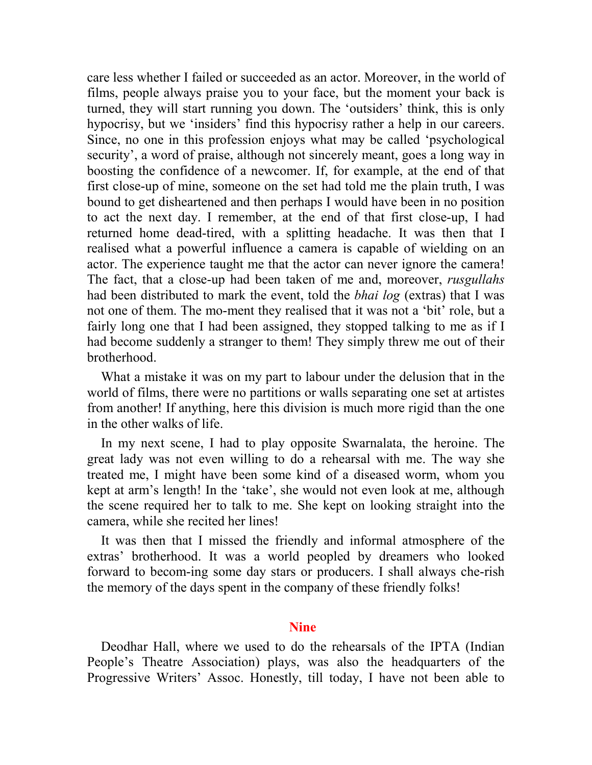care less whether I failed or succeeded as an actor. Moreover, in the world of films, people always praise you to your face, but the moment your back is turned, they will start running you down. The 'outsiders' think, this is only hypocrisy, but we 'insiders' find this hypocrisy rather a help in our careers. Since, no one in this profession enjoys what may be called 'psychological security', a word of praise, although not sincerely meant, goes a long way in boosting the confidence of a newcomer. If, for example, at the end of that first close-up of mine, someone on the set had told me the plain truth, I was bound to get disheartened and then perhaps I would have been in no position to act the next day. I remember, at the end of that first close-up, I had returned home dead-tired, with a splitting headache. It was then that I realised what a powerful influence a camera is capable of wielding on an actor. The experience taught me that the actor can never ignore the camera! The fact, that a close-up had been taken of me and, moreover, *rusgullahs*  had been distributed to mark the event, told the *bhai log* (extras) that I was not one of them. The mo-ment they realised that it was not a 'bit' role, but a fairly long one that I had been assigned, they stopped talking to me as if I had become suddenly a stranger to them! They simply threw me out of their brotherhood.

What a mistake it was on my part to labour under the delusion that in the world of films, there were no partitions or walls separating one set at artistes from another! If anything, here this division is much more rigid than the one in the other walks of life.

In my next scene, I had to play opposite Swarnalata, the heroine. The great lady was not even willing to do a rehearsal with me. The way she treated me, I might have been some kind of a diseased worm, whom you kept at arm's length! In the 'take', she would not even look at me, although the scene required her to talk to me. She kept on looking straight into the camera, while she recited her lines!

It was then that I missed the friendly and informal atmosphere of the extras' brotherhood. It was a world peopled by dreamers who looked forward to becom-ing some day stars or producers. I shall always che-rish the memory of the days spent in the company of these friendly folks!

## **Nine**

Deodhar Hall, where we used to do the rehearsals of the IPTA (Indian People's Theatre Association) plays, was also the headquarters of the Progressive Writers' Assoc. Honestly, till today, I have not been able to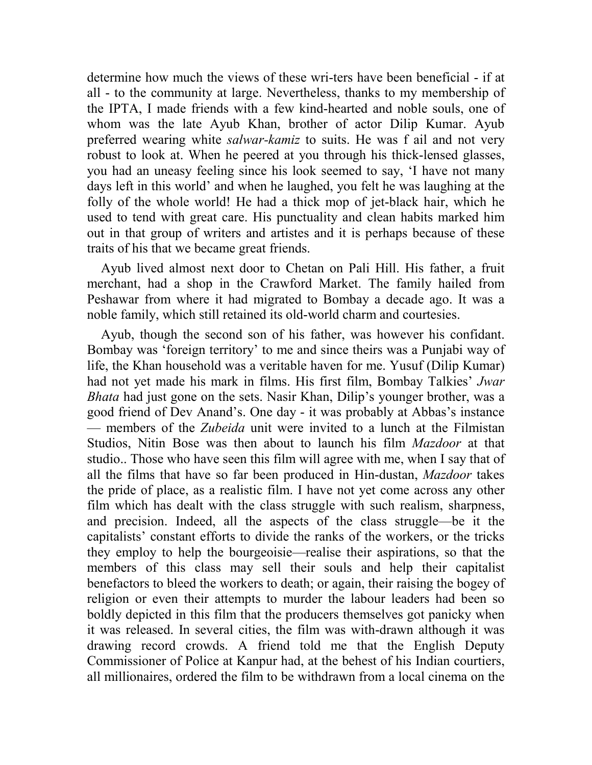determine how much the views of these wri-ters have been beneficial - if at all - to the community at large. Nevertheless, thanks to my membership of the IPTA, I made friends with a few kind-hearted and noble souls, one of whom was the late Ayub Khan, brother of actor Dilip Kumar. Ayub preferred wearing white *salwar-kamiz* to suits. He was f ail and not very robust to look at. When he peered at you through his thick-lensed glasses, you had an uneasy feeling since his look seemed to say, 'I have not many days left in this world' and when he laughed, you felt he was laughing at the folly of the whole world! He had a thick mop of jet-black hair, which he used to tend with great care. His punctuality and clean habits marked him out in that group of writers and artistes and it is perhaps because of these traits of his that we became great friends.

Ayub lived almost next door to Chetan on Pali Hill. His father, a fruit merchant, had a shop in the Crawford Market. The family hailed from Peshawar from where it had migrated to Bombay a decade ago. It was a noble family, which still retained its old-world charm and courtesies.

Ayub, though the second son of his father, was however his confidant. Bombay was 'foreign territory' to me and since theirs was a Punjabi way of life, the Khan household was a veritable haven for me. Yusuf (Dilip Kumar) had not yet made his mark in films. His first film, Bombay Talkies' *Jwar Bhata* had just gone on the sets. Nasir Khan, Dilip's younger brother, was a good friend of Dev Anand's. One day - it was probably at Abbas's instance — members of the *Zubeida* unit were invited to a lunch at the Filmistan Studios, Nitin Bose was then about to launch his film *Mazdoor* at that studio.. Those who have seen this film will agree with me, when I say that of all the films that have so far been produced in Hin-dustan, *Mazdoor* takes the pride of place, as a realistic film. I have not yet come across any other film which has dealt with the class struggle with such realism, sharpness, and precision. Indeed, all the aspects of the class struggle—be it the capitalists' constant efforts to divide the ranks of the workers, or the tricks they employ to help the bourgeoisie—realise their aspirations, so that the members of this class may sell their souls and help their capitalist benefactors to bleed the workers to death; or again, their raising the bogey of religion or even their attempts to murder the labour leaders had been so boldly depicted in this film that the producers themselves got panicky when it was released. In several cities, the film was with-drawn although it was drawing record crowds. A friend told me that the English Deputy Commissioner of Police at Kanpur had, at the behest of his Indian courtiers, all millionaires, ordered the film to be withdrawn from a local cinema on the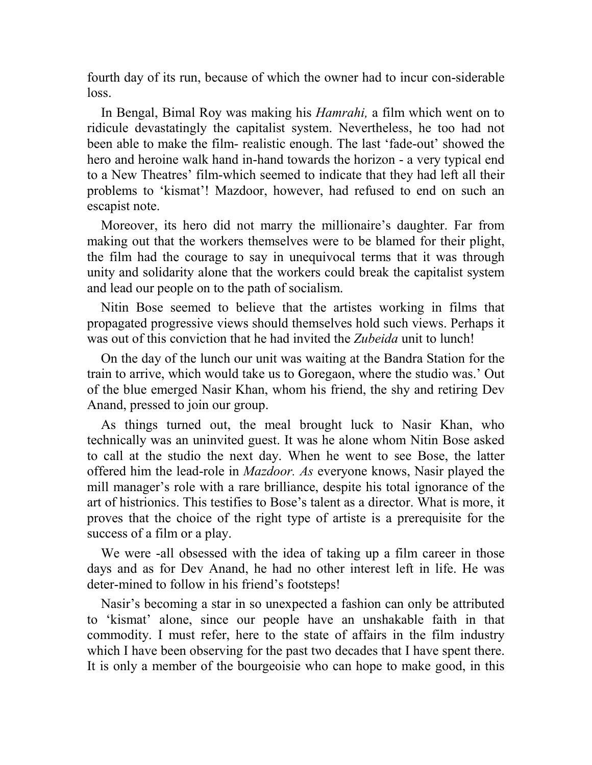fourth day of its run, because of which the owner had to incur con-siderable loss.

In Bengal, Bimal Roy was making his *Hamrahi,* a film which went on to ridicule devastatingly the capitalist system. Nevertheless, he too had not been able to make the film- realistic enough. The last 'fade-out' showed the hero and heroine walk hand in-hand towards the horizon - a very typical end to a New Theatres' film-which seemed to indicate that they had left all their problems to 'kismat'! Mazdoor, however, had refused to end on such an escapist note.

Moreover, its hero did not marry the millionaire's daughter. Far from making out that the workers themselves were to be blamed for their plight, the film had the courage to say in unequivocal terms that it was through unity and solidarity alone that the workers could break the capitalist system and lead our people on to the path of socialism.

Nitin Bose seemed to believe that the artistes working in films that propagated progressive views should themselves hold such views. Perhaps it was out of this conviction that he had invited the *Zubeida* unit to lunch!

On the day of the lunch our unit was waiting at the Bandra Station for the train to arrive, which would take us to Goregaon, where the studio was.' Out of the blue emerged Nasir Khan, whom his friend, the shy and retiring Dev Anand, pressed to join our group.

As things turned out, the meal brought luck to Nasir Khan, who technically was an uninvited guest. It was he alone whom Nitin Bose asked to call at the studio the next day. When he went to see Bose, the latter offered him the lead-role in *Mazdoor. As* everyone knows, Nasir played the mill manager's role with a rare brilliance, despite his total ignorance of the art of histrionics. This testifies to Bose's talent as a director. What is more, it proves that the choice of the right type of artiste is a prerequisite for the success of a film or a play.

We were -all obsessed with the idea of taking up a film career in those days and as for Dev Anand, he had no other interest left in life. He was deter-mined to follow in his friend's footsteps!

Nasir's becoming a star in so unexpected a fashion can only be attributed to 'kismat' alone, since our people have an unshakable faith in that commodity. I must refer, here to the state of affairs in the film industry which I have been observing for the past two decades that I have spent there. It is only a member of the bourgeoisie who can hope to make good, in this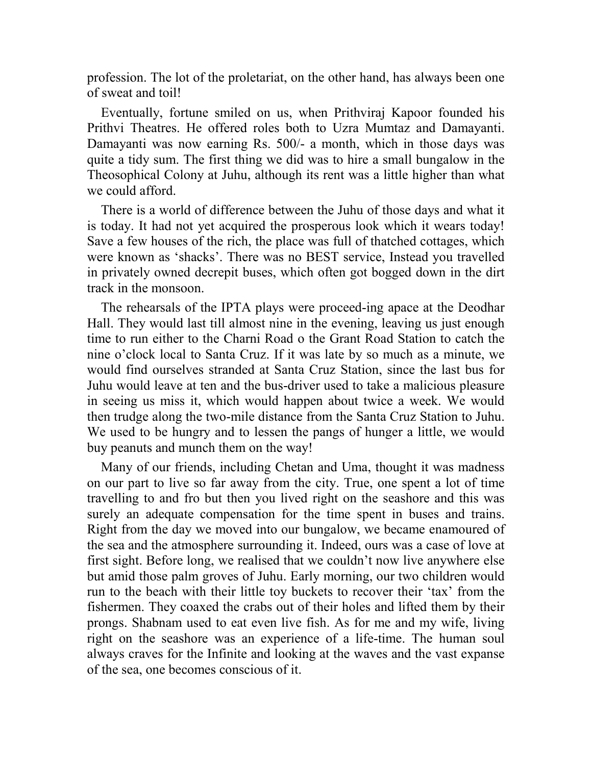profession. The lot of the proletariat, on the other hand, has always been one of sweat and toil!

Eventually, fortune smiled on us, when Prithviraj Kapoor founded his Prithvi Theatres. He offered roles both to Uzra Mumtaz and Damayanti. Damayanti was now earning Rs. 500/- a month, which in those days was quite a tidy sum. The first thing we did was to hire a small bungalow in the Theosophical Colony at Juhu, although its rent was a little higher than what we could afford.

There is a world of difference between the Juhu of those days and what it is today. It had not yet acquired the prosperous look which it wears today! Save a few houses of the rich, the place was full of thatched cottages, which were known as 'shacks'. There was no BEST service, Instead you travelled in privately owned decrepit buses, which often got bogged down in the dirt track in the monsoon.

The rehearsals of the IPTA plays were proceed-ing apace at the Deodhar Hall. They would last till almost nine in the evening, leaving us just enough time to run either to the Charni Road o the Grant Road Station to catch the nine o'clock local to Santa Cruz. If it was late by so much as a minute, we would find ourselves stranded at Santa Cruz Station, since the last bus for Juhu would leave at ten and the bus-driver used to take a malicious pleasure in seeing us miss it, which would happen about twice a week. We would then trudge along the two-mile distance from the Santa Cruz Station to Juhu. We used to be hungry and to lessen the pangs of hunger a little, we would buy peanuts and munch them on the way!

Many of our friends, including Chetan and Uma, thought it was madness on our part to live so far away from the city. True, one spent a lot of time travelling to and fro but then you lived right on the seashore and this was surely an adequate compensation for the time spent in buses and trains. Right from the day we moved into our bungalow, we became enamoured of the sea and the atmosphere surrounding it. Indeed, ours was a case of love at first sight. Before long, we realised that we couldn't now live anywhere else but amid those palm groves of Juhu. Early morning, our two children would run to the beach with their little toy buckets to recover their 'tax' from the fishermen. They coaxed the crabs out of their holes and lifted them by their prongs. Shabnam used to eat even live fish. As for me and my wife, living right on the seashore was an experience of a life-time. The human soul always craves for the Infinite and looking at the waves and the vast expanse of the sea, one becomes conscious of it.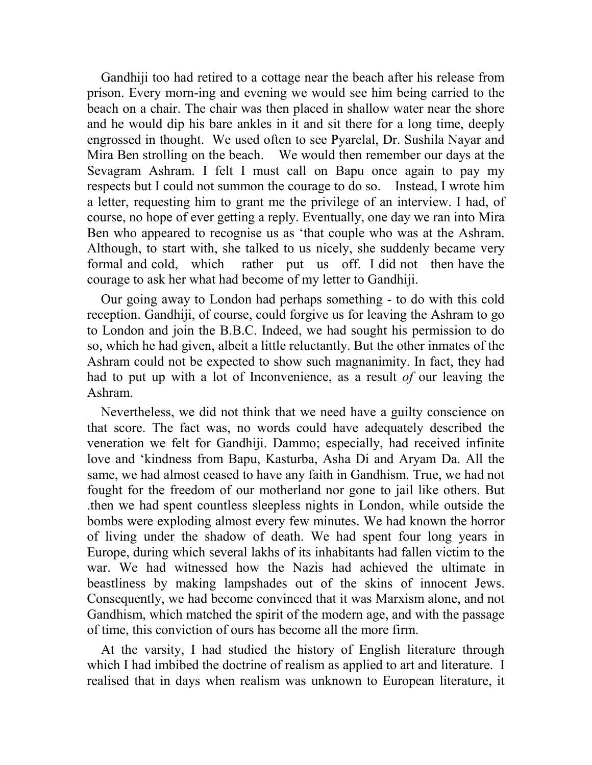Gandhiji too had retired to a cottage near the beach after his release from prison. Every morn-ing and evening we would see him being carried to the beach on a chair. The chair was then placed in shallow water near the shore and he would dip his bare ankles in it and sit there for a long time, deeply engrossed in thought. We used often to see Pyarelal, Dr. Sushila Nayar and Mira Ben strolling on the beach. We would then remember our days at the Sevagram Ashram. I felt I must call on Bapu once again to pay my respects but I could not summon the courage to do so. Instead, I wrote him a letter, requesting him to grant me the privilege of an interview. I had, of course, no hope of ever getting a reply. Eventually, one day we ran into Mira Ben who appeared to recognise us as 'that couple who was at the Ashram. Although, to start with, she talked to us nicely, she suddenly became very formal and cold, which rather put us off. I did not then have the courage to ask her what had become of my letter to Gandhiji.

Our going away to London had perhaps something - to do with this cold reception. Gandhiji, of course, could forgive us for leaving the Ashram to go to London and join the B.B.C. Indeed, we had sought his permission to do so, which he had given, albeit a little reluctantly. But the other inmates of the Ashram could not be expected to show such magnanimity. In fact, they had had to put up with a lot of Inconvenience, as a result *of* our leaving the Ashram.

Nevertheless, we did not think that we need have a guilty conscience on that score. The fact was, no words could have adequately described the veneration we felt for Gandhiji. Dammo; especially, had received infinite love and 'kindness from Bapu, Kasturba, Asha Di and Aryam Da. All the same, we had almost ceased to have any faith in Gandhism. True, we had not fought for the freedom of our motherland nor gone to jail like others. But .then we had spent countless sleepless nights in London, while outside the bombs were exploding almost every few minutes. We had known the horror of living under the shadow of death. We had spent four long years in Europe, during which several lakhs of its inhabitants had fallen victim to the war. We had witnessed how the Nazis had achieved the ultimate in beastliness by making lampshades out of the skins of innocent Jews. Consequently, we had become convinced that it was Marxism alone, and not Gandhism, which matched the spirit of the modern age, and with the passage of time, this conviction of ours has become all the more firm.

At the varsity, I had studied the history of English literature through which I had imbibed the doctrine of realism as applied to art and literature. I realised that in days when realism was unknown to European literature, it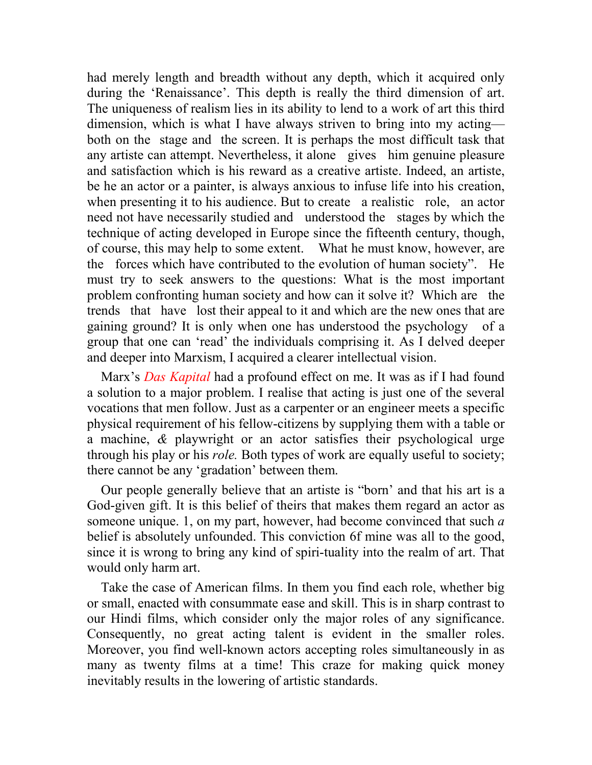had merely length and breadth without any depth, which it acquired only during the 'Renaissance'. This depth is really the third dimension of art. The uniqueness of realism lies in its ability to lend to a work of art this third dimension, which is what I have always striven to bring into my acting both on the stage and the screen. It is perhaps the most difficult task that any artiste can attempt. Nevertheless, it alone gives him genuine pleasure and satisfaction which is his reward as a creative artiste. Indeed, an artiste, be he an actor or a painter, is always anxious to infuse life into his creation, when presenting it to his audience. But to create a realistic role, an actor need not have necessarily studied and understood the stages by which the technique of acting developed in Europe since the fifteenth century, though, of course, this may help to some extent. What he must know, however, are the forces which have contributed to the evolution of human society". He must try to seek answers to the questions: What is the most important problem confronting human society and how can it solve it? Which are the trends that have lost their appeal to it and which are the new ones that are gaining ground? It is only when one has understood the psychology of a group that one can 'read' the individuals comprising it. As I delved deeper and deeper into Marxism, I acquired a clearer intellectual vision.

Marx's *Das Kapital* had a profound effect on me. It was as if I had found a solution to a major problem. I realise that acting is just one of the several vocations that men follow. Just as a carpenter or an engineer meets a specific physical requirement of his fellow-citizens by supplying them with a table or a machine, *&* playwright or an actor satisfies their psychological urge through his play or his *role.* Both types of work are equally useful to society; there cannot be any 'gradation' between them.

Our people generally believe that an artiste is "born' and that his art is a God-given gift. It is this belief of theirs that makes them regard an actor as someone unique. 1, on my part, however, had become convinced that such *a*  belief is absolutely unfounded. This conviction 6f mine was all to the good, since it is wrong to bring any kind of spiri-tuality into the realm of art. That would only harm art.

Take the case of American films. In them you find each role, whether big or small, enacted with consummate ease and skill. This is in sharp contrast to our Hindi films, which consider only the major roles of any significance. Consequently, no great acting talent is evident in the smaller roles. Moreover, you find well-known actors accepting roles simultaneously in as many as twenty films at a time! This craze for making quick money inevitably results in the lowering of artistic standards.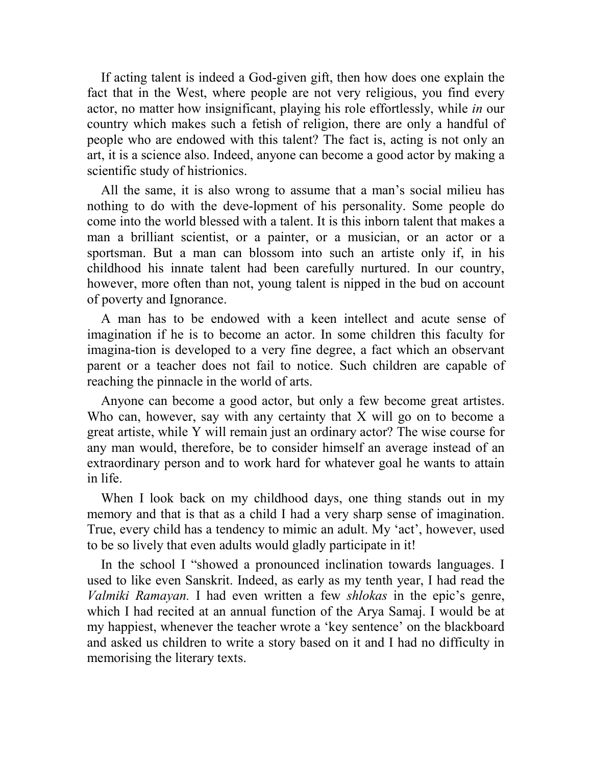If acting talent is indeed a God-given gift, then how does one explain the fact that in the West, where people are not very religious, you find every actor, no matter how insignificant, playing his role effortlessly, while *in* our country which makes such a fetish of religion, there are only a handful of people who are endowed with this talent? The fact is, acting is not only an art, it is a science also. Indeed, anyone can become a good actor by making a scientific study of histrionics.

All the same, it is also wrong to assume that a man's social milieu has nothing to do with the deve-lopment of his personality. Some people do come into the world blessed with a talent. It is this inborn talent that makes a man a brilliant scientist, or a painter, or a musician, or an actor or a sportsman. But a man can blossom into such an artiste only if, in his childhood his innate talent had been carefully nurtured. In our country, however, more often than not, young talent is nipped in the bud on account of poverty and Ignorance.

A man has to be endowed with a keen intellect and acute sense of imagination if he is to become an actor. In some children this faculty for imagina-tion is developed to a very fine degree, a fact which an observant parent or a teacher does not fail to notice. Such children are capable of reaching the pinnacle in the world of arts.

Anyone can become a good actor, but only a few become great artistes. Who can, however, say with any certainty that X will go on to become a great artiste, while Y will remain just an ordinary actor? The wise course for any man would, therefore, be to consider himself an average instead of an extraordinary person and to work hard for whatever goal he wants to attain in life.

When I look back on my childhood days, one thing stands out in my memory and that is that as a child I had a very sharp sense of imagination. True, every child has a tendency to mimic an adult. My 'act', however, used to be so lively that even adults would gladly participate in it!

In the school I "showed a pronounced inclination towards languages. I used to like even Sanskrit. Indeed, as early as my tenth year, I had read the *Valmiki Ramayan.* I had even written a few *shlokas* in the epic's genre, which I had recited at an annual function of the Arya Samaj. I would be at my happiest, whenever the teacher wrote a 'key sentence' on the blackboard and asked us children to write a story based on it and I had no difficulty in memorising the literary texts.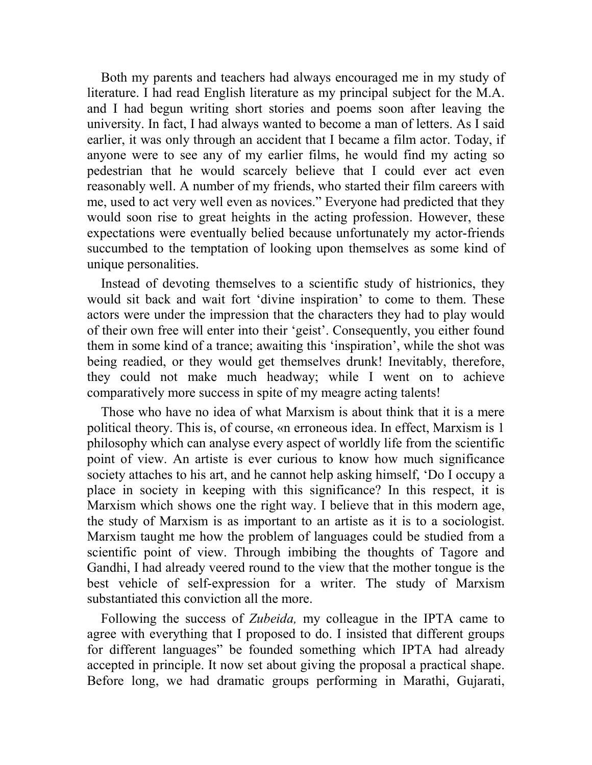Both my parents and teachers had always encouraged me in my study of literature. I had read English literature as my principal subject for the M.A. and I had begun writing short stories and poems soon after leaving the university. In fact, I had always wanted to become a man of letters. As I said earlier, it was only through an accident that I became a film actor. Today, if anyone were to see any of my earlier films, he would find my acting so pedestrian that he would scarcely believe that I could ever act even reasonably well. A number of my friends, who started their film careers with me, used to act very well even as novices." Everyone had predicted that they would soon rise to great heights in the acting profession. However, these expectations were eventually belied because unfortunately my actor-friends succumbed to the temptation of looking upon themselves as some kind of unique personalities.

Instead of devoting themselves to a scientific study of histrionics, they would sit back and wait fort 'divine inspiration' to come to them. These actors were under the impression that the characters they had to play would of their own free will enter into their 'geist'. Consequently, you either found them in some kind of a trance; awaiting this 'inspiration', while the shot was being readied, or they would get themselves drunk! Inevitably, therefore, they could not make much headway; while I went on to achieve comparatively more success in spite of my meagre acting talents!

Those who have no idea of what Marxism is about think that it is a mere political theory. This is, of course, «n erroneous idea. In effect, Marxism is 1 philosophy which can analyse every aspect of worldly life from the scientific point of view. An artiste is ever curious to know how much significance society attaches to his art, and he cannot help asking himself, 'Do I occupy a place in society in keeping with this significance? In this respect, it is Marxism which shows one the right way. I believe that in this modern age, the study of Marxism is as important to an artiste as it is to a sociologist. Marxism taught me how the problem of languages could be studied from a scientific point of view. Through imbibing the thoughts of Tagore and Gandhi, I had already veered round to the view that the mother tongue is the best vehicle of self-expression for a writer. The study of Marxism substantiated this conviction all the more.

Following the success of *Zubeida,* my colleague in the IPTA came to agree with everything that I proposed to do. I insisted that different groups for different languages" be founded something which IPTA had already accepted in principle. It now set about giving the proposal a practical shape. Before long, we had dramatic groups performing in Marathi, Gujarati,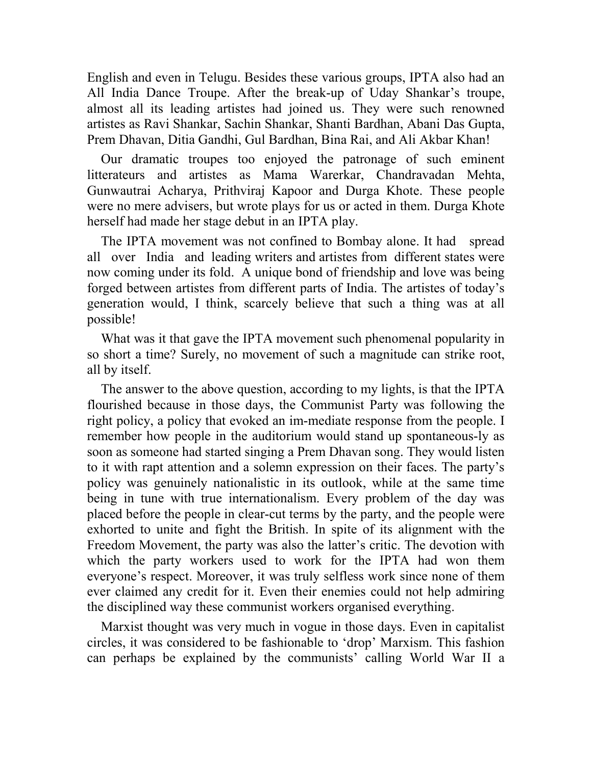English and even in Telugu. Besides these various groups, IPTA also had an All India Dance Troupe. After the break-up of Uday Shankar's troupe, almost all its leading artistes had joined us. They were such renowned artistes as Ravi Shankar, Sachin Shankar, Shanti Bardhan, Abani Das Gupta, Prem Dhavan, Ditia Gandhi, Gul Bardhan, Bina Rai, and Ali Akbar Khan!

Our dramatic troupes too enjoyed the patronage of such eminent litterateurs and artistes as Mama Warerkar, Chandravadan Mehta, Gunwautrai Acharya, Prithviraj Kapoor and Durga Khote. These people were no mere advisers, but wrote plays for us or acted in them. Durga Khote herself had made her stage debut in an IPTA play.

The IPTA movement was not confined to Bombay alone. It had spread all over India and leading writers and artistes from different states were now coming under its fold. A unique bond of friendship and love was being forged between artistes from different parts of India. The artistes of today's generation would, I think, scarcely believe that such a thing was at all possible!

What was it that gave the IPTA movement such phenomenal popularity in so short a time? Surely, no movement of such a magnitude can strike root, all by itself.

The answer to the above question, according to my lights, is that the IPTA flourished because in those days, the Communist Party was following the right policy, a policy that evoked an im-mediate response from the people. I remember how people in the auditorium would stand up spontaneous-ly as soon as someone had started singing a Prem Dhavan song. They would listen to it with rapt attention and a solemn expression on their faces. The party's policy was genuinely nationalistic in its outlook, while at the same time being in tune with true internationalism. Every problem of the day was placed before the people in clear-cut terms by the party, and the people were exhorted to unite and fight the British. In spite of its alignment with the Freedom Movement, the party was also the latter's critic. The devotion with which the party workers used to work for the IPTA had won them everyone's respect. Moreover, it was truly selfless work since none of them ever claimed any credit for it. Even their enemies could not help admiring the disciplined way these communist workers organised everything.

Marxist thought was very much in vogue in those days. Even in capitalist circles, it was considered to be fashionable to 'drop' Marxism. This fashion can perhaps be explained by the communists' calling World War II a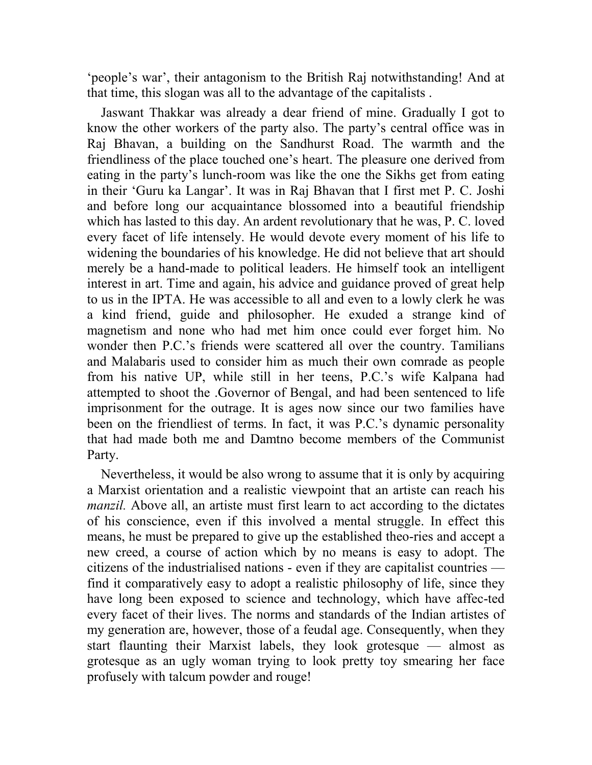'people's war', their antagonism to the British Raj notwithstanding! And at that time, this slogan was all to the advantage of the capitalists .

Jaswant Thakkar was already a dear friend of mine. Gradually I got to know the other workers of the party also. The party's central office was in Raj Bhavan, a building on the Sandhurst Road. The warmth and the friendliness of the place touched one's heart. The pleasure one derived from eating in the party's lunch-room was like the one the Sikhs get from eating in their 'Guru ka Langar'. It was in Raj Bhavan that I first met P. C. Joshi and before long our acquaintance blossomed into a beautiful friendship which has lasted to this day. An ardent revolutionary that he was, P. C. loved every facet of life intensely. He would devote every moment of his life to widening the boundaries of his knowledge. He did not believe that art should merely be a hand-made to political leaders. He himself took an intelligent interest in art. Time and again, his advice and guidance proved of great help to us in the IPTA. He was accessible to all and even to a lowly clerk he was a kind friend, guide and philosopher. He exuded a strange kind of magnetism and none who had met him once could ever forget him. No wonder then P.C.'s friends were scattered all over the country. Tamilians and Malabaris used to consider him as much their own comrade as people from his native UP, while still in her teens, P.C.'s wife Kalpana had attempted to shoot the .Governor of Bengal, and had been sentenced to life imprisonment for the outrage. It is ages now since our two families have been on the friendliest of terms. In fact, it was P.C.'s dynamic personality that had made both me and Damtno become members of the Communist Party.

Nevertheless, it would be also wrong to assume that it is only by acquiring a Marxist orientation and a realistic viewpoint that an artiste can reach his *manzil.* Above all, an artiste must first learn to act according to the dictates of his conscience, even if this involved a mental struggle. In effect this means, he must be prepared to give up the established theo-ries and accept a new creed, a course of action which by no means is easy to adopt. The citizens of the industrialised nations - even if they are capitalist countries find it comparatively easy to adopt a realistic philosophy of life, since they have long been exposed to science and technology, which have affec-ted every facet of their lives. The norms and standards of the Indian artistes of my generation are, however, those of a feudal age. Consequently, when they start flaunting their Marxist labels, they look grotesque — almost as grotesque as an ugly woman trying to look pretty toy smearing her face profusely with talcum powder and rouge!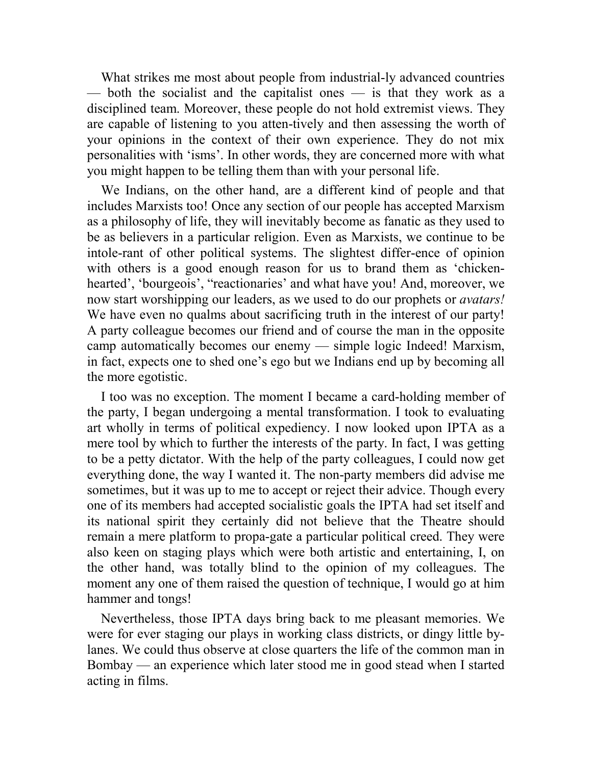What strikes me most about people from industrial-ly advanced countries — both the socialist and the capitalist ones — is that they work as a disciplined team. Moreover, these people do not hold extremist views. They are capable of listening to you atten-tively and then assessing the worth of your opinions in the context of their own experience. They do not mix personalities with 'isms'. In other words, they are concerned more with what you might happen to be telling them than with your personal life.

We Indians, on the other hand, are a different kind of people and that includes Marxists too! Once any section of our people has accepted Marxism as a philosophy of life, they will inevitably become as fanatic as they used to be as believers in a particular religion. Even as Marxists, we continue to be intole-rant of other political systems. The slightest differ-ence of opinion with others is a good enough reason for us to brand them as 'chickenhearted', 'bourgeois', "reactionaries' and what have you! And, moreover, we now start worshipping our leaders, as we used to do our prophets or *avatars!*  We have even no qualms about sacrificing truth in the interest of our party! A party colleague becomes our friend and of course the man in the opposite camp automatically becomes our enemy — simple logic Indeed! Marxism, in fact, expects one to shed one's ego but we Indians end up by becoming all the more egotistic.

I too was no exception. The moment I became a card-holding member of the party, I began undergoing a mental transformation. I took to evaluating art wholly in terms of political expediency. I now looked upon IPTA as a mere tool by which to further the interests of the party. In fact, I was getting to be a petty dictator. With the help of the party colleagues, I could now get everything done, the way I wanted it. The non-party members did advise me sometimes, but it was up to me to accept or reject their advice. Though every one of its members had accepted socialistic goals the IPTA had set itself and its national spirit they certainly did not believe that the Theatre should remain a mere platform to propa-gate a particular political creed. They were also keen on staging plays which were both artistic and entertaining, I, on the other hand, was totally blind to the opinion of my colleagues. The moment any one of them raised the question of technique, I would go at him hammer and tongs!

Nevertheless, those IPTA days bring back to me pleasant memories. We were for ever staging our plays in working class districts, or dingy little bylanes. We could thus observe at close quarters the life of the common man in Bombay — an experience which later stood me in good stead when I started acting in films.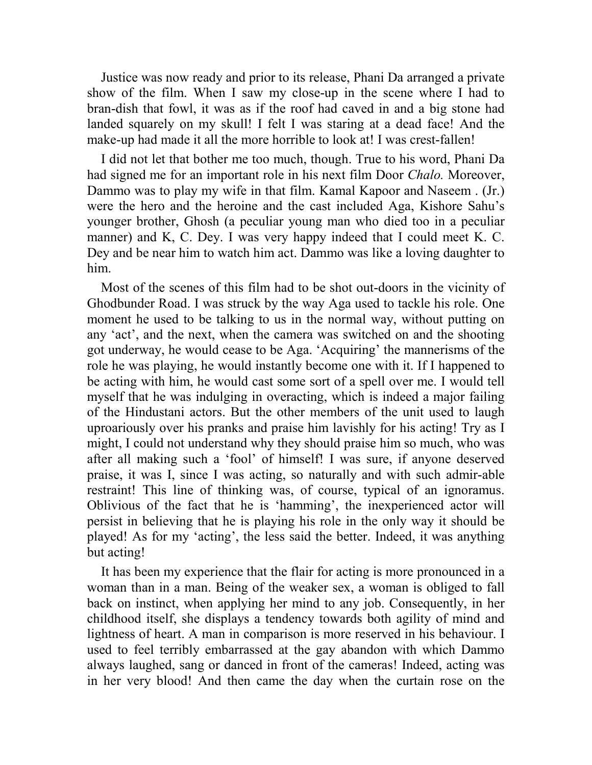Justice was now ready and prior to its release, Phani Da arranged a private show of the film. When I saw my close-up in the scene where I had to bran-dish that fowl, it was as if the roof had caved in and a big stone had landed squarely on my skull! I felt I was staring at a dead face! And the make-up had made it all the more horrible to look at! I was crest-fallen!

I did not let that bother me too much, though. True to his word, Phani Da had signed me for an important role in his next film Door *Chalo.* Moreover, Dammo was to play my wife in that film. Kamal Kapoor and Naseem . (Jr.) were the hero and the heroine and the cast included Aga, Kishore Sahu's younger brother, Ghosh (a peculiar young man who died too in a peculiar manner) and K, C. Dey. I was very happy indeed that I could meet K. C. Dey and be near him to watch him act. Dammo was like a loving daughter to him.

Most of the scenes of this film had to be shot out-doors in the vicinity of Ghodbunder Road. I was struck by the way Aga used to tackle his role. One moment he used to be talking to us in the normal way, without putting on any 'act', and the next, when the camera was switched on and the shooting got underway, he would cease to be Aga. 'Acquiring' the mannerisms of the role he was playing, he would instantly become one with it. If I happened to be acting with him, he would cast some sort of a spell over me. I would tell myself that he was indulging in overacting, which is indeed a major failing of the Hindustani actors. But the other members of the unit used to laugh uproariously over his pranks and praise him lavishly for his acting! Try as I might, I could not understand why they should praise him so much, who was after all making such a 'fool' of himself! I was sure, if anyone deserved praise, it was I, since I was acting, so naturally and with such admir-able restraint! This line of thinking was, of course, typical of an ignoramus. Oblivious of the fact that he is 'hamming', the inexperienced actor will persist in believing that he is playing his role in the only way it should be played! As for my 'acting', the less said the better. Indeed, it was anything but acting!

It has been my experience that the flair for acting is more pronounced in a woman than in a man. Being of the weaker sex, a woman is obliged to fall back on instinct, when applying her mind to any job. Consequently, in her childhood itself, she displays a tendency towards both agility of mind and lightness of heart. A man in comparison is more reserved in his behaviour. I used to feel terribly embarrassed at the gay abandon with which Dammo always laughed, sang or danced in front of the cameras! Indeed, acting was in her very blood! And then came the day when the curtain rose on the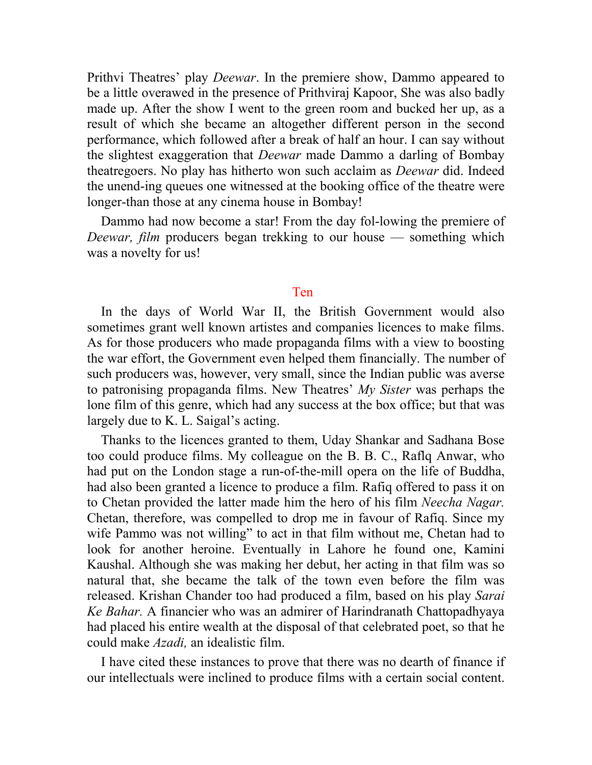Prithvi Theatres' play *Deewar*. In the premiere show, Dammo appeared to be a little overawed in the presence of Prithviraj Kapoor, She was also badly made up. After the show I went to the green room and bucked her up, as a result of which she became an altogether different person in the second performance, which followed after a break of half an hour. I can say without the slightest exaggeration that *Deewar* made Dammo a darling of Bombay theatregoers. No play has hitherto won such acclaim as *Deewar* did. Indeed the unend-ing queues one witnessed at the booking office of the theatre were longer-than those at any cinema house in Bombay!

Dammo had now become a star! From the day fol-lowing the premiere of *Deewar, film* producers began trekking to our house — something which was a novelty for us!

## Ten

In the days of World War II, the British Government would also sometimes grant well known artistes and companies licences to make films. As for those producers who made propaganda films with a view to boosting the war effort, the Government even helped them financially. The number of such producers was, however, very small, since the Indian public was averse to patronising propaganda films. New Theatres' *My Sister* was perhaps the lone film of this genre, which had any success at the box office; but that was largely due to K. L. Saigal's acting.

Thanks to the licences granted to them, Uday Shankar and Sadhana Bose too could produce films. My colleague on the B. B. C., Raflq Anwar, who had put on the London stage a run-of-the-mill opera on the life of Buddha, had also been granted a licence to produce a film. Rafiq offered to pass it on to Chetan provided the latter made him the hero of his film *Neecha Nagar.*  Chetan, therefore, was compelled to drop me in favour of Rafiq. Since my wife Pammo was not willing" to act in that film without me, Chetan had to look for another heroine. Eventually in Lahore he found one, Kamini Kaushal. Although she was making her debut, her acting in that film was so natural that, she became the talk of the town even before the film was released. Krishan Chander too had produced a film, based on his play *Sarai Ke Bahar.* A financier who was an admirer of Harindranath Chattopadhyaya had placed his entire wealth at the disposal of that celebrated poet, so that he could make *Azadi,* an idealistic film.

I have cited these instances to prove that there was no dearth of finance if our intellectuals were inclined to produce films with a certain social content.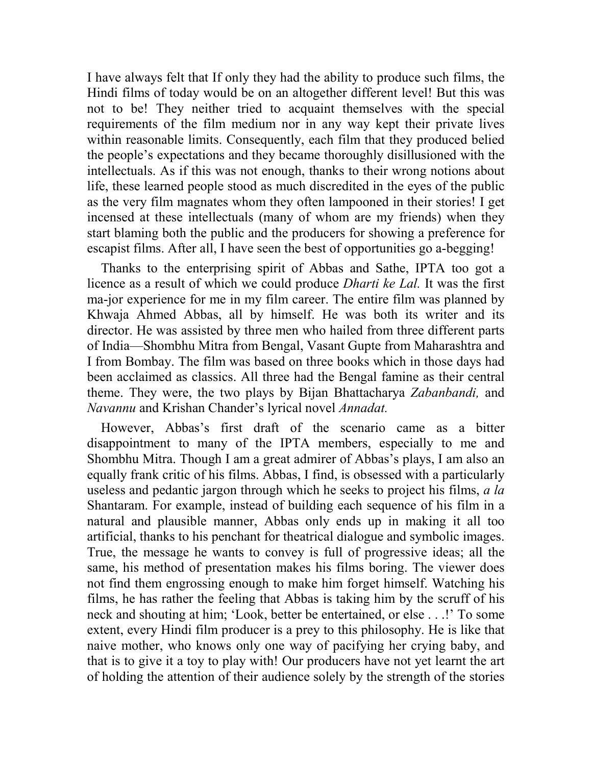I have always felt that If only they had the ability to produce such films, the Hindi films of today would be on an altogether different level! But this was not to be! They neither tried to acquaint themselves with the special requirements of the film medium nor in any way kept their private lives within reasonable limits. Consequently, each film that they produced belied the people's expectations and they became thoroughly disillusioned with the intellectuals. As if this was not enough, thanks to their wrong notions about life, these learned people stood as much discredited in the eyes of the public as the very film magnates whom they often lampooned in their stories! I get incensed at these intellectuals (many of whom are my friends) when they start blaming both the public and the producers for showing a preference for escapist films. After all, I have seen the best of opportunities go a-begging!

Thanks to the enterprising spirit of Abbas and Sathe, IPTA too got a licence as a result of which we could produce *Dharti ke Lal.* It was the first ma-jor experience for me in my film career. The entire film was planned by Khwaja Ahmed Abbas, all by himself. He was both its writer and its director. He was assisted by three men who hailed from three different parts of India—Shombhu Mitra from Bengal, Vasant Gupte from Maharashtra and I from Bombay. The film was based on three books which in those days had been acclaimed as classics. All three had the Bengal famine as their central theme. They were, the two plays by Bijan Bhattacharya *Zabanbandi,* and *Navannu* and Krishan Chander's lyrical novel *Annadat.*

However, Abbas's first draft of the scenario came as a bitter disappointment to many of the IPTA members, especially to me and Shombhu Mitra. Though I am a great admirer of Abbas's plays, I am also an equally frank critic of his films. Abbas, I find, is obsessed with a particularly useless and pedantic jargon through which he seeks to project his films, *a la*  Shantaram. For example, instead of building each sequence of his film in a natural and plausible manner, Abbas only ends up in making it all too artificial, thanks to his penchant for theatrical dialogue and symbolic images. True, the message he wants to convey is full of progressive ideas; all the same, his method of presentation makes his films boring. The viewer does not find them engrossing enough to make him forget himself. Watching his films, he has rather the feeling that Abbas is taking him by the scruff of his neck and shouting at him; 'Look, better be entertained, or else . . .!' To some extent, every Hindi film producer is a prey to this philosophy. He is like that naive mother, who knows only one way of pacifying her crying baby, and that is to give it a toy to play with! Our producers have not yet learnt the art of holding the attention of their audience solely by the strength of the stories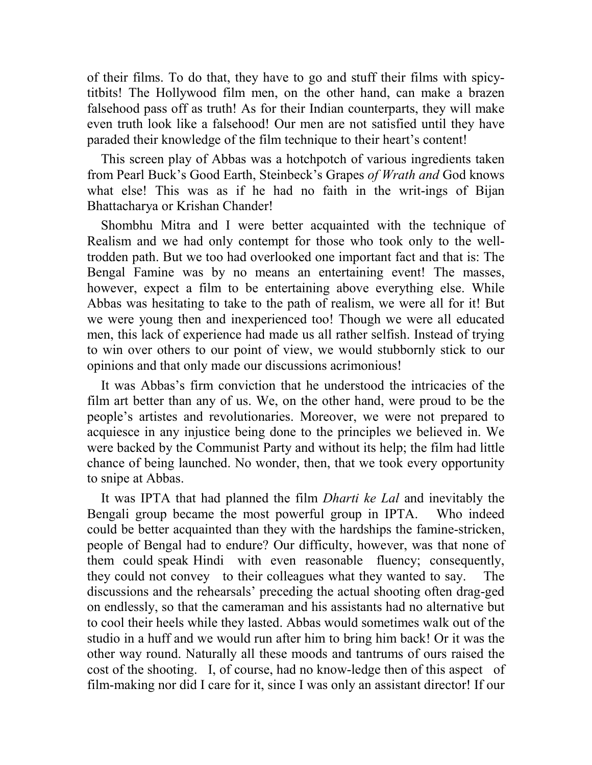of their films. To do that, they have to go and stuff their films with spicytitbits! The Hollywood film men, on the other hand, can make a brazen falsehood pass off as truth! As for their Indian counterparts, they will make even truth look like a falsehood! Our men are not satisfied until they have paraded their knowledge of the film technique to their heart's content!

This screen play of Abbas was a hotchpotch of various ingredients taken from Pearl Buck's Good Earth, Steinbeck's Grapes *of Wrath and* God knows what else! This was as if he had no faith in the writ-ings of Bijan Bhattacharya or Krishan Chander!

Shombhu Mitra and I were better acquainted with the technique of Realism and we had only contempt for those who took only to the welltrodden path. But we too had overlooked one important fact and that is: The Bengal Famine was by no means an entertaining event! The masses, however, expect a film to be entertaining above everything else. While Abbas was hesitating to take to the path of realism, we were all for it! But we were young then and inexperienced too! Though we were all educated men, this lack of experience had made us all rather selfish. Instead of trying to win over others to our point of view, we would stubbornly stick to our opinions and that only made our discussions acrimonious!

It was Abbas's firm conviction that he understood the intricacies of the film art better than any of us. We, on the other hand, were proud to be the people's artistes and revolutionaries. Moreover, we were not prepared to acquiesce in any injustice being done to the principles we believed in. We were backed by the Communist Party and without its help; the film had little chance of being launched. No wonder, then, that we took every opportunity to snipe at Abbas.

It was IPTA that had planned the film *Dharti ke Lal* and inevitably the Bengali group became the most powerful group in IPTA. Who indeed could be better acquainted than they with the hardships the famine-stricken, people of Bengal had to endure? Our difficulty, however, was that none of them could speak Hindi with even reasonable fluency; consequently, they could not convey to their colleagues what they wanted to say. The discussions and the rehearsals' preceding the actual shooting often drag-ged on endlessly, so that the cameraman and his assistants had no alternative but to cool their heels while they lasted. Abbas would sometimes walk out of the studio in a huff and we would run after him to bring him back! Or it was the other way round. Naturally all these moods and tantrums of ours raised the cost of the shooting. I, of course, had no know-ledge then of this aspect of film-making nor did I care for it, since I was only an assistant director! If our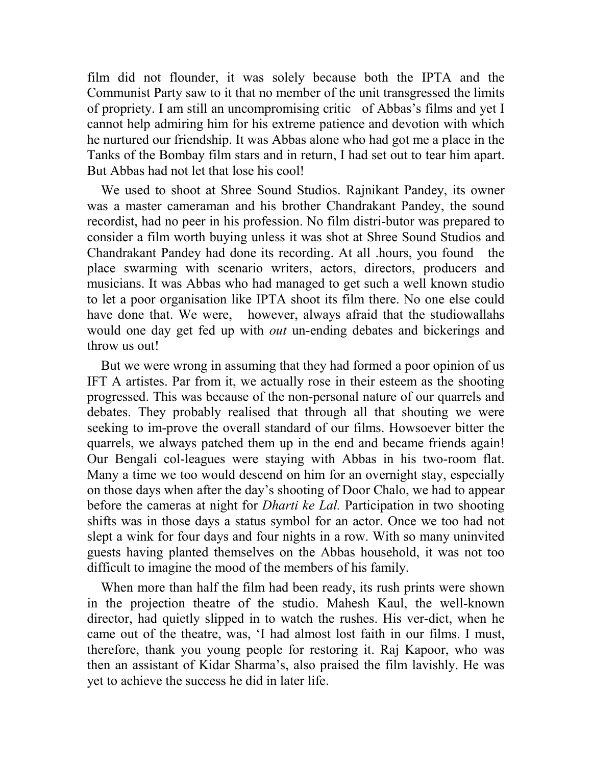film did not flounder, it was solely because both the IPTA and the Communist Party saw to it that no member of the unit transgressed the limits of propriety. I am still an uncompromising critic of Abbas's films and yet I cannot help admiring him for his extreme patience and devotion with which he nurtured our friendship. It was Abbas alone who had got me a place in the Tanks of the Bombay film stars and in return, I had set out to tear him apart. But Abbas had not let that lose his cool!

We used to shoot at Shree Sound Studios. Rajnikant Pandey, its owner was a master cameraman and his brother Chandrakant Pandey, the sound recordist, had no peer in his profession. No film distri-butor was prepared to consider a film worth buying unless it was shot at Shree Sound Studios and Chandrakant Pandey had done its recording. At all .hours, you found the place swarming with scenario writers, actors, directors, producers and musicians. It was Abbas who had managed to get such a well known studio to let a poor organisation like IPTA shoot its film there. No one else could have done that. We were, however, always afraid that the studiowallahs would one day get fed up with *out* un-ending debates and bickerings and throw us out!

But we were wrong in assuming that they had formed a poor opinion of us IFT A artistes. Par from it, we actually rose in their esteem as the shooting progressed. This was because of the non-personal nature of our quarrels and debates. They probably realised that through all that shouting we were seeking to im-prove the overall standard of our films. Howsoever bitter the quarrels, we always patched them up in the end and became friends again! Our Bengali col-leagues were staying with Abbas in his two-room flat. Many a time we too would descend on him for an overnight stay, especially on those days when after the day's shooting of Door Chalo, we had to appear before the cameras at night for *Dharti ke Lal.* Participation in two shooting shifts was in those days a status symbol for an actor. Once we too had not slept a wink for four days and four nights in a row. With so many uninvited guests having planted themselves on the Abbas household, it was not too difficult to imagine the mood of the members of his family.

When more than half the film had been ready, its rush prints were shown in the projection theatre of the studio. Mahesh Kaul, the well-known director, had quietly slipped in to watch the rushes. His ver-dict, when he came out of the theatre, was, 'I had almost lost faith in our films. I must, therefore, thank you young people for restoring it. Raj Kapoor, who was then an assistant of Kidar Sharma's, also praised the film lavishly. He was yet to achieve the success he did in later life.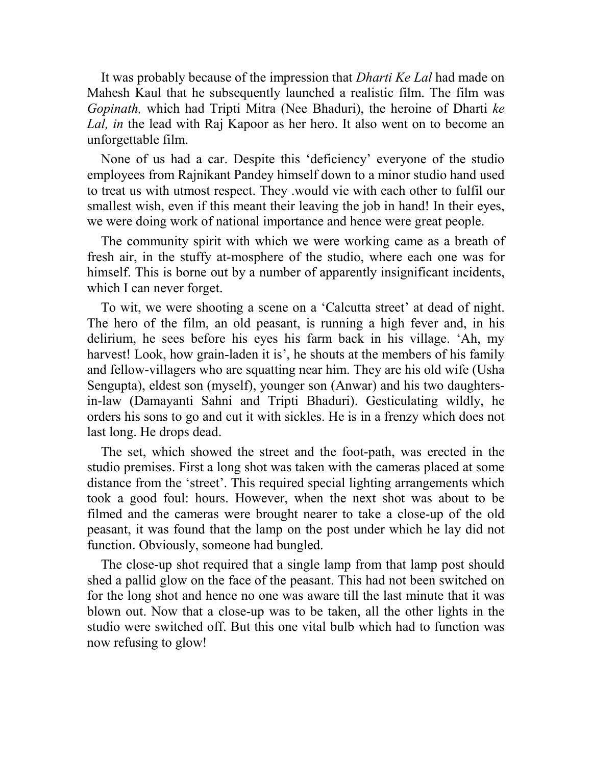It was probably because of the impression that *Dharti Ke Lal* had made on Mahesh Kaul that he subsequently launched a realistic film. The film was *Gopinath,* which had Tripti Mitra (Nee Bhaduri), the heroine of Dharti *ke Lal, in* the lead with Raj Kapoor as her hero. It also went on to become an unforgettable film.

None of us had a car. Despite this 'deficiency' everyone of the studio employees from Rajnikant Pandey himself down to a minor studio hand used to treat us with utmost respect. They .would vie with each other to fulfil our smallest wish, even if this meant their leaving the job in hand! In their eyes, we were doing work of national importance and hence were great people.

The community spirit with which we were working came as a breath of fresh air, in the stuffy at-mosphere of the studio, where each one was for himself. This is borne out by a number of apparently insignificant incidents, which I can never forget.

To wit, we were shooting a scene on a 'Calcutta street' at dead of night. The hero of the film, an old peasant, is running a high fever and, in his delirium, he sees before his eyes his farm back in his village. 'Ah, my harvest! Look, how grain-laden it is', he shouts at the members of his family and fellow-villagers who are squatting near him. They are his old wife (Usha Sengupta), eldest son (myself), younger son (Anwar) and his two daughtersin-law (Damayanti Sahni and Tripti Bhaduri). Gesticulating wildly, he orders his sons to go and cut it with sickles. He is in a frenzy which does not last long. He drops dead.

The set, which showed the street and the foot-path, was erected in the studio premises. First a long shot was taken with the cameras placed at some distance from the 'street'. This required special lighting arrangements which took a good foul: hours. However, when the next shot was about to be filmed and the cameras were brought nearer to take a close-up of the old peasant, it was found that the lamp on the post under which he lay did not function. Obviously, someone had bungled.

The close-up shot required that a single lamp from that lamp post should shed a pallid glow on the face of the peasant. This had not been switched on for the long shot and hence no one was aware till the last minute that it was blown out. Now that a close-up was to be taken, all the other lights in the studio were switched off. But this one vital bulb which had to function was now refusing to glow!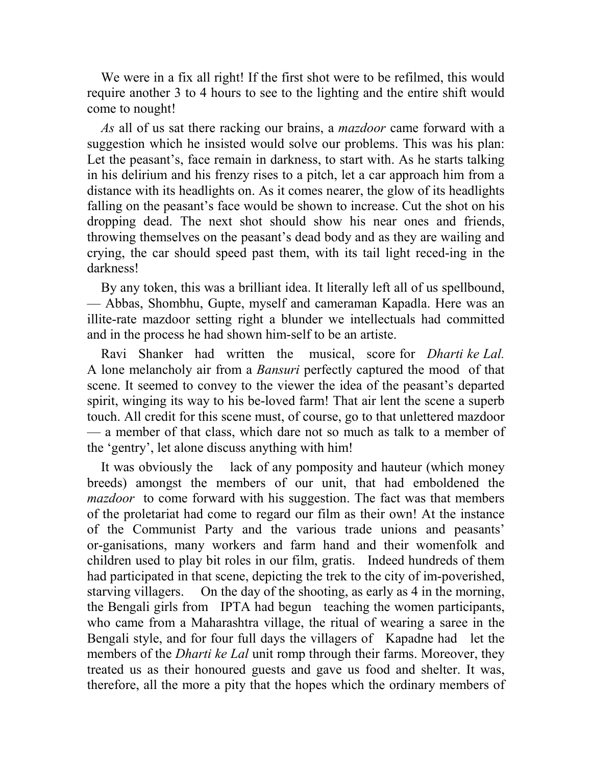We were in a fix all right! If the first shot were to be refilmed, this would require another 3 to 4 hours to see to the lighting and the entire shift would come to nought!

*As* all of us sat there racking our brains, a *mazdoor* came forward with a suggestion which he insisted would solve our problems. This was his plan: Let the peasant's, face remain in darkness, to start with. As he starts talking in his delirium and his frenzy rises to a pitch, let a car approach him from a distance with its headlights on. As it comes nearer, the glow of its headlights falling on the peasant's face would be shown to increase. Cut the shot on his dropping dead. The next shot should show his near ones and friends, throwing themselves on the peasant's dead body and as they are wailing and crying, the car should speed past them, with its tail light reced-ing in the darkness!

By any token, this was a brilliant idea. It literally left all of us spellbound, — Abbas, Shombhu, Gupte, myself and cameraman Kapadla. Here was an illite-rate mazdoor setting right a blunder we intellectuals had committed and in the process he had shown him-self to be an artiste.

Ravi Shanker had written the musical, score for *Dharti ke Lal.*  A lone melancholy air from a *Bansuri* perfectly captured the mood of that scene. It seemed to convey to the viewer the idea of the peasant's departed spirit, winging its way to his be-loved farm! That air lent the scene a superb touch. All credit for this scene must, of course, go to that unlettered mazdoor — a member of that class, which dare not so much as talk to a member of the 'gentry', let alone discuss anything with him!

It was obviously the lack of any pomposity and hauteur (which money breeds) amongst the members of our unit, that had emboldened the *mazdoor* to come forward with his suggestion. The fact was that members of the proletariat had come to regard our film as their own! At the instance of the Communist Party and the various trade unions and peasants' or-ganisations, many workers and farm hand and their womenfolk and children used to play bit roles in our film, gratis. Indeed hundreds of them had participated in that scene, depicting the trek to the city of im-poverished, starving villagers. On the day of the shooting, as early as 4 in the morning, the Bengali girls from IPTA had begun teaching the women participants, who came from a Maharashtra village, the ritual of wearing a saree in the Bengali style, and for four full days the villagers of Kapadne had let the members of the *Dharti ke Lal* unit romp through their farms. Moreover, they treated us as their honoured guests and gave us food and shelter. It was, therefore, all the more a pity that the hopes which the ordinary members of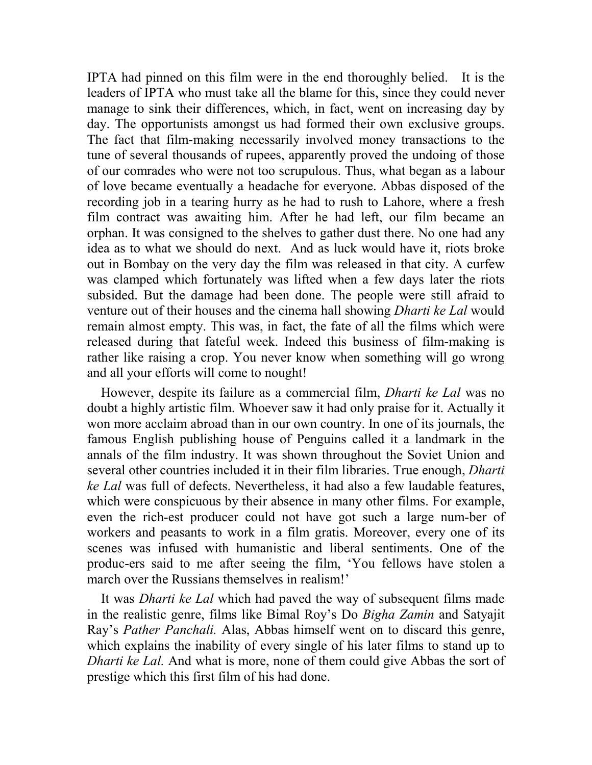IPTA had pinned on this film were in the end thoroughly belied. It is the leaders of IPTA who must take all the blame for this, since they could never manage to sink their differences, which, in fact, went on increasing day by day. The opportunists amongst us had formed their own exclusive groups. The fact that film-making necessarily involved money transactions to the tune of several thousands of rupees, apparently proved the undoing of those of our comrades who were not too scrupulous. Thus, what began as a labour of love became eventually a headache for everyone. Abbas disposed of the recording job in a tearing hurry as he had to rush to Lahore, where a fresh film contract was awaiting him. After he had left, our film became an orphan. It was consigned to the shelves to gather dust there. No one had any idea as to what we should do next. And as luck would have it, riots broke out in Bombay on the very day the film was released in that city. A curfew was clamped which fortunately was lifted when a few days later the riots subsided. But the damage had been done. The people were still afraid to venture out of their houses and the cinema hall showing *Dharti ke Lal* would remain almost empty. This was, in fact, the fate of all the films which were released during that fateful week. Indeed this business of film-making is rather like raising a crop. You never know when something will go wrong and all your efforts will come to nought!

However, despite its failure as a commercial film, *Dharti ke Lal* was no doubt a highly artistic film. Whoever saw it had only praise for it. Actually it won more acclaim abroad than in our own country. In one of its journals, the famous English publishing house of Penguins called it a landmark in the annals of the film industry. It was shown throughout the Soviet Union and several other countries included it in their film libraries. True enough, *Dharti ke Lal* was full of defects. Nevertheless, it had also a few laudable features, which were conspicuous by their absence in many other films. For example, even the rich-est producer could not have got such a large num-ber of workers and peasants to work in a film gratis. Moreover, every one of its scenes was infused with humanistic and liberal sentiments. One of the produc-ers said to me after seeing the film, 'You fellows have stolen a march over the Russians themselves in realism!'

It was *Dharti ke Lal* which had paved the way of subsequent films made in the realistic genre, films like Bimal Roy's Do *Bigha Zamin* and Satyajit Ray's *Pather Panchali.* Alas, Abbas himself went on to discard this genre, which explains the inability of every single of his later films to stand up to *Dharti ke Lal.* And what is more, none of them could give Abbas the sort of prestige which this first film of his had done.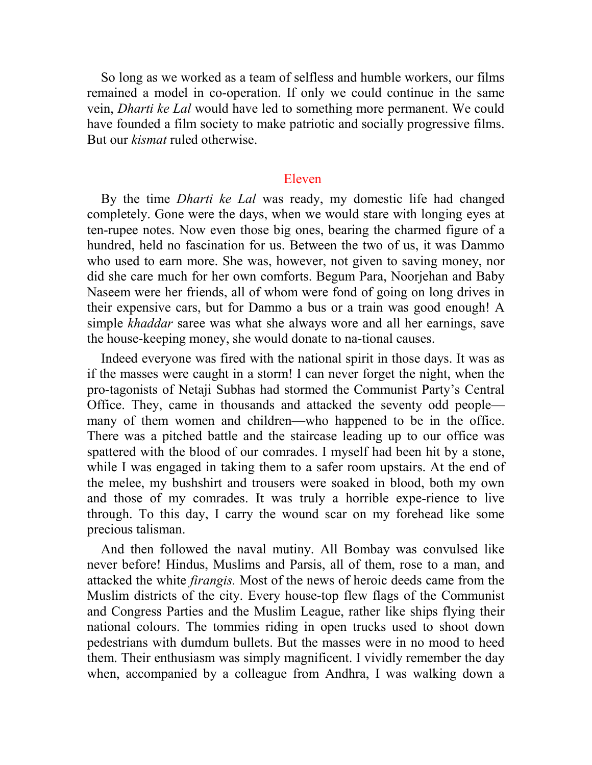So long as we worked as a team of selfless and humble workers, our films remained a model in co-operation. If only we could continue in the same vein, *Dharti ke Lal* would have led to something more permanent. We could have founded a film society to make patriotic and socially progressive films. But our *kismat* ruled otherwise.

## Eleven

By the time *Dharti ke Lal* was ready, my domestic life had changed completely. Gone were the days, when we would stare with longing eyes at ten-rupee notes. Now even those big ones, bearing the charmed figure of a hundred, held no fascination for us. Between the two of us, it was Dammo who used to earn more. She was, however, not given to saving money, nor did she care much for her own comforts. Begum Para, Noorjehan and Baby Naseem were her friends, all of whom were fond of going on long drives in their expensive cars, but for Dammo a bus or a train was good enough! A simple *khaddar* saree was what she always wore and all her earnings, save the house-keeping money, she would donate to na-tional causes.

Indeed everyone was fired with the national spirit in those days. It was as if the masses were caught in a storm! I can never forget the night, when the pro-tagonists of Netaji Subhas had stormed the Communist Party's Central Office. They, came in thousands and attacked the seventy odd people many of them women and children—who happened to be in the office. There was a pitched battle and the staircase leading up to our office was spattered with the blood of our comrades. I myself had been hit by a stone, while I was engaged in taking them to a safer room upstairs. At the end of the melee, my bushshirt and trousers were soaked in blood, both my own and those of my comrades. It was truly a horrible expe-rience to live through. To this day, I carry the wound scar on my forehead like some precious talisman.

And then followed the naval mutiny. All Bombay was convulsed like never before! Hindus, Muslims and Parsis, all of them, rose to a man, and attacked the white *firangis.* Most of the news of heroic deeds came from the Muslim districts of the city. Every house-top flew flags of the Communist and Congress Parties and the Muslim League, rather like ships flying their national colours. The tommies riding in open trucks used to shoot down pedestrians with dumdum bullets. But the masses were in no mood to heed them. Their enthusiasm was simply magnificent. I vividly remember the day when, accompanied by a colleague from Andhra, I was walking down a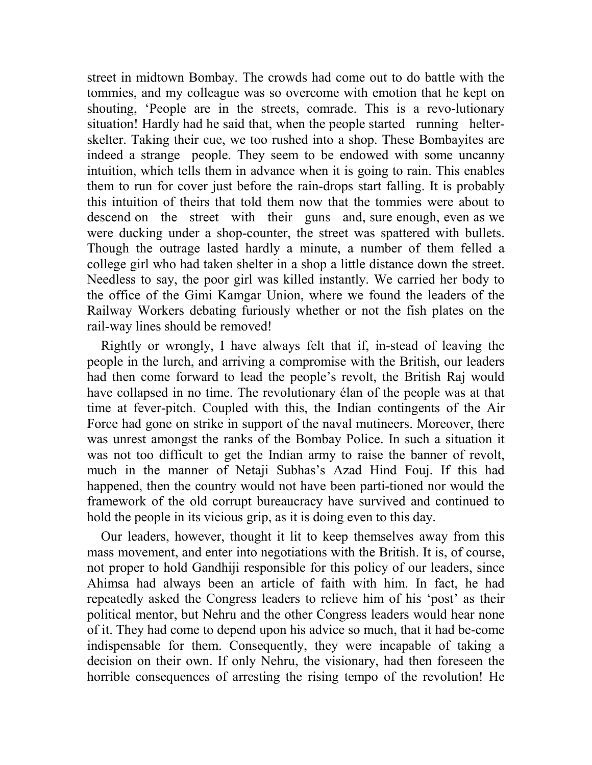street in midtown Bombay. The crowds had come out to do battle with the tommies, and my colleague was so overcome with emotion that he kept on shouting, 'People are in the streets, comrade. This is a revo-lutionary situation! Hardly had he said that, when the people started running helterskelter. Taking their cue, we too rushed into a shop. These Bombayites are indeed a strange people. They seem to be endowed with some uncanny intuition, which tells them in advance when it is going to rain. This enables them to run for cover just before the rain-drops start falling. It is probably this intuition of theirs that told them now that the tommies were about to descend on the street with their guns and, sure enough, even as we were ducking under a shop-counter, the street was spattered with bullets. Though the outrage lasted hardly a minute, a number of them felled a college girl who had taken shelter in a shop a little distance down the street. Needless to say, the poor girl was killed instantly. We carried her body to the office of the Gimi Kamgar Union, where we found the leaders of the Railway Workers debating furiously whether or not the fish plates on the rail-way lines should be removed!

Rightly or wrongly, I have always felt that if, in-stead of leaving the people in the lurch, and arriving a compromise with the British, our leaders had then come forward to lead the people's revolt, the British Raj would have collapsed in no time. The revolutionary élan of the people was at that time at fever-pitch. Coupled with this, the Indian contingents of the Air Force had gone on strike in support of the naval mutineers. Moreover, there was unrest amongst the ranks of the Bombay Police. In such a situation it was not too difficult to get the Indian army to raise the banner of revolt, much in the manner of Netaji Subhas's Azad Hind Fouj. If this had happened, then the country would not have been parti-tioned nor would the framework of the old corrupt bureaucracy have survived and continued to hold the people in its vicious grip, as it is doing even to this day.

Our leaders, however, thought it lit to keep themselves away from this mass movement, and enter into negotiations with the British. It is, of course, not proper to hold Gandhiji responsible for this policy of our leaders, since Ahimsa had always been an article of faith with him. In fact, he had repeatedly asked the Congress leaders to relieve him of his 'post' as their political mentor, but Nehru and the other Congress leaders would hear none of it. They had come to depend upon his advice so much, that it had be-come indispensable for them. Consequently, they were incapable of taking a decision on their own. If only Nehru, the visionary, had then foreseen the horrible consequences of arresting the rising tempo of the revolution! He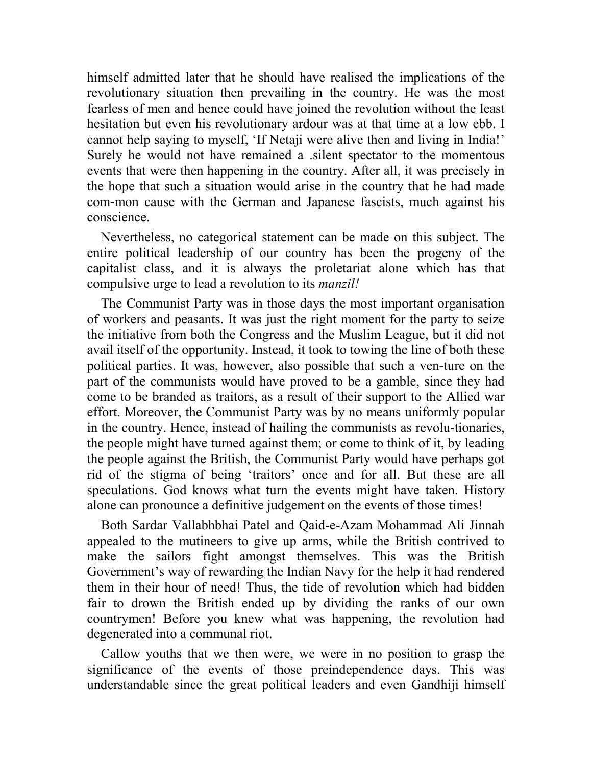himself admitted later that he should have realised the implications of the revolutionary situation then prevailing in the country. He was the most fearless of men and hence could have joined the revolution without the least hesitation but even his revolutionary ardour was at that time at a low ebb. I cannot help saying to myself, 'If Netaji were alive then and living in India!' Surely he would not have remained a .silent spectator to the momentous events that were then happening in the country. After all, it was precisely in the hope that such a situation would arise in the country that he had made com-mon cause with the German and Japanese fascists, much against his conscience.

Nevertheless, no categorical statement can be made on this subject. The entire political leadership of our country has been the progeny of the capitalist class, and it is always the proletariat alone which has that compulsive urge to lead a revolution to its *manzil!*

The Communist Party was in those days the most important organisation of workers and peasants. It was just the right moment for the party to seize the initiative from both the Congress and the Muslim League, but it did not avail itself of the opportunity. Instead, it took to towing the line of both these political parties. It was, however, also possible that such a ven-ture on the part of the communists would have proved to be a gamble, since they had come to be branded as traitors, as a result of their support to the Allied war effort. Moreover, the Communist Party was by no means uniformly popular in the country. Hence, instead of hailing the communists as revolu-tionaries, the people might have turned against them; or come to think of it, by leading the people against the British, the Communist Party would have perhaps got rid of the stigma of being 'traitors' once and for all. But these are all speculations. God knows what turn the events might have taken. History alone can pronounce a definitive judgement on the events of those times!

Both Sardar Vallabhbhai Patel and Qaid-e-Azam Mohammad Ali Jinnah appealed to the mutineers to give up arms, while the British contrived to make the sailors fight amongst themselves. This was the British Government's way of rewarding the Indian Navy for the help it had rendered them in their hour of need! Thus, the tide of revolution which had bidden fair to drown the British ended up by dividing the ranks of our own countrymen! Before you knew what was happening, the revolution had degenerated into a communal riot.

Callow youths that we then were, we were in no position to grasp the significance of the events of those preindependence days. This was understandable since the great political leaders and even Gandhiji himself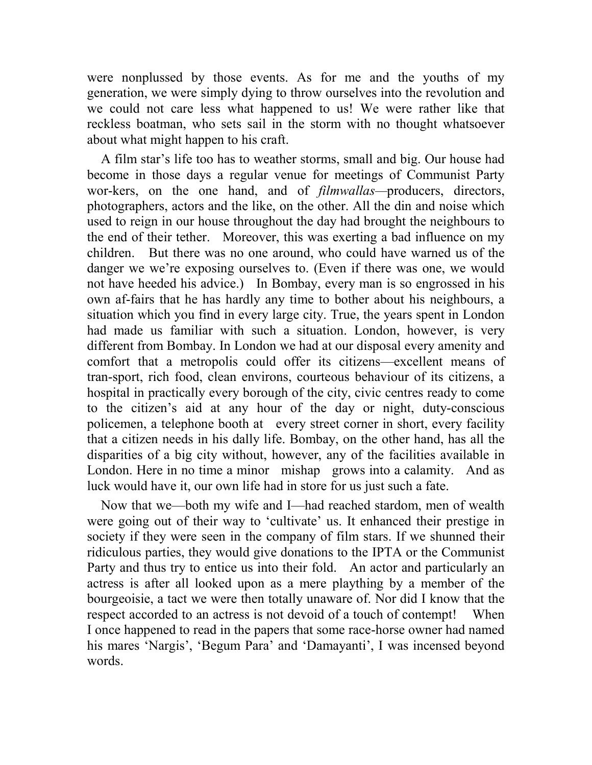were nonplussed by those events. As for me and the youths of my generation, we were simply dying to throw ourselves into the revolution and we could not care less what happened to us! We were rather like that reckless boatman, who sets sail in the storm with no thought whatsoever about what might happen to his craft.

A film star's life too has to weather storms, small and big. Our house had become in those days a regular venue for meetings of Communist Party wor-kers, on the one hand, and of *filmwallas—*producers, directors, photographers, actors and the like, on the other. All the din and noise which used to reign in our house throughout the day had brought the neighbours to the end of their tether. Moreover, this was exerting a bad influence on my children. But there was no one around, who could have warned us of the danger we we're exposing ourselves to. (Even if there was one, we would not have heeded his advice.) In Bombay, every man is so engrossed in his own af-fairs that he has hardly any time to bother about his neighbours, a situation which you find in every large city. True, the years spent in London had made us familiar with such a situation. London, however, is very different from Bombay. In London we had at our disposal every amenity and comfort that a metropolis could offer its citizens—excellent means of tran-sport, rich food, clean environs, courteous behaviour of its citizens, a hospital in practically every borough of the city, civic centres ready to come to the citizen's aid at any hour of the day or night, duty-conscious policemen, a telephone booth at every street corner in short, every facility that a citizen needs in his dally life. Bombay, on the other hand, has all the disparities of a big city without, however, any of the facilities available in London. Here in no time a minor mishap grows into a calamity. And as luck would have it, our own life had in store for us just such a fate.

Now that we—both my wife and I—had reached stardom, men of wealth were going out of their way to 'cultivate' us. It enhanced their prestige in society if they were seen in the company of film stars. If we shunned their ridiculous parties, they would give donations to the IPTA or the Communist Party and thus try to entice us into their fold. An actor and particularly an actress is after all looked upon as a mere plaything by a member of the bourgeoisie, a tact we were then totally unaware of. Nor did I know that the respect accorded to an actress is not devoid of a touch of contempt! When I once happened to read in the papers that some race-horse owner had named his mares 'Nargis', 'Begum Para' and 'Damayanti', I was incensed beyond words.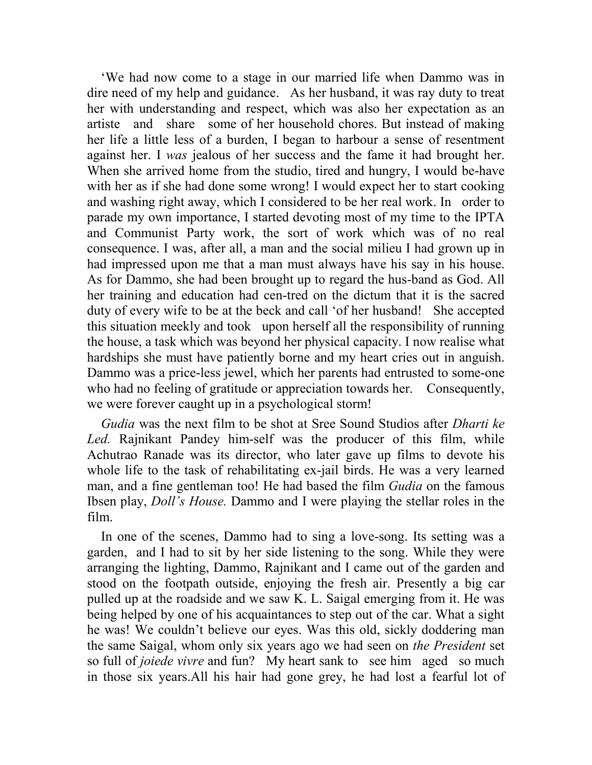'We had now come to a stage in our married life when Dammo was in dire need of my help and guidance. As her husband, it was ray duty to treat her with understanding and respect, which was also her expectation as an artiste and share some of her household chores. But instead of making her life a little less of a burden, I began to harbour a sense of resentment against her. I *was* jealous of her success and the fame it had brought her. When she arrived home from the studio, tired and hungry, I would be-have with her as if she had done some wrong! I would expect her to start cooking and washing right away, which I considered to be her real work. In order to parade my own importance, I started devoting most of my time to the IPTA and Communist Party work, the sort of work which was of no real consequence. I was, after all, a man and the social milieu I had grown up in had impressed upon me that a man must always have his say in his house. As for Dammo, she had been brought up to regard the hus-band as God. All her training and education had cen-tred on the dictum that it is the sacred duty of every wife to be at the beck and call 'of her husband! She accepted this situation meekly and took upon herself all the responsibility of running the house, a task which was beyond her physical capacity. I now realise what hardships she must have patiently borne and my heart cries out in anguish. Dammo was a price-less jewel, which her parents had entrusted to some-one who had no feeling of gratitude or appreciation towards her. Consequently, we were forever caught up in a psychological storm!

*Gudia* was the next film to be shot at Sree Sound Studios after *Dharti ke Led.* Rajnikant Pandey him-self was the producer of this film, while Achutrao Ranade was its director, who later gave up films to devote his whole life to the task of rehabilitating ex-jail birds. He was a very learned man, and a fine gentleman too! He had based the film *Gudia* on the famous Ibsen play, *Doll's House.* Dammo and I were playing the stellar roles in the film.

In one of the scenes, Dammo had to sing a love-song. Its setting was a garden, and I had to sit by her side listening to the song. While they were arranging the lighting, Dammo, Rajnikant and I came out of the garden and stood on the footpath outside, enjoying the fresh air. Presently a big car pulled up at the roadside and we saw K. L. Saigal emerging from it. He was being helped by one of his acquaintances to step out of the car. What a sight he was! We couldn't believe our eyes. Was this old, sickly doddering man the same Saigal, whom only six years ago we had seen on *the President* set so full of *joiede vivre* and fun? My heart sank to see him aged so much in those six years.All his hair had gone grey, he had lost a fearful lot of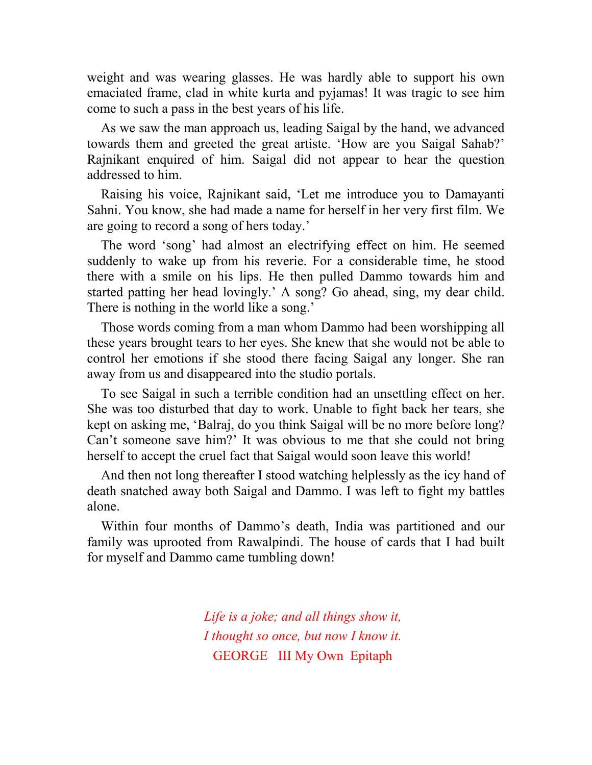weight and was wearing glasses. He was hardly able to support his own emaciated frame, clad in white kurta and pyjamas! It was tragic to see him come to such a pass in the best years of his life.

As we saw the man approach us, leading Saigal by the hand, we advanced towards them and greeted the great artiste. 'How are you Saigal Sahab?' Rajnikant enquired of him. Saigal did not appear to hear the question addressed to him.

Raising his voice, Rajnikant said, 'Let me introduce you to Damayanti Sahni. You know, she had made a name for herself in her very first film. We are going to record a song of hers today.'

The word 'song' had almost an electrifying effect on him. He seemed suddenly to wake up from his reverie. For a considerable time, he stood there with a smile on his lips. He then pulled Dammo towards him and started patting her head lovingly.' A song? Go ahead, sing, my dear child. There is nothing in the world like a song.'

Those words coming from a man whom Dammo had been worshipping all these years brought tears to her eyes. She knew that she would not be able to control her emotions if she stood there facing Saigal any longer. She ran away from us and disappeared into the studio portals.

To see Saigal in such a terrible condition had an unsettling effect on her. She was too disturbed that day to work. Unable to fight back her tears, she kept on asking me, 'Balraj, do you think Saigal will be no more before long? Can't someone save him?' It was obvious to me that she could not bring herself to accept the cruel fact that Saigal would soon leave this world!

And then not long thereafter I stood watching helplessly as the icy hand of death snatched away both Saigal and Dammo. I was left to fight my battles alone.

Within four months of Dammo's death, India was partitioned and our family was uprooted from Rawalpindi. The house of cards that I had built for myself and Dammo came tumbling down!

> *Life is a joke; and all things show it, I thought so once, but now I know it.* GEORGE III My Own Epitaph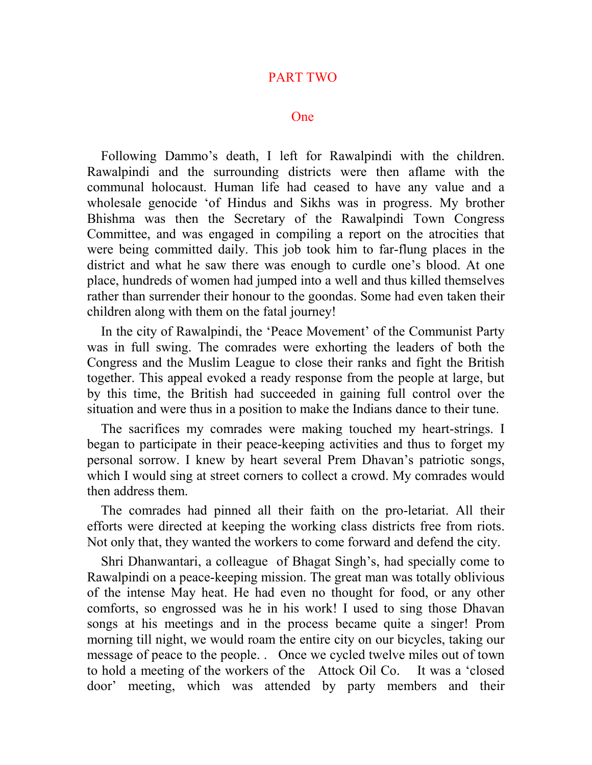## PART TWO

#### One

Following Dammo's death, I left for Rawalpindi with the children. Rawalpindi and the surrounding districts were then aflame with the communal holocaust. Human life had ceased to have any value and a wholesale genocide 'of Hindus and Sikhs was in progress. My brother Bhishma was then the Secretary of the Rawalpindi Town Congress Committee, and was engaged in compiling a report on the atrocities that were being committed daily. This job took him to far-flung places in the district and what he saw there was enough to curdle one's blood. At one place, hundreds of women had jumped into a well and thus killed themselves rather than surrender their honour to the goondas. Some had even taken their children along with them on the fatal journey!

In the city of Rawalpindi, the 'Peace Movement' of the Communist Party was in full swing. The comrades were exhorting the leaders of both the Congress and the Muslim League to close their ranks and fight the British together. This appeal evoked a ready response from the people at large, but by this time, the British had succeeded in gaining full control over the situation and were thus in a position to make the Indians dance to their tune.

The sacrifices my comrades were making touched my heart-strings. I began to participate in their peace-keeping activities and thus to forget my personal sorrow. I knew by heart several Prem Dhavan's patriotic songs, which I would sing at street corners to collect a crowd. My comrades would then address them.

The comrades had pinned all their faith on the pro-letariat. All their efforts were directed at keeping the working class districts free from riots. Not only that, they wanted the workers to come forward and defend the city.

Shri Dhanwantari, a colleague of Bhagat Singh's, had specially come to Rawalpindi on a peace-keeping mission. The great man was totally oblivious of the intense May heat. He had even no thought for food, or any other comforts, so engrossed was he in his work! I used to sing those Dhavan songs at his meetings and in the process became quite a singer! Prom morning till night, we would roam the entire city on our bicycles, taking our message of peace to the people. . Once we cycled twelve miles out of town to hold a meeting of the workers of the Attock Oil Co. It was a 'closed door' meeting, which was attended by party members and their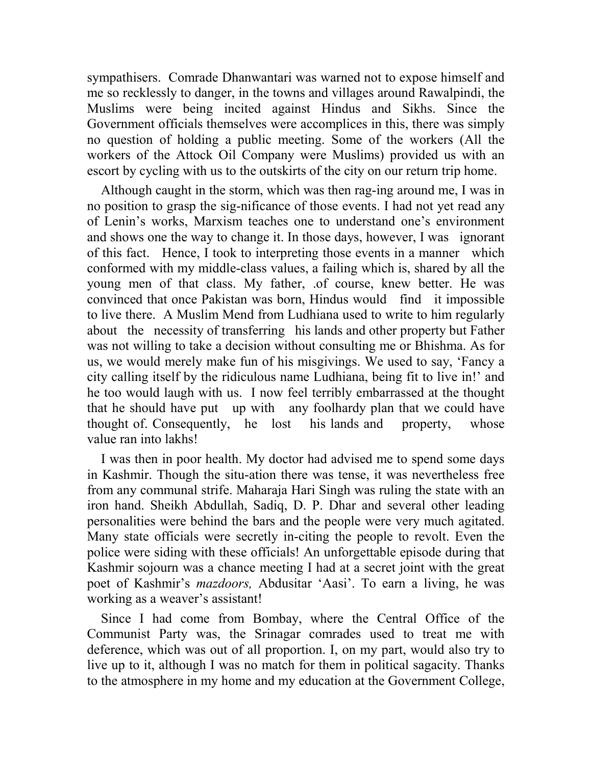sympathisers. Comrade Dhanwantari was warned not to expose himself and me so recklessly to danger, in the towns and villages around Rawalpindi, the Muslims were being incited against Hindus and Sikhs. Since the Government officials themselves were accomplices in this, there was simply no question of holding a public meeting. Some of the workers (All the workers of the Attock Oil Company were Muslims) provided us with an escort by cycling with us to the outskirts of the city on our return trip home.

Although caught in the storm, which was then rag-ing around me, I was in no position to grasp the sig-nificance of those events. I had not yet read any of Lenin's works, Marxism teaches one to understand one's environment and shows one the way to change it. In those days, however, I was ignorant of this fact. Hence, I took to interpreting those events in a manner which conformed with my middle-class values, a failing which is, shared by all the young men of that class. My father, .of course, knew better. He was convinced that once Pakistan was born, Hindus would find it impossible to live there. A Muslim Mend from Ludhiana used to write to him regularly about the necessity of transferring his lands and other property but Father was not willing to take a decision without consulting me or Bhishma. As for us, we would merely make fun of his misgivings. We used to say, 'Fancy a city calling itself by the ridiculous name Ludhiana, being fit to live in!' and he too would laugh with us. I now feel terribly embarrassed at the thought that he should have put up with any foolhardy plan that we could have thought of. Consequently, he lost his lands and property, whose value ran into lakhs!

I was then in poor health. My doctor had advised me to spend some days in Kashmir. Though the situ-ation there was tense, it was nevertheless free from any communal strife. Maharaja Hari Singh was ruling the state with an iron hand. Sheikh Abdullah, Sadiq, D. P. Dhar and several other leading personalities were behind the bars and the people were very much agitated. Many state officials were secretly in-citing the people to revolt. Even the police were siding with these officials! An unforgettable episode during that Kashmir sojourn was a chance meeting I had at a secret joint with the great poet of Kashmir's *mazdoors,* Abdusitar 'Aasi'. To earn a living, he was working as a weaver's assistant!

Since I had come from Bombay, where the Central Office of the Communist Party was, the Srinagar comrades used to treat me with deference, which was out of all proportion. I, on my part, would also try to live up to it, although I was no match for them in political sagacity. Thanks to the atmosphere in my home and my education at the Government College,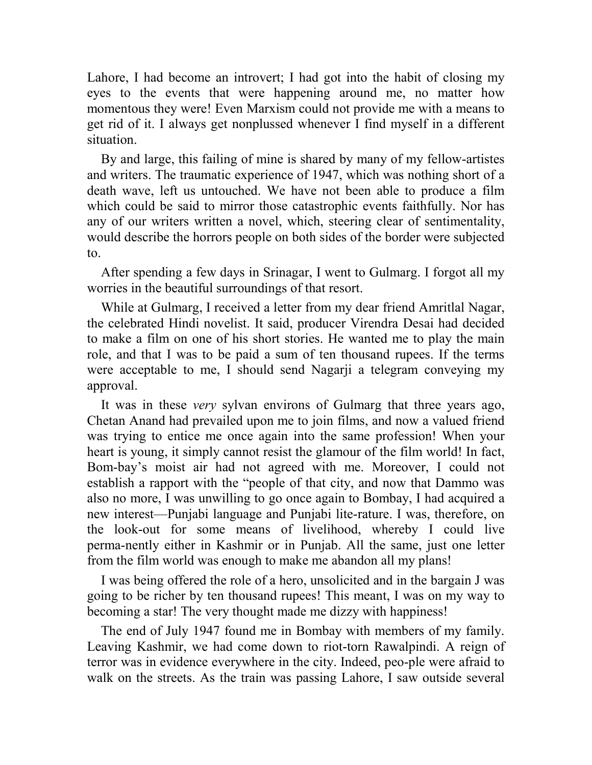Lahore, I had become an introvert; I had got into the habit of closing my eyes to the events that were happening around me, no matter how momentous they were! Even Marxism could not provide me with a means to get rid of it. I always get nonplussed whenever I find myself in a different situation.

By and large, this failing of mine is shared by many of my fellow-artistes and writers. The traumatic experience of 1947, which was nothing short of a death wave, left us untouched. We have not been able to produce a film which could be said to mirror those catastrophic events faithfully. Nor has any of our writers written a novel, which, steering clear of sentimentality, would describe the horrors people on both sides of the border were subjected to.

After spending a few days in Srinagar, I went to Gulmarg. I forgot all my worries in the beautiful surroundings of that resort.

While at Gulmarg, I received a letter from my dear friend Amritlal Nagar, the celebrated Hindi novelist. It said, producer Virendra Desai had decided to make a film on one of his short stories. He wanted me to play the main role, and that I was to be paid a sum of ten thousand rupees. If the terms were acceptable to me, I should send Nagarji a telegram conveying my approval.

It was in these *very* sylvan environs of Gulmarg that three years ago, Chetan Anand had prevailed upon me to join films, and now a valued friend was trying to entice me once again into the same profession! When your heart is young, it simply cannot resist the glamour of the film world! In fact, Bom-bay's moist air had not agreed with me. Moreover, I could not establish a rapport with the "people of that city, and now that Dammo was also no more, I was unwilling to go once again to Bombay, I had acquired a new interest—Punjabi language and Punjabi lite-rature. I was, therefore, on the look-out for some means of livelihood, whereby I could live perma-nently either in Kashmir or in Punjab. All the same, just one letter from the film world was enough to make me abandon all my plans!

I was being offered the role of a hero, unsolicited and in the bargain J was going to be richer by ten thousand rupees! This meant, I was on my way to becoming a star! The very thought made me dizzy with happiness!

The end of July 1947 found me in Bombay with members of my family. Leaving Kashmir, we had come down to riot-torn Rawalpindi. A reign of terror was in evidence everywhere in the city. Indeed, peo-ple were afraid to walk on the streets. As the train was passing Lahore, I saw outside several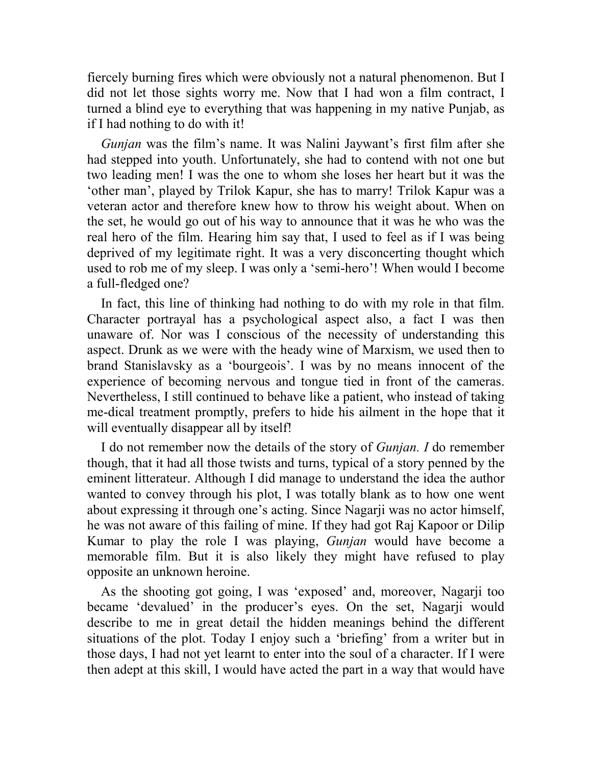fiercely burning fires which were obviously not a natural phenomenon. But I did not let those sights worry me. Now that I had won a film contract, I turned a blind eye to everything that was happening in my native Punjab, as if I had nothing to do with it!

*Gunjan* was the film's name. It was Nalini Jaywant's first film after she had stepped into youth. Unfortunately, she had to contend with not one but two leading men! I was the one to whom she loses her heart but it was the 'other man', played by Trilok Kapur, she has to marry! Trilok Kapur was a veteran actor and therefore knew how to throw his weight about. When on the set, he would go out of his way to announce that it was he who was the real hero of the film. Hearing him say that, I used to feel as if I was being deprived of my legitimate right. It was a very disconcerting thought which used to rob me of my sleep. I was only a 'semi-hero'! When would I become a full-fledged one?

In fact, this line of thinking had nothing to do with my role in that film. Character portrayal has a psychological aspect also, a fact I was then unaware of. Nor was I conscious of the necessity of understanding this aspect. Drunk as we were with the heady wine of Marxism, we used then to brand Stanislavsky as a 'bourgeois'. I was by no means innocent of the experience of becoming nervous and tongue tied in front of the cameras. Nevertheless, I still continued to behave like a patient, who instead of taking me-dical treatment promptly, prefers to hide his ailment in the hope that it will eventually disappear all by itself!

I do not remember now the details of the story of *Gunjan. I* do remember though, that it had all those twists and turns, typical of a story penned by the eminent litterateur. Although I did manage to understand the idea the author wanted to convey through his plot, I was totally blank as to how one went about expressing it through one's acting. Since Nagarji was no actor himself, he was not aware of this failing of mine. If they had got Raj Kapoor or Dilip Kumar to play the role I was playing, *Gunjan* would have become a memorable film. But it is also likely they might have refused to play opposite an unknown heroine.

As the shooting got going, I was 'exposed' and, moreover, Nagarji too became 'devalued' in the producer's eyes. On the set, Nagarji would describe to me in great detail the hidden meanings behind the different situations of the plot. Today I enjoy such a 'briefing' from a writer but in those days, I had not yet learnt to enter into the soul of a character. If I were then adept at this skill, I would have acted the part in a way that would have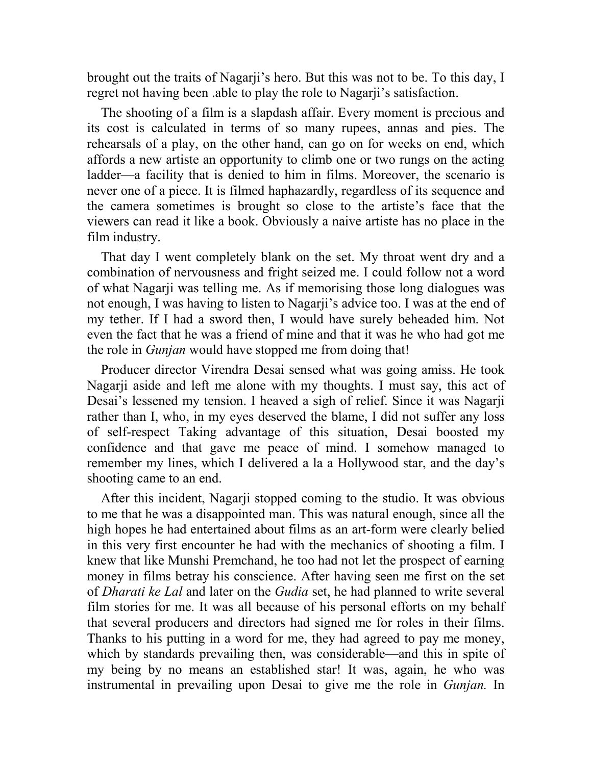brought out the traits of Nagarji's hero. But this was not to be. To this day, I regret not having been .able to play the role to Nagarji's satisfaction.

The shooting of a film is a slapdash affair. Every moment is precious and its cost is calculated in terms of so many rupees, annas and pies. The rehearsals of a play, on the other hand, can go on for weeks on end, which affords a new artiste an opportunity to climb one or two rungs on the acting ladder—a facility that is denied to him in films. Moreover, the scenario is never one of a piece. It is filmed haphazardly, regardless of its sequence and the camera sometimes is brought so close to the artiste's face that the viewers can read it like a book. Obviously a naive artiste has no place in the film industry.

That day I went completely blank on the set. My throat went dry and a combination of nervousness and fright seized me. I could follow not a word of what Nagarji was telling me. As if memorising those long dialogues was not enough, I was having to listen to Nagarji's advice too. I was at the end of my tether. If I had a sword then, I would have surely beheaded him. Not even the fact that he was a friend of mine and that it was he who had got me the role in *Gunjan* would have stopped me from doing that!

Producer director Virendra Desai sensed what was going amiss. He took Nagarji aside and left me alone with my thoughts. I must say, this act of Desai's lessened my tension. I heaved a sigh of relief. Since it was Nagarji rather than I, who, in my eyes deserved the blame, I did not suffer any loss of self-respect Taking advantage of this situation, Desai boosted my confidence and that gave me peace of mind. I somehow managed to remember my lines, which I delivered a la a Hollywood star, and the day's shooting came to an end.

After this incident, Nagarji stopped coming to the studio. It was obvious to me that he was a disappointed man. This was natural enough, since all the high hopes he had entertained about films as an art-form were clearly belied in this very first encounter he had with the mechanics of shooting a film. I knew that like Munshi Premchand, he too had not let the prospect of earning money in films betray his conscience. After having seen me first on the set of *Dharati ke Lal* and later on the *Gudia* set, he had planned to write several film stories for me. It was all because of his personal efforts on my behalf that several producers and directors had signed me for roles in their films. Thanks to his putting in a word for me, they had agreed to pay me money, which by standards prevailing then, was considerable—and this in spite of my being by no means an established star! It was, again, he who was instrumental in prevailing upon Desai to give me the role in *Gunjan.* In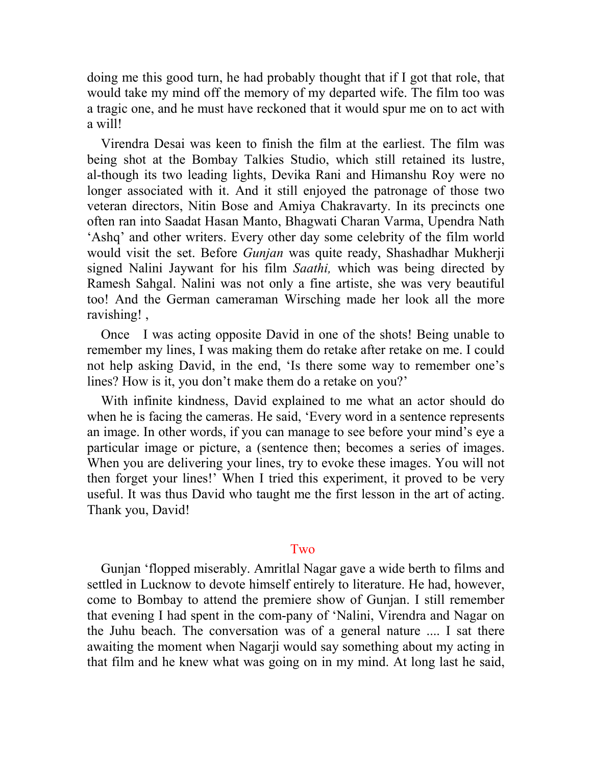doing me this good turn, he had probably thought that if I got that role, that would take my mind off the memory of my departed wife. The film too was a tragic one, and he must have reckoned that it would spur me on to act with a will!

Virendra Desai was keen to finish the film at the earliest. The film was being shot at the Bombay Talkies Studio, which still retained its lustre, al-though its two leading lights, Devika Rani and Himanshu Roy were no longer associated with it. And it still enjoyed the patronage of those two veteran directors, Nitin Bose and Amiya Chakravarty. In its precincts one often ran into Saadat Hasan Manto, Bhagwati Charan Varma, Upendra Nath 'Ashq' and other writers. Every other day some celebrity of the film world would visit the set. Before *Gunjan* was quite ready, Shashadhar Mukherji signed Nalini Jaywant for his film *Saathi,* which was being directed by Ramesh Sahgal. Nalini was not only a fine artiste, she was very beautiful too! And the German cameraman Wirsching made her look all the more ravishing! ,

Once I was acting opposite David in one of the shots! Being unable to remember my lines, I was making them do retake after retake on me. I could not help asking David, in the end, 'Is there some way to remember one's lines? How is it, you don't make them do a retake on you?'

With infinite kindness, David explained to me what an actor should do when he is facing the cameras. He said, 'Every word in a sentence represents an image. In other words, if you can manage to see before your mind's eye a particular image or picture, a (sentence then; becomes a series of images. When you are delivering your lines, try to evoke these images. You will not then forget your lines!' When I tried this experiment, it proved to be very useful. It was thus David who taught me the first lesson in the art of acting. Thank you, David!

# **Two**

Gunjan 'flopped miserably. Amritlal Nagar gave a wide berth to films and settled in Lucknow to devote himself entirely to literature. He had, however, come to Bombay to attend the premiere show of Gunjan. I still remember that evening I had spent in the com-pany of 'Nalini, Virendra and Nagar on the Juhu beach. The conversation was of a general nature .... I sat there awaiting the moment when Nagarji would say something about my acting in that film and he knew what was going on in my mind. At long last he said,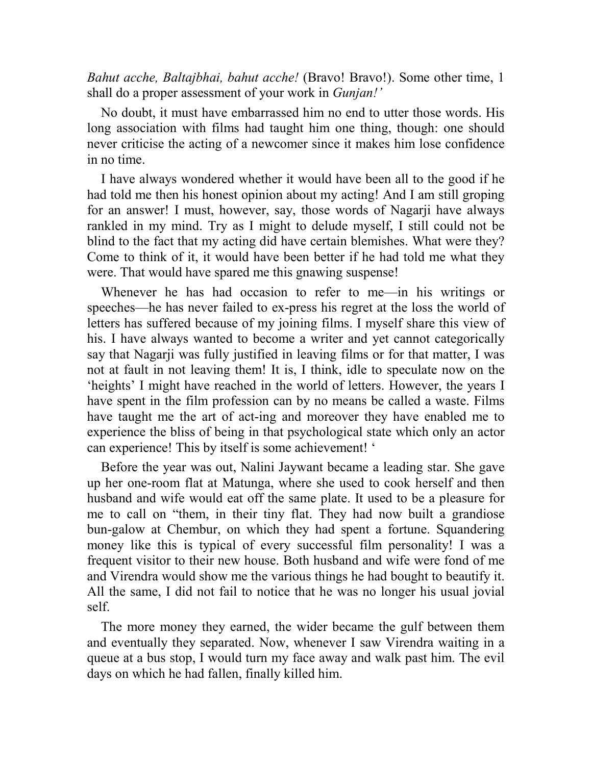*Bahut acche, Baltajbhai, bahut acche!* (Bravo! Bravo!). Some other time, 1 shall do a proper assessment of your work in *Gunjan!'*

No doubt, it must have embarrassed him no end to utter those words. His long association with films had taught him one thing, though: one should never criticise the acting of a newcomer since it makes him lose confidence in no time.

I have always wondered whether it would have been all to the good if he had told me then his honest opinion about my acting! And I am still groping for an answer! I must, however, say, those words of Nagarji have always rankled in my mind. Try as I might to delude myself, I still could not be blind to the fact that my acting did have certain blemishes. What were they? Come to think of it, it would have been better if he had told me what they were. That would have spared me this gnawing suspense!

Whenever he has had occasion to refer to me—in his writings or speeches—he has never failed to ex-press his regret at the loss the world of letters has suffered because of my joining films. I myself share this view of his. I have always wanted to become a writer and yet cannot categorically say that Nagarji was fully justified in leaving films or for that matter, I was not at fault in not leaving them! It is, I think, idle to speculate now on the 'heights' I might have reached in the world of letters. However, the years I have spent in the film profession can by no means be called a waste. Films have taught me the art of act-ing and moreover they have enabled me to experience the bliss of being in that psychological state which only an actor can experience! This by itself is some achievement! '

Before the year was out, Nalini Jaywant became a leading star. She gave up her one-room flat at Matunga, where she used to cook herself and then husband and wife would eat off the same plate. It used to be a pleasure for me to call on "them, in their tiny flat. They had now built a grandiose bun-galow at Chembur, on which they had spent a fortune. Squandering money like this is typical of every successful film personality! I was a frequent visitor to their new house. Both husband and wife were fond of me and Virendra would show me the various things he had bought to beautify it. All the same, I did not fail to notice that he was no longer his usual jovial self.

The more money they earned, the wider became the gulf between them and eventually they separated. Now, whenever I saw Virendra waiting in a queue at a bus stop, I would turn my face away and walk past him. The evil days on which he had fallen, finally killed him.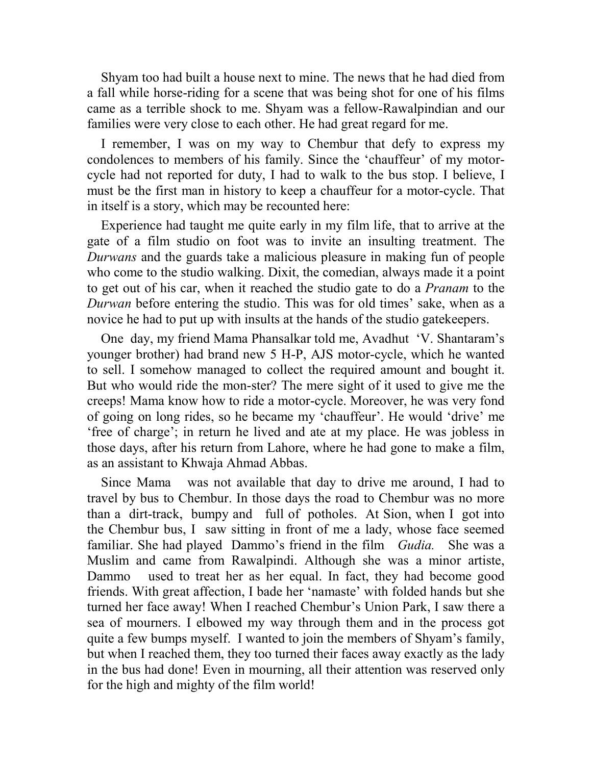Shyam too had built a house next to mine. The news that he had died from a fall while horse-riding for a scene that was being shot for one of his films came as a terrible shock to me. Shyam was a fellow-Rawalpindian and our families were very close to each other. He had great regard for me.

I remember, I was on my way to Chembur that defy to express my condolences to members of his family. Since the 'chauffeur' of my motorcycle had not reported for duty, I had to walk to the bus stop. I believe, I must be the first man in history to keep a chauffeur for a motor-cycle. That in itself is a story, which may be recounted here:

Experience had taught me quite early in my film life, that to arrive at the gate of a film studio on foot was to invite an insulting treatment. The *Durwans* and the guards take a malicious pleasure in making fun of people who come to the studio walking. Dixit, the comedian, always made it a point to get out of his car, when it reached the studio gate to do a *Pranam* to the *Durwan* before entering the studio. This was for old times' sake, when as a novice he had to put up with insults at the hands of the studio gatekeepers.

One day, my friend Mama Phansalkar told me, Avadhut 'V. Shantaram's younger brother) had brand new 5 H-P, AJS motor-cycle, which he wanted to sell. I somehow managed to collect the required amount and bought it. But who would ride the mon-ster? The mere sight of it used to give me the creeps! Mama know how to ride a motor-cycle. Moreover, he was very fond of going on long rides, so he became my 'chauffeur'. He would 'drive' me 'free of charge'; in return he lived and ate at my place. He was jobless in those days, after his return from Lahore, where he had gone to make a film, as an assistant to Khwaja Ahmad Abbas.

Since Mama was not available that day to drive me around, I had to travel by bus to Chembur. In those days the road to Chembur was no more than a dirt-track, bumpy and full of potholes. At Sion, when I got into the Chembur bus, I saw sitting in front of me a lady, whose face seemed familiar. She had played Dammo's friend in the film *Gudia.* She was a Muslim and came from Rawalpindi. Although she was a minor artiste, Dammo used to treat her as her equal. In fact, they had become good friends. With great affection, I bade her 'namaste' with folded hands but she turned her face away! When I reached Chembur's Union Park, I saw there a sea of mourners. I elbowed my way through them and in the process got quite a few bumps myself. I wanted to join the members of Shyam's family, but when I reached them, they too turned their faces away exactly as the lady in the bus had done! Even in mourning, all their attention was reserved only for the high and mighty of the film world!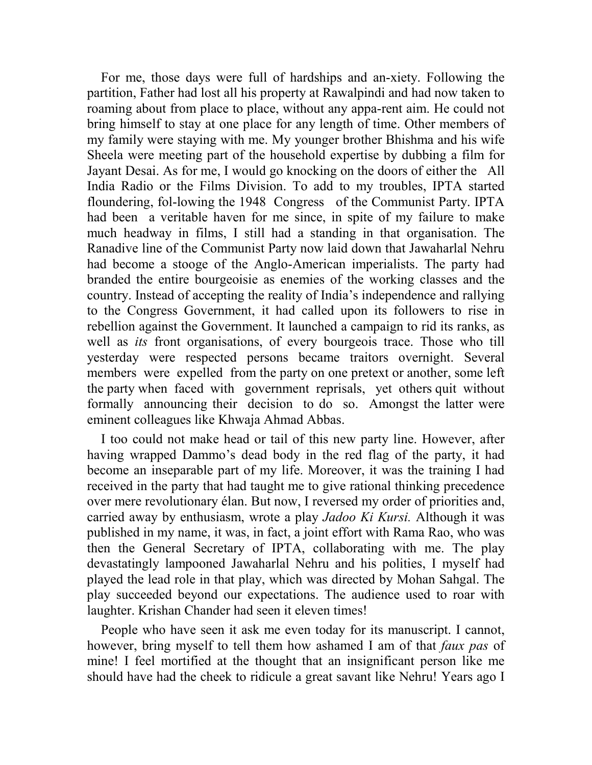For me, those days were full of hardships and an-xiety. Following the partition, Father had lost all his property at Rawalpindi and had now taken to roaming about from place to place, without any appa-rent aim. He could not bring himself to stay at one place for any length of time. Other members of my family were staying with me. My younger brother Bhishma and his wife Sheela were meeting part of the household expertise by dubbing a film for Jayant Desai. As for me, I would go knocking on the doors of either the All India Radio or the Films Division. To add to my troubles, IPTA started floundering, fol-lowing the 1948 Congress of the Communist Party. IPTA had been a veritable haven for me since, in spite of my failure to make much headway in films, I still had a standing in that organisation. The Ranadive line of the Communist Party now laid down that Jawaharlal Nehru had become a stooge of the Anglo-American imperialists. The party had branded the entire bourgeoisie as enemies of the working classes and the country. Instead of accepting the reality of India's independence and rallying to the Congress Government, it had called upon its followers to rise in rebellion against the Government. It launched a campaign to rid its ranks, as well as *its* front organisations, of every bourgeois trace. Those who till yesterday were respected persons became traitors overnight. Several members were expelled from the party on one pretext or another, some left the party when faced with government reprisals, yet others quit without formally announcing their decision to do so. Amongst the latter were eminent colleagues like Khwaja Ahmad Abbas.

I too could not make head or tail of this new party line. However, after having wrapped Dammo's dead body in the red flag of the party, it had become an inseparable part of my life. Moreover, it was the training I had received in the party that had taught me to give rational thinking precedence over mere revolutionary élan. But now, I reversed my order of priorities and, carried away by enthusiasm, wrote a play *Jadoo Ki Kursi.* Although it was published in my name, it was, in fact, a joint effort with Rama Rao, who was then the General Secretary of IPTA, collaborating with me. The play devastatingly lampooned Jawaharlal Nehru and his polities, I myself had played the lead role in that play, which was directed by Mohan Sahgal. The play succeeded beyond our expectations. The audience used to roar with laughter. Krishan Chander had seen it eleven times!

People who have seen it ask me even today for its manuscript. I cannot, however, bring myself to tell them how ashamed I am of that *faux pas* of mine! I feel mortified at the thought that an insignificant person like me should have had the cheek to ridicule a great savant like Nehru! Years ago I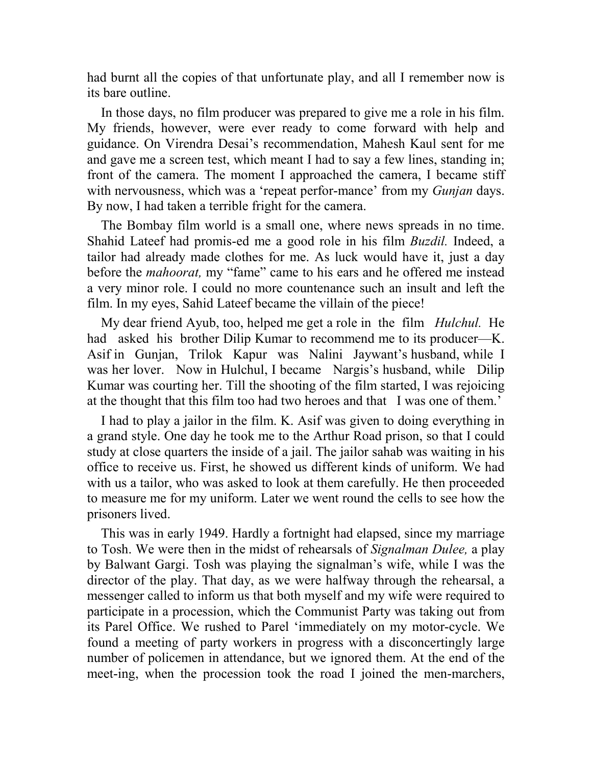had burnt all the copies of that unfortunate play, and all I remember now is its bare outline.

In those days, no film producer was prepared to give me a role in his film. My friends, however, were ever ready to come forward with help and guidance. On Virendra Desai's recommendation, Mahesh Kaul sent for me and gave me a screen test, which meant I had to say a few lines, standing in; front of the camera. The moment I approached the camera, I became stiff with nervousness, which was a 'repeat perfor-mance' from my *Gunjan* days. By now, I had taken a terrible fright for the camera.

The Bombay film world is a small one, where news spreads in no time. Shahid Lateef had promis-ed me a good role in his film *Buzdil.* Indeed, a tailor had already made clothes for me. As luck would have it, just a day before the *mahoorat,* my "fame" came to his ears and he offered me instead a very minor role. I could no more countenance such an insult and left the film. In my eyes, Sahid Lateef became the villain of the piece!

My dear friend Ayub, too, helped me get a role in the film *Hulchul.* He had asked his brother Dilip Kumar to recommend me to its producer—K. Asif in Gunjan, Trilok Kapur was Nalini Jaywant's husband, while I was her lover. Now in Hulchul, I became Nargis's husband, while Dilip Kumar was courting her. Till the shooting of the film started, I was rejoicing at the thought that this film too had two heroes and that I was one of them.'

I had to play a jailor in the film. K. Asif was given to doing everything in a grand style. One day he took me to the Arthur Road prison, so that I could study at close quarters the inside of a jail. The jailor sahab was waiting in his office to receive us. First, he showed us different kinds of uniform. We had with us a tailor, who was asked to look at them carefully. He then proceeded to measure me for my uniform. Later we went round the cells to see how the prisoners lived.

This was in early 1949. Hardly a fortnight had elapsed, since my marriage to Tosh. We were then in the midst of rehearsals of *Signalman Dulee,* a play by Balwant Gargi. Tosh was playing the signalman's wife, while I was the director of the play. That day, as we were halfway through the rehearsal, a messenger called to inform us that both myself and my wife were required to participate in a procession, which the Communist Party was taking out from its Parel Office. We rushed to Parel 'immediately on my motor-cycle. We found a meeting of party workers in progress with a disconcertingly large number of policemen in attendance, but we ignored them. At the end of the meet-ing, when the procession took the road I joined the men-marchers,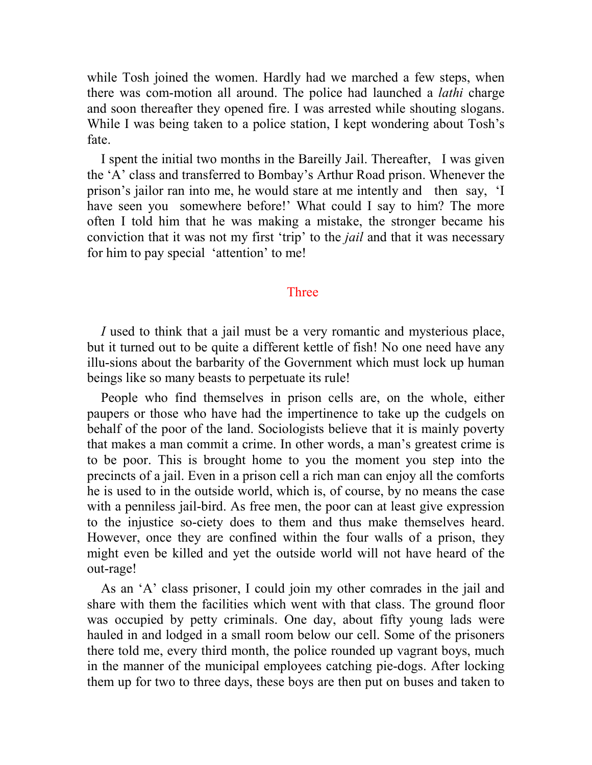while Tosh joined the women. Hardly had we marched a few steps, when there was com-motion all around. The police had launched a *lathi* charge and soon thereafter they opened fire. I was arrested while shouting slogans. While I was being taken to a police station, I kept wondering about Tosh's fate.

I spent the initial two months in the Bareilly Jail. Thereafter, I was given the 'A' class and transferred to Bombay's Arthur Road prison. Whenever the prison's jailor ran into me, he would stare at me intently and then say, 'I have seen you somewhere before!' What could I say to him? The more often I told him that he was making a mistake, the stronger became his conviction that it was not my first 'trip' to the *jail* and that it was necessary for him to pay special 'attention' to me!

## Three

*I* used to think that a jail must be a very romantic and mysterious place, but it turned out to be quite a different kettle of fish! No one need have any illu-sions about the barbarity of the Government which must lock up human beings like so many beasts to perpetuate its rule!

People who find themselves in prison cells are, on the whole, either paupers or those who have had the impertinence to take up the cudgels on behalf of the poor of the land. Sociologists believe that it is mainly poverty that makes a man commit a crime. In other words, a man's greatest crime is to be poor. This is brought home to you the moment you step into the precincts of a jail. Even in a prison cell a rich man can enjoy all the comforts he is used to in the outside world, which is, of course, by no means the case with a penniless jail-bird. As free men, the poor can at least give expression to the injustice so-ciety does to them and thus make themselves heard. However, once they are confined within the four walls of a prison, they might even be killed and yet the outside world will not have heard of the out-rage!

As an 'A' class prisoner, I could join my other comrades in the jail and share with them the facilities which went with that class. The ground floor was occupied by petty criminals. One day, about fifty young lads were hauled in and lodged in a small room below our cell. Some of the prisoners there told me, every third month, the police rounded up vagrant boys, much in the manner of the municipal employees catching pie-dogs. After locking them up for two to three days, these boys are then put on buses and taken to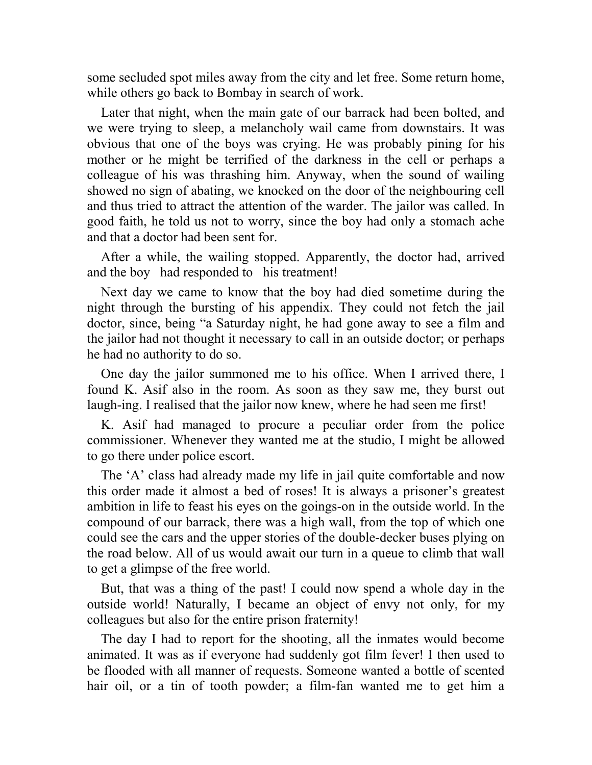some secluded spot miles away from the city and let free. Some return home, while others go back to Bombay in search of work.

Later that night, when the main gate of our barrack had been bolted, and we were trying to sleep, a melancholy wail came from downstairs. It was obvious that one of the boys was crying. He was probably pining for his mother or he might be terrified of the darkness in the cell or perhaps a colleague of his was thrashing him. Anyway, when the sound of wailing showed no sign of abating, we knocked on the door of the neighbouring cell and thus tried to attract the attention of the warder. The jailor was called. In good faith, he told us not to worry, since the boy had only a stomach ache and that a doctor had been sent for.

After a while, the wailing stopped. Apparently, the doctor had, arrived and the boy had responded to his treatment!

Next day we came to know that the boy had died sometime during the night through the bursting of his appendix. They could not fetch the jail doctor, since, being "a Saturday night, he had gone away to see a film and the jailor had not thought it necessary to call in an outside doctor; or perhaps he had no authority to do so.

One day the jailor summoned me to his office. When I arrived there, I found K. Asif also in the room. As soon as they saw me, they burst out laugh-ing. I realised that the jailor now knew, where he had seen me first!

K. Asif had managed to procure a peculiar order from the police commissioner. Whenever they wanted me at the studio, I might be allowed to go there under police escort.

The 'A' class had already made my life in jail quite comfortable and now this order made it almost a bed of roses! It is always a prisoner's greatest ambition in life to feast his eyes on the goings-on in the outside world. In the compound of our barrack, there was a high wall, from the top of which one could see the cars and the upper stories of the double-decker buses plying on the road below. All of us would await our turn in a queue to climb that wall to get a glimpse of the free world.

But, that was a thing of the past! I could now spend a whole day in the outside world! Naturally, I became an object of envy not only, for my colleagues but also for the entire prison fraternity!

The day I had to report for the shooting, all the inmates would become animated. It was as if everyone had suddenly got film fever! I then used to be flooded with all manner of requests. Someone wanted a bottle of scented hair oil, or a tin of tooth powder; a film-fan wanted me to get him a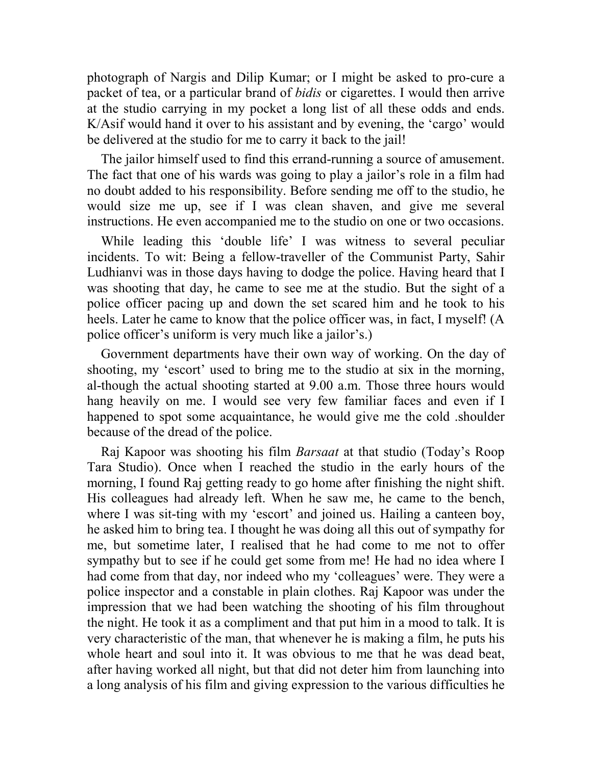photograph of Nargis and Dilip Kumar; or I might be asked to pro-cure a packet of tea, or a particular brand of *bidis* or cigarettes. I would then arrive at the studio carrying in my pocket a long list of all these odds and ends. K/Asif would hand it over to his assistant and by evening, the 'cargo' would be delivered at the studio for me to carry it back to the jail!

The jailor himself used to find this errand-running a source of amusement. The fact that one of his wards was going to play a jailor's role in a film had no doubt added to his responsibility. Before sending me off to the studio, he would size me up, see if I was clean shaven, and give me several instructions. He even accompanied me to the studio on one or two occasions.

While leading this 'double life' I was witness to several peculiar incidents. To wit: Being a fellow-traveller of the Communist Party, Sahir Ludhianvi was in those days having to dodge the police. Having heard that I was shooting that day, he came to see me at the studio. But the sight of a police officer pacing up and down the set scared him and he took to his heels. Later he came to know that the police officer was, in fact, I myself! (A police officer's uniform is very much like a jailor's.)

Government departments have their own way of working. On the day of shooting, my 'escort' used to bring me to the studio at six in the morning, al-though the actual shooting started at 9.00 a.m. Those three hours would hang heavily on me. I would see very few familiar faces and even if I happened to spot some acquaintance, he would give me the cold .shoulder because of the dread of the police.

Raj Kapoor was shooting his film *Barsaat* at that studio (Today's Roop Tara Studio). Once when I reached the studio in the early hours of the morning, I found Raj getting ready to go home after finishing the night shift. His colleagues had already left. When he saw me, he came to the bench, where I was sit-ting with my 'escort' and joined us. Hailing a canteen boy, he asked him to bring tea. I thought he was doing all this out of sympathy for me, but sometime later, I realised that he had come to me not to offer sympathy but to see if he could get some from me! He had no idea where I had come from that day, nor indeed who my 'colleagues' were. They were a police inspector and a constable in plain clothes. Raj Kapoor was under the impression that we had been watching the shooting of his film throughout the night. He took it as a compliment and that put him in a mood to talk. It is very characteristic of the man, that whenever he is making a film, he puts his whole heart and soul into it. It was obvious to me that he was dead beat, after having worked all night, but that did not deter him from launching into a long analysis of his film and giving expression to the various difficulties he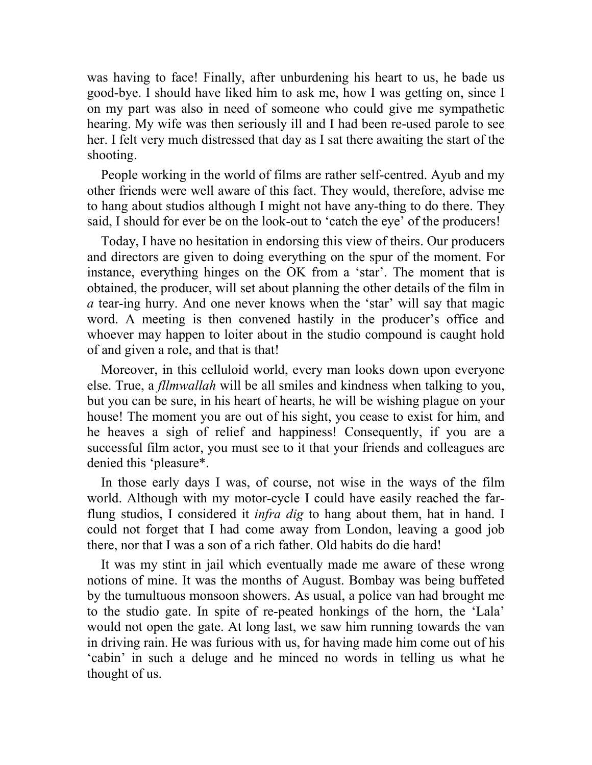was having to face! Finally, after unburdening his heart to us, he bade us good-bye. I should have liked him to ask me, how I was getting on, since I on my part was also in need of someone who could give me sympathetic hearing. My wife was then seriously ill and I had been re-used parole to see her. I felt very much distressed that day as I sat there awaiting the start of the shooting.

People working in the world of films are rather self-centred. Ayub and my other friends were well aware of this fact. They would, therefore, advise me to hang about studios although I might not have any-thing to do there. They said, I should for ever be on the look-out to 'catch the eye' of the producers!

Today, I have no hesitation in endorsing this view of theirs. Our producers and directors are given to doing everything on the spur of the moment. For instance, everything hinges on the OK from a 'star'. The moment that is obtained, the producer, will set about planning the other details of the film in *a* tear-ing hurry. And one never knows when the 'star' will say that magic word. A meeting is then convened hastily in the producer's office and whoever may happen to loiter about in the studio compound is caught hold of and given a role, and that is that!

Moreover, in this celluloid world, every man looks down upon everyone else. True, a *fllmwallah* will be all smiles and kindness when talking to you, but you can be sure, in his heart of hearts, he will be wishing plague on your house! The moment you are out of his sight, you cease to exist for him, and he heaves a sigh of relief and happiness! Consequently, if you are a successful film actor, you must see to it that your friends and colleagues are denied this 'pleasure\*.

In those early days I was, of course, not wise in the ways of the film world. Although with my motor-cycle I could have easily reached the farflung studios, I considered it *infra dig* to hang about them, hat in hand. I could not forget that I had come away from London, leaving a good job there, nor that I was a son of a rich father. Old habits do die hard!

It was my stint in jail which eventually made me aware of these wrong notions of mine. It was the months of August. Bombay was being buffeted by the tumultuous monsoon showers. As usual, a police van had brought me to the studio gate. In spite of re-peated honkings of the horn, the 'Lala' would not open the gate. At long last, we saw him running towards the van in driving rain. He was furious with us, for having made him come out of his 'cabin' in such a deluge and he minced no words in telling us what he thought of us.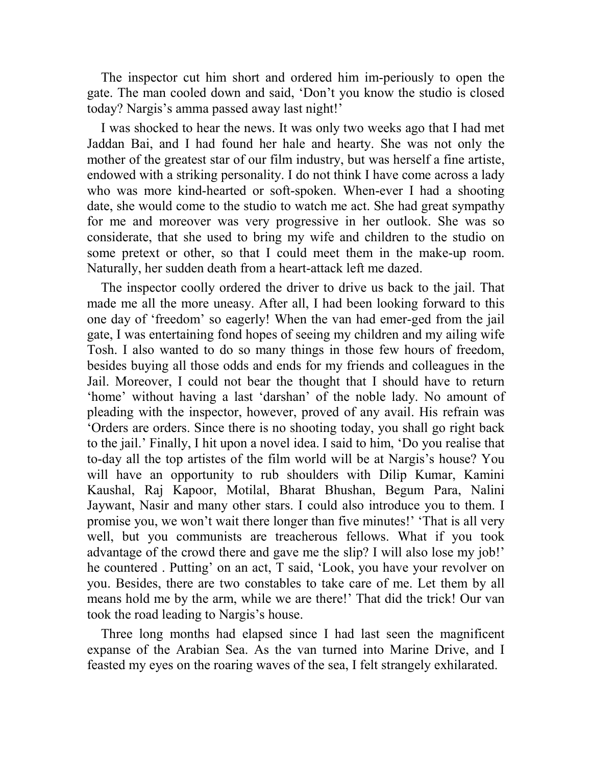The inspector cut him short and ordered him im-periously to open the gate. The man cooled down and said, 'Don't you know the studio is closed today? Nargis's amma passed away last night!'

I was shocked to hear the news. It was only two weeks ago that I had met Jaddan Bai, and I had found her hale and hearty. She was not only the mother of the greatest star of our film industry, but was herself a fine artiste, endowed with a striking personality. I do not think I have come across a lady who was more kind-hearted or soft-spoken. When-ever I had a shooting date, she would come to the studio to watch me act. She had great sympathy for me and moreover was very progressive in her outlook. She was so considerate, that she used to bring my wife and children to the studio on some pretext or other, so that I could meet them in the make-up room. Naturally, her sudden death from a heart-attack left me dazed.

The inspector coolly ordered the driver to drive us back to the jail. That made me all the more uneasy. After all, I had been looking forward to this one day of 'freedom' so eagerly! When the van had emer-ged from the jail gate, I was entertaining fond hopes of seeing my children and my ailing wife Tosh. I also wanted to do so many things in those few hours of freedom, besides buying all those odds and ends for my friends and colleagues in the Jail. Moreover, I could not bear the thought that I should have to return 'home' without having a last 'darshan' of the noble lady. No amount of pleading with the inspector, however, proved of any avail. His refrain was 'Orders are orders. Since there is no shooting today, you shall go right back to the jail.' Finally, I hit upon a novel idea. I said to him, 'Do you realise that to-day all the top artistes of the film world will be at Nargis's house? You will have an opportunity to rub shoulders with Dilip Kumar, Kamini Kaushal, Raj Kapoor, Motilal, Bharat Bhushan, Begum Para, Nalini Jaywant, Nasir and many other stars. I could also introduce you to them. I promise you, we won't wait there longer than five minutes!' 'That is all very well, but you communists are treacherous fellows. What if you took advantage of the crowd there and gave me the slip? I will also lose my job!' he countered . Putting' on an act, T said, 'Look, you have your revolver on you. Besides, there are two constables to take care of me. Let them by all means hold me by the arm, while we are there!' That did the trick! Our van took the road leading to Nargis's house.

Three long months had elapsed since I had last seen the magnificent expanse of the Arabian Sea. As the van turned into Marine Drive, and I feasted my eyes on the roaring waves of the sea, I felt strangely exhilarated.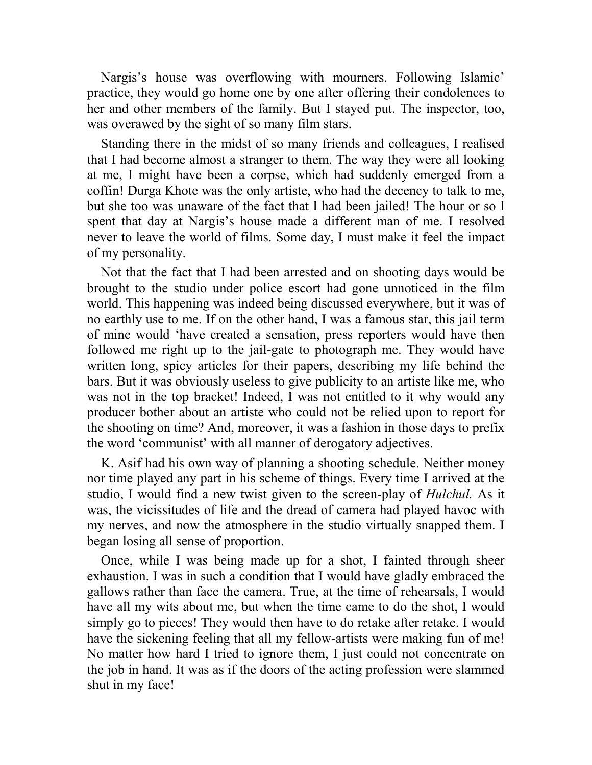Nargis's house was overflowing with mourners. Following Islamic' practice, they would go home one by one after offering their condolences to her and other members of the family. But I stayed put. The inspector, too, was overawed by the sight of so many film stars.

Standing there in the midst of so many friends and colleagues, I realised that I had become almost a stranger to them. The way they were all looking at me, I might have been a corpse, which had suddenly emerged from a coffin! Durga Khote was the only artiste, who had the decency to talk to me, but she too was unaware of the fact that I had been jailed! The hour or so I spent that day at Nargis's house made a different man of me. I resolved never to leave the world of films. Some day, I must make it feel the impact of my personality.

Not that the fact that I had been arrested and on shooting days would be brought to the studio under police escort had gone unnoticed in the film world. This happening was indeed being discussed everywhere, but it was of no earthly use to me. If on the other hand, I was a famous star, this jail term of mine would 'have created a sensation, press reporters would have then followed me right up to the jail-gate to photograph me. They would have written long, spicy articles for their papers, describing my life behind the bars. But it was obviously useless to give publicity to an artiste like me, who was not in the top bracket! Indeed, I was not entitled to it why would any producer bother about an artiste who could not be relied upon to report for the shooting on time? And, moreover, it was a fashion in those days to prefix the word 'communist' with all manner of derogatory adjectives.

K. Asif had his own way of planning a shooting schedule. Neither money nor time played any part in his scheme of things. Every time I arrived at the studio, I would find a new twist given to the screen-play of *Hulchul.* As it was, the vicissitudes of life and the dread of camera had played havoc with my nerves, and now the atmosphere in the studio virtually snapped them. I began losing all sense of proportion.

Once, while I was being made up for a shot, I fainted through sheer exhaustion. I was in such a condition that I would have gladly embraced the gallows rather than face the camera. True, at the time of rehearsals, I would have all my wits about me, but when the time came to do the shot, I would simply go to pieces! They would then have to do retake after retake. I would have the sickening feeling that all my fellow-artists were making fun of me! No matter how hard I tried to ignore them, I just could not concentrate on the job in hand. It was as if the doors of the acting profession were slammed shut in my face!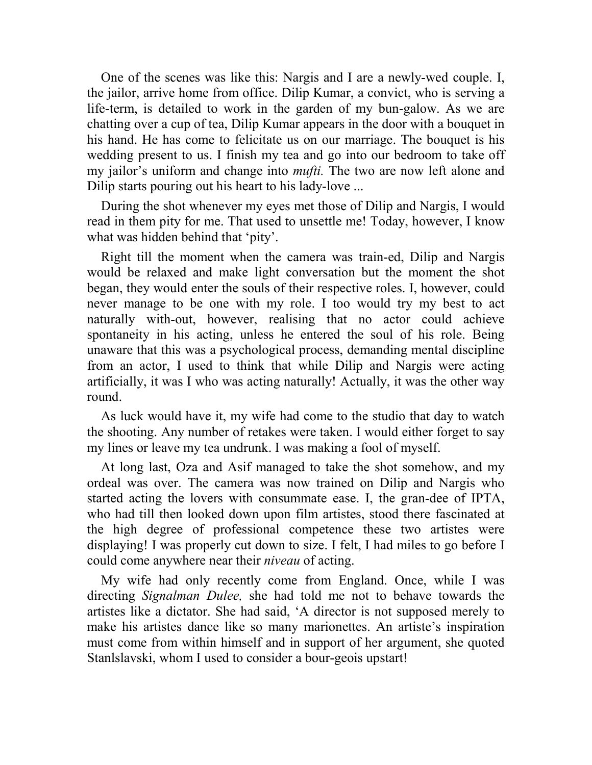One of the scenes was like this: Nargis and I are a newly-wed couple. I, the jailor, arrive home from office. Dilip Kumar, a convict, who is serving a life-term, is detailed to work in the garden of my bun-galow. As we are chatting over a cup of tea, Dilip Kumar appears in the door with a bouquet in his hand. He has come to felicitate us on our marriage. The bouquet is his wedding present to us. I finish my tea and go into our bedroom to take off my jailor's uniform and change into *mufti.* The two are now left alone and Dilip starts pouring out his heart to his lady-love ...

During the shot whenever my eyes met those of Dilip and Nargis, I would read in them pity for me. That used to unsettle me! Today, however, I know what was hidden behind that 'pity'.

Right till the moment when the camera was train-ed, Dilip and Nargis would be relaxed and make light conversation but the moment the shot began, they would enter the souls of their respective roles. I, however, could never manage to be one with my role. I too would try my best to act naturally with-out, however, realising that no actor could achieve spontaneity in his acting, unless he entered the soul of his role. Being unaware that this was a psychological process, demanding mental discipline from an actor, I used to think that while Dilip and Nargis were acting artificially, it was I who was acting naturally! Actually, it was the other way round.

As luck would have it, my wife had come to the studio that day to watch the shooting. Any number of retakes were taken. I would either forget to say my lines or leave my tea undrunk. I was making a fool of myself.

At long last, Oza and Asif managed to take the shot somehow, and my ordeal was over. The camera was now trained on Dilip and Nargis who started acting the lovers with consummate ease. I, the gran-dee of IPTA, who had till then looked down upon film artistes, stood there fascinated at the high degree of professional competence these two artistes were displaying! I was properly cut down to size. I felt, I had miles to go before I could come anywhere near their *niveau* of acting.

My wife had only recently come from England. Once, while I was directing *Signalman Dulee,* she had told me not to behave towards the artistes like a dictator. She had said, 'A director is not supposed merely to make his artistes dance like so many marionettes. An artiste's inspiration must come from within himself and in support of her argument, she quoted Stanlslavski, whom I used to consider a bour-geois upstart!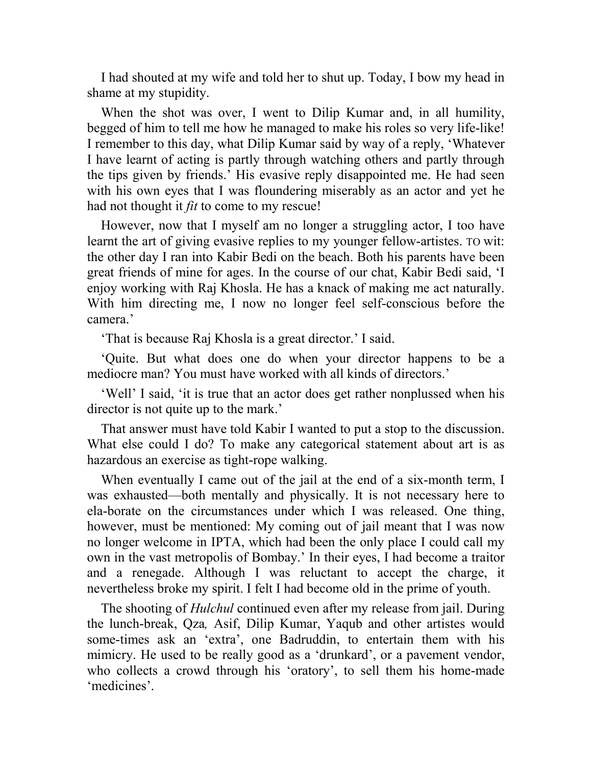I had shouted at my wife and told her to shut up. Today, I bow my head in shame at my stupidity.

When the shot was over, I went to Dilip Kumar and, in all humility, begged of him to tell me how he managed to make his roles so very life-like! I remember to this day, what Dilip Kumar said by way of a reply, 'Whatever I have learnt of acting is partly through watching others and partly through the tips given by friends.' His evasive reply disappointed me. He had seen with his own eyes that I was floundering miserably as an actor and yet he had not thought it *fit* to come to my rescue!

However, now that I myself am no longer a struggling actor, I too have learnt the art of giving evasive replies to my younger fellow-artistes. TO wit: the other day I ran into Kabir Bedi on the beach. Both his parents have been great friends of mine for ages. In the course of our chat, Kabir Bedi said, 'I enjoy working with Raj Khosla. He has a knack of making me act naturally. With him directing me, I now no longer feel self-conscious before the camera.'

'That is because Raj Khosla is a great director.' I said.

'Quite. But what does one do when your director happens to be a mediocre man? You must have worked with all kinds of directors.'

'Well' I said, 'it is true that an actor does get rather nonplussed when his director is not quite up to the mark.'

That answer must have told Kabir I wanted to put a stop to the discussion. What else could I do? To make any categorical statement about art is as hazardous an exercise as tight-rope walking.

When eventually I came out of the jail at the end of a six-month term, I was exhausted—both mentally and physically. It is not necessary here to ela-borate on the circumstances under which I was released. One thing, however, must be mentioned: My coming out of jail meant that I was now no longer welcome in IPTA, which had been the only place I could call my own in the vast metropolis of Bombay.' In their eyes, I had become a traitor and a renegade. Although I was reluctant to accept the charge, it nevertheless broke my spirit. I felt I had become old in the prime of youth.

The shooting of *Hulchul* continued even after my release from jail. During the lunch-break, Qza*,* Asif, Dilip Kumar, Yaqub and other artistes would some-times ask an 'extra', one Badruddin, to entertain them with his mimicry. He used to be really good as a 'drunkard', or a pavement vendor, who collects a crowd through his 'oratory', to sell them his home-made 'medicines'.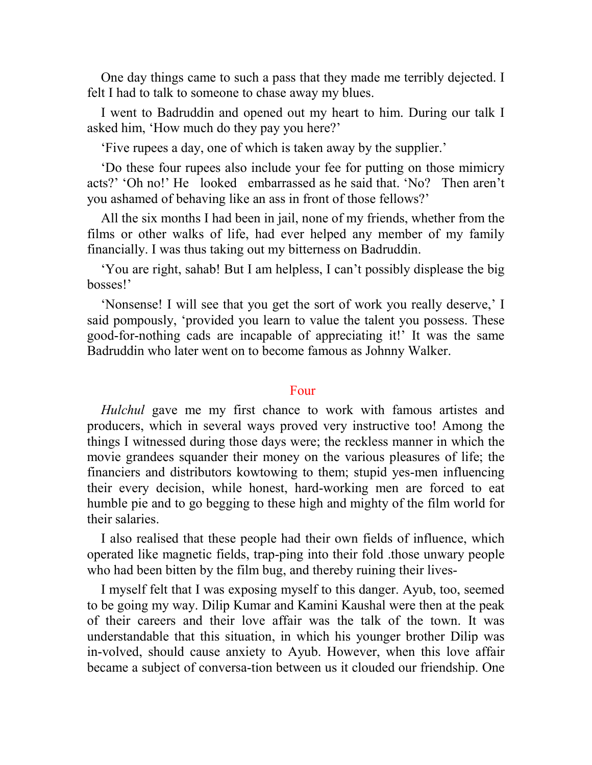One day things came to such a pass that they made me terribly dejected. I felt I had to talk to someone to chase away my blues.

I went to Badruddin and opened out my heart to him. During our talk I asked him, 'How much do they pay you here?'

'Five rupees a day, one of which is taken away by the supplier.'

'Do these four rupees also include your fee for putting on those mimicry acts?' 'Oh no!' He looked embarrassed as he said that. 'No? Then aren't you ashamed of behaving like an ass in front of those fellows?'

All the six months I had been in jail, none of my friends, whether from the films or other walks of life, had ever helped any member of my family financially. I was thus taking out my bitterness on Badruddin.

'You are right, sahab! But I am helpless, I can't possibly displease the big bosses!'

'Nonsense! I will see that you get the sort of work you really deserve,' I said pompously, 'provided you learn to value the talent you possess. These good-for-nothing cads are incapable of appreciating it!' It was the same Badruddin who later went on to become famous as Johnny Walker.

# Four

*Hulchul* gave me my first chance to work with famous artistes and producers, which in several ways proved very instructive too! Among the things I witnessed during those days were; the reckless manner in which the movie grandees squander their money on the various pleasures of life; the financiers and distributors kowtowing to them; stupid yes-men influencing their every decision, while honest, hard-working men are forced to eat humble pie and to go begging to these high and mighty of the film world for their salaries.

I also realised that these people had their own fields of influence, which operated like magnetic fields, trap-ping into their fold .those unwary people who had been bitten by the film bug, and thereby ruining their lives-

I myself felt that I was exposing myself to this danger. Ayub, too, seemed to be going my way. Dilip Kumar and Kamini Kaushal were then at the peak of their careers and their love affair was the talk of the town. It was understandable that this situation, in which his younger brother Dilip was in-volved, should cause anxiety to Ayub. However, when this love affair became a subject of conversa-tion between us it clouded our friendship. One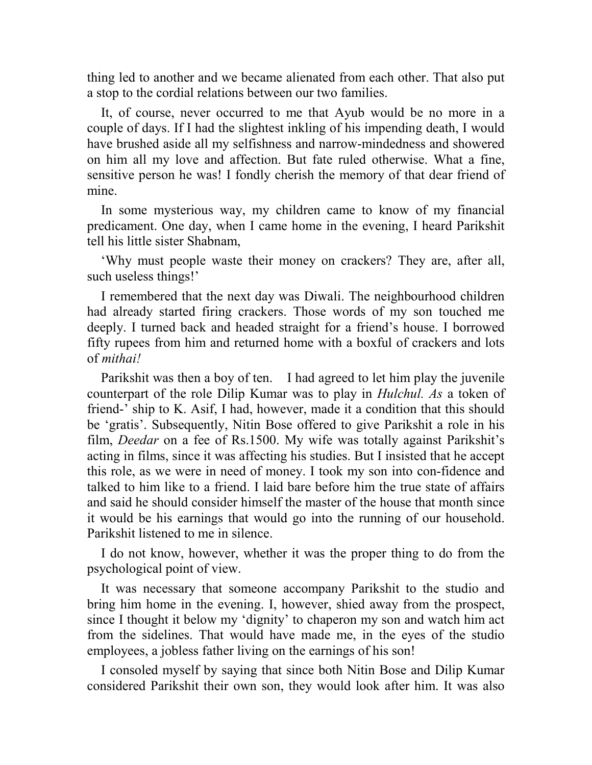thing led to another and we became alienated from each other. That also put a stop to the cordial relations between our two families.

It, of course, never occurred to me that Ayub would be no more in a couple of days. If I had the slightest inkling of his impending death, I would have brushed aside all my selfishness and narrow-mindedness and showered on him all my love and affection. But fate ruled otherwise. What a fine, sensitive person he was! I fondly cherish the memory of that dear friend of mine.

In some mysterious way, my children came to know of my financial predicament. One day, when I came home in the evening, I heard Parikshit tell his little sister Shabnam,

'Why must people waste their money on crackers? They are, after all, such useless things!'

I remembered that the next day was Diwali. The neighbourhood children had already started firing crackers. Those words of my son touched me deeply. I turned back and headed straight for a friend's house. I borrowed fifty rupees from him and returned home with a boxful of crackers and lots of *mithai!*

Parikshit was then a boy of ten. I had agreed to let him play the juvenile counterpart of the role Dilip Kumar was to play in *Hulchul. As* a token of friend-' ship to K. Asif, I had, however, made it a condition that this should be 'gratis'. Subsequently, Nitin Bose offered to give Parikshit a role in his film, *Deedar* on a fee of Rs.1500. My wife was totally against Parikshit's acting in films, since it was affecting his studies. But I insisted that he accept this role, as we were in need of money. I took my son into con-fidence and talked to him like to a friend. I laid bare before him the true state of affairs and said he should consider himself the master of the house that month since it would be his earnings that would go into the running of our household. Parikshit listened to me in silence.

I do not know, however, whether it was the proper thing to do from the psychological point of view.

It was necessary that someone accompany Parikshit to the studio and bring him home in the evening. I, however, shied away from the prospect, since I thought it below my 'dignity' to chaperon my son and watch him act from the sidelines. That would have made me, in the eyes of the studio employees, a jobless father living on the earnings of his son!

I consoled myself by saying that since both Nitin Bose and Dilip Kumar considered Parikshit their own son, they would look after him. It was also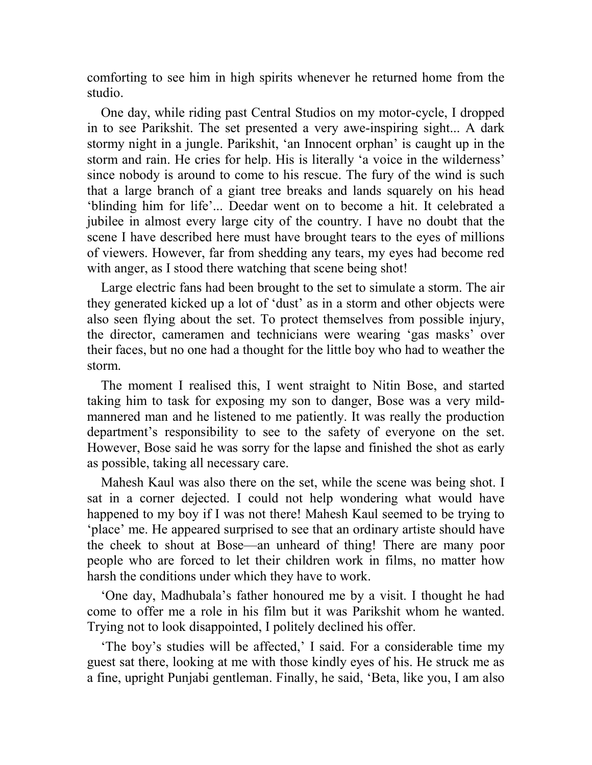comforting to see him in high spirits whenever he returned home from the studio.

One day, while riding past Central Studios on my motor-cycle, I dropped in to see Parikshit. The set presented a very awe-inspiring sight... A dark stormy night in a jungle. Parikshit, 'an Innocent orphan' is caught up in the storm and rain. He cries for help. His is literally 'a voice in the wilderness' since nobody is around to come to his rescue. The fury of the wind is such that a large branch of a giant tree breaks and lands squarely on his head 'blinding him for life'... Deedar went on to become a hit. It celebrated a jubilee in almost every large city of the country. I have no doubt that the scene I have described here must have brought tears to the eyes of millions of viewers. However, far from shedding any tears, my eyes had become red with anger, as I stood there watching that scene being shot!

Large electric fans had been brought to the set to simulate a storm. The air they generated kicked up a lot of 'dust' as in a storm and other objects were also seen flying about the set. To protect themselves from possible injury, the director, cameramen and technicians were wearing 'gas masks' over their faces, but no one had a thought for the little boy who had to weather the storm.

The moment I realised this, I went straight to Nitin Bose, and started taking him to task for exposing my son to danger, Bose was a very mildmannered man and he listened to me patiently. It was really the production department's responsibility to see to the safety of everyone on the set. However, Bose said he was sorry for the lapse and finished the shot as early as possible, taking all necessary care.

Mahesh Kaul was also there on the set, while the scene was being shot. I sat in a corner dejected. I could not help wondering what would have happened to my boy if I was not there! Mahesh Kaul seemed to be trying to 'place' me. He appeared surprised to see that an ordinary artiste should have the cheek to shout at Bose—an unheard of thing! There are many poor people who are forced to let their children work in films, no matter how harsh the conditions under which they have to work.

'One day, Madhubala's father honoured me by a visit. I thought he had come to offer me a role in his film but it was Parikshit whom he wanted. Trying not to look disappointed, I politely declined his offer.

'The boy's studies will be affected,' I said. For a considerable time my guest sat there, looking at me with those kindly eyes of his. He struck me as a fine, upright Punjabi gentleman. Finally, he said, 'Beta, like you, I am also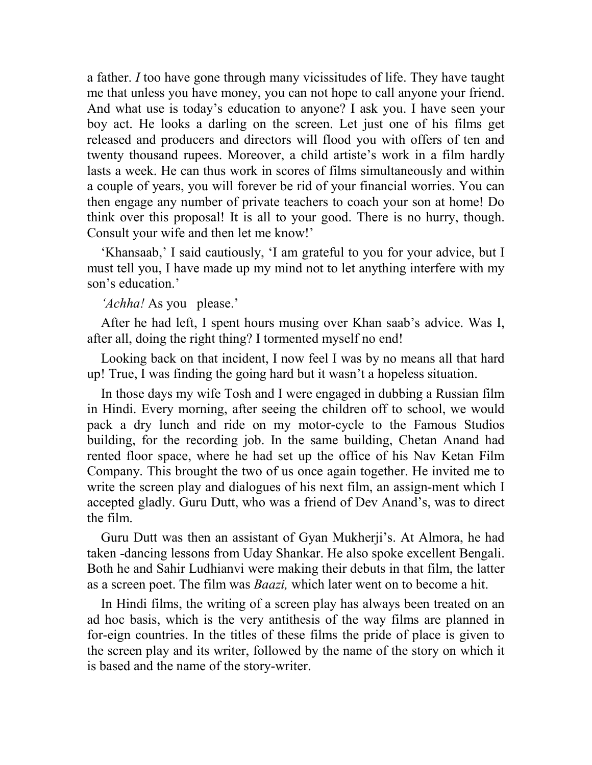a father. *I* too have gone through many vicissitudes of life. They have taught me that unless you have money, you can not hope to call anyone your friend. And what use is today's education to anyone? I ask you. I have seen your boy act. He looks a darling on the screen. Let just one of his films get released and producers and directors will flood you with offers of ten and twenty thousand rupees. Moreover, a child artiste's work in a film hardly lasts a week. He can thus work in scores of films simultaneously and within a couple of years, you will forever be rid of your financial worries. You can then engage any number of private teachers to coach your son at home! Do think over this proposal! It is all to your good. There is no hurry, though. Consult your wife and then let me know!'

'Khansaab,' I said cautiously, 'I am grateful to you for your advice, but I must tell you, I have made up my mind not to let anything interfere with my son's education.'

*'Achha!* As you please.'

After he had left, I spent hours musing over Khan saab's advice. Was I, after all, doing the right thing? I tormented myself no end!

Looking back on that incident, I now feel I was by no means all that hard up! True, I was finding the going hard but it wasn't a hopeless situation.

In those days my wife Tosh and I were engaged in dubbing a Russian film in Hindi. Every morning, after seeing the children off to school, we would pack a dry lunch and ride on my motor-cycle to the Famous Studios building, for the recording job. In the same building, Chetan Anand had rented floor space, where he had set up the office of his Nav Ketan Film Company. This brought the two of us once again together. He invited me to write the screen play and dialogues of his next film, an assign-ment which I accepted gladly. Guru Dutt, who was a friend of Dev Anand's, was to direct the film.

Guru Dutt was then an assistant of Gyan Mukherji's. At Almora, he had taken -dancing lessons from Uday Shankar. He also spoke excellent Bengali. Both he and Sahir Ludhianvi were making their debuts in that film, the latter as a screen poet. The film was *Baazi,* which later went on to become a hit.

In Hindi films, the writing of a screen play has always been treated on an ad hoc basis, which is the very antithesis of the way films are planned in for-eign countries. In the titles of these films the pride of place is given to the screen play and its writer, followed by the name of the story on which it is based and the name of the story-writer.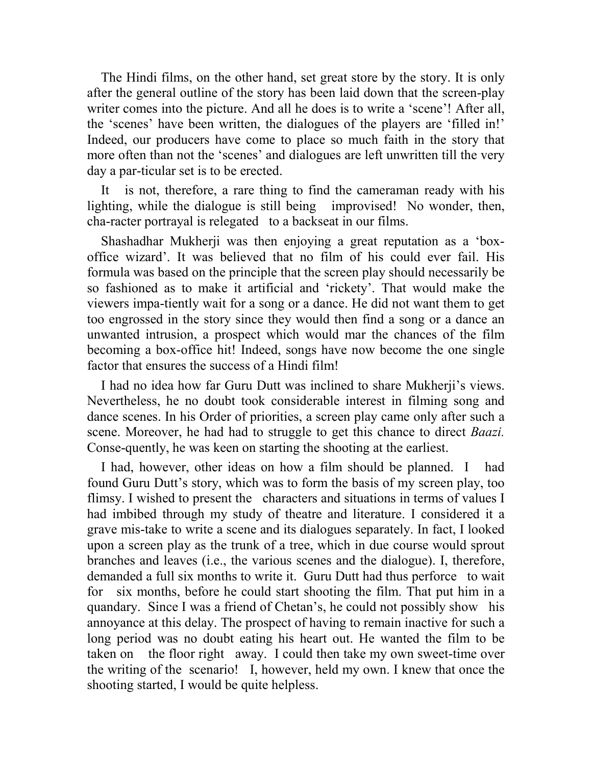The Hindi films, on the other hand, set great store by the story. It is only after the general outline of the story has been laid down that the screen-play writer comes into the picture. And all he does is to write a 'scene'! After all, the 'scenes' have been written, the dialogues of the players are 'filled in!' Indeed, our producers have come to place so much faith in the story that more often than not the 'scenes' and dialogues are left unwritten till the very day a par-ticular set is to be erected.

It is not, therefore, a rare thing to find the cameraman ready with his lighting, while the dialogue is still being improvised! No wonder, then, cha-racter portrayal is relegated to a backseat in our films.

Shashadhar Mukherji was then enjoying a great reputation as a 'boxoffice wizard'. It was believed that no film of his could ever fail. His formula was based on the principle that the screen play should necessarily be so fashioned as to make it artificial and 'rickety'. That would make the viewers impa-tiently wait for a song or a dance. He did not want them to get too engrossed in the story since they would then find a song or a dance an unwanted intrusion, a prospect which would mar the chances of the film becoming a box-office hit! Indeed, songs have now become the one single factor that ensures the success of a Hindi film!

I had no idea how far Guru Dutt was inclined to share Mukherji's views. Nevertheless, he no doubt took considerable interest in filming song and dance scenes. In his Order of priorities, a screen play came only after such a scene. Moreover, he had had to struggle to get this chance to direct *Baazi.*  Conse-quently, he was keen on starting the shooting at the earliest.

I had, however, other ideas on how a film should be planned. I had found Guru Dutt's story, which was to form the basis of my screen play, too flimsy. I wished to present the characters and situations in terms of values I had imbibed through my study of theatre and literature. I considered it a grave mis-take to write a scene and its dialogues separately. In fact, I looked upon a screen play as the trunk of a tree, which in due course would sprout branches and leaves (i.e., the various scenes and the dialogue). I, therefore, demanded a full six months to write it. Guru Dutt had thus perforce to wait for six months, before he could start shooting the film. That put him in a quandary. Since I was a friend of Chetan's, he could not possibly show his annoyance at this delay. The prospect of having to remain inactive for such a long period was no doubt eating his heart out. He wanted the film to be taken on the floor right away. I could then take my own sweet-time over the writing of the scenario! I, however, held my own. I knew that once the shooting started, I would be quite helpless.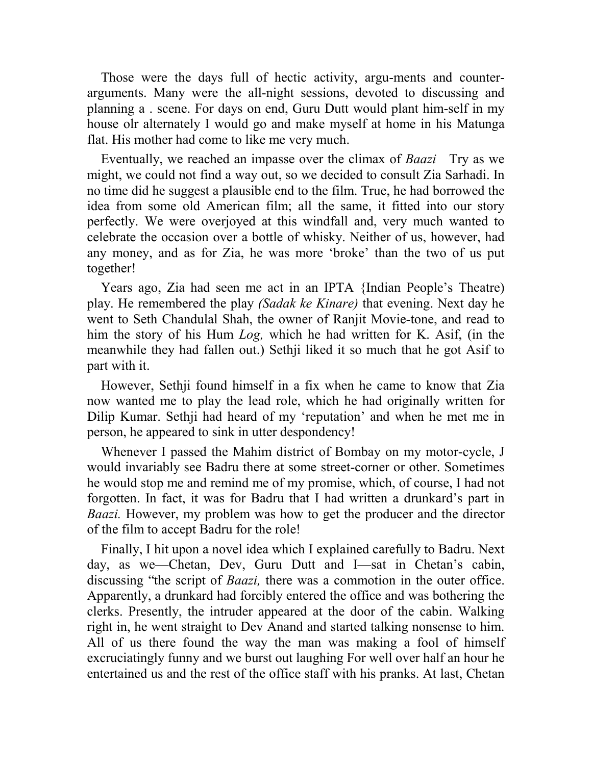Those were the days full of hectic activity, argu-ments and counterarguments. Many were the all-night sessions, devoted to discussing and planning a . scene. For days on end, Guru Dutt would plant him-self in my house olr alternately I would go and make myself at home in his Matunga flat. His mother had come to like me very much.

Eventually, we reached an impasse over the climax of *Baazi* Try as we might, we could not find a way out, so we decided to consult Zia Sarhadi. In no time did he suggest a plausible end to the film. True, he had borrowed the idea from some old American film; all the same, it fitted into our story perfectly. We were overjoyed at this windfall and, very much wanted to celebrate the occasion over a bottle of whisky. Neither of us, however, had any money, and as for Zia, he was more 'broke' than the two of us put together!

Years ago, Zia had seen me act in an IPTA {Indian People's Theatre) play. He remembered the play *(Sadak ke Kinare)* that evening. Next day he went to Seth Chandulal Shah, the owner of Ranjit Movie-tone, and read to him the story of his Hum *Log,* which he had written for K. Asif, (in the meanwhile they had fallen out.) Sethji liked it so much that he got Asif to part with it.

However, Sethji found himself in a fix when he came to know that Zia now wanted me to play the lead role, which he had originally written for Dilip Kumar. Sethji had heard of my 'reputation' and when he met me in person, he appeared to sink in utter despondency!

Whenever I passed the Mahim district of Bombay on my motor-cycle, J would invariably see Badru there at some street-corner or other. Sometimes he would stop me and remind me of my promise, which, of course, I had not forgotten. In fact, it was for Badru that I had written a drunkard's part in *Baazi.* However, my problem was how to get the producer and the director of the film to accept Badru for the role!

Finally, I hit upon a novel idea which I explained carefully to Badru. Next day, as we—Chetan, Dev, Guru Dutt and I—sat in Chetan's cabin, discussing "the script of *Baazi,* there was a commotion in the outer office. Apparently, a drunkard had forcibly entered the office and was bothering the clerks. Presently, the intruder appeared at the door of the cabin. Walking right in, he went straight to Dev Anand and started talking nonsense to him. All of us there found the way the man was making a fool of himself excruciatingly funny and we burst out laughing For well over half an hour he entertained us and the rest of the office staff with his pranks. At last, Chetan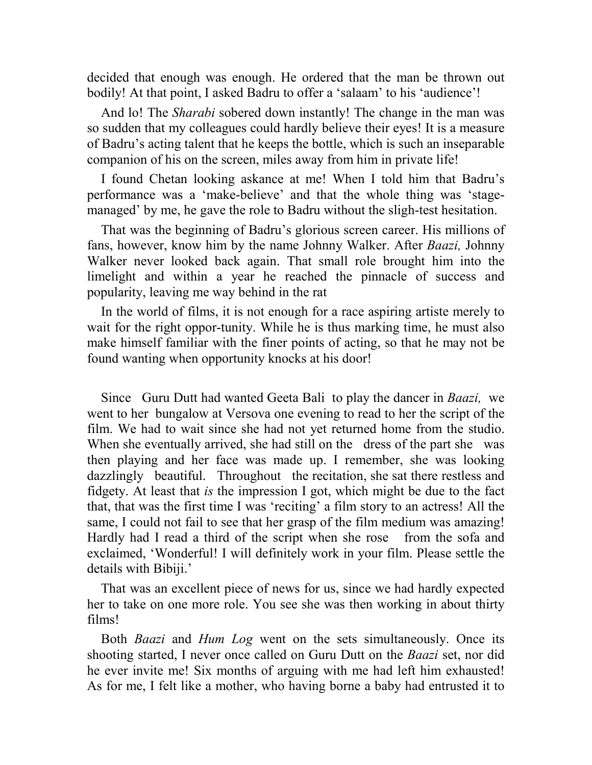decided that enough was enough. He ordered that the man be thrown out bodily! At that point, I asked Badru to offer a 'salaam' to his 'audience'!

And lo! The *Sharabi* sobered down instantly! The change in the man was so sudden that my colleagues could hardly believe their eyes! It is a measure of Badru's acting talent that he keeps the bottle, which is such an inseparable companion of his on the screen, miles away from him in private life!

I found Chetan looking askance at me! When I told him that Badru's performance was a 'make-believe' and that the whole thing was 'stagemanaged' by me, he gave the role to Badru without the sligh-test hesitation.

That was the beginning of Badru's glorious screen career. His millions of fans, however, know him by the name Johnny Walker. After *Baazi,* Johnny Walker never looked back again. That small role brought him into the limelight and within a year he reached the pinnacle of success and popularity, leaving me way behind in the rat

In the world of films, it is not enough for a race aspiring artiste merely to wait for the right oppor-tunity. While he is thus marking time, he must also make himself familiar with the finer points of acting, so that he may not be found wanting when opportunity knocks at his door!

Since Guru Dutt had wanted Geeta Bali to play the dancer in *Baazi,* we went to her bungalow at Versova one evening to read to her the script of the film. We had to wait since she had not yet returned home from the studio. When she eventually arrived, she had still on the dress of the part she was then playing and her face was made up. I remember, she was looking dazzlingly beautiful. Throughout the recitation, she sat there restless and fidgety. At least that *is* the impression I got, which might be due to the fact that, that was the first time I was 'reciting' a film story to an actress! All the same, I could not fail to see that her grasp of the film medium was amazing! Hardly had I read a third of the script when she rose from the sofa and exclaimed, 'Wonderful! I will definitely work in your film. Please settle the details with Bibiji.'

That was an excellent piece of news for us, since we had hardly expected her to take on one more role. You see she was then working in about thirty films!

Both *Baazi* and *Hum Log* went on the sets simultaneously. Once its shooting started, I never once called on Guru Dutt on the *Baazi* set, nor did he ever invite me! Six months of arguing with me had left him exhausted! As for me, I felt like a mother, who having borne a baby had entrusted it to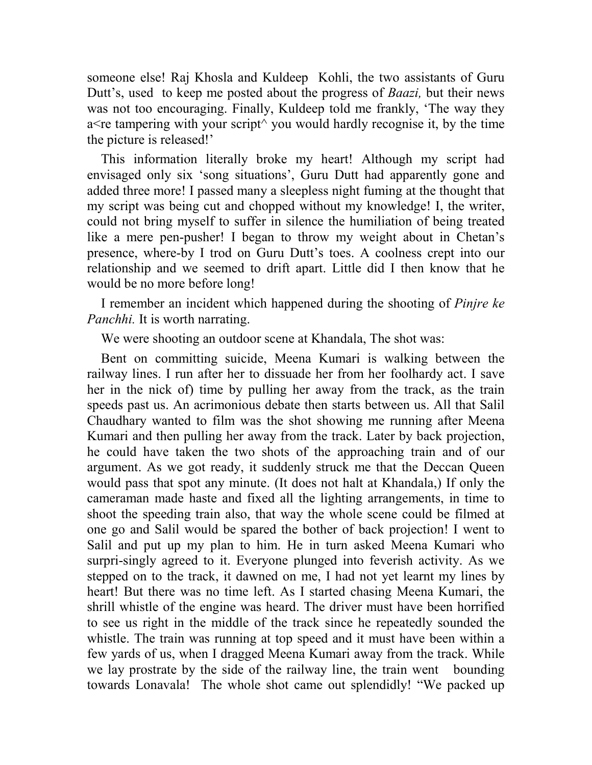someone else! Raj Khosla and Kuldeep Kohli, the two assistants of Guru Dutt's, used to keep me posted about the progress of *Baazi,* but their news was not too encouraging. Finally, Kuldeep told me frankly, 'The way they a<re tampering with your script $\land$  you would hardly recognise it, by the time the picture is released!'

This information literally broke my heart! Although my script had envisaged only six 'song situations', Guru Dutt had apparently gone and added three more! I passed many a sleepless night fuming at the thought that my script was being cut and chopped without my knowledge! I, the writer, could not bring myself to suffer in silence the humiliation of being treated like a mere pen-pusher! I began to throw my weight about in Chetan's presence, where-by I trod on Guru Dutt's toes. A coolness crept into our relationship and we seemed to drift apart. Little did I then know that he would be no more before long!

I remember an incident which happened during the shooting of *Pinjre ke Panchhi.* It is worth narrating.

We were shooting an outdoor scene at Khandala. The shot was:

Bent on committing suicide, Meena Kumari is walking between the railway lines. I run after her to dissuade her from her foolhardy act. I save her in the nick of) time by pulling her away from the track, as the train speeds past us. An acrimonious debate then starts between us. All that Salil Chaudhary wanted to film was the shot showing me running after Meena Kumari and then pulling her away from the track. Later by back projection, he could have taken the two shots of the approaching train and of our argument. As we got ready, it suddenly struck me that the Deccan Queen would pass that spot any minute. (It does not halt at Khandala,) If only the cameraman made haste and fixed all the lighting arrangements, in time to shoot the speeding train also, that way the whole scene could be filmed at one go and Salil would be spared the bother of back projection! I went to Salil and put up my plan to him. He in turn asked Meena Kumari who surpri-singly agreed to it. Everyone plunged into feverish activity. As we stepped on to the track, it dawned on me, I had not yet learnt my lines by heart! But there was no time left. As I started chasing Meena Kumari, the shrill whistle of the engine was heard. The driver must have been horrified to see us right in the middle of the track since he repeatedly sounded the whistle. The train was running at top speed and it must have been within a few yards of us, when I dragged Meena Kumari away from the track. While we lay prostrate by the side of the railway line, the train went bounding towards Lonavala! The whole shot came out splendidly! "We packed up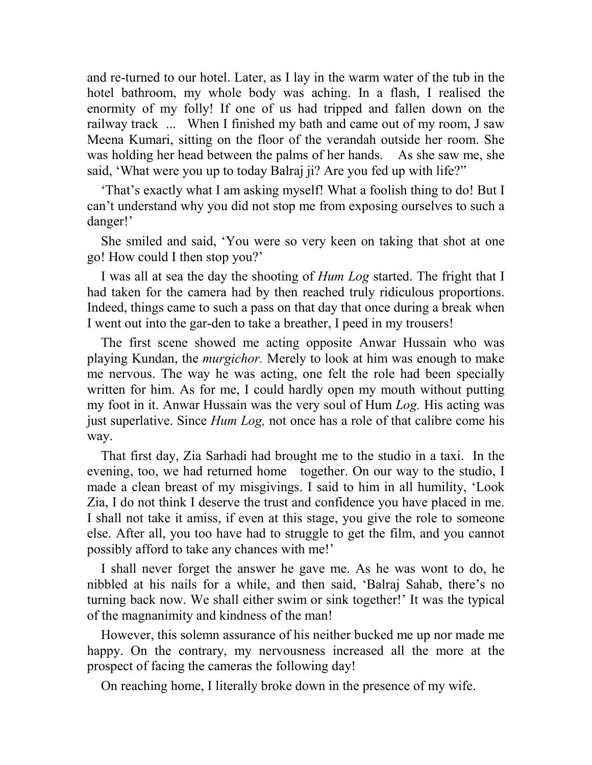and re-turned to our hotel. Later, as I lay in the warm water of the tub in the hotel bathroom, my whole body was aching. In a flash, I realised the enormity of my folly! If one of us had tripped and fallen down on the railway track ... When I finished my bath and came out of my room, J saw Meena Kumari, sitting on the floor of the verandah outside her room. She was holding her head between the palms of her hands. As she saw me, she said, 'What were you up to today Balraj ji? Are you fed up with life?"

'That's exactly what I am asking myself! What a foolish thing to do! But I can't understand why you did not stop me from exposing ourselves to such a danger!'

She smiled and said, 'You were so very keen on taking that shot at one go! How could I then stop you?'

I was all at sea the day the shooting of *Hum Log* started. The fright that I had taken for the camera had by then reached truly ridiculous proportions. Indeed, things came to such a pass on that day that once during a break when I went out into the gar-den to take a breather, I peed in my trousers!

The first scene showed me acting opposite Anwar Hussain who was playing Kundan, the *murgichor.* Merely to look at him was enough to make me nervous. The way he was acting, one felt the role had been specially written for him. As for me, I could hardly open my mouth without putting my foot in it. Anwar Hussain was the very soul of Hum *Log.* His acting was just superlative. Since *Hum Log,* not once has a role of that calibre come his way.

That first day, Zia Sarhadi had brought me to the studio in a taxi. In the evening, too, we had returned home together. On our way to the studio, I made a clean breast of my misgivings. I said to him in all humility, 'Look Zia, I do not think I deserve the trust and confidence you have placed in me. I shall not take it amiss, if even at this stage, you give the role to someone else. After all, you too have had to struggle to get the film, and you cannot possibly afford to take any chances with me!'

I shall never forget the answer he gave me. As he was wont to do, he nibbled at his nails for a while, and then said, 'Balraj Sahab, there's no turning back now. We shall either swim or sink together!' It was the typical of the magnanimity and kindness of the man!

However, this solemn assurance of his neither bucked me up nor made me happy. On the contrary, my nervousness increased all the more at the prospect of facing the cameras the following day!

On reaching home, I literally broke down in the presence of my wife.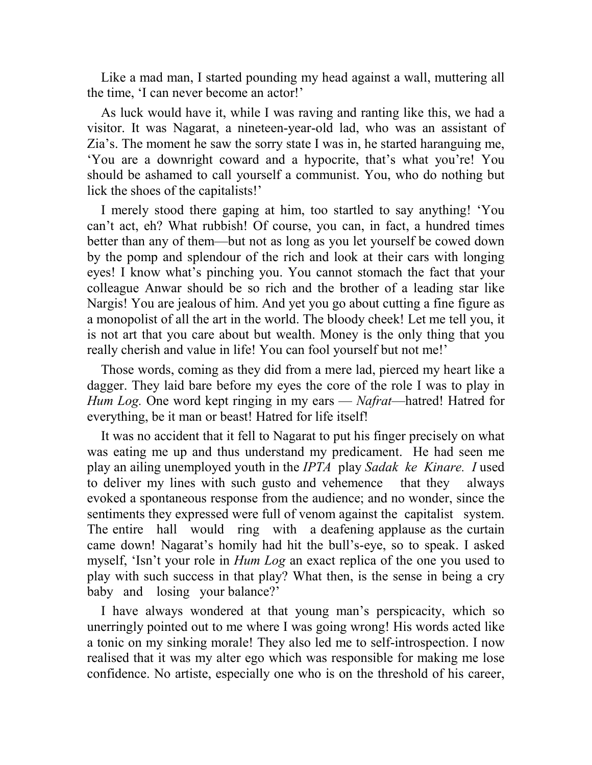Like a mad man, I started pounding my head against a wall, muttering all the time, 'I can never become an actor!'

As luck would have it, while I was raving and ranting like this, we had a visitor. It was Nagarat, a nineteen-year-old lad, who was an assistant of Zia's. The moment he saw the sorry state I was in, he started haranguing me, 'You are a downright coward and a hypocrite, that's what you're! You should be ashamed to call yourself a communist. You, who do nothing but lick the shoes of the capitalists!'

I merely stood there gaping at him, too startled to say anything! 'You can't act, eh? What rubbish! Of course, you can, in fact, a hundred times better than any of them—but not as long as you let yourself be cowed down by the pomp and splendour of the rich and look at their cars with longing eyes! I know what's pinching you. You cannot stomach the fact that your colleague Anwar should be so rich and the brother of a leading star like Nargis! You are jealous of him. And yet you go about cutting a fine figure as a monopolist of all the art in the world. The bloody cheek! Let me tell you, it is not art that you care about but wealth. Money is the only thing that you really cherish and value in life! You can fool yourself but not me!'

Those words, coming as they did from a mere lad, pierced my heart like a dagger. They laid bare before my eyes the core of the role I was to play in *Hum Log.* One word kept ringing in my ears — *Nafrat*—hatred! Hatred for everything, be it man or beast! Hatred for life itself!

It was no accident that it fell to Nagarat to put his finger precisely on what was eating me up and thus understand my predicament. He had seen me play an ailing unemployed youth in the *IPTA* play *Sadak ke Kinare. I* used to deliver my lines with such gusto and vehemence that they always evoked a spontaneous response from the audience; and no wonder, since the sentiments they expressed were full of venom against the capitalist system. The entire hall would ring with a deafening applause as the curtain came down! Nagarat's homily had hit the bull's-eye, so to speak. I asked myself, 'Isn't your role in *Hum Log* an exact replica of the one you used to play with such success in that play? What then, is the sense in being a cry baby and losing your balance?'

I have always wondered at that young man's perspicacity, which so unerringly pointed out to me where I was going wrong! His words acted like a tonic on my sinking morale! They also led me to self-introspection. I now realised that it was my alter ego which was responsible for making me lose confidence. No artiste, especially one who is on the threshold of his career,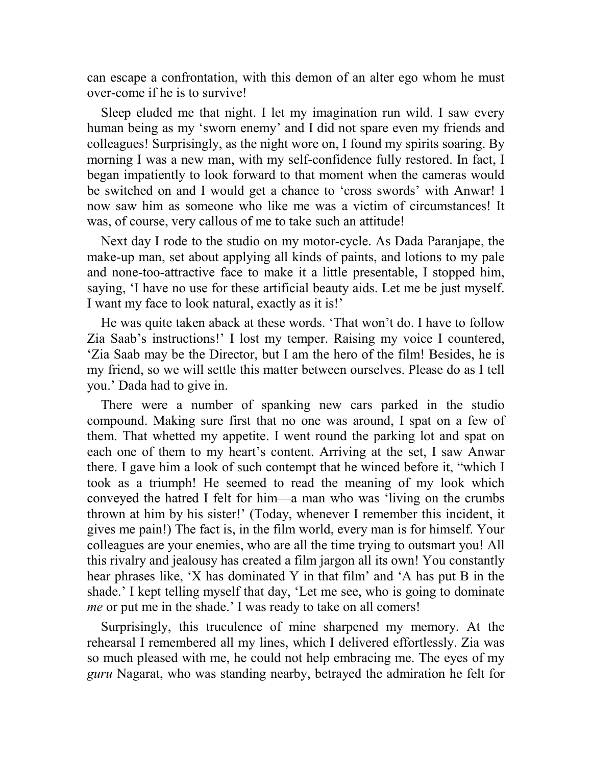can escape a confrontation, with this demon of an alter ego whom he must over-come if he is to survive!

Sleep eluded me that night. I let my imagination run wild. I saw every human being as my 'sworn enemy' and I did not spare even my friends and colleagues! Surprisingly, as the night wore on, I found my spirits soaring. By morning I was a new man, with my self-confidence fully restored. In fact, I began impatiently to look forward to that moment when the cameras would be switched on and I would get a chance to 'cross swords' with Anwar! I now saw him as someone who like me was a victim of circumstances! It was, of course, very callous of me to take such an attitude!

Next day I rode to the studio on my motor-cycle. As Dada Paranjape, the make-up man, set about applying all kinds of paints, and lotions to my pale and none-too-attractive face to make it a little presentable, I stopped him, saying, 'I have no use for these artificial beauty aids. Let me be just myself. I want my face to look natural, exactly as it is!'

He was quite taken aback at these words. 'That won't do. I have to follow Zia Saab's instructions!' I lost my temper. Raising my voice I countered, 'Zia Saab may be the Director, but I am the hero of the film! Besides, he is my friend, so we will settle this matter between ourselves. Please do as I tell you.' Dada had to give in.

There were a number of spanking new cars parked in the studio compound. Making sure first that no one was around, I spat on a few of them. That whetted my appetite. I went round the parking lot and spat on each one of them to my heart's content. Arriving at the set, I saw Anwar there. I gave him a look of such contempt that he winced before it, "which I took as a triumph! He seemed to read the meaning of my look which conveyed the hatred I felt for him—a man who was 'living on the crumbs thrown at him by his sister!' (Today, whenever I remember this incident, it gives me pain!) The fact is, in the film world, every man is for himself. Your colleagues are your enemies, who are all the time trying to outsmart you! All this rivalry and jealousy has created a film jargon all its own! You constantly hear phrases like, 'X has dominated Y in that film' and 'A has put B in the shade.' I kept telling myself that day, 'Let me see, who is going to dominate *me* or put me in the shade.' I was ready to take on all comers!

Surprisingly, this truculence of mine sharpened my memory. At the rehearsal I remembered all my lines, which I delivered effortlessly. Zia was so much pleased with me, he could not help embracing me. The eyes of my *guru* Nagarat, who was standing nearby, betrayed the admiration he felt for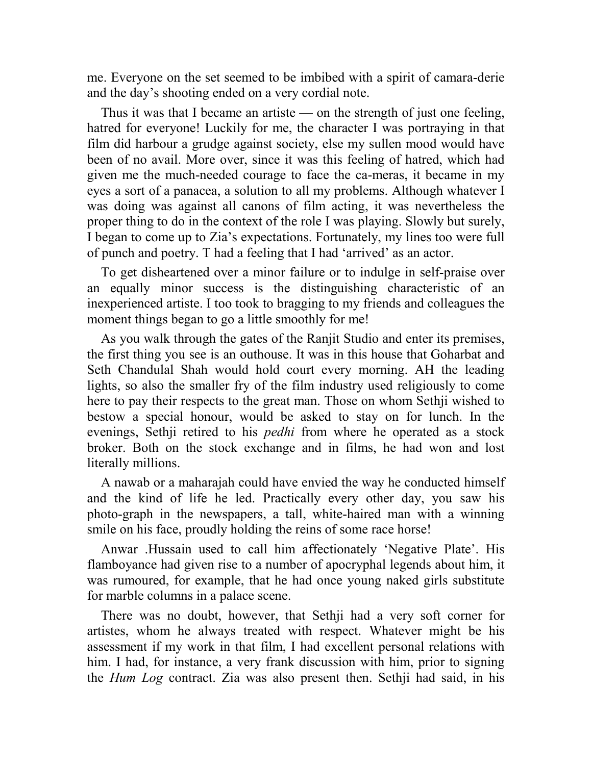me. Everyone on the set seemed to be imbibed with a spirit of camara-derie and the day's shooting ended on a very cordial note.

Thus it was that I became an artiste — on the strength of just one feeling, hatred for everyone! Luckily for me, the character I was portraying in that film did harbour a grudge against society, else my sullen mood would have been of no avail. More over, since it was this feeling of hatred, which had given me the much-needed courage to face the ca-meras, it became in my eyes a sort of a panacea, a solution to all my problems. Although whatever I was doing was against all canons of film acting, it was nevertheless the proper thing to do in the context of the role I was playing. Slowly but surely, I began to come up to Zia's expectations. Fortunately, my lines too were full of punch and poetry. T had a feeling that I had 'arrived' as an actor.

To get disheartened over a minor failure or to indulge in self-praise over an equally minor success is the distinguishing characteristic of an inexperienced artiste. I too took to bragging to my friends and colleagues the moment things began to go a little smoothly for me!

As you walk through the gates of the Ranjit Studio and enter its premises, the first thing you see is an outhouse. It was in this house that Goharbat and Seth Chandulal Shah would hold court every morning. AH the leading lights, so also the smaller fry of the film industry used religiously to come here to pay their respects to the great man. Those on whom Sethji wished to bestow a special honour, would be asked to stay on for lunch. In the evenings, Sethji retired to his *pedhi* from where he operated as a stock broker. Both on the stock exchange and in films, he had won and lost literally millions.

A nawab or a maharajah could have envied the way he conducted himself and the kind of life he led. Practically every other day, you saw his photo-graph in the newspapers, a tall, white-haired man with a winning smile on his face, proudly holding the reins of some race horse!

Anwar .Hussain used to call him affectionately 'Negative Plate'. His flamboyance had given rise to a number of apocryphal legends about him, it was rumoured, for example, that he had once young naked girls substitute for marble columns in a palace scene.

There was no doubt, however, that Sethji had a very soft corner for artistes, whom he always treated with respect. Whatever might be his assessment if my work in that film, I had excellent personal relations with him. I had, for instance, a very frank discussion with him, prior to signing the *Hum Log* contract. Zia was also present then. Sethji had said, in his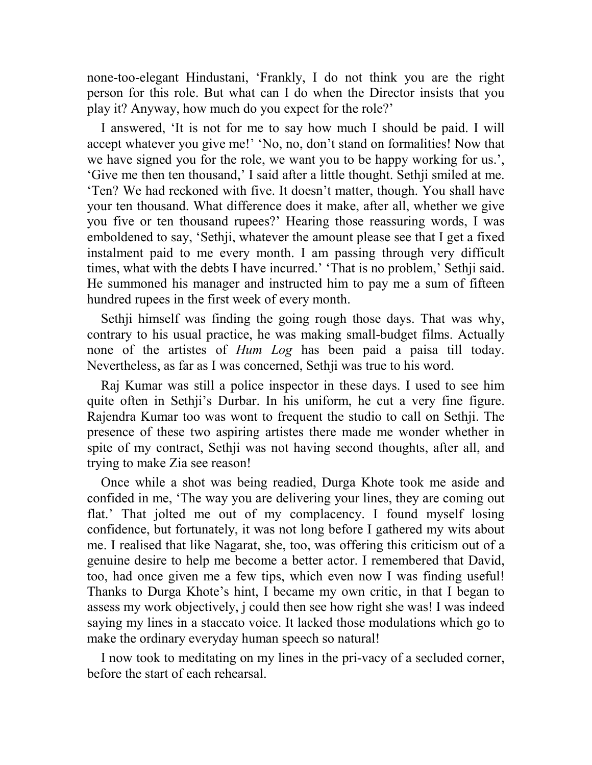none-too-elegant Hindustani, 'Frankly, I do not think you are the right person for this role. But what can I do when the Director insists that you play it? Anyway, how much do you expect for the role?'

I answered, 'It is not for me to say how much I should be paid. I will accept whatever you give me!' 'No, no, don't stand on formalities! Now that we have signed you for the role, we want you to be happy working for us.', 'Give me then ten thousand,' I said after a little thought. Sethji smiled at me. 'Ten? We had reckoned with five. It doesn't matter, though. You shall have your ten thousand. What difference does it make, after all, whether we give you five or ten thousand rupees?' Hearing those reassuring words, I was emboldened to say, 'Sethji, whatever the amount please see that I get a fixed instalment paid to me every month. I am passing through very difficult times, what with the debts I have incurred.' 'That is no problem,' Sethji said. He summoned his manager and instructed him to pay me a sum of fifteen hundred rupees in the first week of every month.

Sethji himself was finding the going rough those days. That was why, contrary to his usual practice, he was making small-budget films. Actually none of the artistes of *Hum Log* has been paid a paisa till today. Nevertheless, as far as I was concerned, Sethji was true to his word.

Raj Kumar was still a police inspector in these days. I used to see him quite often in Sethji's Durbar. In his uniform, he cut a very fine figure. Rajendra Kumar too was wont to frequent the studio to call on Sethji. The presence of these two aspiring artistes there made me wonder whether in spite of my contract, Sethji was not having second thoughts, after all, and trying to make Zia see reason!

Once while a shot was being readied, Durga Khote took me aside and confided in me, 'The way you are delivering your lines, they are coming out flat.' That jolted me out of my complacency. I found myself losing confidence, but fortunately, it was not long before I gathered my wits about me. I realised that like Nagarat, she, too, was offering this criticism out of a genuine desire to help me become a better actor. I remembered that David, too, had once given me a few tips, which even now I was finding useful! Thanks to Durga Khote's hint, I became my own critic, in that I began to assess my work objectively, j could then see how right she was! I was indeed saying my lines in a staccato voice. It lacked those modulations which go to make the ordinary everyday human speech so natural!

I now took to meditating on my lines in the pri-vacy of a secluded corner, before the start of each rehearsal.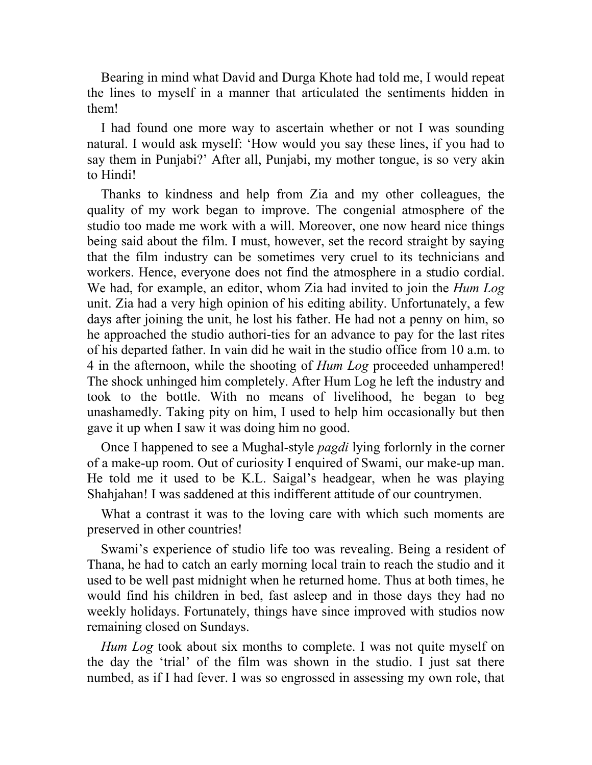Bearing in mind what David and Durga Khote had told me, I would repeat the lines to myself in a manner that articulated the sentiments hidden in them!

I had found one more way to ascertain whether or not I was sounding natural. I would ask myself: 'How would you say these lines, if you had to say them in Punjabi?' After all, Punjabi, my mother tongue, is so very akin to Hindi!

Thanks to kindness and help from Zia and my other colleagues, the quality of my work began to improve. The congenial atmosphere of the studio too made me work with a will. Moreover, one now heard nice things being said about the film. I must, however, set the record straight by saying that the film industry can be sometimes very cruel to its technicians and workers. Hence, everyone does not find the atmosphere in a studio cordial. We had, for example, an editor, whom Zia had invited to join the *Hum Log*  unit. Zia had a very high opinion of his editing ability. Unfortunately, a few days after joining the unit, he lost his father. He had not a penny on him, so he approached the studio authori-ties for an advance to pay for the last rites of his departed father. In vain did he wait in the studio office from 10 a.m. to 4 in the afternoon, while the shooting of *Hum Log* proceeded unhampered! The shock unhinged him completely. After Hum Log he left the industry and took to the bottle. With no means of livelihood, he began to beg unashamedly. Taking pity on him, I used to help him occasionally but then gave it up when I saw it was doing him no good.

Once I happened to see a Mughal-style *pagdi* lying forlornly in the corner of a make-up room. Out of curiosity I enquired of Swami, our make-up man. He told me it used to be K.L. Saigal's headgear, when he was playing Shahjahan! I was saddened at this indifferent attitude of our countrymen.

What a contrast it was to the loving care with which such moments are preserved in other countries!

Swami's experience of studio life too was revealing. Being a resident of Thana, he had to catch an early morning local train to reach the studio and it used to be well past midnight when he returned home. Thus at both times, he would find his children in bed, fast asleep and in those days they had no weekly holidays. Fortunately, things have since improved with studios now remaining closed on Sundays.

*Hum Log* took about six months to complete. I was not quite myself on the day the 'trial' of the film was shown in the studio. I just sat there numbed, as if I had fever. I was so engrossed in assessing my own role, that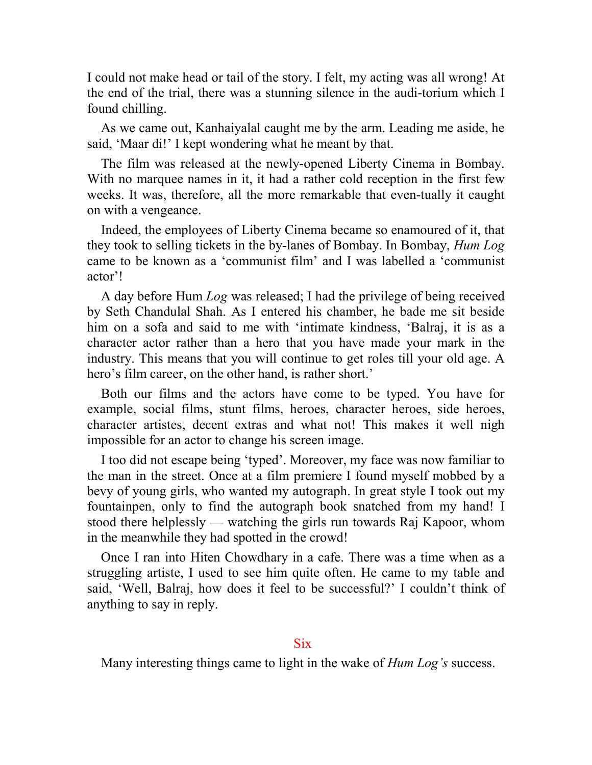I could not make head or tail of the story. I felt, my acting was all wrong! At the end of the trial, there was a stunning silence in the audi-torium which I found chilling.

As we came out, Kanhaiyalal caught me by the arm. Leading me aside, he said, 'Maar di!' I kept wondering what he meant by that.

The film was released at the newly-opened Liberty Cinema in Bombay. With no marquee names in it, it had a rather cold reception in the first few weeks. It was, therefore, all the more remarkable that even-tually it caught on with a vengeance.

Indeed, the employees of Liberty Cinema became so enamoured of it, that they took to selling tickets in the by-lanes of Bombay. In Bombay, *Hum Log*  came to be known as a 'communist film' and I was labelled a 'communist actor'!

A day before Hum *Log* was released; I had the privilege of being received by Seth Chandulal Shah. As I entered his chamber, he bade me sit beside him on a sofa and said to me with 'intimate kindness, 'Balraj, it is as a character actor rather than a hero that you have made your mark in the industry. This means that you will continue to get roles till your old age. A hero's film career, on the other hand, is rather short.'

Both our films and the actors have come to be typed. You have for example, social films, stunt films, heroes, character heroes, side heroes, character artistes, decent extras and what not! This makes it well nigh impossible for an actor to change his screen image.

I too did not escape being 'typed'. Moreover, my face was now familiar to the man in the street. Once at a film premiere I found myself mobbed by a bevy of young girls, who wanted my autograph. In great style I took out my fountainpen, only to find the autograph book snatched from my hand! I stood there helplessly — watching the girls run towards Raj Kapoor, whom in the meanwhile they had spotted in the crowd!

Once I ran into Hiten Chowdhary in a cafe. There was a time when as a struggling artiste, I used to see him quite often. He came to my table and said, 'Well, Balraj, how does it feel to be successful?' I couldn't think of anything to say in reply.

## **Six**

Many interesting things came to light in the wake of *Hum Log's* success.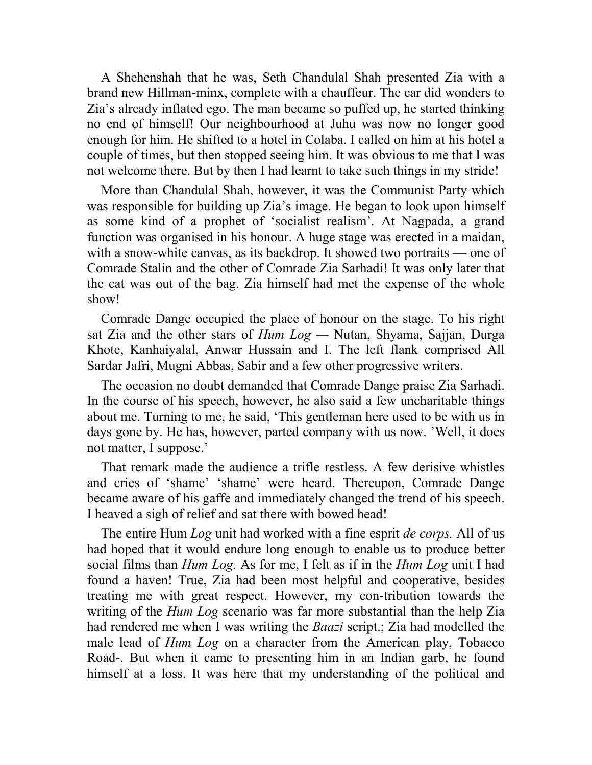A Shehenshah that he was, Seth Chandulal Shah presented Zia with a brand new Hillman-minx, complete with a chauffeur. The car did wonders to Zia's already inflated ego. The man became so puffed up, he started thinking no end of himself! Our neighbourhood at Juhu was now no longer good enough for him. He shifted to a hotel in Colaba. I called on him at his hotel a couple of times, but then stopped seeing him. It was obvious to me that I was not welcome there. But by then I had learnt to take such things in my stride!

More than Chandulal Shah, however, it was the Communist Party which was responsible for building up Zia's image. He began to look upon himself as some kind of a prophet of 'socialist realism'. At Nagpada, a grand function was organised in his honour. A huge stage was erected in a maidan, with a snow-white canvas, as its backdrop. It showed two portraits — one of Comrade Stalin and the other of Comrade Zia Sarhadi! It was only later that the cat was out of the bag. Zia himself had met the expense of the whole show!

Comrade Dange occupied the place of honour on the stage. To his right sat Zia and the other stars of *Hum Log —* Nutan, Shyama, Sajjan, Durga Khote, Kanhaiyalal, Anwar Hussain and I. The left flank comprised All Sardar Jafri, Mugni Abbas, Sabir and a few other progressive writers.

The occasion no doubt demanded that Comrade Dange praise Zia Sarhadi. In the course of his speech, however, he also said a few uncharitable things about me. Turning to me, he said, 'This gentleman here used to be with us in days gone by. He has, however, parted company with us now. 'Well, it does not matter, I suppose.'

That remark made the audience a trifle restless. A few derisive whistles and cries of 'shame' 'shame' were heard. Thereupon, Comrade Dange became aware of his gaffe and immediately changed the trend of his speech. I heaved a sigh of relief and sat there with bowed head!

The entire Hum *Log* unit had worked with a fine esprit *de corps.* All of us had hoped that it would endure long enough to enable us to produce better social films than *Hum Log.* As for me, I felt as if in the *Hum Log* unit I had found a haven! True, Zia had been most helpful and cooperative, besides treating me with great respect. However, my con-tribution towards the writing of the *Hum Log* scenario was far more substantial than the help Zia had rendered me when I was writing the *Baazi* script.; Zia had modelled the male lead of *Hum Log* on a character from the American play, Tobacco Road-. But when it came to presenting him in an Indian garb, he found himself at a loss. It was here that my understanding of the political and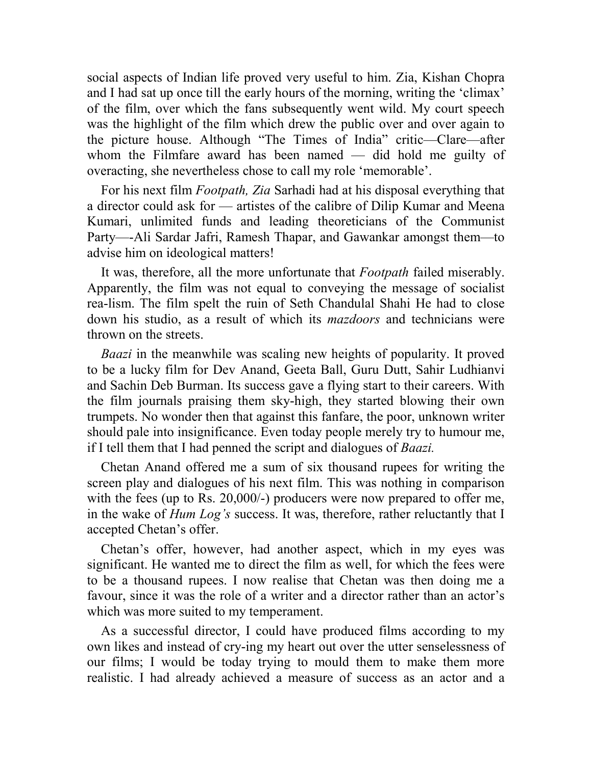social aspects of Indian life proved very useful to him. Zia, Kishan Chopra and I had sat up once till the early hours of the morning, writing the 'climax' of the film, over which the fans subsequently went wild. My court speech was the highlight of the film which drew the public over and over again to the picture house. Although "The Times of India" critic—Clare—after whom the Filmfare award has been named — did hold me guilty of overacting, she nevertheless chose to call my role 'memorable'.

For his next film *Footpath, Zia* Sarhadi had at his disposal everything that a director could ask for — artistes of the calibre of Dilip Kumar and Meena Kumari, unlimited funds and leading theoreticians of the Communist Party—-Ali Sardar Jafri, Ramesh Thapar, and Gawankar amongst them—to advise him on ideological matters!

It was, therefore, all the more unfortunate that *Footpath* failed miserably. Apparently, the film was not equal to conveying the message of socialist rea-lism. The film spelt the ruin of Seth Chandulal Shahi He had to close down his studio, as a result of which its *mazdoors* and technicians were thrown on the streets.

*Baazi* in the meanwhile was scaling new heights of popularity. It proved to be a lucky film for Dev Anand, Geeta Ball, Guru Dutt, Sahir Ludhianvi and Sachin Deb Burman. Its success gave a flying start to their careers. With the film journals praising them sky-high, they started blowing their own trumpets. No wonder then that against this fanfare, the poor, unknown writer should pale into insignificance. Even today people merely try to humour me, if I tell them that I had penned the script and dialogues of *Baazi.*

Chetan Anand offered me a sum of six thousand rupees for writing the screen play and dialogues of his next film. This was nothing in comparison with the fees (up to Rs. 20,000/-) producers were now prepared to offer me, in the wake of *Hum Log's* success. It was, therefore, rather reluctantly that I accepted Chetan's offer.

Chetan's offer, however, had another aspect, which in my eyes was significant. He wanted me to direct the film as well, for which the fees were to be a thousand rupees. I now realise that Chetan was then doing me a favour, since it was the role of a writer and a director rather than an actor's which was more suited to my temperament.

As a successful director, I could have produced films according to my own likes and instead of cry-ing my heart out over the utter senselessness of our films; I would be today trying to mould them to make them more realistic. I had already achieved a measure of success as an actor and a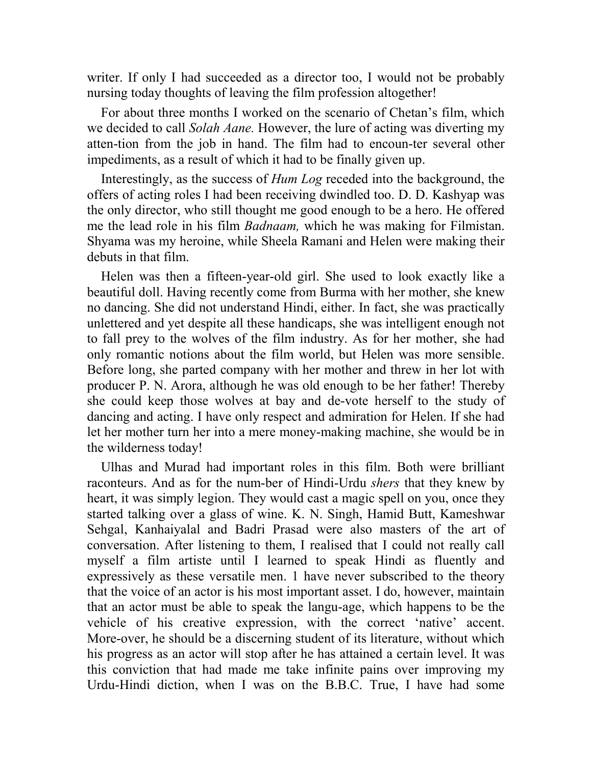writer. If only I had succeeded as a director too, I would not be probably nursing today thoughts of leaving the film profession altogether!

For about three months I worked on the scenario of Chetan's film, which we decided to call *Solah Aane.* However, the lure of acting was diverting my atten-tion from the job in hand. The film had to encoun-ter several other impediments, as a result of which it had to be finally given up.

Interestingly, as the success of *Hum Log* receded into the background, the offers of acting roles I had been receiving dwindled too. D. D. Kashyap was the only director, who still thought me good enough to be a hero. He offered me the lead role in his film *Badnaam,* which he was making for Filmistan. Shyama was my heroine, while Sheela Ramani and Helen were making their debuts in that film.

Helen was then a fifteen-year-old girl. She used to look exactly like a beautiful doll. Having recently come from Burma with her mother, she knew no dancing. She did not understand Hindi, either. In fact, she was practically unlettered and yet despite all these handicaps, she was intelligent enough not to fall prey to the wolves of the film industry. As for her mother, she had only romantic notions about the film world, but Helen was more sensible. Before long, she parted company with her mother and threw in her lot with producer P. N. Arora, although he was old enough to be her father! Thereby she could keep those wolves at bay and de-vote herself to the study of dancing and acting. I have only respect and admiration for Helen. If she had let her mother turn her into a mere money-making machine, she would be in the wilderness today!

Ulhas and Murad had important roles in this film. Both were brilliant raconteurs. And as for the num-ber of Hindi-Urdu *shers* that they knew by heart, it was simply legion. They would cast a magic spell on you, once they started talking over a glass of wine. K. N. Singh, Hamid Butt, Kameshwar Sehgal, Kanhaiyalal and Badri Prasad were also masters of the art of conversation. After listening to them, I realised that I could not really call myself a film artiste until I learned to speak Hindi as fluently and expressively as these versatile men. 1 have never subscribed to the theory that the voice of an actor is his most important asset. I do, however, maintain that an actor must be able to speak the langu-age, which happens to be the vehicle of his creative expression, with the correct 'native' accent. More-over, he should be a discerning student of its literature, without which his progress as an actor will stop after he has attained a certain level. It was this conviction that had made me take infinite pains over improving my Urdu-Hindi diction, when I was on the B.B.C. True, I have had some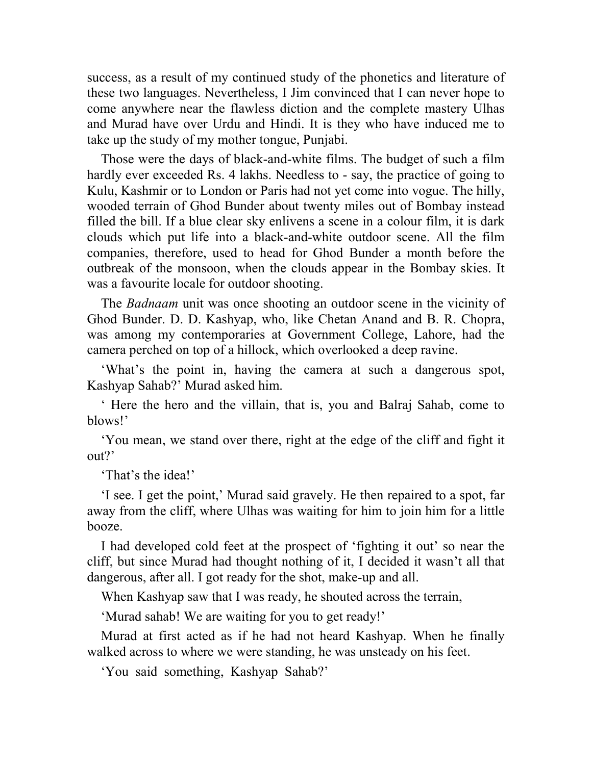success, as a result of my continued study of the phonetics and literature of these two languages. Nevertheless, I Jim convinced that I can never hope to come anywhere near the flawless diction and the complete mastery Ulhas and Murad have over Urdu and Hindi. It is they who have induced me to take up the study of my mother tongue, Punjabi.

Those were the days of black-and-white films. The budget of such a film hardly ever exceeded Rs. 4 lakhs. Needless to - say, the practice of going to Kulu, Kashmir or to London or Paris had not yet come into vogue. The hilly, wooded terrain of Ghod Bunder about twenty miles out of Bombay instead filled the bill. If a blue clear sky enlivens a scene in a colour film, it is dark clouds which put life into a black-and-white outdoor scene. All the film companies, therefore, used to head for Ghod Bunder a month before the outbreak of the monsoon, when the clouds appear in the Bombay skies. It was a favourite locale for outdoor shooting.

The *Badnaam* unit was once shooting an outdoor scene in the vicinity of Ghod Bunder. D. D. Kashyap, who, like Chetan Anand and B. R. Chopra, was among my contemporaries at Government College, Lahore, had the camera perched on top of a hillock, which overlooked a deep ravine.

'What's the point in, having the camera at such a dangerous spot, Kashyap Sahab?' Murad asked him.

' Here the hero and the villain, that is, you and Balraj Sahab, come to blows!'

'You mean, we stand over there, right at the edge of the cliff and fight it out?'

'That's the idea!'

'I see. I get the point,' Murad said gravely. He then repaired to a spot, far away from the cliff, where Ulhas was waiting for him to join him for a little booze.

I had developed cold feet at the prospect of 'fighting it out' so near the cliff, but since Murad had thought nothing of it, I decided it wasn't all that dangerous, after all. I got ready for the shot, make-up and all.

When Kashyap saw that I was ready, he shouted across the terrain,

'Murad sahab! We are waiting for you to get ready!'

Murad at first acted as if he had not heard Kashyap. When he finally walked across to where we were standing, he was unsteady on his feet.

'You said something, Kashyap Sahab?'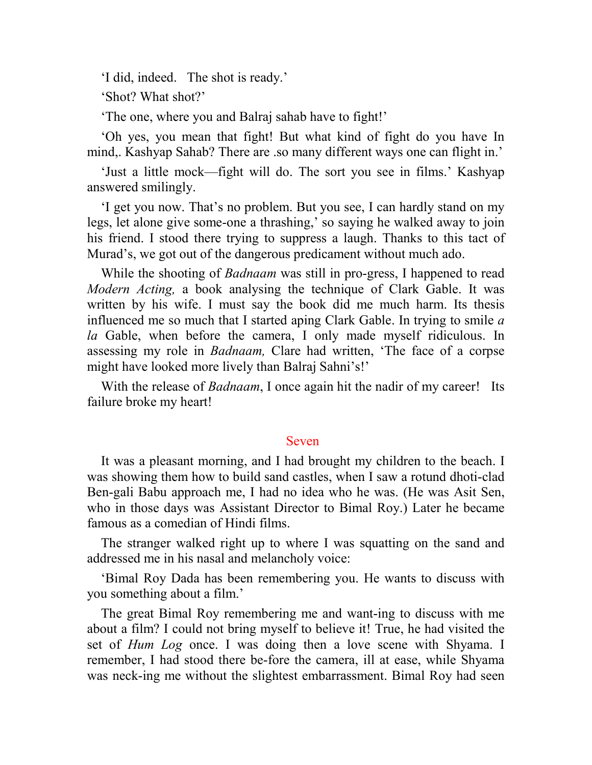'I did, indeed. The shot is ready.'

'Shot? What shot?'

'The one, where you and Balraj sahab have to fight!'

'Oh yes, you mean that fight! But what kind of fight do you have In mind,. Kashyap Sahab? There are .so many different ways one can flight in.'

'Just a little mock—fight will do. The sort you see in films.' Kashyap answered smilingly.

'I get you now. That's no problem. But you see, I can hardly stand on my legs, let alone give some-one a thrashing,' so saying he walked away to join his friend. I stood there trying to suppress a laugh. Thanks to this tact of Murad's, we got out of the dangerous predicament without much ado.

While the shooting of *Badnaam* was still in pro-gress, I happened to read *Modern Acting,* a book analysing the technique of Clark Gable. It was written by his wife. I must say the book did me much harm. Its thesis influenced me so much that I started aping Clark Gable. In trying to smile *a la* Gable, when before the camera, I only made myself ridiculous. In assessing my role in *Badnaam,* Clare had written, 'The face of a corpse might have looked more lively than Balraj Sahni's!'

With the release of *Badnaam*, I once again hit the nadir of my career! Its failure broke my heart!

## Seven

It was a pleasant morning, and I had brought my children to the beach. I was showing them how to build sand castles, when I saw a rotund dhoti-clad Ben-gali Babu approach me, I had no idea who he was. (He was Asit Sen, who in those days was Assistant Director to Bimal Roy.) Later he became famous as a comedian of Hindi films.

The stranger walked right up to where I was squatting on the sand and addressed me in his nasal and melancholy voice:

'Bimal Roy Dada has been remembering you. He wants to discuss with you something about a film.'

The great Bimal Roy remembering me and want-ing to discuss with me about a film? I could not bring myself to believe it! True, he had visited the set of *Hum Log* once. I was doing then a love scene with Shyama. I remember, I had stood there be-fore the camera, ill at ease, while Shyama was neck-ing me without the slightest embarrassment. Bimal Roy had seen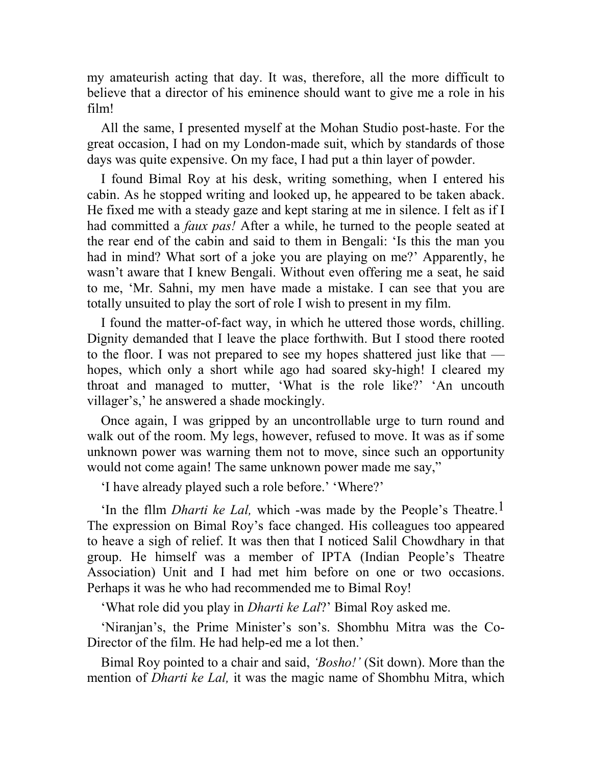my amateurish acting that day. It was, therefore, all the more difficult to believe that a director of his eminence should want to give me a role in his film!

All the same, I presented myself at the Mohan Studio post-haste. For the great occasion, I had on my London-made suit, which by standards of those days was quite expensive. On my face, I had put a thin layer of powder.

I found Bimal Roy at his desk, writing something, when I entered his cabin. As he stopped writing and looked up, he appeared to be taken aback. He fixed me with a steady gaze and kept staring at me in silence. I felt as if I had committed a *faux pas!* After a while, he turned to the people seated at the rear end of the cabin and said to them in Bengali: 'Is this the man you had in mind? What sort of a joke you are playing on me?' Apparently, he wasn't aware that I knew Bengali. Without even offering me a seat, he said to me, 'Mr. Sahni, my men have made a mistake. I can see that you are totally unsuited to play the sort of role I wish to present in my film.

I found the matter-of-fact way, in which he uttered those words, chilling. Dignity demanded that I leave the place forthwith. But I stood there rooted to the floor. I was not prepared to see my hopes shattered just like that hopes, which only a short while ago had soared sky-high! I cleared my throat and managed to mutter, 'What is the role like?' 'An uncouth villager's,' he answered a shade mockingly.

Once again, I was gripped by an uncontrollable urge to turn round and walk out of the room. My legs, however, refused to move. It was as if some unknown power was warning them not to move, since such an opportunity would not come again! The same unknown power made me say,"

'I have already played such a role before.' 'Where?'

'In the fllm *Dharti ke Lal,* which -was made by the People's Theatre.1 The expression on Bimal Roy's face changed. His colleagues too appeared to heave a sigh of relief. It was then that I noticed Salil Chowdhary in that group. He himself was a member of IPTA (Indian People's Theatre Association) Unit and I had met him before on one or two occasions. Perhaps it was he who had recommended me to Bimal Roy!

'What role did you play in *Dharti ke Lal*?' Bimal Roy asked me.

'Niranjan's, the Prime Minister's son's. Shombhu Mitra was the Co-Director of the film. He had help-ed me a lot then.'

Bimal Roy pointed to a chair and said, *'Bosho!'* (Sit down). More than the mention of *Dharti ke Lal,* it was the magic name of Shombhu Mitra, which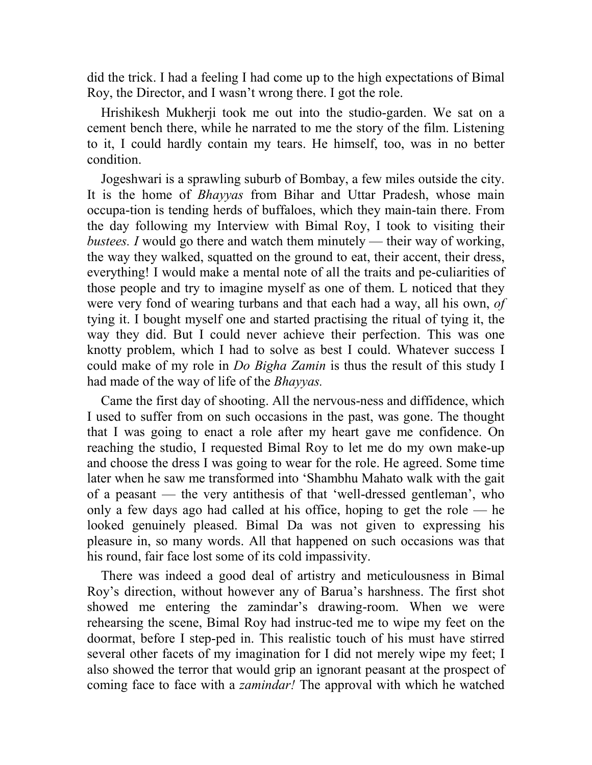did the trick. I had a feeling I had come up to the high expectations of Bimal Roy, the Director, and I wasn't wrong there. I got the role.

Hrishikesh Mukherji took me out into the studio-garden. We sat on a cement bench there, while he narrated to me the story of the film. Listening to it, I could hardly contain my tears. He himself, too, was in no better condition.

Jogeshwari is a sprawling suburb of Bombay, a few miles outside the city. It is the home of *Bhayyas* from Bihar and Uttar Pradesh, whose main occupa-tion is tending herds of buffaloes, which they main-tain there. From the day following my Interview with Bimal Roy, I took to visiting their *bustees. I* would go there and watch them minutely — their way of working, the way they walked, squatted on the ground to eat, their accent, their dress, everything! I would make a mental note of all the traits and pe-culiarities of those people and try to imagine myself as one of them. L noticed that they were very fond of wearing turbans and that each had a way, all his own, *of*  tying it. I bought myself one and started practising the ritual of tying it, the way they did. But I could never achieve their perfection. This was one knotty problem, which I had to solve as best I could. Whatever success I could make of my role in *Do Bigha Zamin* is thus the result of this study I had made of the way of life of the *Bhayyas.*

Came the first day of shooting. All the nervous-ness and diffidence, which I used to suffer from on such occasions in the past, was gone. The thought that I was going to enact a role after my heart gave me confidence. On reaching the studio, I requested Bimal Roy to let me do my own make-up and choose the dress I was going to wear for the role. He agreed. Some time later when he saw me transformed into 'Shambhu Mahato walk with the gait of a peasant — the very antithesis of that 'well-dressed gentleman', who only a few days ago had called at his office, hoping to get the role — he looked genuinely pleased. Bimal Da was not given to expressing his pleasure in, so many words. All that happened on such occasions was that his round, fair face lost some of its cold impassivity.

There was indeed a good deal of artistry and meticulousness in Bimal Roy's direction, without however any of Barua's harshness. The first shot showed me entering the zamindar's drawing-room. When we were rehearsing the scene, Bimal Roy had instruc-ted me to wipe my feet on the doormat, before I step-ped in. This realistic touch of his must have stirred several other facets of my imagination for I did not merely wipe my feet; I also showed the terror that would grip an ignorant peasant at the prospect of coming face to face with a *zamindar!* The approval with which he watched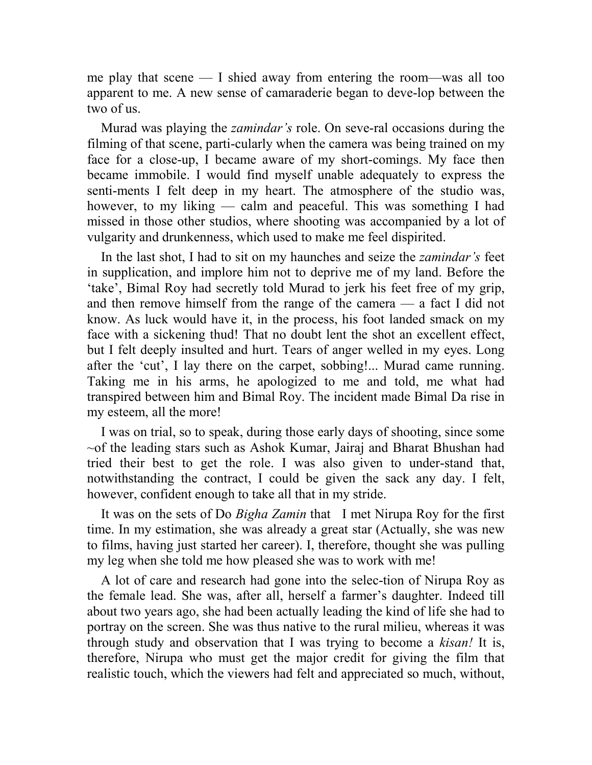me play that scene — I shied away from entering the room—was all too apparent to me. A new sense of camaraderie began to deve-lop between the two of us.

Murad was playing the *zamindar's* role. On seve-ral occasions during the filming of that scene, parti-cularly when the camera was being trained on my face for a close-up, I became aware of my short-comings. My face then became immobile. I would find myself unable adequately to express the senti-ments I felt deep in my heart. The atmosphere of the studio was, however, to my liking — calm and peaceful. This was something I had missed in those other studios, where shooting was accompanied by a lot of vulgarity and drunkenness, which used to make me feel dispirited.

In the last shot, I had to sit on my haunches and seize the *zamindar's* feet in supplication, and implore him not to deprive me of my land. Before the 'take', Bimal Roy had secretly told Murad to jerk his feet free of my grip, and then remove himself from the range of the camera — a fact I did not know. As luck would have it, in the process, his foot landed smack on my face with a sickening thud! That no doubt lent the shot an excellent effect, but I felt deeply insulted and hurt. Tears of anger welled in my eyes. Long after the 'cut', I lay there on the carpet, sobbing!... Murad came running. Taking me in his arms, he apologized to me and told, me what had transpired between him and Bimal Roy. The incident made Bimal Da rise in my esteem, all the more!

I was on trial, so to speak, during those early days of shooting, since some ~of the leading stars such as Ashok Kumar, Jairaj and Bharat Bhushan had tried their best to get the role. I was also given to under-stand that, notwithstanding the contract, I could be given the sack any day. I felt, however, confident enough to take all that in my stride.

It was on the sets of Do *Bigha Zamin* that I met Nirupa Roy for the first time. In my estimation, she was already a great star (Actually, she was new to films, having just started her career). I, therefore, thought she was pulling my leg when she told me how pleased she was to work with me!

A lot of care and research had gone into the selec-tion of Nirupa Roy as the female lead. She was, after all, herself a farmer's daughter. Indeed till about two years ago, she had been actually leading the kind of life she had to portray on the screen. She was thus native to the rural milieu, whereas it was through study and observation that I was trying to become a *kisan!* It is, therefore, Nirupa who must get the major credit for giving the film that realistic touch, which the viewers had felt and appreciated so much, without,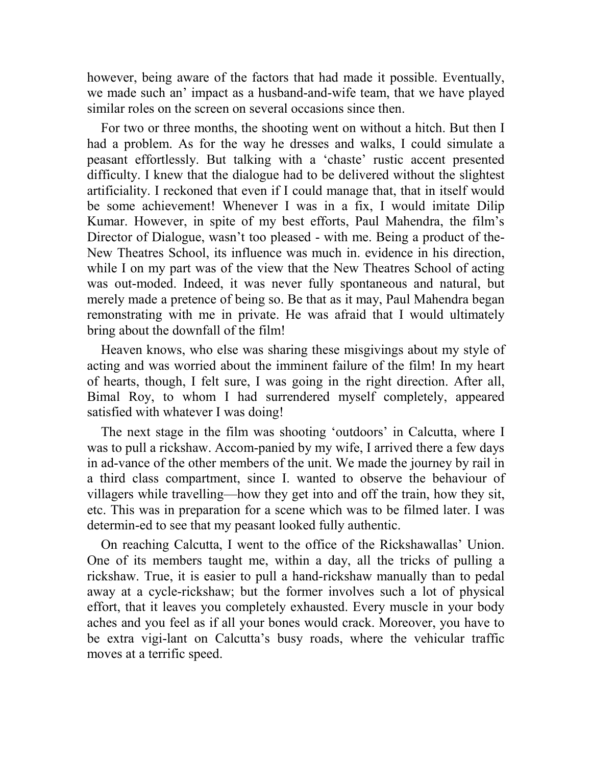however, being aware of the factors that had made it possible. Eventually, we made such an' impact as a husband-and-wife team, that we have played similar roles on the screen on several occasions since then.

For two or three months, the shooting went on without a hitch. But then I had a problem. As for the way he dresses and walks, I could simulate a peasant effortlessly. But talking with a 'chaste' rustic accent presented difficulty. I knew that the dialogue had to be delivered without the slightest artificiality. I reckoned that even if I could manage that, that in itself would be some achievement! Whenever I was in a fix, I would imitate Dilip Kumar. However, in spite of my best efforts, Paul Mahendra, the film's Director of Dialogue, wasn't too pleased - with me. Being a product of the-New Theatres School, its influence was much in. evidence in his direction, while I on my part was of the view that the New Theatres School of acting was out-moded. Indeed, it was never fully spontaneous and natural, but merely made a pretence of being so. Be that as it may, Paul Mahendra began remonstrating with me in private. He was afraid that I would ultimately bring about the downfall of the film!

Heaven knows, who else was sharing these misgivings about my style of acting and was worried about the imminent failure of the film! In my heart of hearts, though, I felt sure, I was going in the right direction. After all, Bimal Roy, to whom I had surrendered myself completely, appeared satisfied with whatever I was doing!

The next stage in the film was shooting 'outdoors' in Calcutta, where I was to pull a rickshaw. Accom-panied by my wife, I arrived there a few days in ad-vance of the other members of the unit. We made the journey by rail in a third class compartment, since I. wanted to observe the behaviour of villagers while travelling—how they get into and off the train, how they sit, etc. This was in preparation for a scene which was to be filmed later. I was determin-ed to see that my peasant looked fully authentic.

On reaching Calcutta, I went to the office of the Rickshawallas' Union. One of its members taught me, within a day, all the tricks of pulling a rickshaw. True, it is easier to pull a hand-rickshaw manually than to pedal away at a cycle-rickshaw; but the former involves such a lot of physical effort, that it leaves you completely exhausted. Every muscle in your body aches and you feel as if all your bones would crack. Moreover, you have to be extra vigi-lant on Calcutta's busy roads, where the vehicular traffic moves at a terrific speed.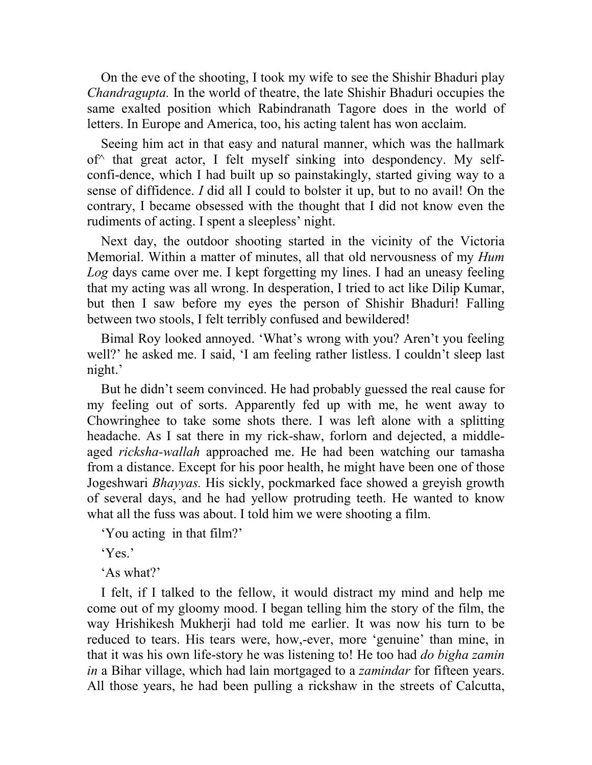On the eve of the shooting, I took my wife to see the Shishir Bhaduri play *Chandragupta.* In the world of theatre, the late Shishir Bhaduri occupies the same exalted position which Rabindranath Tagore does in the world of letters. In Europe and America, too, his acting talent has won acclaim.

Seeing him act in that easy and natural manner, which was the hallmark  $of^{\wedge}$  that great actor, I felt myself sinking into despondency. My selfconfi-dence, which I had built up so painstakingly, started giving way to a sense of diffidence. *I* did all I could to bolster it up, but to no avail! On the contrary, I became obsessed with the thought that I did not know even the rudiments of acting. I spent a sleepless' night.

Next day, the outdoor shooting started in the vicinity of the Victoria Memorial. Within a matter of minutes, all that old nervousness of my *Hum Log* days came over me. I kept forgetting my lines. I had an uneasy feeling that my acting was all wrong. In desperation, I tried to act like Dilip Kumar, but then I saw before my eyes the person of Shishir Bhaduri! Falling between two stools, I felt terribly confused and bewildered!

Bimal Roy looked annoyed. 'What's wrong with you? Aren't you feeling well?' he asked me. I said, 'I am feeling rather listless. I couldn't sleep last night.'

But he didn't seem convinced. He had probably guessed the real cause for my feeling out of sorts. Apparently fed up with me, he went away to Chowringhee to take some shots there. I was left alone with a splitting headache. As I sat there in my rick-shaw, forlorn and dejected, a middleaged *ricksha-wallah* approached me. He had been watching our tamasha from a distance. Except for his poor health, he might have been one of those Jogeshwari *Bhayyas.* His sickly, pockmarked face showed a greyish growth of several days, and he had yellow protruding teeth. He wanted to know what all the fuss was about. I told him we were shooting a film.

'You acting in that film?'

'Yes.'

'As what?'

I felt, if I talked to the fellow, it would distract my mind and help me come out of my gloomy mood. I began telling him the story of the film, the way Hrishikesh Mukherji had told me earlier. It was now his turn to be reduced to tears. His tears were, how,-ever, more 'genuine' than mine, in that it was his own life-story he was listening to! He too had *do bigha zamin in* a Bihar village, which had lain mortgaged to a *zamindar* for fifteen years. All those years, he had been pulling a rickshaw in the streets of Calcutta,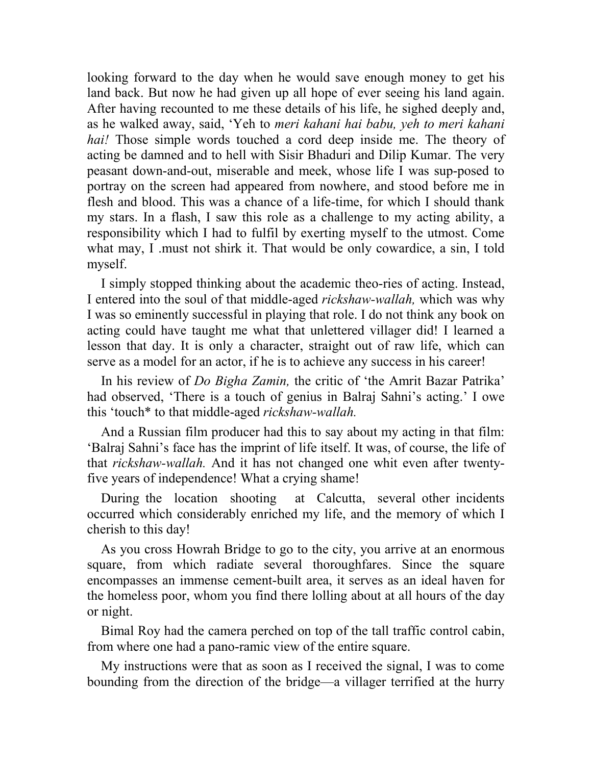looking forward to the day when he would save enough money to get his land back. But now he had given up all hope of ever seeing his land again. After having recounted to me these details of his life, he sighed deeply and, as he walked away, said, 'Yeh to *meri kahani hai babu, yeh to meri kahani hai!* Those simple words touched a cord deep inside me. The theory of acting be damned and to hell with Sisir Bhaduri and Dilip Kumar. The very peasant down-and-out, miserable and meek, whose life I was sup-posed to portray on the screen had appeared from nowhere, and stood before me in flesh and blood. This was a chance of a life-time, for which I should thank my stars. In a flash, I saw this role as a challenge to my acting ability, a responsibility which I had to fulfil by exerting myself to the utmost. Come what may, I .must not shirk it. That would be only cowardice, a sin, I told myself.

I simply stopped thinking about the academic theo-ries of acting. Instead, I entered into the soul of that middle-aged *rickshaw-wallah,* which was why I was so eminently successful in playing that role. I do not think any book on acting could have taught me what that unlettered villager did! I learned a lesson that day. It is only a character, straight out of raw life, which can serve as a model for an actor, if he is to achieve any success in his career!

In his review of *Do Bigha Zamin,* the critic of 'the Amrit Bazar Patrika' had observed, 'There is a touch of genius in Balraj Sahni's acting.' I owe this 'touch\* to that middle-aged *rickshaw-wallah.*

And a Russian film producer had this to say about my acting in that film: 'Balraj Sahni's face has the imprint of life itself. It was, of course, the life of that *rickshaw-wallah.* And it has not changed one whit even after twentyfive years of independence! What a crying shame!

During the location shooting at Calcutta, several other incidents occurred which considerably enriched my life, and the memory of which I cherish to this day!

As you cross Howrah Bridge to go to the city, you arrive at an enormous square, from which radiate several thoroughfares. Since the square encompasses an immense cement-built area, it serves as an ideal haven for the homeless poor, whom you find there lolling about at all hours of the day or night.

Bimal Roy had the camera perched on top of the tall traffic control cabin, from where one had a pano-ramic view of the entire square.

My instructions were that as soon as I received the signal, I was to come bounding from the direction of the bridge—a villager terrified at the hurry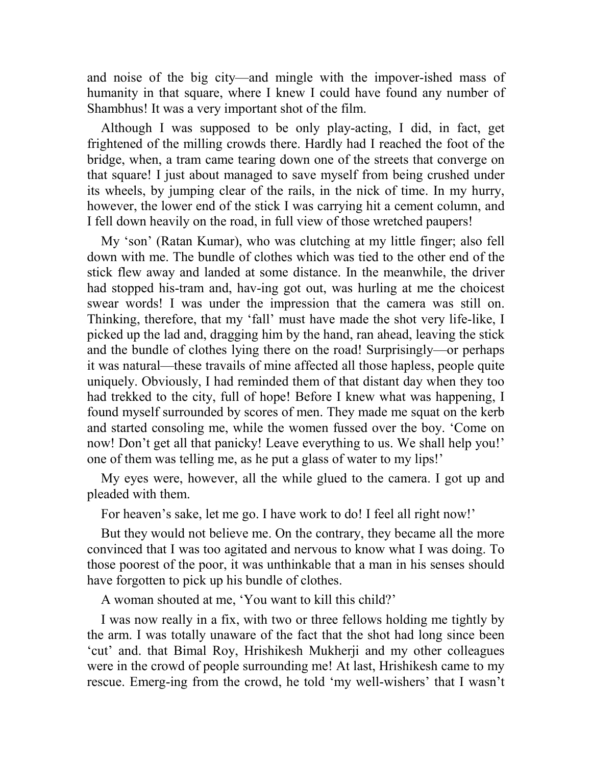and noise of the big city—and mingle with the impover-ished mass of humanity in that square, where I knew I could have found any number of Shambhus! It was a very important shot of the film.

Although I was supposed to be only play-acting, I did, in fact, get frightened of the milling crowds there. Hardly had I reached the foot of the bridge, when, a tram came tearing down one of the streets that converge on that square! I just about managed to save myself from being crushed under its wheels, by jumping clear of the rails, in the nick of time. In my hurry, however, the lower end of the stick I was carrying hit a cement column, and I fell down heavily on the road, in full view of those wretched paupers!

My 'son' (Ratan Kumar), who was clutching at my little finger; also fell down with me. The bundle of clothes which was tied to the other end of the stick flew away and landed at some distance. In the meanwhile, the driver had stopped his-tram and, hav-ing got out, was hurling at me the choicest swear words! I was under the impression that the camera was still on. Thinking, therefore, that my 'fall' must have made the shot very life-like, I picked up the lad and, dragging him by the hand, ran ahead, leaving the stick and the bundle of clothes lying there on the road! Surprisingly—or perhaps it was natural—these travails of mine affected all those hapless, people quite uniquely. Obviously, I had reminded them of that distant day when they too had trekked to the city, full of hope! Before I knew what was happening, I found myself surrounded by scores of men. They made me squat on the kerb and started consoling me, while the women fussed over the boy. 'Come on now! Don't get all that panicky! Leave everything to us. We shall help you!' one of them was telling me, as he put a glass of water to my lips!'

My eyes were, however, all the while glued to the camera. I got up and pleaded with them.

For heaven's sake, let me go. I have work to do! I feel all right now!'

But they would not believe me. On the contrary, they became all the more convinced that I was too agitated and nervous to know what I was doing. To those poorest of the poor, it was unthinkable that a man in his senses should have forgotten to pick up his bundle of clothes.

A woman shouted at me, 'You want to kill this child?'

I was now really in a fix, with two or three fellows holding me tightly by the arm. I was totally unaware of the fact that the shot had long since been 'cut' and. that Bimal Roy, Hrishikesh Mukherji and my other colleagues were in the crowd of people surrounding me! At last, Hrishikesh came to my rescue. Emerg-ing from the crowd, he told 'my well-wishers' that I wasn't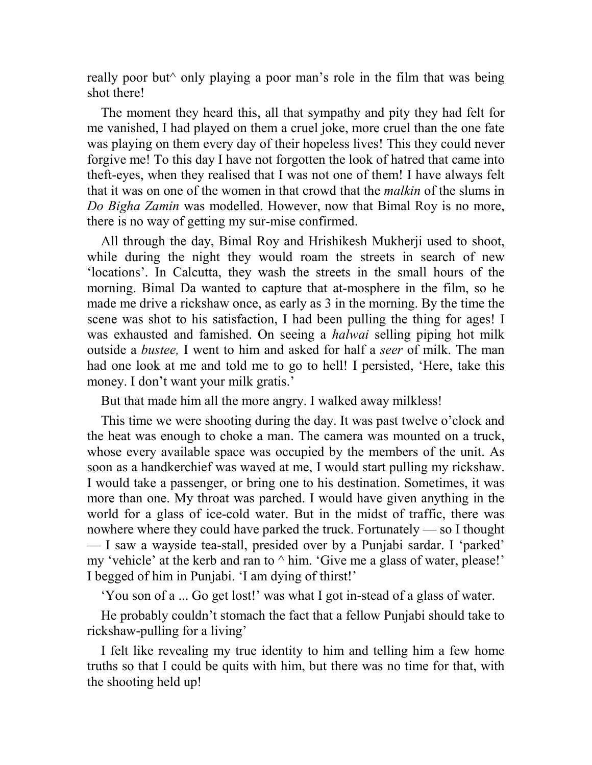really poor but^ only playing a poor man's role in the film that was being shot there!

The moment they heard this, all that sympathy and pity they had felt for me vanished, I had played on them a cruel joke, more cruel than the one fate was playing on them every day of their hopeless lives! This they could never forgive me! To this day I have not forgotten the look of hatred that came into theft-eyes, when they realised that I was not one of them! I have always felt that it was on one of the women in that crowd that the *malkin* of the slums in *Do Bigha Zamin* was modelled. However, now that Bimal Roy is no more, there is no way of getting my sur-mise confirmed.

All through the day, Bimal Roy and Hrishikesh Mukherji used to shoot, while during the night they would roam the streets in search of new 'locations'. In Calcutta, they wash the streets in the small hours of the morning. Bimal Da wanted to capture that at-mosphere in the film, so he made me drive a rickshaw once, as early as 3 in the morning. By the time the scene was shot to his satisfaction, I had been pulling the thing for ages! I was exhausted and famished. On seeing a *halwai* selling piping hot milk outside a *bustee,* I went to him and asked for half a *seer* of milk. The man had one look at me and told me to go to hell! I persisted, 'Here, take this money. I don't want your milk gratis.'

But that made him all the more angry. I walked away milkless!

This time we were shooting during the day. It was past twelve o'clock and the heat was enough to choke a man. The camera was mounted on a truck, whose every available space was occupied by the members of the unit. As soon as a handkerchief was waved at me, I would start pulling my rickshaw. I would take a passenger, or bring one to his destination. Sometimes, it was more than one. My throat was parched. I would have given anything in the world for a glass of ice-cold water. But in the midst of traffic, there was nowhere where they could have parked the truck. Fortunately — so I thought — I saw a wayside tea-stall, presided over by a Punjabi sardar. I 'parked' my 'vehicle' at the kerb and ran to  $\land$  him. 'Give me a glass of water, please!' I begged of him in Punjabi. 'I am dying of thirst!'

'You son of a ... Go get lost!' was what I got in-stead of a glass of water.

He probably couldn't stomach the fact that a fellow Punjabi should take to rickshaw-pulling for a living'

I felt like revealing my true identity to him and telling him a few home truths so that I could be quits with him, but there was no time for that, with the shooting held up!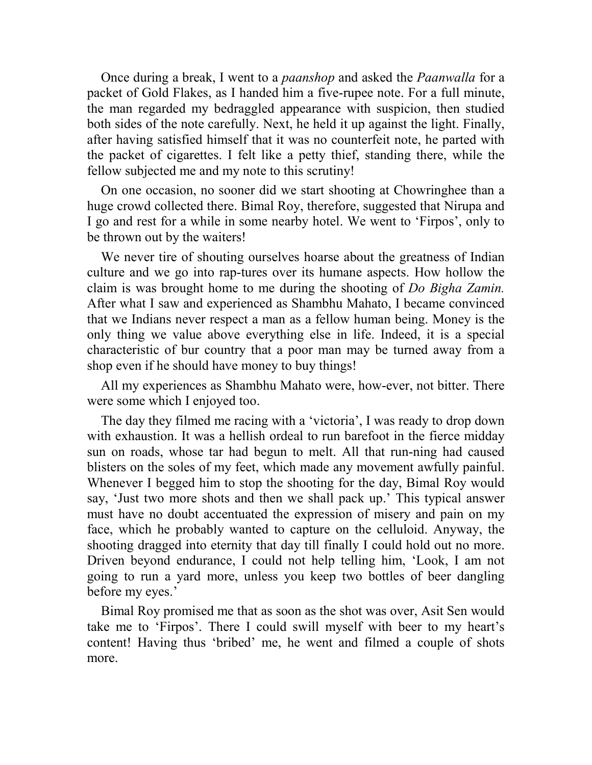Once during a break, I went to a *paanshop* and asked the *Paanwalla* for a packet of Gold Flakes, as I handed him a five-rupee note. For a full minute, the man regarded my bedraggled appearance with suspicion, then studied both sides of the note carefully. Next, he held it up against the light. Finally, after having satisfied himself that it was no counterfeit note, he parted with the packet of cigarettes. I felt like a petty thief, standing there, while the fellow subjected me and my note to this scrutiny!

On one occasion, no sooner did we start shooting at Chowringhee than a huge crowd collected there. Bimal Roy, therefore, suggested that Nirupa and I go and rest for a while in some nearby hotel. We went to 'Firpos', only to be thrown out by the waiters!

We never tire of shouting ourselves hoarse about the greatness of Indian culture and we go into rap-tures over its humane aspects. How hollow the claim is was brought home to me during the shooting of *Do Bigha Zamin.*  After what I saw and experienced as Shambhu Mahato, I became convinced that we Indians never respect a man as a fellow human being. Money is the only thing we value above everything else in life. Indeed, it is a special characteristic of bur country that a poor man may be turned away from a shop even if he should have money to buy things!

All my experiences as Shambhu Mahato were, how-ever, not bitter. There were some which I enjoyed too.

The day they filmed me racing with a 'victoria', I was ready to drop down with exhaustion. It was a hellish ordeal to run barefoot in the fierce midday sun on roads, whose tar had begun to melt. All that run-ning had caused blisters on the soles of my feet, which made any movement awfully painful. Whenever I begged him to stop the shooting for the day, Bimal Roy would say, 'Just two more shots and then we shall pack up.' This typical answer must have no doubt accentuated the expression of misery and pain on my face, which he probably wanted to capture on the celluloid. Anyway, the shooting dragged into eternity that day till finally I could hold out no more. Driven beyond endurance, I could not help telling him, 'Look, I am not going to run a yard more, unless you keep two bottles of beer dangling before my eyes.'

Bimal Roy promised me that as soon as the shot was over, Asit Sen would take me to 'Firpos'. There I could swill myself with beer to my heart's content! Having thus 'bribed' me, he went and filmed a couple of shots more.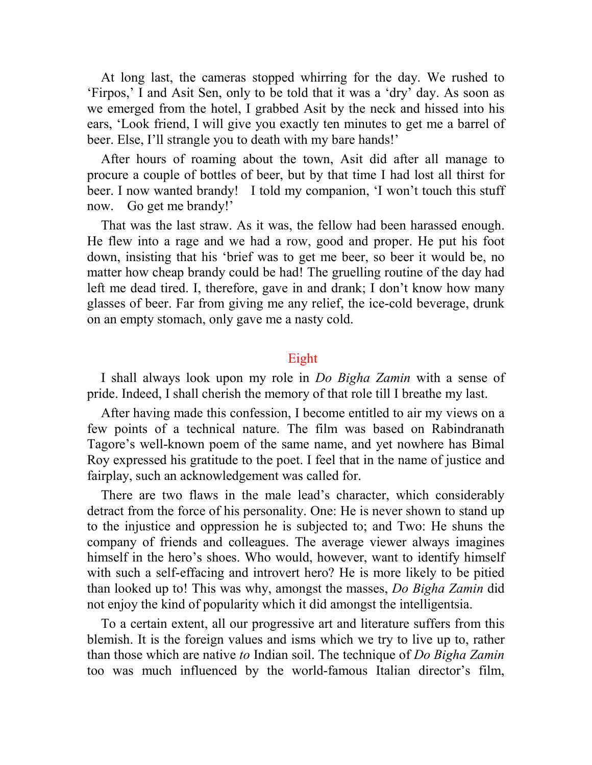At long last, the cameras stopped whirring for the day. We rushed to 'Firpos,' I and Asit Sen, only to be told that it was a 'dry' day. As soon as we emerged from the hotel, I grabbed Asit by the neck and hissed into his ears, 'Look friend, I will give you exactly ten minutes to get me a barrel of beer. Else, I'll strangle you to death with my bare hands!'

After hours of roaming about the town, Asit did after all manage to procure a couple of bottles of beer, but by that time I had lost all thirst for beer. I now wanted brandy! I told my companion, 'I won't touch this stuff now. Go get me brandy!'

That was the last straw. As it was, the fellow had been harassed enough. He flew into a rage and we had a row, good and proper. He put his foot down, insisting that his 'brief was to get me beer, so beer it would be, no matter how cheap brandy could be had! The gruelling routine of the day had left me dead tired. I, therefore, gave in and drank; I don't know how many glasses of beer. Far from giving me any relief, the ice-cold beverage, drunk on an empty stomach, only gave me a nasty cold.

## Eight

I shall always look upon my role in *Do Bigha Zamin* with a sense of pride. Indeed, I shall cherish the memory of that role till I breathe my last.

After having made this confession, I become entitled to air my views on a few points of a technical nature. The film was based on Rabindranath Tagore's well-known poem of the same name, and yet nowhere has Bimal Roy expressed his gratitude to the poet. I feel that in the name of justice and fairplay, such an acknowledgement was called for.

There are two flaws in the male lead's character, which considerably detract from the force of his personality. One: He is never shown to stand up to the injustice and oppression he is subjected to; and Two: He shuns the company of friends and colleagues. The average viewer always imagines himself in the hero's shoes. Who would, however, want to identify himself with such a self-effacing and introvert hero? He is more likely to be pitied than looked up to! This was why, amongst the masses, *Do Bigha Zamin* did not enjoy the kind of popularity which it did amongst the intelligentsia.

To a certain extent, all our progressive art and literature suffers from this blemish. It is the foreign values and isms which we try to live up to, rather than those which are native *to* Indian soil. The technique of *Do Bigha Zamin*  too was much influenced by the world-famous Italian director's film,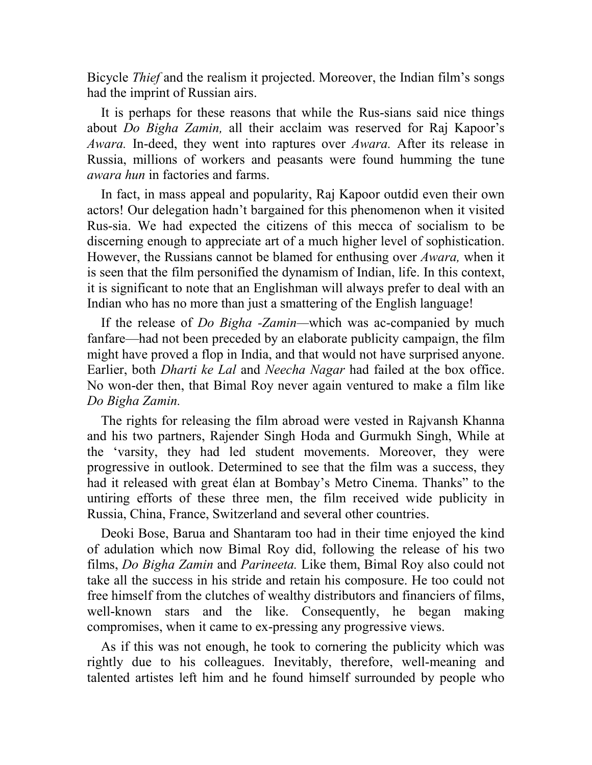Bicycle *Thief* and the realism it projected. Moreover, the Indian film's songs had the imprint of Russian airs.

It is perhaps for these reasons that while the Rus-sians said nice things about *Do Bigha Zamin,* all their acclaim was reserved for Raj Kapoor's *Awara.* In-deed, they went into raptures over *Awara.* After its release in Russia, millions of workers and peasants were found humming the tune *awara hun* in factories and farms.

In fact, in mass appeal and popularity, Raj Kapoor outdid even their own actors! Our delegation hadn't bargained for this phenomenon when it visited Rus-sia. We had expected the citizens of this mecca of socialism to be discerning enough to appreciate art of a much higher level of sophistication. However, the Russians cannot be blamed for enthusing over *Awara,* when it is seen that the film personified the dynamism of Indian, life. In this context, it is significant to note that an Englishman will always prefer to deal with an Indian who has no more than just a smattering of the English language!

If the release of *Do Bigha -Zamin—*which was ac-companied by much fanfare—had not been preceded by an elaborate publicity campaign, the film might have proved a flop in India, and that would not have surprised anyone. Earlier, both *Dharti ke Lal* and *Neecha Nagar* had failed at the box office. No won-der then, that Bimal Roy never again ventured to make a film like *Do Bigha Zamin.*

The rights for releasing the film abroad were vested in Rajvansh Khanna and his two partners, Rajender Singh Hoda and Gurmukh Singh, While at the 'varsity, they had led student movements. Moreover, they were progressive in outlook. Determined to see that the film was a success, they had it released with great élan at Bombay's Metro Cinema. Thanks" to the untiring efforts of these three men, the film received wide publicity in Russia, China, France, Switzerland and several other countries.

Deoki Bose, Barua and Shantaram too had in their time enjoyed the kind of adulation which now Bimal Roy did, following the release of his two films, *Do Bigha Zamin* and *Parineeta.* Like them, Bimal Roy also could not take all the success in his stride and retain his composure. He too could not free himself from the clutches of wealthy distributors and financiers of films, well-known stars and the like. Consequently, he began making compromises, when it came to ex-pressing any progressive views.

As if this was not enough, he took to cornering the publicity which was rightly due to his colleagues. Inevitably, therefore, well-meaning and talented artistes left him and he found himself surrounded by people who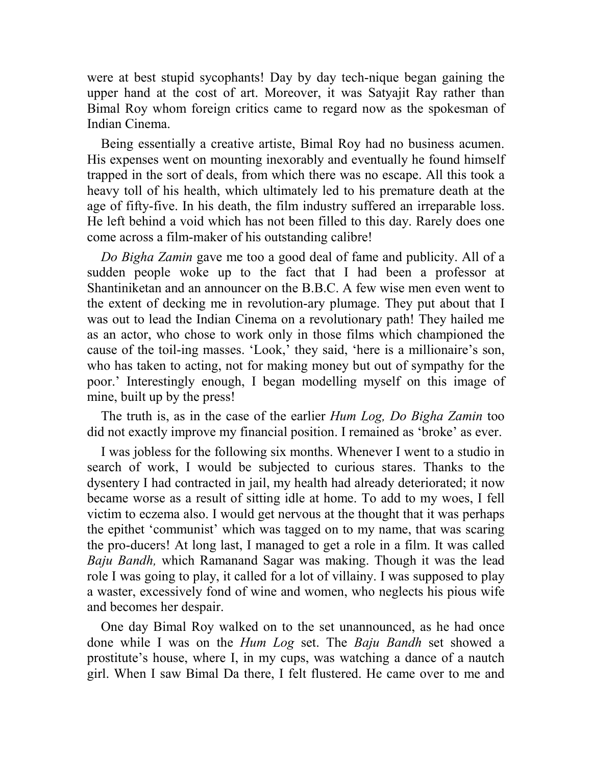were at best stupid sycophants! Day by day tech-nique began gaining the upper hand at the cost of art. Moreover, it was Satyajit Ray rather than Bimal Roy whom foreign critics came to regard now as the spokesman of Indian Cinema.

Being essentially a creative artiste, Bimal Roy had no business acumen. His expenses went on mounting inexorably and eventually he found himself trapped in the sort of deals, from which there was no escape. All this took a heavy toll of his health, which ultimately led to his premature death at the age of fifty-five. In his death, the film industry suffered an irreparable loss. He left behind a void which has not been filled to this day. Rarely does one come across a film-maker of his outstanding calibre!

*Do Bigha Zamin* gave me too a good deal of fame and publicity. All of a sudden people woke up to the fact that I had been a professor at Shantiniketan and an announcer on the B.B.C. A few wise men even went to the extent of decking me in revolution-ary plumage. They put about that I was out to lead the Indian Cinema on a revolutionary path! They hailed me as an actor, who chose to work only in those films which championed the cause of the toil-ing masses. 'Look,' they said, 'here is a millionaire's son, who has taken to acting, not for making money but out of sympathy for the poor.' Interestingly enough, I began modelling myself on this image of mine, built up by the press!

The truth is, as in the case of the earlier *Hum Log, Do Bigha Zamin* too did not exactly improve my financial position. I remained as 'broke' as ever.

I was jobless for the following six months. Whenever I went to a studio in search of work, I would be subjected to curious stares. Thanks to the dysentery I had contracted in jail, my health had already deteriorated; it now became worse as a result of sitting idle at home. To add to my woes, I fell victim to eczema also. I would get nervous at the thought that it was perhaps the epithet 'communist' which was tagged on to my name, that was scaring the pro-ducers! At long last, I managed to get a role in a film. It was called *Baju Bandh,* which Ramanand Sagar was making. Though it was the lead role I was going to play, it called for a lot of villainy. I was supposed to play a waster, excessively fond of wine and women, who neglects his pious wife and becomes her despair.

One day Bimal Roy walked on to the set unannounced, as he had once done while I was on the *Hum Log* set. The *Baju Bandh* set showed a prostitute's house, where I, in my cups, was watching a dance of a nautch girl. When I saw Bimal Da there, I felt flustered. He came over to me and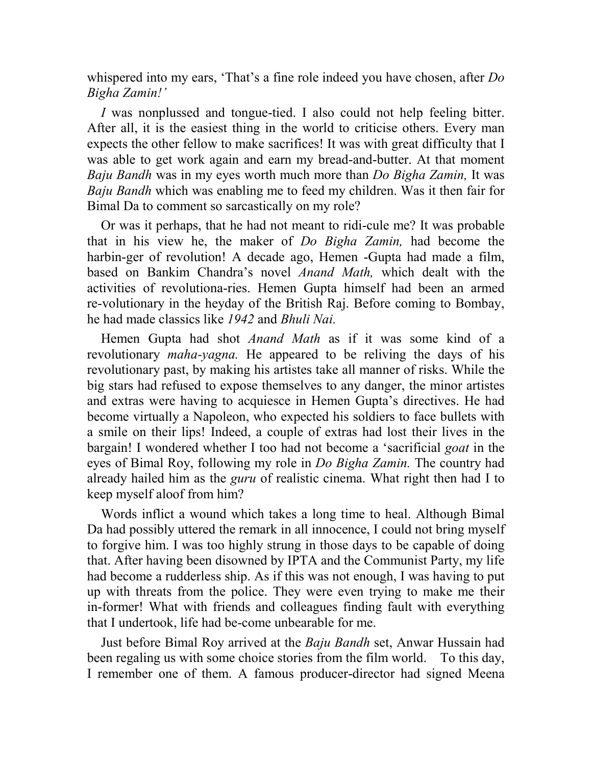whispered into my ears, 'That's a fine role indeed you have chosen, after *Do Bigha Zamin!'*

*I* was nonplussed and tongue-tied. I also could not help feeling bitter. After all, it is the easiest thing in the world to criticise others. Every man expects the other fellow to make sacrifices! It was with great difficulty that I was able to get work again and earn my bread-and-butter. At that moment *Baju Bandh* was in my eyes worth much more than *Do Bigha Zamin,* It was *Baju Bandh* which was enabling me to feed my children. Was it then fair for Bimal Da to comment so sarcastically on my role?

Or was it perhaps, that he had not meant to ridi-cule me? It was probable that in his view he, the maker of *Do Bigha Zamin,* had become the harbin-ger of revolution! A decade ago, Hemen -Gupta had made a film, based on Bankim Chandra's novel *Anand Math,* which dealt with the activities of revolutiona-ries. Hemen Gupta himself had been an armed re-volutionary in the heyday of the British Raj. Before coming to Bombay, he had made classics like *1942* and *Bhuli Nai.*

Hemen Gupta had shot *Anand Math* as if it was some kind of a revolutionary *maha-yagna.* He appeared to be reliving the days of his revolutionary past, by making his artistes take all manner of risks. While the big stars had refused to expose themselves to any danger, the minor artistes and extras were having to acquiesce in Hemen Gupta's directives. He had become virtually a Napoleon, who expected his soldiers to face bullets with a smile on their lips! Indeed, a couple of extras had lost their lives in the bargain! I wondered whether I too had not become a 'sacrificial *goat* in the eyes of Bimal Roy, following my role in *Do Bigha Zamin.* The country had already hailed him as the *guru* of realistic cinema. What right then had I to keep myself aloof from him?

Words inflict a wound which takes a long time to heal. Although Bimal Da had possibly uttered the remark in all innocence, I could not bring myself to forgive him. I was too highly strung in those days to be capable of doing that. After having been disowned by IPTA and the Communist Party, my life had become a rudderless ship. As if this was not enough, I was having to put up with threats from the police. They were even trying to make me their in-former! What with friends and colleagues finding fault with everything that I undertook, life had be-come unbearable for me.

Just before Bimal Roy arrived at the *Baju Bandh* set, Anwar Hussain had been regaling us with some choice stories from the film world. To this day, I remember one of them. A famous producer-director had signed Meena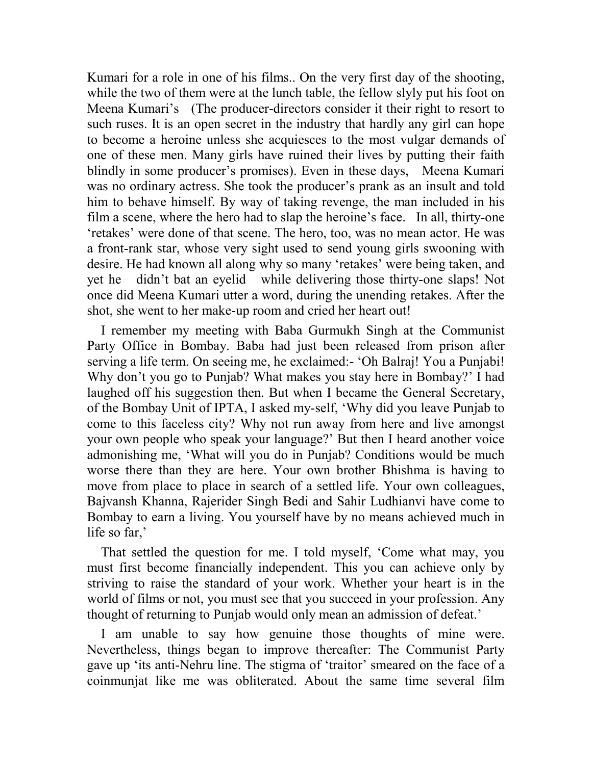Kumari for a role in one of his films.. On the very first day of the shooting, while the two of them were at the lunch table, the fellow slyly put his foot on Meena Kumari's (The producer-directors consider it their right to resort to such ruses. It is an open secret in the industry that hardly any girl can hope to become a heroine unless she acquiesces to the most vulgar demands of one of these men. Many girls have ruined their lives by putting their faith blindly in some producer's promises). Even in these days, Meena Kumari was no ordinary actress. She took the producer's prank as an insult and told him to behave himself. By way of taking revenge, the man included in his film a scene, where the hero had to slap the heroine's face. In all, thirty-one 'retakes' were done of that scene. The hero, too, was no mean actor. He was a front-rank star, whose very sight used to send young girls swooning with desire. He had known all along why so many 'retakes' were being taken, and yet he didn't bat an eyelid while delivering those thirty-one slaps! Not once did Meena Kumari utter a word, during the unending retakes. After the shot, she went to her make-up room and cried her heart out!

I remember my meeting with Baba Gurmukh Singh at the Communist Party Office in Bombay. Baba had just been released from prison after serving a life term. On seeing me, he exclaimed:- 'Oh Balraj! You a Punjabi! Why don't you go to Punjab? What makes you stay here in Bombay?' I had laughed off his suggestion then. But when I became the General Secretary, of the Bombay Unit of IPTA, I asked my-self, 'Why did you leave Punjab to come to this faceless city? Why not run away from here and live amongst your own people who speak your language?' But then I heard another voice admonishing me, 'What will you do in Punjab? Conditions would be much worse there than they are here. Your own brother Bhishma is having to move from place to place in search of a settled life. Your own colleagues, Bajvansh Khanna, Rajerider Singh Bedi and Sahir Ludhianvi have come to Bombay to earn a living. You yourself have by no means achieved much in life so far,'

That settled the question for me. I told myself, 'Come what may, you must first become financially independent. This you can achieve only by striving to raise the standard of your work. Whether your heart is in the world of films or not, you must see that you succeed in your profession. Any thought of returning to Punjab would only mean an admission of defeat.'

I am unable to say how genuine those thoughts of mine were. Nevertheless, things began to improve thereafter: The Communist Party gave up 'its anti-Nehru line. The stigma of 'traitor' smeared on the face of a coinmunjat like me was obliterated. About the same time several film